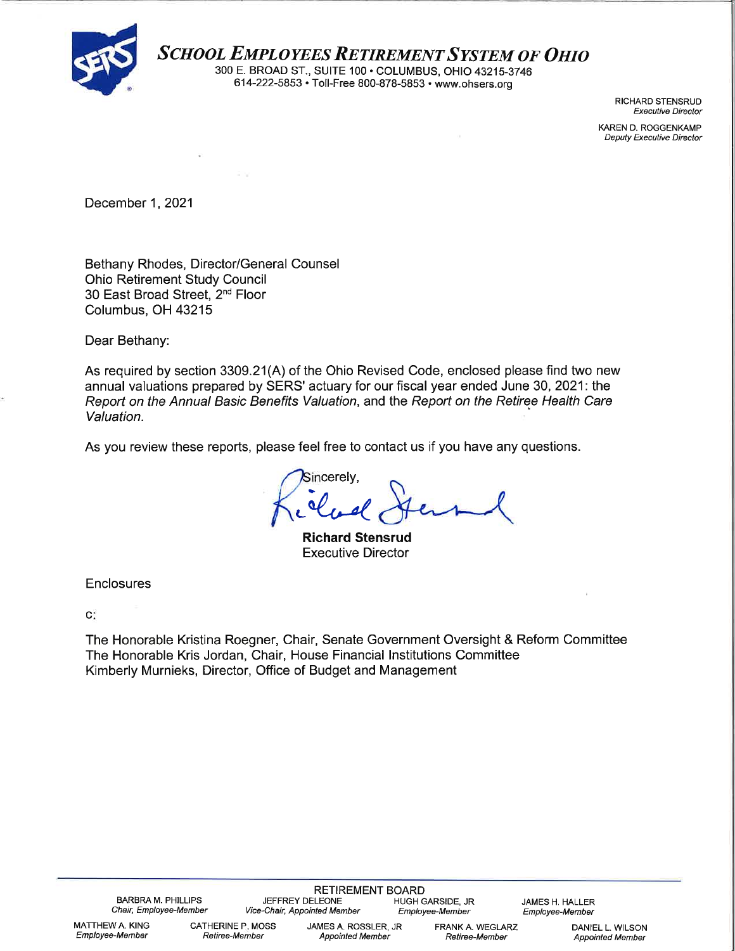

SCHOOL EMPLOYEES RETIREMENT SYSTEM OF OHIO<br>300 E. BROAD ST., SUITE 100 • COLUMBUS, OHIO 43215-3746<br>614-222-5853 • Toll-Free 800-878-5853 • www.ohsers.org

RICHARD STENSRUD **Executive Director** 

KAREN D. ROGGENKAMP **Deputy Executive Director** 

December 1, 2021

Bethany Rhodes, Director/General Counsel **Ohio Retirement Study Council** 30 East Broad Street. 2<sup>nd</sup> Floor Columbus, OH 43215

Dear Bethany:

As required by section 3309.21(A) of the Ohio Revised Code, enclosed please find two new annual valuations prepared by SERS' actuary for our fiscal year ended June 30, 2021: the Report on the Annual Basic Benefits Valuation, and the Report on the Retiree Health Care Valuation.

As you review these reports, please feel free to contact us if you have any questions.

Sincerely.

**Richard Stensrud Executive Director** 

Enclosures

c:

The Honorable Kristina Roegner, Chair, Senate Government Oversight & Reform Committee The Honorable Kris Jordan, Chair, House Financial Institutions Committee Kimberly Murnieks, Director, Office of Budget and Management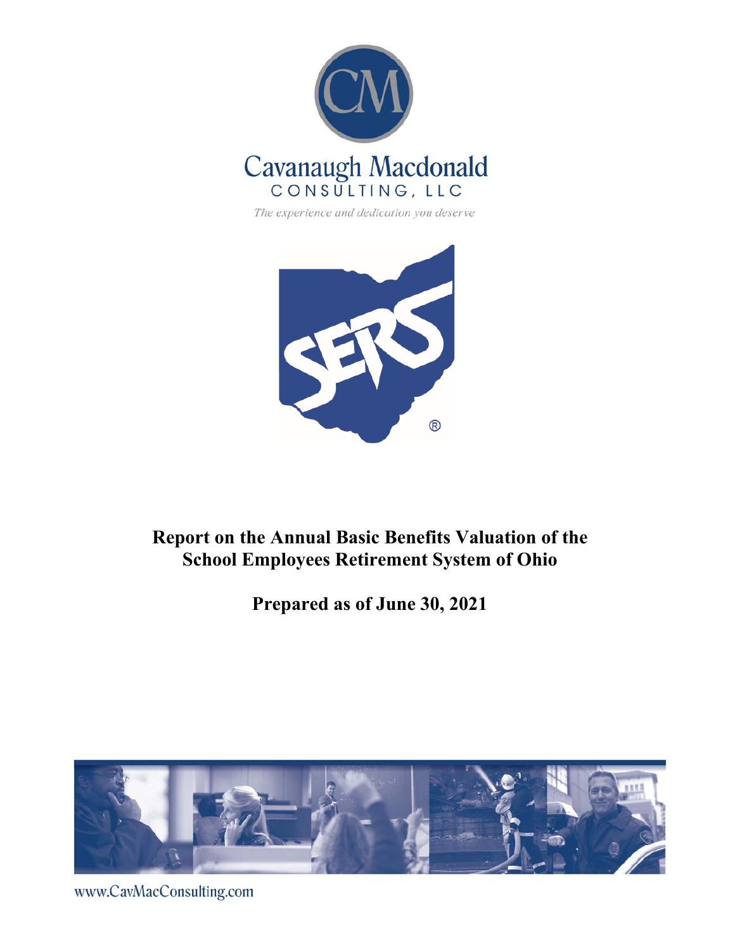

The experience and dedication you deserve



## **Report on the Annual Basic Benefits Valuation of the School Employees Retirement System of Ohio**

**Prepared as of June 30, 2021**



www.CavMacConsulting.com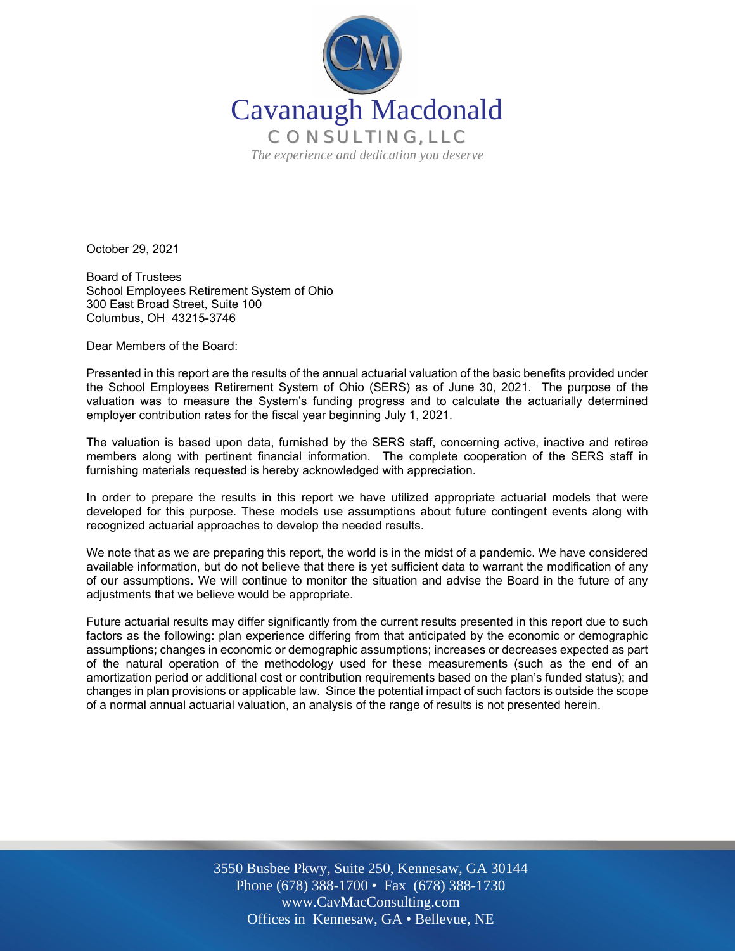

October 29, 2021

Board of Trustees School Employees Retirement System of Ohio 300 East Broad Street, Suite 100 Columbus, OH 43215-3746

Dear Members of the Board:

Presented in this report are the results of the annual actuarial valuation of the basic benefits provided under the School Employees Retirement System of Ohio (SERS) as of June 30, 2021. The purpose of the valuation was to measure the System's funding progress and to calculate the actuarially determined employer contribution rates for the fiscal year beginning July 1, 2021.

The valuation is based upon data, furnished by the SERS staff, concerning active, inactive and retiree members along with pertinent financial information. The complete cooperation of the SERS staff in furnishing materials requested is hereby acknowledged with appreciation.

In order to prepare the results in this report we have utilized appropriate actuarial models that were developed for this purpose. These models use assumptions about future contingent events along with recognized actuarial approaches to develop the needed results.

We note that as we are preparing this report, the world is in the midst of a pandemic. We have considered available information, but do not believe that there is yet sufficient data to warrant the modification of any of our assumptions. We will continue to monitor the situation and advise the Board in the future of any adjustments that we believe would be appropriate.

Future actuarial results may differ significantly from the current results presented in this report due to such factors as the following: plan experience differing from that anticipated by the economic or demographic assumptions; changes in economic or demographic assumptions; increases or decreases expected as part of the natural operation of the methodology used for these measurements (such as the end of an amortization period or additional cost or contribution requirements based on the plan's funded status); and changes in plan provisions or applicable law. Since the potential impact of such factors is outside the scope of a normal annual actuarial valuation, an analysis of the range of results is not presented herein.

> Off Offices in Kennesaw, GA • Bellevue, NE 3550 Busbee Pkwy, Suite 250, Kennesaw, GA 30144 Phone (678) 388-1700 • Fax (678) 388-1730 www.CavMacConsulting.com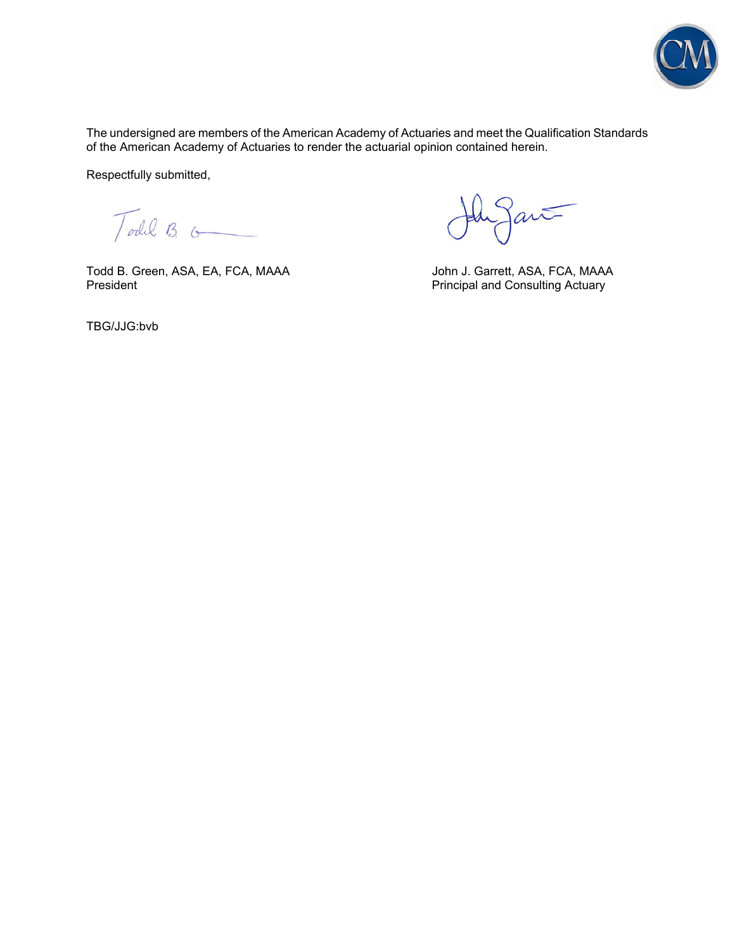

The undersigned are members of the American Academy of Actuaries and meet the Qualification Standards of the American Academy of Actuaries to render the actuarial opinion contained herein.

Respectfully submitted,

Todil B.

Todd B. Green, ASA, EA, FCA, MAAA John J. Garrett, ASA, FCA, MAAA President<br>Principal and Consulting Actuary

Jant

Principal and Consulting Actuary

TBG/JJG:bvb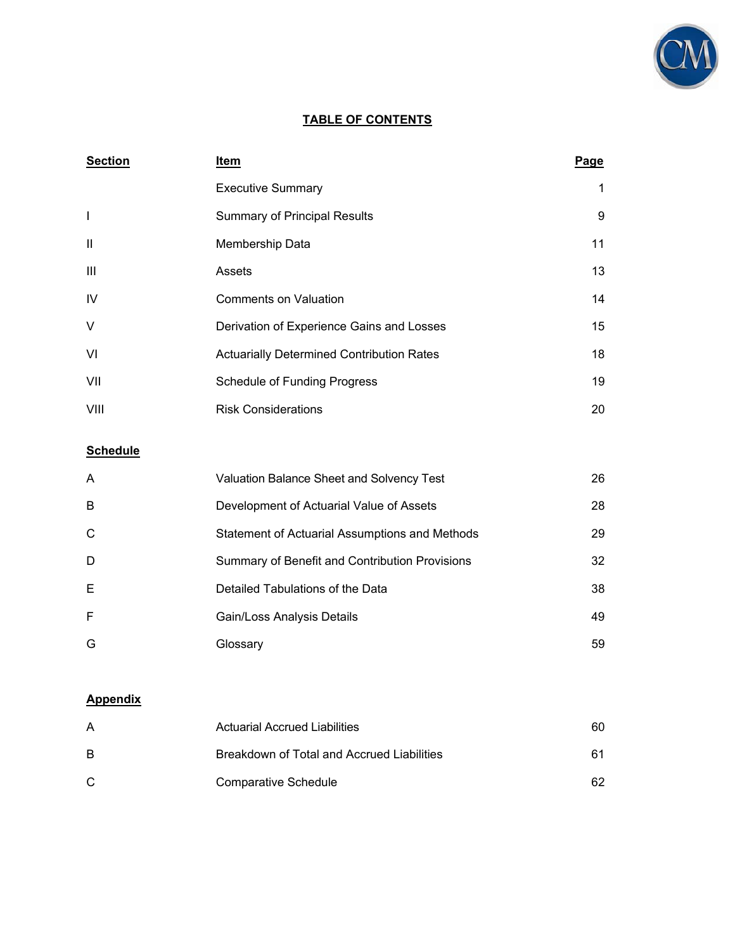

## **TABLE OF CONTENTS**

| <b>Section</b>           | Item                                             | <u>Page</u> |
|--------------------------|--------------------------------------------------|-------------|
|                          | <b>Executive Summary</b>                         | 1           |
| $\overline{\phantom{a}}$ | <b>Summary of Principal Results</b>              | 9           |
| $\mathbf{H}$             | Membership Data                                  | 11          |
| Ш                        | Assets                                           | 13          |
| IV                       | <b>Comments on Valuation</b>                     | 14          |
| $\vee$                   | Derivation of Experience Gains and Losses        | 15          |
| VI                       | <b>Actuarially Determined Contribution Rates</b> | 18          |
| VII                      | Schedule of Funding Progress                     | 19          |
| VIII                     | <b>Risk Considerations</b>                       | 20          |

## **Schedule**

| A | Valuation Balance Sheet and Solvency Test      | 26 |
|---|------------------------------------------------|----|
| B | Development of Actuarial Value of Assets       | 28 |
| C | Statement of Actuarial Assumptions and Methods | 29 |
| D | Summary of Benefit and Contribution Provisions | 32 |
| E | Detailed Tabulations of the Data               | 38 |
| F | Gain/Loss Analysis Details                     | 49 |
| G | Glossary                                       | 59 |

#### **Appendix**

| A  | <b>Actuarial Accrued Liabilities</b>       | 60. |
|----|--------------------------------------------|-----|
| B  | Breakdown of Total and Accrued Liabilities | 61  |
| C. | Comparative Schedule                       | 62  |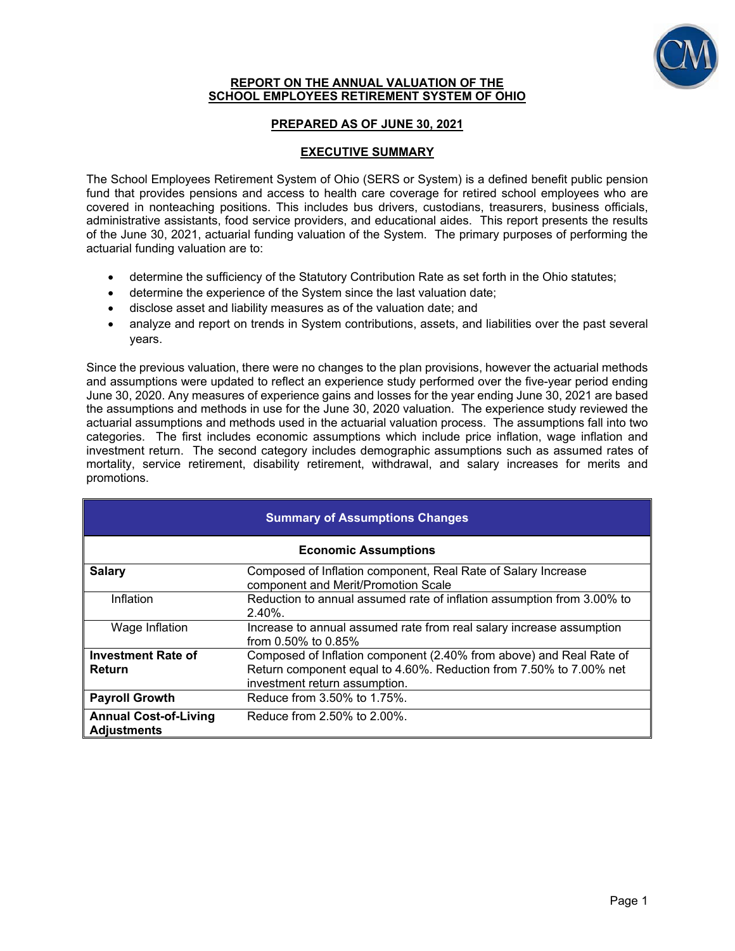

#### **REPORT ON THE ANNUAL VALUATION OF THE SCHOOL EMPLOYEES RETIREMENT SYSTEM OF OHIO**

## **PREPARED AS OF JUNE 30, 2021**

## **EXECUTIVE SUMMARY**

The School Employees Retirement System of Ohio (SERS or System) is a defined benefit public pension fund that provides pensions and access to health care coverage for retired school employees who are covered in nonteaching positions. This includes bus drivers, custodians, treasurers, business officials, administrative assistants, food service providers, and educational aides. This report presents the results of the June 30, 2021, actuarial funding valuation of the System. The primary purposes of performing the actuarial funding valuation are to:

- determine the sufficiency of the Statutory Contribution Rate as set forth in the Ohio statutes;
- determine the experience of the System since the last valuation date;
- disclose asset and liability measures as of the valuation date; and
- analyze and report on trends in System contributions, assets, and liabilities over the past several years.

Since the previous valuation, there were no changes to the plan provisions, however the actuarial methods and assumptions were updated to reflect an experience study performed over the five-year period ending June 30, 2020. Any measures of experience gains and losses for the year ending June 30, 2021 are based the assumptions and methods in use for the June 30, 2020 valuation. The experience study reviewed the actuarial assumptions and methods used in the actuarial valuation process. The assumptions fall into two categories. The first includes economic assumptions which include price inflation, wage inflation and investment return. The second category includes demographic assumptions such as assumed rates of mortality, service retirement, disability retirement, withdrawal, and salary increases for merits and promotions.

| <b>Summary of Assumptions Changes</b>              |                                                                                                                                                                            |  |  |  |
|----------------------------------------------------|----------------------------------------------------------------------------------------------------------------------------------------------------------------------------|--|--|--|
|                                                    | <b>Economic Assumptions</b>                                                                                                                                                |  |  |  |
| <b>Salary</b>                                      | Composed of Inflation component, Real Rate of Salary Increase<br>component and Merit/Promotion Scale                                                                       |  |  |  |
| Inflation                                          | Reduction to annual assumed rate of inflation assumption from 3.00% to<br>$2.40\%$ .                                                                                       |  |  |  |
| Wage Inflation                                     | Increase to annual assumed rate from real salary increase assumption<br>from $0.50\%$ to $0.85\%$                                                                          |  |  |  |
| <b>Investment Rate of</b><br>Return                | Composed of Inflation component (2.40% from above) and Real Rate of<br>Return component equal to 4.60%. Reduction from 7.50% to 7.00% net<br>investment return assumption. |  |  |  |
| <b>Payroll Growth</b>                              | Reduce from 3.50% to 1.75%.                                                                                                                                                |  |  |  |
| <b>Annual Cost-of-Living</b><br><b>Adjustments</b> | Reduce from 2.50% to 2.00%.                                                                                                                                                |  |  |  |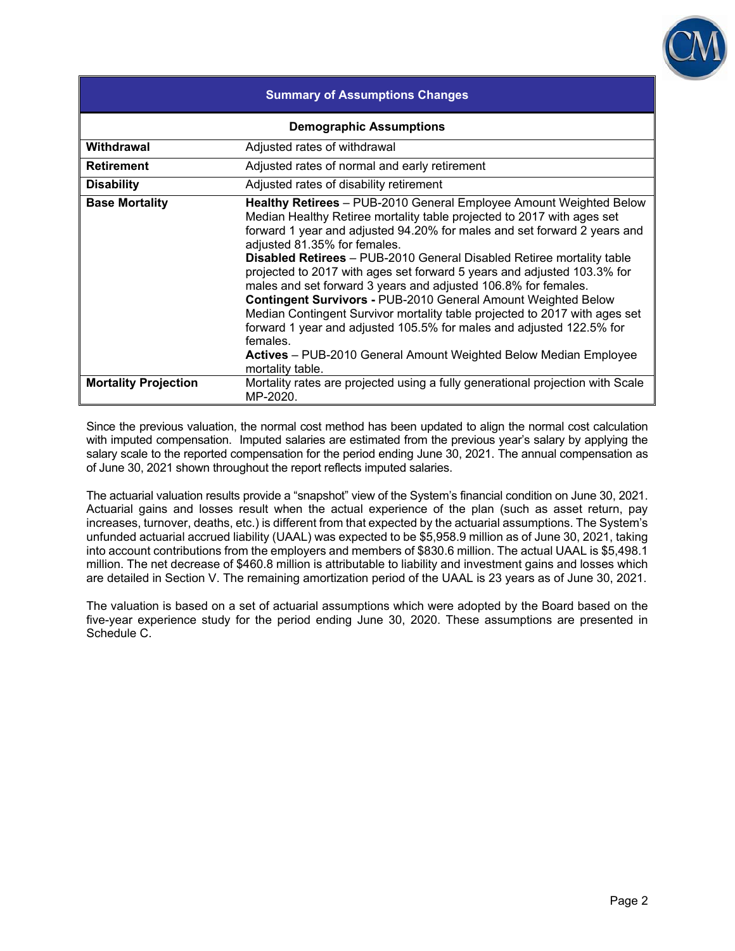

| <b>Summary of Assumptions Changes</b> |                                                                                                                                                                                                                                                                                                                                                                                                                                                                                                                                                                                                                                                                                                                                                                                                           |  |  |  |
|---------------------------------------|-----------------------------------------------------------------------------------------------------------------------------------------------------------------------------------------------------------------------------------------------------------------------------------------------------------------------------------------------------------------------------------------------------------------------------------------------------------------------------------------------------------------------------------------------------------------------------------------------------------------------------------------------------------------------------------------------------------------------------------------------------------------------------------------------------------|--|--|--|
|                                       | <b>Demographic Assumptions</b>                                                                                                                                                                                                                                                                                                                                                                                                                                                                                                                                                                                                                                                                                                                                                                            |  |  |  |
| Withdrawal                            | Adjusted rates of withdrawal                                                                                                                                                                                                                                                                                                                                                                                                                                                                                                                                                                                                                                                                                                                                                                              |  |  |  |
| <b>Retirement</b>                     | Adjusted rates of normal and early retirement                                                                                                                                                                                                                                                                                                                                                                                                                                                                                                                                                                                                                                                                                                                                                             |  |  |  |
| <b>Disability</b>                     | Adjusted rates of disability retirement                                                                                                                                                                                                                                                                                                                                                                                                                                                                                                                                                                                                                                                                                                                                                                   |  |  |  |
| <b>Base Mortality</b>                 | Healthy Retirees - PUB-2010 General Employee Amount Weighted Below<br>Median Healthy Retiree mortality table projected to 2017 with ages set<br>forward 1 year and adjusted 94.20% for males and set forward 2 years and<br>adjusted 81.35% for females.<br>Disabled Retirees - PUB-2010 General Disabled Retiree mortality table<br>projected to 2017 with ages set forward 5 years and adjusted 103.3% for<br>males and set forward 3 years and adjusted 106.8% for females.<br>Contingent Survivors - PUB-2010 General Amount Weighted Below<br>Median Contingent Survivor mortality table projected to 2017 with ages set<br>forward 1 year and adjusted 105.5% for males and adjusted 122.5% for<br>females.<br>Actives - PUB-2010 General Amount Weighted Below Median Employee<br>mortality table. |  |  |  |
| <b>Mortality Projection</b>           | Mortality rates are projected using a fully generational projection with Scale<br>MP-2020.                                                                                                                                                                                                                                                                                                                                                                                                                                                                                                                                                                                                                                                                                                                |  |  |  |

Since the previous valuation, the normal cost method has been updated to align the normal cost calculation with imputed compensation. Imputed salaries are estimated from the previous year's salary by applying the salary scale to the reported compensation for the period ending June 30, 2021. The annual compensation as of June 30, 2021 shown throughout the report reflects imputed salaries.

The actuarial valuation results provide a "snapshot" view of the System's financial condition on June 30, 2021. Actuarial gains and losses result when the actual experience of the plan (such as asset return, pay increases, turnover, deaths, etc.) is different from that expected by the actuarial assumptions. The System's unfunded actuarial accrued liability (UAAL) was expected to be \$5,958.9 million as of June 30, 2021, taking into account contributions from the employers and members of \$830.6 million. The actual UAAL is \$5,498.1 million. The net decrease of \$460.8 million is attributable to liability and investment gains and losses which are detailed in Section V. The remaining amortization period of the UAAL is 23 years as of June 30, 2021.

The valuation is based on a set of actuarial assumptions which were adopted by the Board based on the five-year experience study for the period ending June 30, 2020. These assumptions are presented in Schedule C.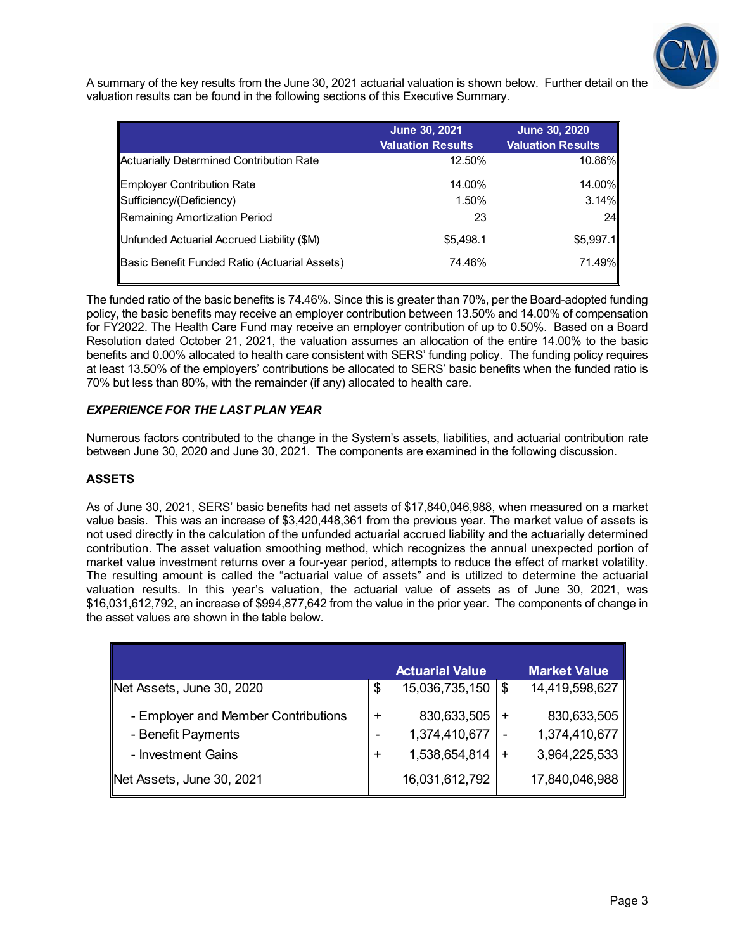

A summary of the key results from the June 30, 2021 actuarial valuation is shown below. Further detail on the valuation results can be found in the following sections of this Executive Summary.

|                                               | June 30, 2021<br><b>Valuation Results</b> | <b>June 30, 2020</b><br><b>Valuation Results</b> |
|-----------------------------------------------|-------------------------------------------|--------------------------------------------------|
| Actuarially Determined Contribution Rate      | 12.50%                                    | 10.86%                                           |
| Employer Contribution Rate                    | 14.00%                                    | 14.00%                                           |
| Sufficiency/(Deficiency)                      | 1.50%                                     | 3.14%                                            |
| Remaining Amortization Period                 | 23                                        | 24                                               |
| Unfunded Actuarial Accrued Liability (\$M)    | \$5,498.1                                 | \$5,997.1                                        |
| Basic Benefit Funded Ratio (Actuarial Assets) | 74.46%                                    | 71.49%                                           |

The funded ratio of the basic benefits is 74.46%. Since this is greater than 70%, per the Board-adopted funding policy, the basic benefits may receive an employer contribution between 13.50% and 14.00% of compensation for FY2022. The Health Care Fund may receive an employer contribution of up to 0.50%. Based on a Board Resolution dated October 21, 2021, the valuation assumes an allocation of the entire 14.00% to the basic benefits and 0.00% allocated to health care consistent with SERS' funding policy. The funding policy requires at least 13.50% of the employers' contributions be allocated to SERS' basic benefits when the funded ratio is 70% but less than 80%, with the remainder (if any) allocated to health care.

## *EXPERIENCE FOR THE LAST PLAN YEAR*

Numerous factors contributed to the change in the System's assets, liabilities, and actuarial contribution rate between June 30, 2020 and June 30, 2021. The components are examined in the following discussion.

#### **ASSETS**

As of June 30, 2021, SERS' basic benefits had net assets of \$17,840,046,988, when measured on a market value basis. This was an increase of \$3,420,448,361 from the previous year. The market value of assets is not used directly in the calculation of the unfunded actuarial accrued liability and the actuarially determined contribution. The asset valuation smoothing method, which recognizes the annual unexpected portion of market value investment returns over a four-year period, attempts to reduce the effect of market volatility. The resulting amount is called the "actuarial value of assets" and is utilized to determine the actuarial valuation results. In this year's valuation, the actuarial value of assets as of June 30, 2021, was \$16,031,612,792, an increase of \$994,877,642 from the value in the prior year. The components of change in the asset values are shown in the table below.

|                                                           |           | <b>Actuarial Value</b>       |             | <b>Market Value</b>          |
|-----------------------------------------------------------|-----------|------------------------------|-------------|------------------------------|
| Net Assets, June 30, 2020                                 | \$        | 15,036,735,150               | \$          | 14,419,598,627               |
| - Employer and Member Contributions<br>- Benefit Payments | $\ddot{}$ | 830,633,505<br>1,374,410,677 | $\div$<br>۰ | 830,633,505<br>1,374,410,677 |
| - Investment Gains                                        | $\pm$     | 1,538,654,814                | $\ddot{}$   | 3,964,225,533                |
| Net Assets, June 30, 2021                                 |           | 16,031,612,792               |             | 17,840,046,988               |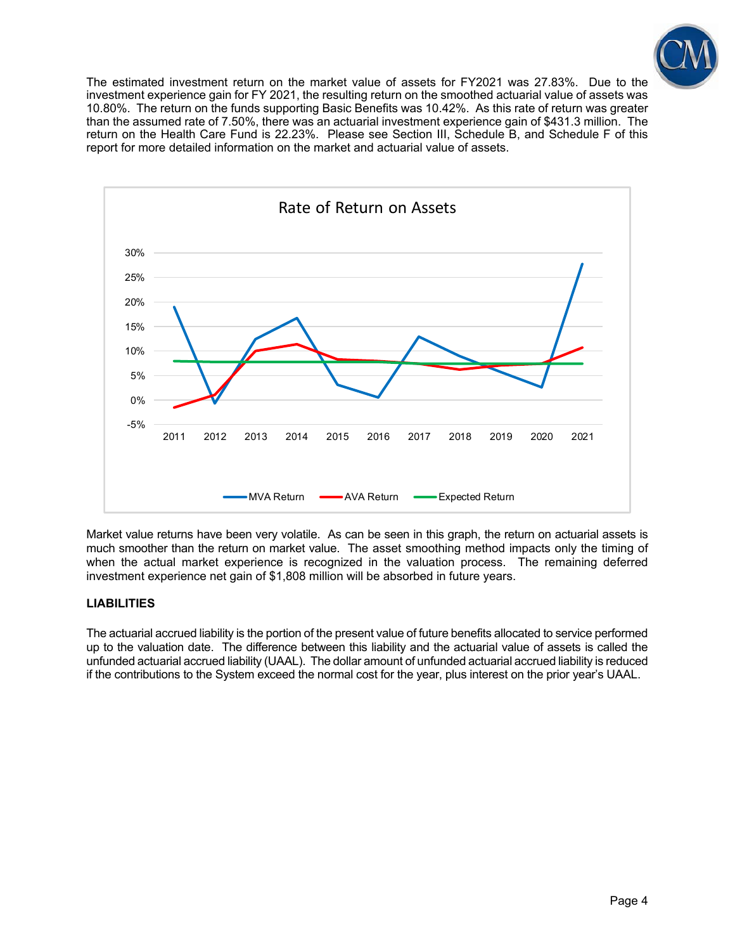

The estimated investment return on the market value of assets for FY2021 was 27.83%. Due to the investment experience gain for FY 2021, the resulting return on the smoothed actuarial value of assets was 10.80%. The return on the funds supporting Basic Benefits was 10.42%. As this rate of return was greater than the assumed rate of 7.50%, there was an actuarial investment experience gain of \$431.3 million. The return on the Health Care Fund is 22.23%. Please see Section III, Schedule B, and Schedule F of this report for more detailed information on the market and actuarial value of assets.



Market value returns have been very volatile. As can be seen in this graph, the return on actuarial assets is much smoother than the return on market value. The asset smoothing method impacts only the timing of when the actual market experience is recognized in the valuation process. The remaining deferred investment experience net gain of \$1,808 million will be absorbed in future years.

#### **LIABILITIES**

The actuarial accrued liability is the portion of the present value of future benefits allocated to service performed up to the valuation date. The difference between this liability and the actuarial value of assets is called the unfunded actuarial accrued liability (UAAL). The dollar amount of unfunded actuarial accrued liability is reduced if the contributions to the System exceed the normal cost for the year, plus interest on the prior year's UAAL.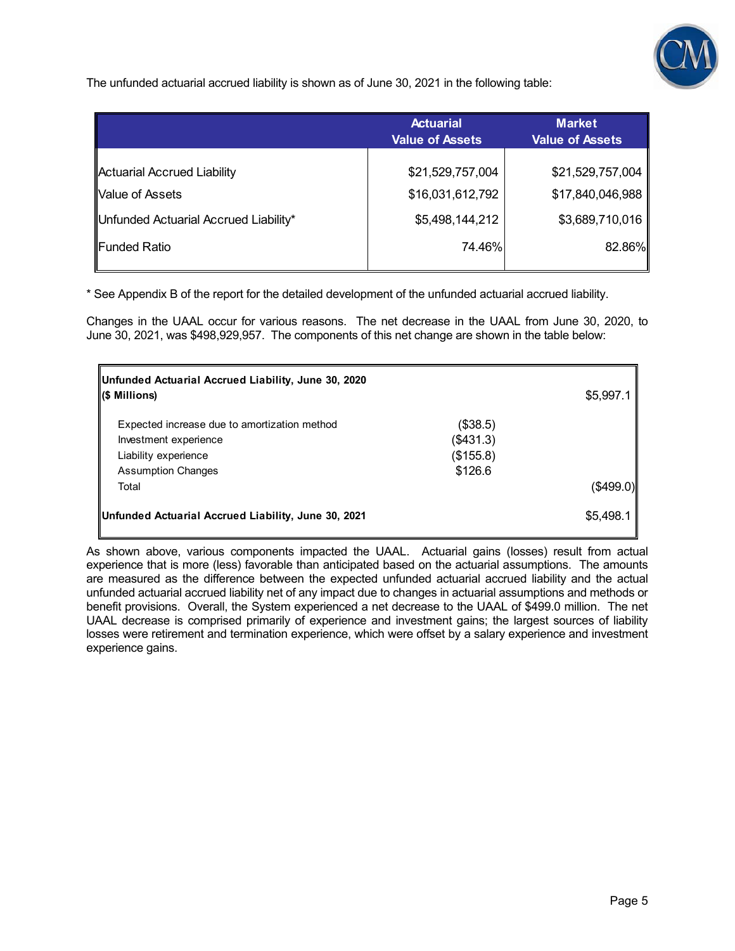

The unfunded actuarial accrued liability is shown as of June 30, 2021 in the following table:

|                                       | <b>Actuarial</b><br><b>Value of Assets</b> | <b>Market</b><br><b>Value of Assets</b> |
|---------------------------------------|--------------------------------------------|-----------------------------------------|
| Actuarial Accrued Liability           | \$21,529,757,004                           | \$21,529,757,004                        |
| Value of Assets                       | \$16,031,612,792                           | \$17,840,046,988                        |
| Unfunded Actuarial Accrued Liability* | \$5,498,144,212                            | \$3,689,710,016                         |
| ∥Funded Ratio                         | 74.46%                                     | 82.86%                                  |

\* See Appendix B of the report for the detailed development of the unfunded actuarial accrued liability.

Changes in the UAAL occur for various reasons. The net decrease in the UAAL from June 30, 2020, to June 30, 2021, was \$498,929,957. The components of this net change are shown in the table below:

| Unfunded Actuarial Accrued Liability, June 30, 2020 |           |           |
|-----------------------------------------------------|-----------|-----------|
| <b>S</b> Millions)                                  |           | \$5,997.1 |
| Expected increase due to amortization method        | (\$38.5)  |           |
| Investment experience                               | (\$431.3) |           |
| Liability experience                                | (\$155.8) |           |
| <b>Assumption Changes</b>                           | \$126.6   |           |
| Total                                               |           | (\$499.0) |
| Unfunded Actuarial Accrued Liability, June 30, 2021 |           | \$5,498.1 |

As shown above, various components impacted the UAAL. Actuarial gains (losses) result from actual experience that is more (less) favorable than anticipated based on the actuarial assumptions. The amounts are measured as the difference between the expected unfunded actuarial accrued liability and the actual unfunded actuarial accrued liability net of any impact due to changes in actuarial assumptions and methods or benefit provisions. Overall, the System experienced a net decrease to the UAAL of \$499.0 million. The net UAAL decrease is comprised primarily of experience and investment gains; the largest sources of liability losses were retirement and termination experience, which were offset by a salary experience and investment experience gains.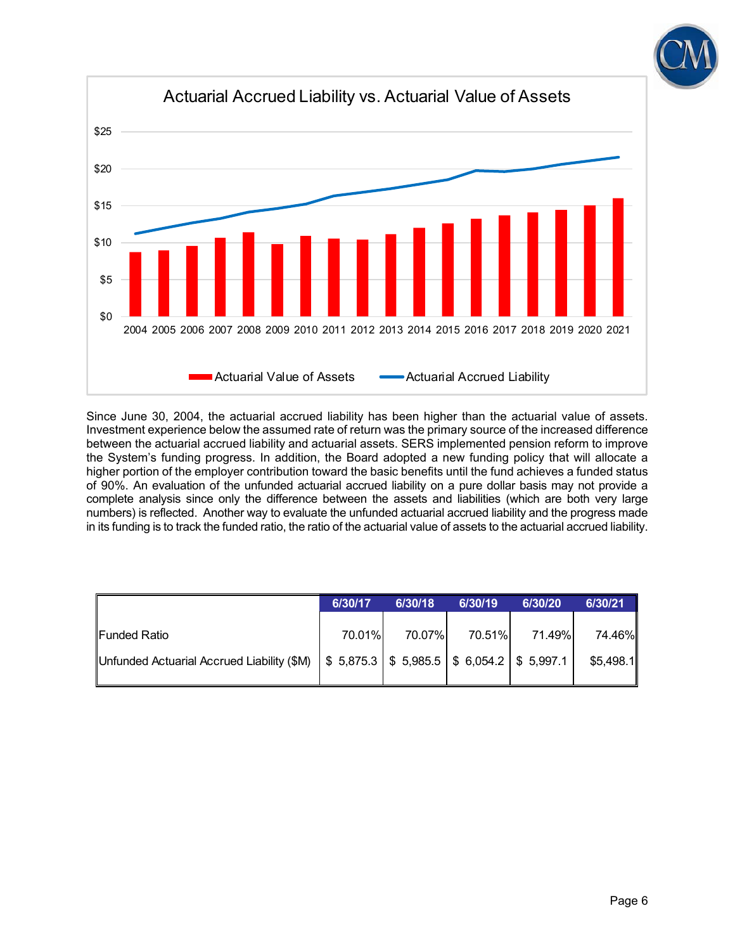



Since June 30, 2004, the actuarial accrued liability has been higher than the actuarial value of assets. Investment experience below the assumed rate of return was the primary source of the increased difference between the actuarial accrued liability and actuarial assets. SERS implemented pension reform to improve the System's funding progress. In addition, the Board adopted a new funding policy that will allocate a higher portion of the employer contribution toward the basic benefits until the fund achieves a funded status of 90%. An evaluation of the unfunded actuarial accrued liability on a pure dollar basis may not provide a complete analysis since only the difference between the assets and liabilities (which are both very large numbers) is reflected. Another way to evaluate the unfunded actuarial accrued liability and the progress made in its funding is to track the funded ratio, the ratio of the actuarial value of assets to the actuarial accrued liability.

|                                                                                                                                                    | 6/30/17 | 6/30/18 | 6/30/19 | 6/30/20 | 6/30/21             |
|----------------------------------------------------------------------------------------------------------------------------------------------------|---------|---------|---------|---------|---------------------|
| Funded Ratio<br>Unfunded Actuarial Accrued Liability (\$M) $\frac{1}{5}$ 5,875.3 $\frac{1}{5}$ 5,985.5 $\frac{1}{5}$ 6,054.2 $\frac{1}{5}$ 5,997.1 | 70.01%  | 70.07%  | 70.51%  | 71.49%  | 74.46%<br>\$5,498.1 |
|                                                                                                                                                    |         |         |         |         |                     |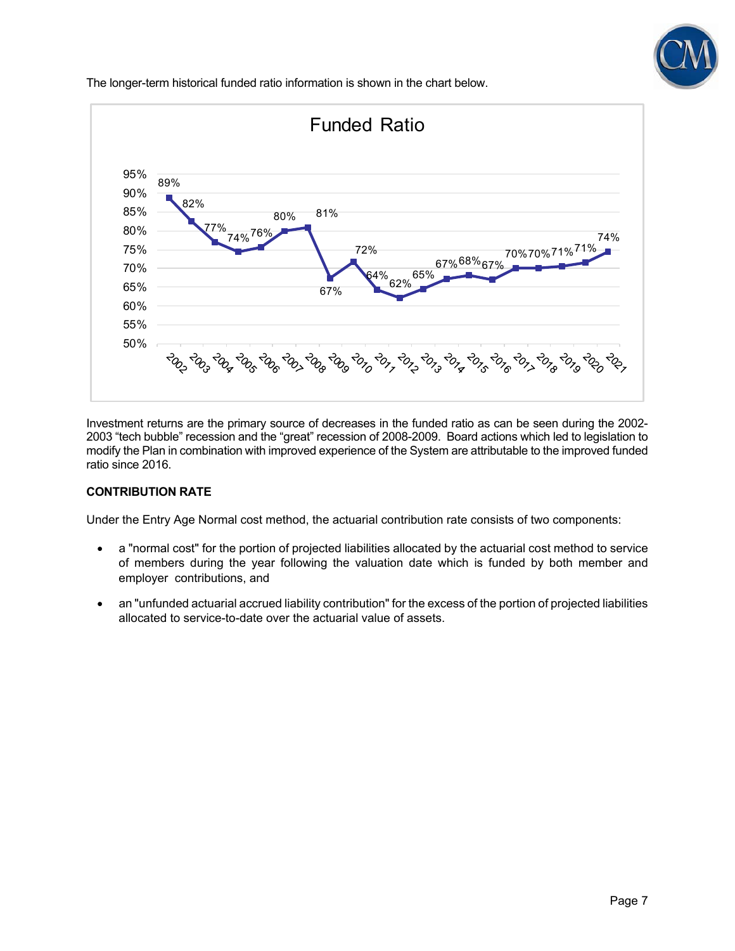

The longer-term historical funded ratio information is shown in the chart below.



Investment returns are the primary source of decreases in the funded ratio as can be seen during the 2002- 2003 "tech bubble" recession and the "great" recession of 2008-2009. Board actions which led to legislation to modify the Plan in combination with improved experience of the System are attributable to the improved funded ratio since 2016.

#### **CONTRIBUTION RATE**

Under the Entry Age Normal cost method, the actuarial contribution rate consists of two components:

- a "normal cost" for the portion of projected liabilities allocated by the actuarial cost method to service of members during the year following the valuation date which is funded by both member and employer contributions, and
- an "unfunded actuarial accrued liability contribution" for the excess of the portion of projected liabilities allocated to service-to-date over the actuarial value of assets.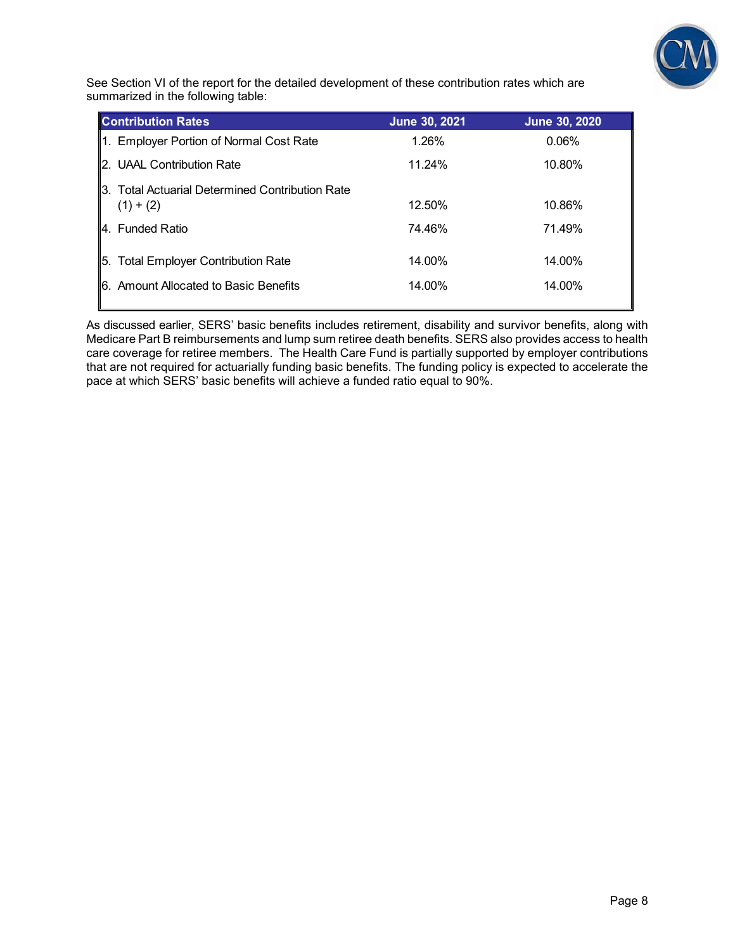

See Section VI of the report for the detailed development of these contribution rates which are summarized in the following table:

| <b>Contribution Rates</b>                                      | June 30, 2021 | <b>June 30, 2020</b> |
|----------------------------------------------------------------|---------------|----------------------|
| 1. Employer Portion of Normal Cost Rate                        | 1.26%         | 0.06%                |
| 2. UAAL Contribution Rate                                      | 11.24%        | 10.80%               |
| 3. Total Actuarial Determined Contribution Rate<br>$(1) + (2)$ | 12.50%        | 10.86%               |
| 4. Funded Ratio                                                | 74.46%        | 71.49%               |
| 5. Total Employer Contribution Rate                            | 14.00%        | 14.00%               |
| I6. Amount Allocated to Basic Benefits                         | 14.00%        | 14.00%               |

As discussed earlier, SERS' basic benefits includes retirement, disability and survivor benefits, along with Medicare Part B reimbursements and lump sum retiree death benefits. SERS also provides access to health care coverage for retiree members. The Health Care Fund is partially supported by employer contributions that are not required for actuarially funding basic benefits. The funding policy is expected to accelerate the pace at which SERS' basic benefits will achieve a funded ratio equal to 90%.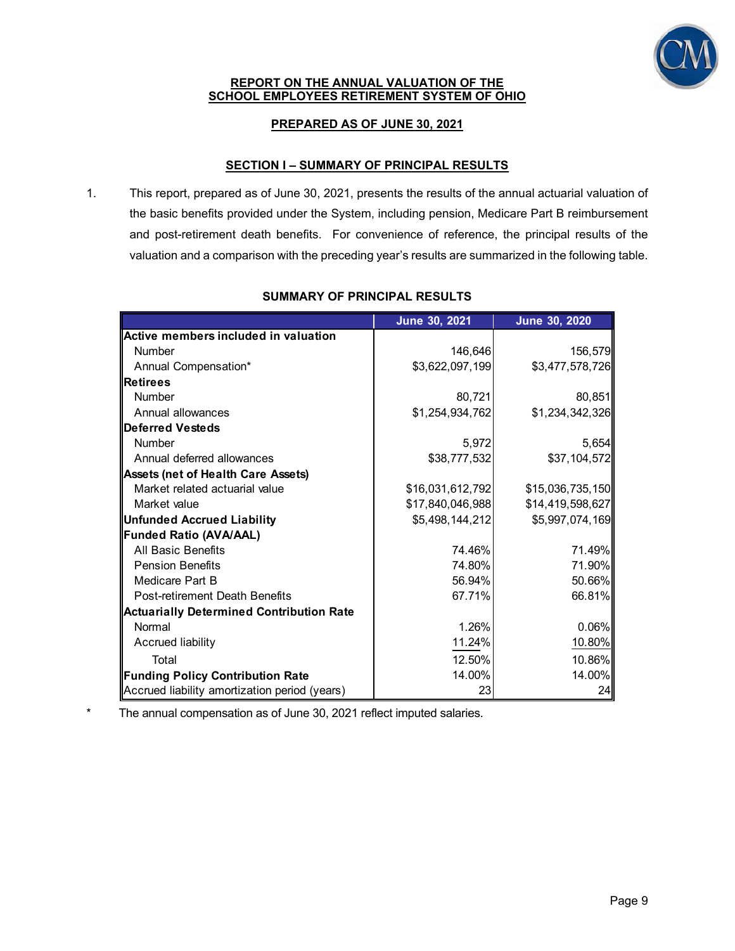

#### **REPORT ON THE ANNUAL VALUATION OF THE SCHOOL EMPLOYEES RETIREMENT SYSTEM OF OHIO**

## **PREPARED AS OF JUNE 30, 2021**

#### **SECTION I – SUMMARY OF PRINCIPAL RESULTS**

1. This report, prepared as of June 30, 2021, presents the results of the annual actuarial valuation of the basic benefits provided under the System, including pension, Medicare Part B reimbursement and post-retirement death benefits. For convenience of reference, the principal results of the valuation and a comparison with the preceding year's results are summarized in the following table.

|                                                 | June 30, 2021    | June 30, 2020    |
|-------------------------------------------------|------------------|------------------|
| Active members included in valuation            |                  |                  |
| <b>Number</b>                                   | 146,646          | 156,579          |
| Annual Compensation*                            | \$3,622,097,199  | \$3,477,578,726  |
| <b>Retirees</b>                                 |                  |                  |
| <b>Number</b>                                   | 80,721           | 80,851           |
| Annual allowances                               | \$1,254,934,762  | \$1,234,342,326  |
| <b>Deferred Vesteds</b>                         |                  |                  |
| <b>Number</b>                                   | 5,972            | 5,654            |
| Annual deferred allowances                      | \$38,777,532     | \$37,104,572     |
| <b>Assets (net of Health Care Assets)</b>       |                  |                  |
| Market related actuarial value                  | \$16,031,612,792 | \$15,036,735,150 |
| Market value                                    | \$17,840,046,988 | \$14,419,598,627 |
| Unfunded Accrued Liability                      | \$5,498,144,212  | \$5,997,074,169  |
| Funded Ratio (AVA/AAL)                          |                  |                  |
| All Basic Benefits                              | 74.46%           | 71.49%           |
| <b>Pension Benefits</b>                         | 74.80%           | 71.90%           |
| Medicare Part B                                 | 56.94%           | 50.66%           |
| Post-retirement Death Benefits                  | 67.71%           | 66.81%           |
| <b>Actuarially Determined Contribution Rate</b> |                  |                  |
| Normal                                          | 1.26%            | 0.06%            |
| Accrued liability                               | 11.24%           | 10.80%           |
| Total                                           | 12.50%           | 10.86%           |
| Funding Policy Contribution Rate                | 14.00%           | 14.00%           |
| Accrued liability amortization period (years)   | 23               | 24               |

#### **SUMMARY OF PRINCIPAL RESULTS**

The annual compensation as of June 30, 2021 reflect imputed salaries.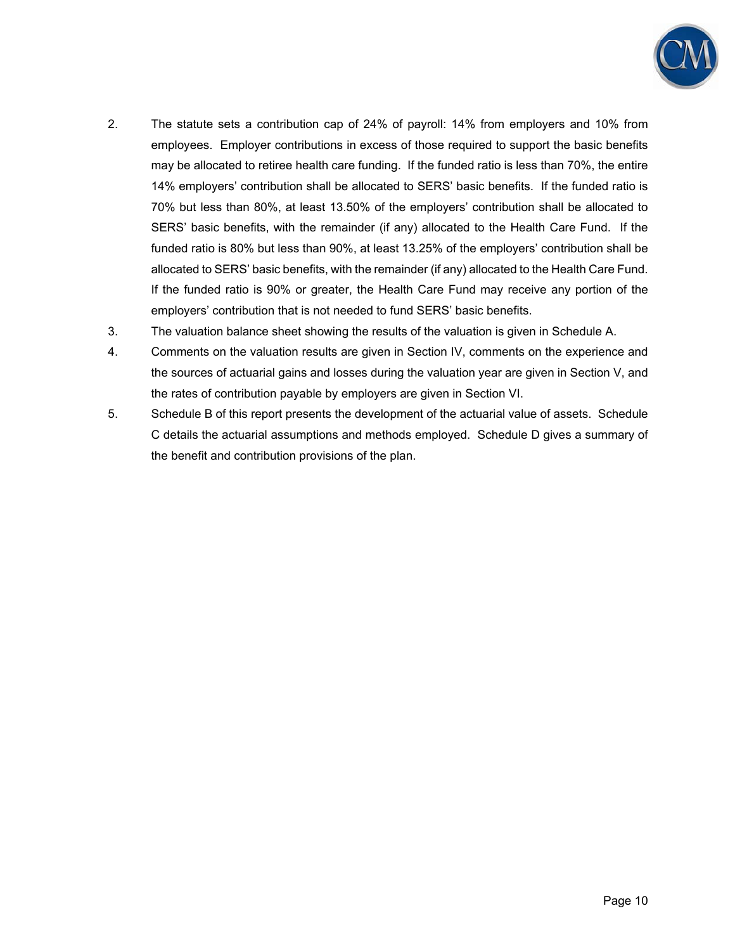

- 2. The statute sets a contribution cap of 24% of payroll: 14% from employers and 10% from employees. Employer contributions in excess of those required to support the basic benefits may be allocated to retiree health care funding. If the funded ratio is less than 70%, the entire 14% employers' contribution shall be allocated to SERS' basic benefits. If the funded ratio is 70% but less than 80%, at least 13.50% of the employers' contribution shall be allocated to SERS' basic benefits, with the remainder (if any) allocated to the Health Care Fund. If the funded ratio is 80% but less than 90%, at least 13.25% of the employers' contribution shall be allocated to SERS' basic benefits, with the remainder (if any) allocated to the Health Care Fund. If the funded ratio is 90% or greater, the Health Care Fund may receive any portion of the employers' contribution that is not needed to fund SERS' basic benefits.
- 3. The valuation balance sheet showing the results of the valuation is given in Schedule A.
- 4. Comments on the valuation results are given in Section IV, comments on the experience and the sources of actuarial gains and losses during the valuation year are given in Section V, and the rates of contribution payable by employers are given in Section VI.
- 5. Schedule B of this report presents the development of the actuarial value of assets. Schedule C details the actuarial assumptions and methods employed. Schedule D gives a summary of the benefit and contribution provisions of the plan.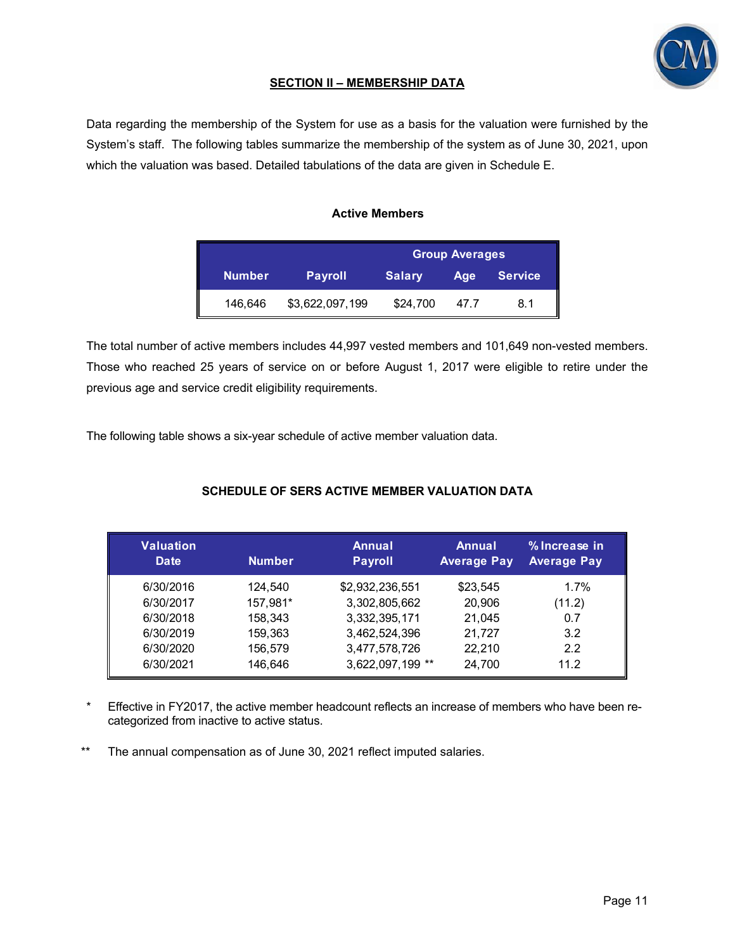

## **SECTION II – MEMBERSHIP DATA**

Data regarding the membership of the System for use as a basis for the valuation were furnished by the System's staff. The following tables summarize the membership of the system as of June 30, 2021, upon which the valuation was based. Detailed tabulations of the data are given in Schedule E.

#### **Active Members**

|               |                 | <b>Group Averages</b> |      |                |  |  |  |  |  |
|---------------|-----------------|-----------------------|------|----------------|--|--|--|--|--|
| <b>Number</b> | <b>Payroll</b>  | <b>Salary</b>         | Age  | <b>Service</b> |  |  |  |  |  |
| 146,646       | \$3,622,097,199 | \$24,700              | 47.7 | 8.1            |  |  |  |  |  |

The total number of active members includes 44,997 vested members and 101,649 non-vested members. Those who reached 25 years of service on or before August 1, 2017 were eligible to retire under the previous age and service credit eligibility requirements.

The following table shows a six-year schedule of active member valuation data.

## **SCHEDULE OF SERS ACTIVE MEMBER VALUATION DATA**

| <b>Valuation</b><br><b>Date</b> | <b>Number</b> | Annual<br><b>Payroll</b> | <b>Annual</b><br><b>Average Pay</b> | % Increase in<br><b>Average Pay</b> |
|---------------------------------|---------------|--------------------------|-------------------------------------|-------------------------------------|
| 6/30/2016                       | 124,540       | \$2,932,236,551          | \$23,545                            | 1.7%                                |
| 6/30/2017                       | 157,981*      | 3,302,805,662            | 20,906                              | (11.2)                              |
| 6/30/2018                       | 158,343       | 3,332,395,171            | 21,045                              | 0.7                                 |
| 6/30/2019                       | 159,363       | 3,462,524,396            | 21,727                              | 3.2                                 |
| 6/30/2020                       | 156.579       | 3,477,578,726            | 22,210                              | 2.2                                 |
| 6/30/2021                       | 146.646       | 3,622,097,199 **         | 24,700                              | 11.2                                |

- \* Effective in FY2017, the active member headcount reflects an increase of members who have been recategorized from inactive to active status.
- \*\* The annual compensation as of June 30, 2021 reflect imputed salaries.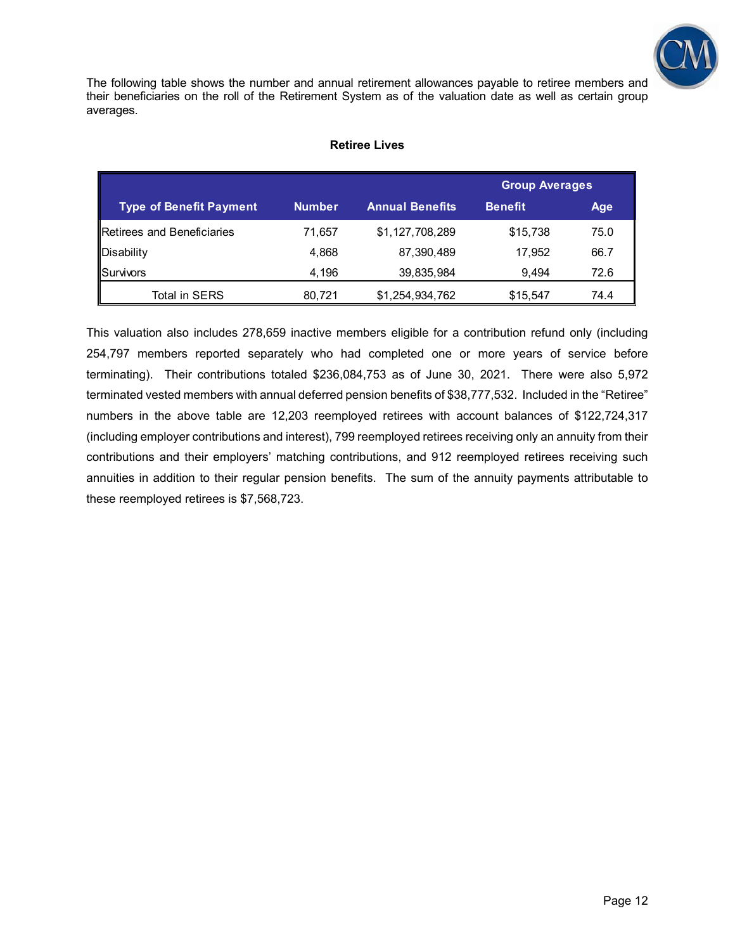

The following table shows the number and annual retirement allowances payable to retiree members and their beneficiaries on the roll of the Retirement System as of the valuation date as well as certain group averages.

#### **Retiree Lives**

|                                |               |                        | <b>Group Averages</b> |            |  |
|--------------------------------|---------------|------------------------|-----------------------|------------|--|
| <b>Type of Benefit Payment</b> | <b>Number</b> | <b>Annual Benefits</b> | <b>Benefit</b>        | <b>Age</b> |  |
| Retirees and Beneficiaries     | 71.657        | \$1,127,708,289        | \$15,738              | 75.0       |  |
| Disability                     | 4.868         | 87,390,489             | 17.952                | 66.7       |  |
| Survivors                      | 4.196         | 39,835,984             | 9.494                 | 72.6       |  |
| Total in SERS                  | 80,721        | \$1,254,934,762        | \$15,547              | 74.4       |  |

This valuation also includes 278,659 inactive members eligible for a contribution refund only (including 254,797 members reported separately who had completed one or more years of service before terminating). Their contributions totaled \$236,084,753 as of June 30, 2021. There were also 5,972 terminated vested members with annual deferred pension benefits of \$38,777,532. Included in the "Retiree" numbers in the above table are 12,203 reemployed retirees with account balances of \$122,724,317 (including employer contributions and interest), 799 reemployed retirees receiving only an annuity from their contributions and their employers' matching contributions, and 912 reemployed retirees receiving such annuities in addition to their regular pension benefits. The sum of the annuity payments attributable to these reemployed retirees is \$7,568,723.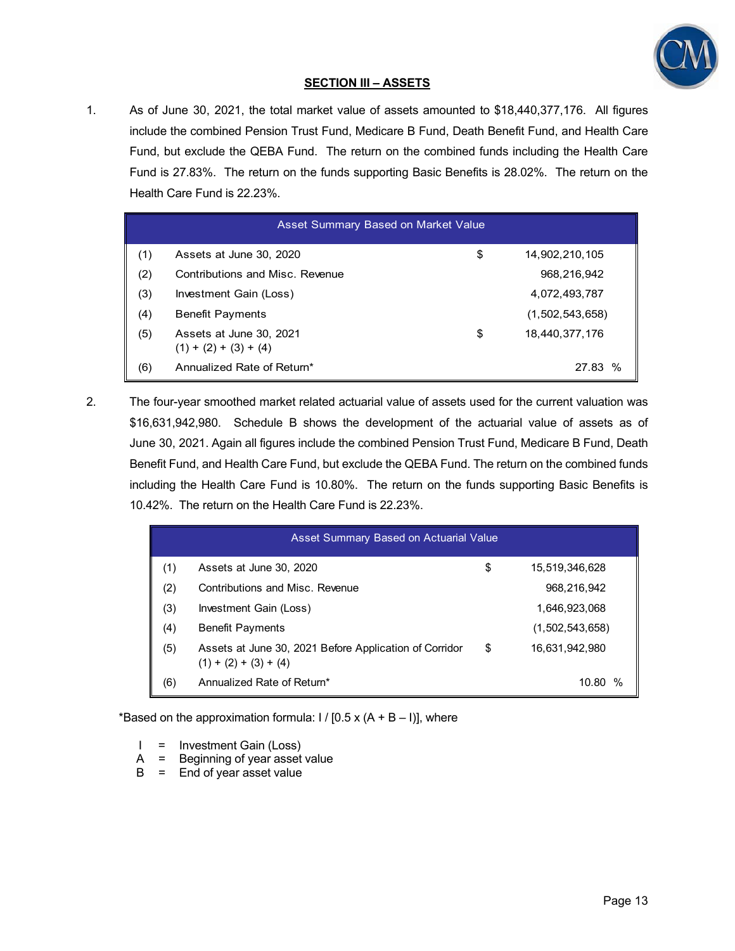

## **SECTION III – ASSETS**

1. As of June 30, 2021, the total market value of assets amounted to \$18,440,377,176. All figures include the combined Pension Trust Fund, Medicare B Fund, Death Benefit Fund, and Health Care Fund, but exclude the QEBA Fund. The return on the combined funds including the Health Care Fund is 27.83%. The return on the funds supporting Basic Benefits is 28.02%. The return on the Health Care Fund is 22.23%.

|     | Asset Summary Based on Market Value                |    |                 |  |  |  |  |  |  |  |
|-----|----------------------------------------------------|----|-----------------|--|--|--|--|--|--|--|
| (1) | Assets at June 30, 2020                            | \$ | 14,902,210,105  |  |  |  |  |  |  |  |
| (2) | Contributions and Misc. Revenue                    |    | 968,216,942     |  |  |  |  |  |  |  |
| (3) | Investment Gain (Loss)                             |    | 4,072,493,787   |  |  |  |  |  |  |  |
| (4) | <b>Benefit Payments</b>                            |    | (1,502,543,658) |  |  |  |  |  |  |  |
| (5) | Assets at June 30, 2021<br>$(1) + (2) + (3) + (4)$ | \$ | 18,440,377,176  |  |  |  |  |  |  |  |
| (6) | Annualized Rate of Return*                         |    | 27.83           |  |  |  |  |  |  |  |

2. The four-year smoothed market related actuarial value of assets used for the current valuation was \$16,631,942,980. Schedule B shows the development of the actuarial value of assets as of June 30, 2021. Again all figures include the combined Pension Trust Fund, Medicare B Fund, Death Benefit Fund, and Health Care Fund, but exclude the QEBA Fund. The return on the combined funds including the Health Care Fund is 10.80%. The return on the funds supporting Basic Benefits is 10.42%. The return on the Health Care Fund is 22.23%.

|     | Asset Summary Based on Actuarial Value                                            |    |                 |  |  |  |  |  |  |
|-----|-----------------------------------------------------------------------------------|----|-----------------|--|--|--|--|--|--|
| (1) | Assets at June 30, 2020                                                           | \$ | 15,519,346,628  |  |  |  |  |  |  |
| (2) | Contributions and Misc. Revenue                                                   |    | 968,216,942     |  |  |  |  |  |  |
| (3) | Investment Gain (Loss)                                                            |    | 1,646,923,068   |  |  |  |  |  |  |
| (4) | <b>Benefit Payments</b>                                                           |    | (1,502,543,658) |  |  |  |  |  |  |
| (5) | Assets at June 30, 2021 Before Application of Corridor<br>$(1) + (2) + (3) + (4)$ | \$ | 16,631,942,980  |  |  |  |  |  |  |
| (6) | Annualized Rate of Return*                                                        |    | %<br>10.80      |  |  |  |  |  |  |

\*Based on the approximation formula:  $1/$  [0.5 x (A + B – I)], where

- I = Investment Gain (Loss)
- A = Beginning of year asset value
- $B =$  End of year asset value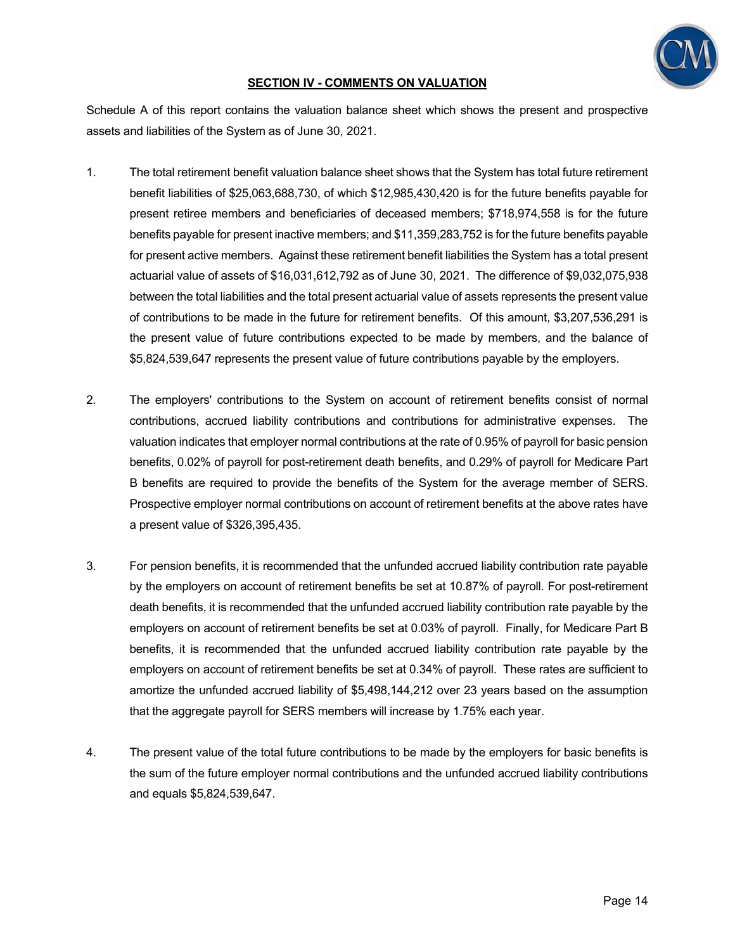

## **SECTION IV - COMMENTS ON VALUATION**

Schedule A of this report contains the valuation balance sheet which shows the present and prospective assets and liabilities of the System as of June 30, 2021.

- 1. The total retirement benefit valuation balance sheet shows that the System has total future retirement benefit liabilities of \$25,063,688,730, of which \$12,985,430,420 is for the future benefits payable for present retiree members and beneficiaries of deceased members; \$718,974,558 is for the future benefits payable for present inactive members; and \$11,359,283,752 is for the future benefits payable for present active members. Against these retirement benefit liabilities the System has a total present actuarial value of assets of \$16,031,612,792 as of June 30, 2021. The difference of \$9,032,075,938 between the total liabilities and the total present actuarial value of assets represents the present value of contributions to be made in the future for retirement benefits. Of this amount, \$3,207,536,291 is the present value of future contributions expected to be made by members, and the balance of \$5,824,539,647 represents the present value of future contributions payable by the employers.
- 2. The employers' contributions to the System on account of retirement benefits consist of normal contributions, accrued liability contributions and contributions for administrative expenses. The valuation indicates that employer normal contributions at the rate of 0.95% of payroll for basic pension benefits, 0.02% of payroll for post-retirement death benefits, and 0.29% of payroll for Medicare Part B benefits are required to provide the benefits of the System for the average member of SERS. Prospective employer normal contributions on account of retirement benefits at the above rates have a present value of \$326,395,435.
- 3. For pension benefits, it is recommended that the unfunded accrued liability contribution rate payable by the employers on account of retirement benefits be set at 10.87% of payroll. For post-retirement death benefits, it is recommended that the unfunded accrued liability contribution rate payable by the employers on account of retirement benefits be set at 0.03% of payroll. Finally, for Medicare Part B benefits, it is recommended that the unfunded accrued liability contribution rate payable by the employers on account of retirement benefits be set at 0.34% of payroll. These rates are sufficient to amortize the unfunded accrued liability of \$5,498,144,212 over 23 years based on the assumption that the aggregate payroll for SERS members will increase by 1.75% each year.
- 4. The present value of the total future contributions to be made by the employers for basic benefits is the sum of the future employer normal contributions and the unfunded accrued liability contributions and equals \$5,824,539,647.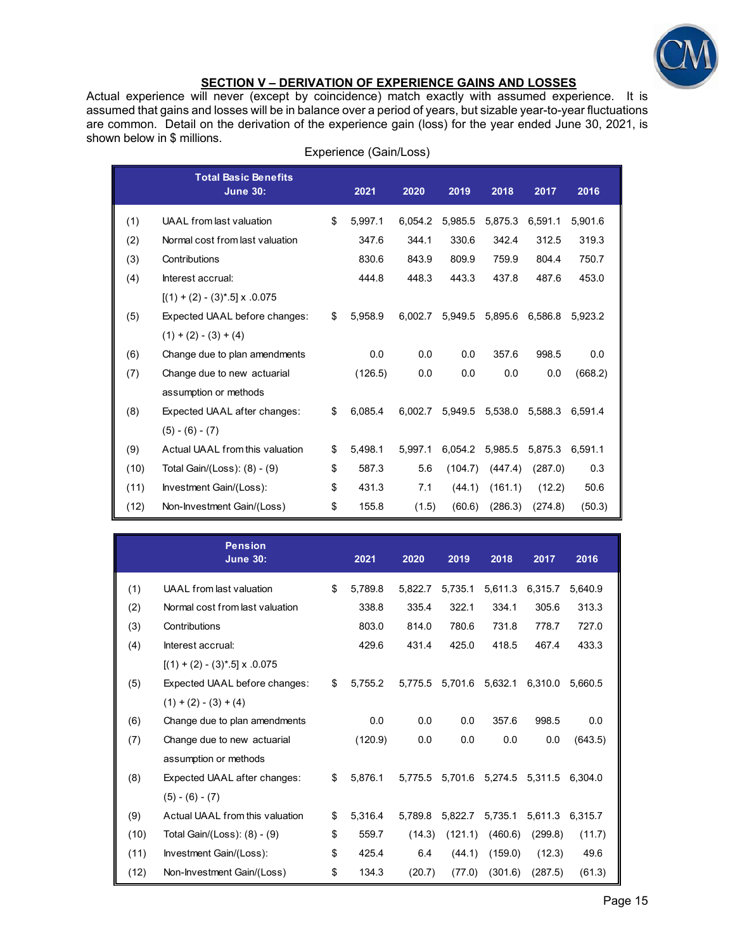

## **SECTION V – DERIVATION OF EXPERIENCE GAINS AND LOSSES**

Actual experience will never (except by coincidence) match exactly with assumed experience. It is assumed that gains and losses will be in balance over a period of years, but sizable year-to-year fluctuations are common. Detail on the derivation of the experience gain (loss) for the year ended June 30, 2021, is shown below in \$ millions.

|      | <b>Total Basic Benefits</b><br><b>June 30:</b> | 2021          | 2020    | 2019    | 2018    | 2017    | 2016    |
|------|------------------------------------------------|---------------|---------|---------|---------|---------|---------|
| (1)  | UAAL from last valuation                       | \$<br>5,997.1 | 6.054.2 | 5,985.5 | 5,875.3 | 6,591.1 | 5,901.6 |
| (2)  | Normal cost from last valuation                | 347.6         | 344.1   | 330.6   | 342.4   | 312.5   | 319.3   |
| (3)  | Contributions                                  | 830.6         | 843.9   | 809.9   | 759.9   | 804.4   | 750.7   |
| (4)  | Interest accrual:                              | 444.8         | 448.3   | 443.3   | 437.8   | 487.6   | 453.0   |
|      | $[(1) + (2) - (3)^* \cdot 5] \times 0.075$     |               |         |         |         |         |         |
| (5)  | Expected UAAL before changes:                  | \$<br>5.958.9 | 6.002.7 | 5.949.5 | 5,895.6 | 6.586.8 | 5.923.2 |
|      | $(1) + (2) - (3) + (4)$                        |               |         |         |         |         |         |
| (6)  | Change due to plan amendments                  | 0.0           | 0.0     | 0.0     | 357.6   | 998.5   | 0.0     |
| (7)  | Change due to new actuarial                    | (126.5)       | 0.0     | 0.0     | 0.0     | 0.0     | (668.2) |
|      | assumption or methods                          |               |         |         |         |         |         |
| (8)  | Expected UAAL after changes:                   | \$<br>6.085.4 | 6.002.7 | 5,949.5 | 5,538.0 | 5,588.3 | 6.591.4 |
|      | $(5) - (6) - (7)$                              |               |         |         |         |         |         |
| (9)  | Actual UAAL from this valuation                | \$<br>5.498.1 | 5.997.1 | 6,054.2 | 5,985.5 | 5,875.3 | 6.591.1 |
| (10) | Total Gain/(Loss): (8) - (9)                   | \$<br>587.3   | 5.6     | (104.7) | (447.4) | (287.0) | 0.3     |
| (11) | Investment Gain/(Loss):                        | \$<br>431.3   | 7.1     | (44.1)  | (161.1) | (12.2)  | 50.6    |
| (12) | Non-Investment Gain/(Loss)                     | \$<br>155.8   | (1.5)   | (60.6)  | (286.3) | (274.8) | (50.3)  |

|      | <b>Pension</b><br><b>June 30:</b>          | 2021          | 2020    | 2019    | 2018            | 2017    | 2016    |
|------|--------------------------------------------|---------------|---------|---------|-----------------|---------|---------|
| (1)  | UAAL from last valuation                   | \$<br>5.789.8 | 5,822.7 | 5.735.1 | 5,611.3         | 6.315.7 | 5.640.9 |
| (2)  | Normal cost from last valuation            | 338.8         | 335.4   | 322.1   | 334.1           | 305.6   | 313.3   |
| (3)  | Contributions                              | 803.0         | 814.0   | 780.6   | 731.8           | 778.7   | 727.0   |
| (4)  | Interest accrual:                          | 429.6         | 431.4   | 425.0   | 418.5           | 467.4   | 433.3   |
|      | $[(1) + (2) - (3)^* \cdot 5] \times 0.075$ |               |         |         |                 |         |         |
| (5)  | Expected UAAL before changes:              | \$<br>5.755.2 | 5.775.5 | 5,701.6 | 5,632.1         | 6.310.0 | 5.660.5 |
|      | $(1) + (2) - (3) + (4)$                    |               |         |         |                 |         |         |
| (6)  | Change due to plan amendments              | 0.0           | 0.0     | 0.0     | 357.6           | 998.5   | 0.0     |
| (7)  | Change due to new actuarial                | (120.9)       | 0.0     | 0.0     | 0.0             | 0.0     | (643.5) |
|      | assumption or methods                      |               |         |         |                 |         |         |
| (8)  | Expected UAAL after changes:               | \$<br>5.876.1 | 5.775.5 |         | 5,701.6 5,274.5 | 5.311.5 | 6.304.0 |
|      | $(5) - (6) - (7)$                          |               |         |         |                 |         |         |
| (9)  | Actual UAAL from this valuation            | \$<br>5,316.4 | 5,789.8 | 5,822.7 | 5,735.1         | 5,611.3 | 6,315.7 |
| (10) | Total Gain/(Loss): (8) - (9)               | \$<br>559.7   | (14.3)  | (121.1) | (460.6)         | (299.8) | (11.7)  |
| (11) | Investment Gain/(Loss):                    | \$<br>425.4   | 6.4     | (44.1)  | (159.0)         | (12.3)  | 49.6    |
| (12) | Non-Investment Gain/(Loss)                 | \$<br>134.3   | (20.7)  | (77.0)  | (301.6)         | (287.5) | (61.3)  |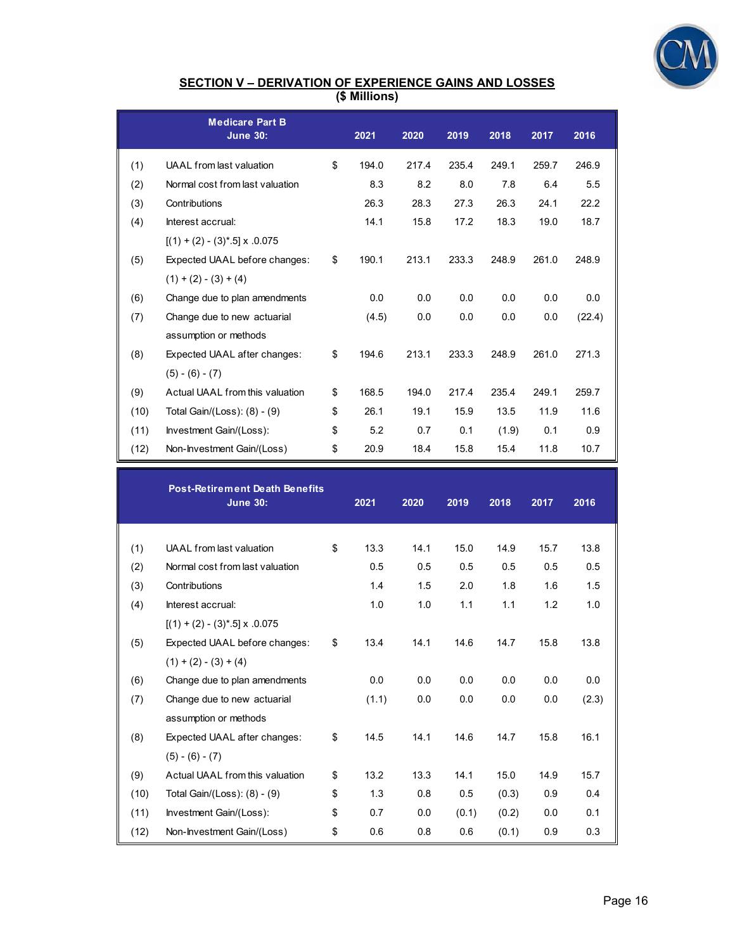

#### **SECTION V – DERIVATION OF EXPERIENCE GAINS AND LOSSES (\$ Millions)**

|      | <b>Medicare Part B</b><br><b>June 30:</b>  | 2021        | 2020  | 2019  | 2018  | 2017  | 2016   |
|------|--------------------------------------------|-------------|-------|-------|-------|-------|--------|
| (1)  | UAAL from last valuation                   | \$<br>194.0 | 217.4 | 235.4 | 249.1 | 259.7 | 246.9  |
| (2)  | Normal cost from last valuation            | 8.3         | 8.2   | 8.0   | 7.8   | 6.4   | 5.5    |
| (3)  | Contributions                              | 26.3        | 28.3  | 27.3  | 26.3  | 24.1  | 22.2   |
| (4)  | Interest accrual:                          | 14.1        | 15.8  | 17.2  | 18.3  | 19.0  | 18.7   |
|      | $[(1) + (2) - (3)^* \cdot 5] \times 0.075$ |             |       |       |       |       |        |
| (5)  | Expected UAAL before changes:              | \$<br>190.1 | 213.1 | 233.3 | 248.9 | 261.0 | 248.9  |
|      | $(1) + (2) - (3) + (4)$                    |             |       |       |       |       |        |
| (6)  | Change due to plan amendments              | 0.0         | 0.0   | 0.0   | 0.0   | 0.0   | 0.0    |
| (7)  | Change due to new actuarial                | (4.5)       | 0.0   | 0.0   | 0.0   | 0.0   | (22.4) |
|      | assumption or methods                      |             |       |       |       |       |        |
| (8)  | Expected UAAL after changes:               | \$<br>194.6 | 213.1 | 233.3 | 248.9 | 261.0 | 271.3  |
|      | $(5) - (6) - (7)$                          |             |       |       |       |       |        |
| (9)  | Actual UAAL from this valuation            | \$<br>168.5 | 194.0 | 217.4 | 235.4 | 249.1 | 259.7  |
| (10) | Total Gain/(Loss): (8) - (9)               | \$<br>26.1  | 19.1  | 15.9  | 13.5  | 11.9  | 11.6   |
| (11) | Investment Gain/(Loss):                    | \$<br>5.2   | 0.7   | 0.1   | (1.9) | 0.1   | 0.9    |
| (12) | Non-Investment Gain/(Loss)                 | \$<br>20.9  | 18.4  | 15.8  | 15.4  | 11.8  | 10.7   |

|      | <b>Post-Retirement Death Benefits</b><br><b>June 30:</b> | 2021       | 2020 | 2019  | 2018  | 2017 | 2016  |
|------|----------------------------------------------------------|------------|------|-------|-------|------|-------|
| (1)  | UAAL from last valuation                                 | \$<br>13.3 | 14.1 | 15.0  | 14.9  | 15.7 | 13.8  |
| (2)  | Normal cost from last valuation                          | 0.5        | 0.5  | 0.5   | 0.5   | 0.5  | 0.5   |
| (3)  | Contributions                                            | 1.4        | 1.5  | 2.0   | 1.8   | 1.6  | 1.5   |
|      | Interest accrual:                                        | 1.0        | 1.0  | 1.1   | 1.1   | 1.2  | 1.0   |
| (4)  |                                                          |            |      |       |       |      |       |
|      | $[(1) + (2) - (3)^* \cdot 5] \times 0.075$               |            |      |       |       |      |       |
| (5)  | Expected UAAL before changes:                            | \$<br>13.4 | 14.1 | 14.6  | 14.7  | 15.8 | 13.8  |
|      | $(1) + (2) - (3) + (4)$                                  |            |      |       |       |      |       |
| (6)  | Change due to plan amendments                            | 0.0        | 0.0  | 0.0   | 0.0   | 0.0  | 0.0   |
| (7)  | Change due to new actuarial                              | (1.1)      | 0.0  | 0.0   | 0.0   | 0.0  | (2.3) |
|      | assumption or methods                                    |            |      |       |       |      |       |
| (8)  | Expected UAAL after changes:                             | \$<br>14.5 | 14.1 | 14.6  | 14.7  | 15.8 | 16.1  |
|      | $(5) - (6) - (7)$                                        |            |      |       |       |      |       |
| (9)  | Actual UAAL from this valuation                          | \$<br>13.2 | 13.3 | 14.1  | 15.0  | 14.9 | 15.7  |
| (10) | Total Gain/(Loss): (8) - (9)                             | \$<br>1.3  | 0.8  | 0.5   | (0.3) | 0.9  | 0.4   |
| (11) | Investment Gain/(Loss):                                  | \$<br>0.7  | 0.0  | (0.1) | (0.2) | 0.0  | 0.1   |
| (12) | Non-Investment Gain/(Loss)                               | \$<br>0.6  | 0.8  | 0.6   | (0.1) | 0.9  | 0.3   |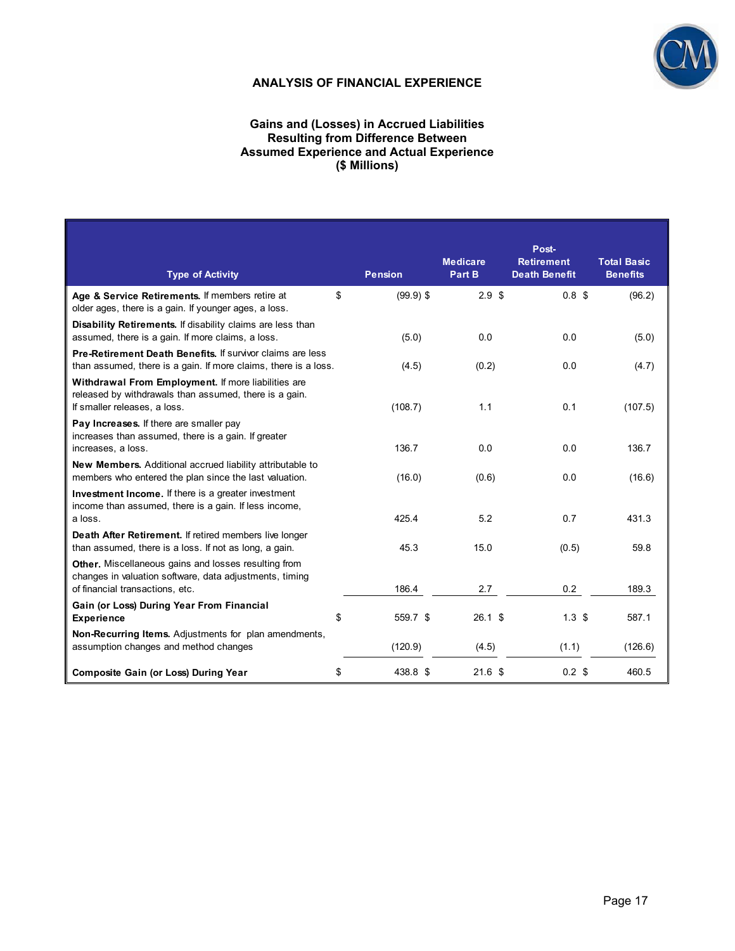

## **ANALYSIS OF FINANCIAL EXPERIENCE**

#### **Gains and (Losses) in Accrued Liabilities Resulting from Difference Between Assumed Experience and Actual Experience (\$ Millions)**

| <b>Type of Activity</b>                                                                                                                                   | <b>Pension</b>    | <b>Medicare</b><br>Part B | Post-<br><b>Retirement</b><br><b>Death Benefit</b> | <b>Total Basic</b><br><b>Benefits</b> |
|-----------------------------------------------------------------------------------------------------------------------------------------------------------|-------------------|---------------------------|----------------------------------------------------|---------------------------------------|
| Age & Service Retirements. If members retire at<br>older ages, there is a gain. If younger ages, a loss.                                                  | \$<br>$(99.9)$ \$ | 2.9 <sup>5</sup>          | 0.8 <sup>5</sup>                                   | (96.2)                                |
| Disability Retirements. If disability claims are less than<br>assumed, there is a gain. If more claims, a loss.                                           | (5.0)             | 0.0                       | 0.0                                                | (5.0)                                 |
| Pre-Retirement Death Benefits. If survivor claims are less<br>than assumed, there is a gain. If more claims, there is a loss.                             | (4.5)             | (0.2)                     | 0.0                                                | (4.7)                                 |
| Withdrawal From Employment. If more liabilities are<br>released by withdrawals than assumed, there is a gain.<br>If smaller releases, a loss.             | (108.7)           | 1.1                       | 0.1                                                | (107.5)                               |
| Pay Increases. If there are smaller pay<br>increases than assumed, there is a gain. If greater<br>increases, a loss.                                      | 136.7             | 0.0                       | 0.0                                                | 136.7                                 |
| <b>New Members.</b> Additional accrued liability attributable to<br>members who entered the plan since the last valuation.                                | (16.0)            | (0.6)                     | 0.0                                                | (16.6)                                |
| <b>Investment Income.</b> If there is a greater investment<br>income than assumed, there is a gain. If less income,<br>a loss.                            | 425.4             | 5.2                       | 0.7                                                | 431.3                                 |
| Death After Retirement. If retired members live longer<br>than assumed, there is a loss. If not as long, a gain.                                          | 45.3              | 15.0                      | (0.5)                                              | 59.8                                  |
| <b>Other.</b> Miscellaneous gains and losses resulting from<br>changes in valuation software, data adjustments, timing<br>of financial transactions, etc. | 186.4             | 2.7                       | 0.2                                                | 189.3                                 |
| Gain (or Loss) During Year From Financial<br><b>Experience</b>                                                                                            | \$<br>559.7 \$    | $26.1$ \$                 | 1.3 <sup>5</sup>                                   | 587.1                                 |
| <b>Non-Recurring Items.</b> Adjustments for plan amendments,<br>assumption changes and method changes                                                     | (120.9)           | (4.5)                     | (1.1)                                              | (126.6)                               |
| <b>Composite Gain (or Loss) During Year</b>                                                                                                               | \$<br>438.8 \$    | 21.6 <sup>5</sup>         | $0.2$ \$                                           | 460.5                                 |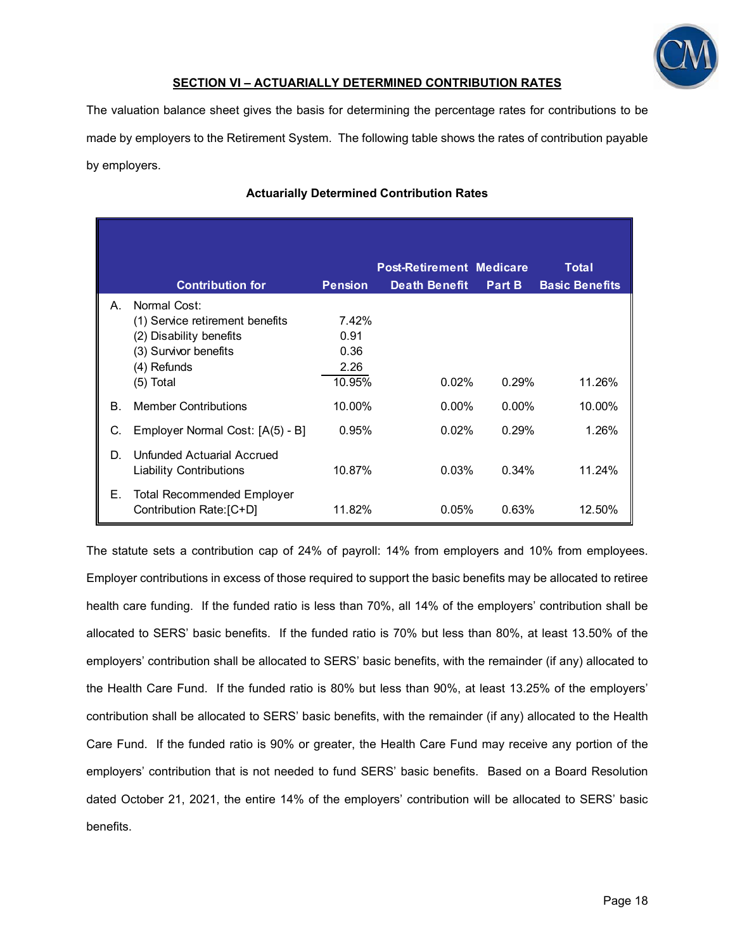

## **SECTION VI – ACTUARIALLY DETERMINED CONTRIBUTION RATES**

The valuation balance sheet gives the basis for determining the percentage rates for contributions to be made by employers to the Retirement System. The following table shows the rates of contribution payable by employers.

|    |                                                               |                | <b>Post-Retirement Medicare</b> |          | <b>Total</b>          |
|----|---------------------------------------------------------------|----------------|---------------------------------|----------|-----------------------|
|    | <b>Contribution for</b>                                       | <b>Pension</b> | <b>Death Benefit</b>            | Part B   | <b>Basic Benefits</b> |
| A. | Normal Cost:                                                  |                |                                 |          |                       |
|    | (1) Service retirement benefits                               | 7.42%          |                                 |          |                       |
|    | (2) Disability benefits                                       | 0.91           |                                 |          |                       |
|    | (3) Survivor benefits                                         | 0.36           |                                 |          |                       |
|    | (4) Refunds                                                   | 2.26           |                                 |          |                       |
|    | (5) Total                                                     | 10.95%         | 0.02%                           | 0.29%    | 11.26%                |
| Β. | <b>Member Contributions</b>                                   | 10.00%         | $0.00\%$                        | $0.00\%$ | 10.00%                |
| C. | Employer Normal Cost: [A(5) - B]                              | 0.95%          | 0.02%                           | 0.29%    | 1.26%                 |
| D. | Unfunded Actuarial Accrued<br><b>Liability Contributions</b>  | 10.87%         | 0.03%                           | 0.34%    | 11.24%                |
| Е. | <b>Total Recommended Employer</b><br>Contribution Rate: [C+D] | 11.82%         | 0.05%                           | 0.63%    | 12.50%                |

## **Actuarially Determined Contribution Rates**

The statute sets a contribution cap of 24% of payroll: 14% from employers and 10% from employees. Employer contributions in excess of those required to support the basic benefits may be allocated to retiree health care funding. If the funded ratio is less than 70%, all 14% of the employers' contribution shall be allocated to SERS' basic benefits. If the funded ratio is 70% but less than 80%, at least 13.50% of the employers' contribution shall be allocated to SERS' basic benefits, with the remainder (if any) allocated to the Health Care Fund. If the funded ratio is 80% but less than 90%, at least 13.25% of the employers' contribution shall be allocated to SERS' basic benefits, with the remainder (if any) allocated to the Health Care Fund. If the funded ratio is 90% or greater, the Health Care Fund may receive any portion of the employers' contribution that is not needed to fund SERS' basic benefits. Based on a Board Resolution dated October 21, 2021, the entire 14% of the employers' contribution will be allocated to SERS' basic benefits.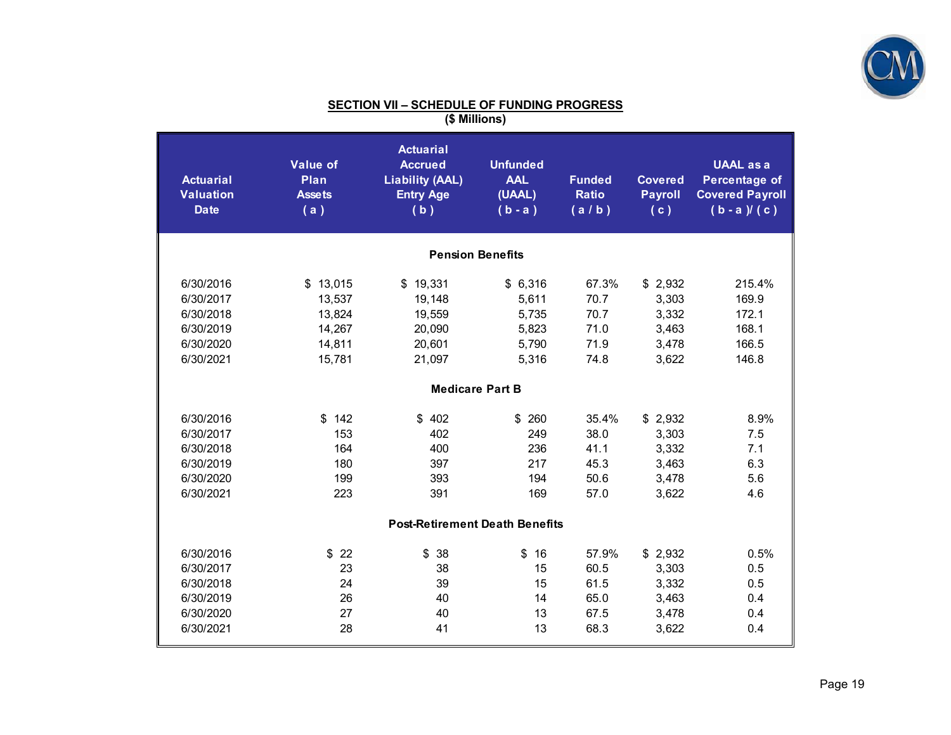

| <b>Actuarial</b><br><b>Valuation</b><br><b>Date</b>                        | <b>Value of</b><br>Plan<br><b>Assets</b><br>(a)            | <b>Actuarial</b><br><b>Accrued</b><br><b>Liability (AAL)</b><br><b>Entry Age</b><br>(b) | <b>Unfunded</b><br><b>AAL</b><br>(UAAL)<br>$(b - a)$ | <b>Funded</b><br><b>Ratio</b><br>(a/b)        | <b>Covered</b><br><b>Payroll</b><br>(c)              | <b>UAAL as a</b><br><b>Percentage of</b><br><b>Covered Payroll</b><br>$(b - a) / (c)$ |
|----------------------------------------------------------------------------|------------------------------------------------------------|-----------------------------------------------------------------------------------------|------------------------------------------------------|-----------------------------------------------|------------------------------------------------------|---------------------------------------------------------------------------------------|
|                                                                            |                                                            |                                                                                         | <b>Pension Benefits</b>                              |                                               |                                                      |                                                                                       |
| 6/30/2016<br>6/30/2017<br>6/30/2018<br>6/30/2019<br>6/30/2020<br>6/30/2021 | \$13,015<br>13,537<br>13,824<br>14,267<br>14,811<br>15,781 | \$19,331<br>19,148<br>19,559<br>20,090<br>20,601<br>21,097                              | \$6,316<br>5,611<br>5,735<br>5,823<br>5,790<br>5,316 | 67.3%<br>70.7<br>70.7<br>71.0<br>71.9<br>74.8 | \$2,932<br>3,303<br>3,332<br>3,463<br>3,478<br>3,622 | 215.4%<br>169.9<br>172.1<br>168.1<br>166.5<br>146.8                                   |
|                                                                            |                                                            | <b>Medicare Part B</b>                                                                  |                                                      |                                               |                                                      |                                                                                       |
| 6/30/2016<br>6/30/2017<br>6/30/2018<br>6/30/2019<br>6/30/2020<br>6/30/2021 | 142<br>\$<br>153<br>164<br>180<br>199<br>223               | \$402<br>402<br>400<br>397<br>393<br>391                                                | 260<br>\$<br>249<br>236<br>217<br>194<br>169         | 35.4%<br>38.0<br>41.1<br>45.3<br>50.6<br>57.0 | \$2,932<br>3,303<br>3,332<br>3,463<br>3,478<br>3,622 | 8.9%<br>7.5<br>7.1<br>6.3<br>5.6<br>4.6                                               |
|                                                                            |                                                            | <b>Post-Retirement Death Benefits</b>                                                   |                                                      |                                               |                                                      |                                                                                       |
| 6/30/2016<br>6/30/2017<br>6/30/2018<br>6/30/2019<br>6/30/2020<br>6/30/2021 | \$22<br>23<br>24<br>26<br>27<br>28                         | \$<br>38<br>38<br>39<br>40<br>40<br>41                                                  | \$<br>16<br>15<br>15<br>14<br>13<br>13               | 57.9%<br>60.5<br>61.5<br>65.0<br>67.5<br>68.3 | \$2,932<br>3,303<br>3,332<br>3,463<br>3,478<br>3,622 | 0.5%<br>0.5<br>0.5<br>0.4<br>0.4<br>0.4                                               |

# **SECTION VII – SCHEDULE OF FUNDING PROGRESS (\$ Millions)**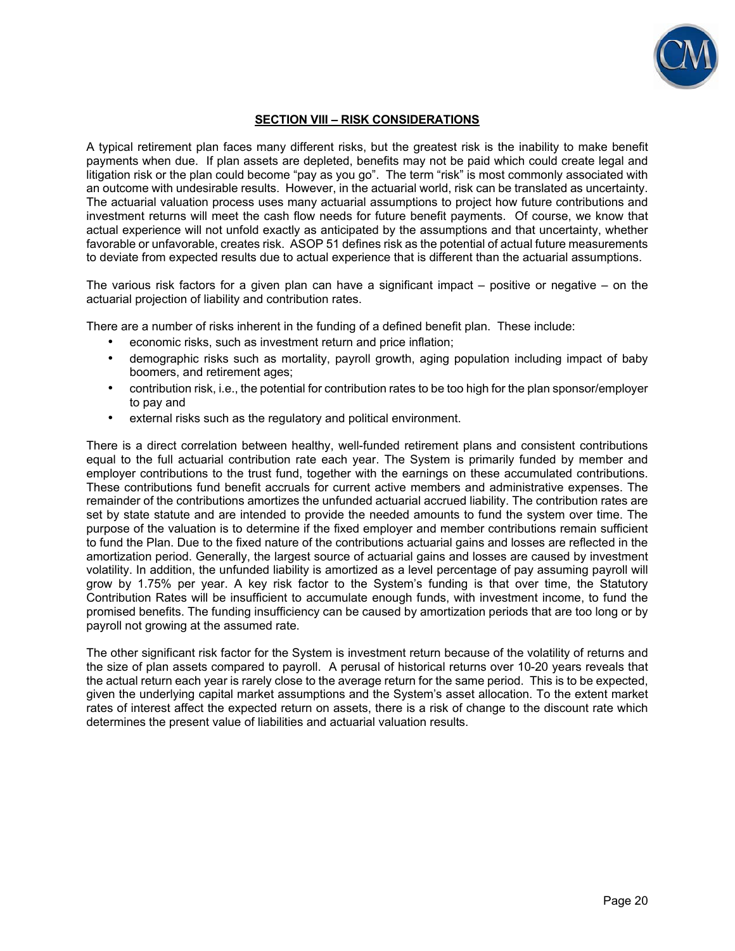

## **SECTION VIII – RISK CONSIDERATIONS**

A typical retirement plan faces many different risks, but the greatest risk is the inability to make benefit payments when due. If plan assets are depleted, benefits may not be paid which could create legal and litigation risk or the plan could become "pay as you go". The term "risk" is most commonly associated with an outcome with undesirable results. However, in the actuarial world, risk can be translated as uncertainty. The actuarial valuation process uses many actuarial assumptions to project how future contributions and investment returns will meet the cash flow needs for future benefit payments. Of course, we know that actual experience will not unfold exactly as anticipated by the assumptions and that uncertainty, whether favorable or unfavorable, creates risk. ASOP 51 defines risk as the potential of actual future measurements to deviate from expected results due to actual experience that is different than the actuarial assumptions.

The various risk factors for a given plan can have a significant impact – positive or negative – on the actuarial projection of liability and contribution rates.

There are a number of risks inherent in the funding of a defined benefit plan. These include:

- economic risks, such as investment return and price inflation;
- demographic risks such as mortality, payroll growth, aging population including impact of baby boomers, and retirement ages;
- contribution risk, i.e., the potential for contribution rates to be too high for the plan sponsor/employer to pay and
- external risks such as the regulatory and political environment.

There is a direct correlation between healthy, well-funded retirement plans and consistent contributions equal to the full actuarial contribution rate each year. The System is primarily funded by member and employer contributions to the trust fund, together with the earnings on these accumulated contributions. These contributions fund benefit accruals for current active members and administrative expenses. The remainder of the contributions amortizes the unfunded actuarial accrued liability. The contribution rates are set by state statute and are intended to provide the needed amounts to fund the system over time. The purpose of the valuation is to determine if the fixed employer and member contributions remain sufficient to fund the Plan. Due to the fixed nature of the contributions actuarial gains and losses are reflected in the amortization period. Generally, the largest source of actuarial gains and losses are caused by investment volatility. In addition, the unfunded liability is amortized as a level percentage of pay assuming payroll will grow by 1.75% per year. A key risk factor to the System's funding is that over time, the Statutory Contribution Rates will be insufficient to accumulate enough funds, with investment income, to fund the promised benefits. The funding insufficiency can be caused by amortization periods that are too long or by payroll not growing at the assumed rate.

The other significant risk factor for the System is investment return because of the volatility of returns and the size of plan assets compared to payroll. A perusal of historical returns over 10-20 years reveals that the actual return each year is rarely close to the average return for the same period. This is to be expected, given the underlying capital market assumptions and the System's asset allocation. To the extent market rates of interest affect the expected return on assets, there is a risk of change to the discount rate which determines the present value of liabilities and actuarial valuation results.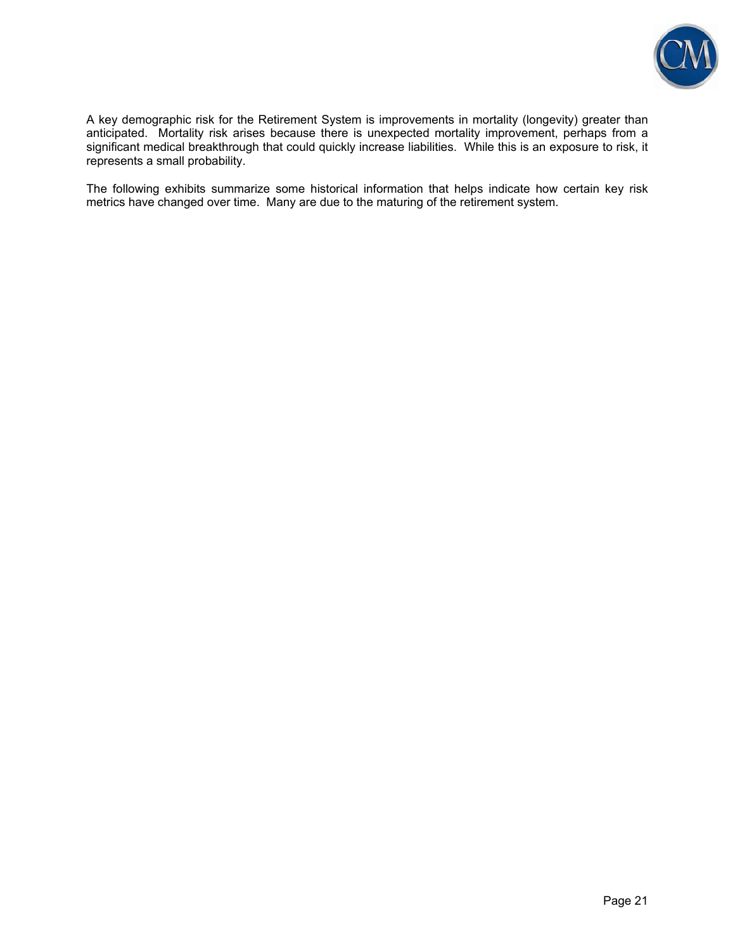

A key demographic risk for the Retirement System is improvements in mortality (longevity) greater than anticipated. Mortality risk arises because there is unexpected mortality improvement, perhaps from a significant medical breakthrough that could quickly increase liabilities. While this is an exposure to risk, it represents a small probability.

The following exhibits summarize some historical information that helps indicate how certain key risk metrics have changed over time. Many are due to the maturing of the retirement system.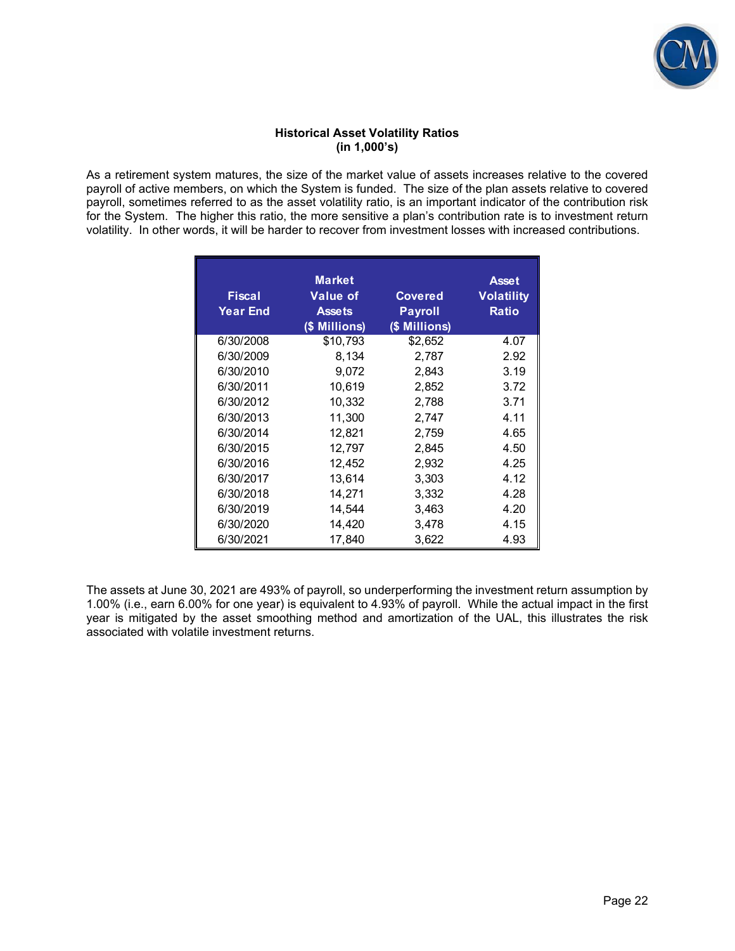

#### **Historical Asset Volatility Ratios (in 1,000's)**

As a retirement system matures, the size of the market value of assets increases relative to the covered payroll of active members, on which the System is funded. The size of the plan assets relative to covered payroll, sometimes referred to as the asset volatility ratio, is an important indicator of the contribution risk for the System. The higher this ratio, the more sensitive a plan's contribution rate is to investment return volatility. In other words, it will be harder to recover from investment losses with increased contributions.

| <b>Fiscal</b><br><b>Year End</b> | <b>Market</b><br><b>Value of</b><br><b>Assets</b><br>(\$ Millions) | <b>Covered</b><br><b>Payroll</b><br>(\$ Millions) | <b>Asset</b><br><b>Volatility</b><br><b>Ratio</b> |
|----------------------------------|--------------------------------------------------------------------|---------------------------------------------------|---------------------------------------------------|
| 6/30/2008                        | \$10,793                                                           | \$2,652                                           | 4.07                                              |
| 6/30/2009                        | 8,134                                                              | 2,787                                             | 2.92                                              |
| 6/30/2010                        | 9,072                                                              | 2,843                                             | 3.19                                              |
| 6/30/2011                        | 10.619                                                             | 2,852                                             | 3.72                                              |
| 6/30/2012                        | 10,332                                                             | 2,788                                             | 3.71                                              |
| 6/30/2013                        | 11,300                                                             | 2,747                                             | 4.11                                              |
| 6/30/2014                        | 12,821                                                             | 2,759                                             | 4.65                                              |
| 6/30/2015                        | 12,797                                                             | 2,845                                             | 4.50                                              |
| 6/30/2016                        | 12,452                                                             | 2,932                                             | 4.25                                              |
| 6/30/2017                        | 13,614                                                             | 3,303                                             | 4.12                                              |
| 6/30/2018                        | 14,271                                                             | 3,332                                             | 4.28                                              |
| 6/30/2019                        | 14,544                                                             | 3,463                                             | 4.20                                              |
| 6/30/2020                        | 14,420                                                             | 3,478                                             | 4.15                                              |
| 6/30/2021                        | 17.840                                                             | 3,622                                             | 4.93                                              |

The assets at June 30, 2021 are 493% of payroll, so underperforming the investment return assumption by 1.00% (i.e., earn 6.00% for one year) is equivalent to 4.93% of payroll. While the actual impact in the first year is mitigated by the asset smoothing method and amortization of the UAL, this illustrates the risk associated with volatile investment returns.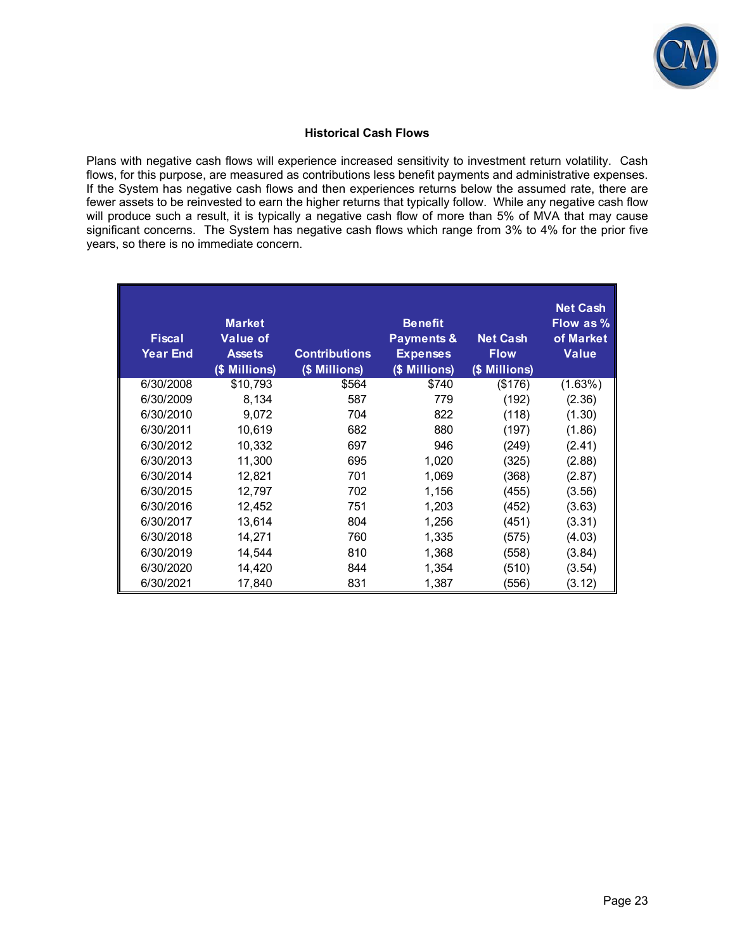

#### **Historical Cash Flows**

Plans with negative cash flows will experience increased sensitivity to investment return volatility. Cash flows, for this purpose, are measured as contributions less benefit payments and administrative expenses. If the System has negative cash flows and then experiences returns below the assumed rate, there are fewer assets to be reinvested to earn the higher returns that typically follow. While any negative cash flow will produce such a result, it is typically a negative cash flow of more than 5% of MVA that may cause significant concerns. The System has negative cash flows which range from 3% to 4% for the prior five years, so there is no immediate concern.

| <b>Fiscal</b><br><b>Year End</b> | <b>Market</b><br><b>Value of</b><br><b>Assets</b><br>(\$ Millions) | <b>Contributions</b><br>(\$ Millions) | <b>Benefit</b><br><b>Payments &amp;</b><br><b>Expenses</b><br>(\$ Millions) | <b>Net Cash</b><br><b>Flow</b><br>(\$ Millions) | <b>Net Cash</b><br>Flow as %<br>of Market<br><b>Value</b> |
|----------------------------------|--------------------------------------------------------------------|---------------------------------------|-----------------------------------------------------------------------------|-------------------------------------------------|-----------------------------------------------------------|
| 6/30/2008                        | \$10,793                                                           | \$564                                 | \$740                                                                       | (\$176)                                         | (1.63%)                                                   |
| 6/30/2009                        | 8,134                                                              | 587                                   | 779                                                                         | (192)                                           | (2.36)                                                    |
| 6/30/2010                        | 9,072                                                              | 704                                   | 822                                                                         | (118)                                           | (1.30)                                                    |
| 6/30/2011                        | 10,619                                                             | 682                                   | 880                                                                         | (197)                                           | (1.86)                                                    |
| 6/30/2012                        | 10,332                                                             | 697                                   | 946                                                                         | (249)                                           | (2.41)                                                    |
| 6/30/2013                        | 11,300                                                             | 695                                   | 1,020                                                                       | (325)                                           | (2.88)                                                    |
| 6/30/2014                        | 12,821                                                             | 701                                   | 1,069                                                                       | (368)                                           | (2.87)                                                    |
| 6/30/2015                        | 12,797                                                             | 702                                   | 1,156                                                                       | (455)                                           | (3.56)                                                    |
| 6/30/2016                        | 12,452                                                             | 751                                   | 1,203                                                                       | (452)                                           | (3.63)                                                    |
| 6/30/2017                        | 13,614                                                             | 804                                   | 1,256                                                                       | (451)                                           | (3.31)                                                    |
| 6/30/2018                        | 14,271                                                             | 760                                   | 1,335                                                                       | (575)                                           | (4.03)                                                    |
| 6/30/2019                        | 14,544                                                             | 810                                   | 1,368                                                                       | (558)                                           | (3.84)                                                    |
| 6/30/2020                        | 14,420                                                             | 844                                   | 1,354                                                                       | (510)                                           | (3.54)                                                    |
| 6/30/2021                        | 17,840                                                             | 831                                   | 1,387                                                                       | (556)                                           | (3.12)                                                    |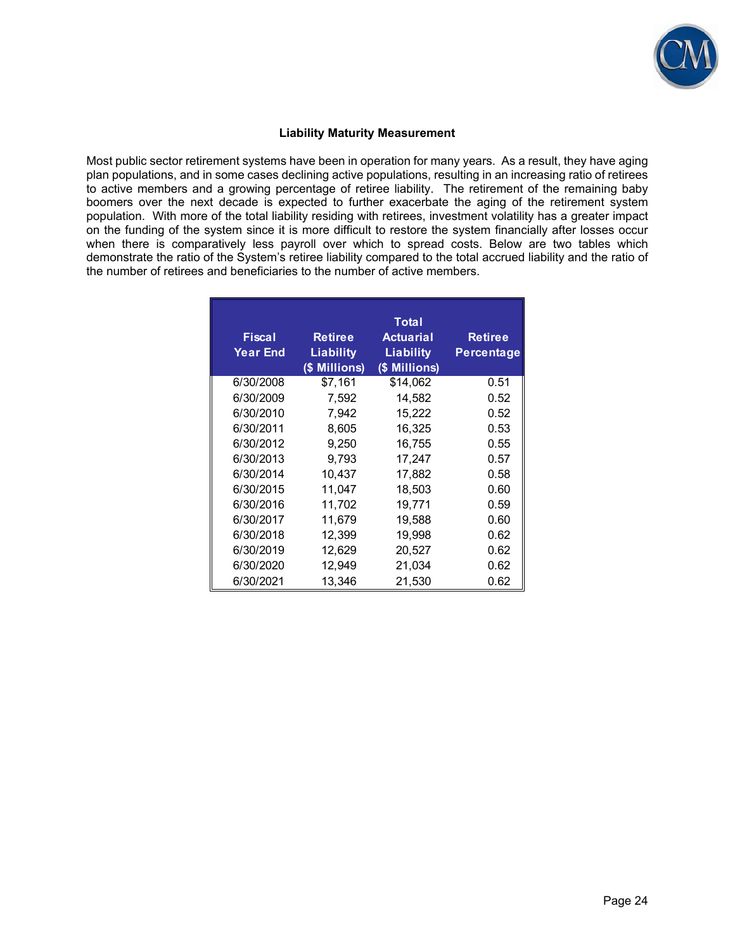

#### **Liability Maturity Measurement**

Most public sector retirement systems have been in operation for many years. As a result, they have aging plan populations, and in some cases declining active populations, resulting in an increasing ratio of retirees to active members and a growing percentage of retiree liability. The retirement of the remaining baby boomers over the next decade is expected to further exacerbate the aging of the retirement system population. With more of the total liability residing with retirees, investment volatility has a greater impact on the funding of the system since it is more difficult to restore the system financially after losses occur when there is comparatively less payroll over which to spread costs. Below are two tables which demonstrate the ratio of the System's retiree liability compared to the total accrued liability and the ratio of the number of retirees and beneficiaries to the number of active members.

| <b>Fiscal</b><br><b>Year End</b> | <b>Retiree</b><br><b>Liability</b><br>(\$ Millions) | Total<br><b>Actuarial</b><br><b>Liability</b><br>(\$ Millions) | <b>Retiree</b><br>Percentage |
|----------------------------------|-----------------------------------------------------|----------------------------------------------------------------|------------------------------|
| 6/30/2008                        | \$7,161                                             | \$14,062                                                       | 0.51                         |
| 6/30/2009                        | 7,592                                               | 14,582                                                         | 0.52                         |
| 6/30/2010                        | 7,942                                               | 15,222                                                         | 0.52                         |
| 6/30/2011                        | 8.605                                               | 16,325                                                         | 0.53                         |
| 6/30/2012                        | 9,250                                               | 16,755                                                         | 0.55                         |
| 6/30/2013                        | 9,793                                               | 17,247                                                         | 0.57                         |
| 6/30/2014                        | 10,437                                              | 17,882                                                         | 0.58                         |
| 6/30/2015                        | 11.047                                              | 18,503                                                         | 0.60                         |
| 6/30/2016                        | 11,702                                              | 19,771                                                         | 0.59                         |
| 6/30/2017                        | 11,679                                              | 19,588                                                         | 0.60                         |
| 6/30/2018                        | 12,399                                              | 19,998                                                         | 0.62                         |
| 6/30/2019                        | 12,629                                              | 20,527                                                         | 0.62                         |
| 6/30/2020                        | 12,949                                              | 21,034                                                         | 0.62                         |
| 6/30/2021                        | 13.346                                              | 21.530                                                         | 0.62                         |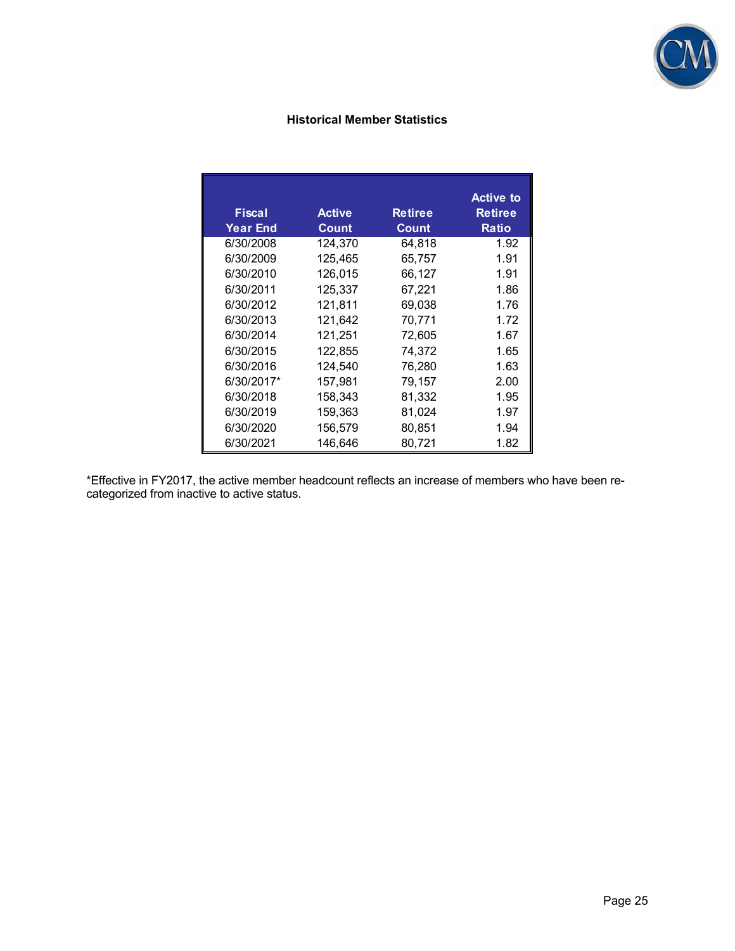

## **Historical Member Statistics**

| <b>Fiscal</b><br><b>Year End</b> | <b>Active</b><br><b>Count</b> | <b>Retiree</b><br><b>Count</b> | <b>Active to</b><br><b>Retiree</b><br><b>Ratio</b> |
|----------------------------------|-------------------------------|--------------------------------|----------------------------------------------------|
| 6/30/2008                        | 124,370                       | 64,818                         | 1.92                                               |
| 6/30/2009                        | 125,465                       | 65,757                         | 1.91                                               |
| 6/30/2010                        | 126.015                       | 66,127                         | 1.91                                               |
| 6/30/2011                        | 125.337                       | 67,221                         | 1.86                                               |
| 6/30/2012                        | 121.811                       | 69,038                         | 1.76                                               |
| 6/30/2013                        | 121,642                       | 70,771                         | 1.72                                               |
| 6/30/2014                        | 121,251                       | 72,605                         | 1.67                                               |
| 6/30/2015                        | 122,855                       | 74,372                         | 1.65                                               |
| 6/30/2016                        | 124,540                       | 76,280                         | 1.63                                               |
| 6/30/2017*                       | 157,981                       | 79,157                         | 2.00                                               |
| 6/30/2018                        | 158,343                       | 81,332                         | 1.95                                               |
| 6/30/2019                        | 159,363                       | 81,024                         | 1.97                                               |
| 6/30/2020                        | 156,579                       | 80,851                         | 1.94                                               |
| 6/30/2021                        | 146.646                       | 80,721                         | 1.82                                               |

\*Effective in FY2017, the active member headcount reflects an increase of members who have been recategorized from inactive to active status.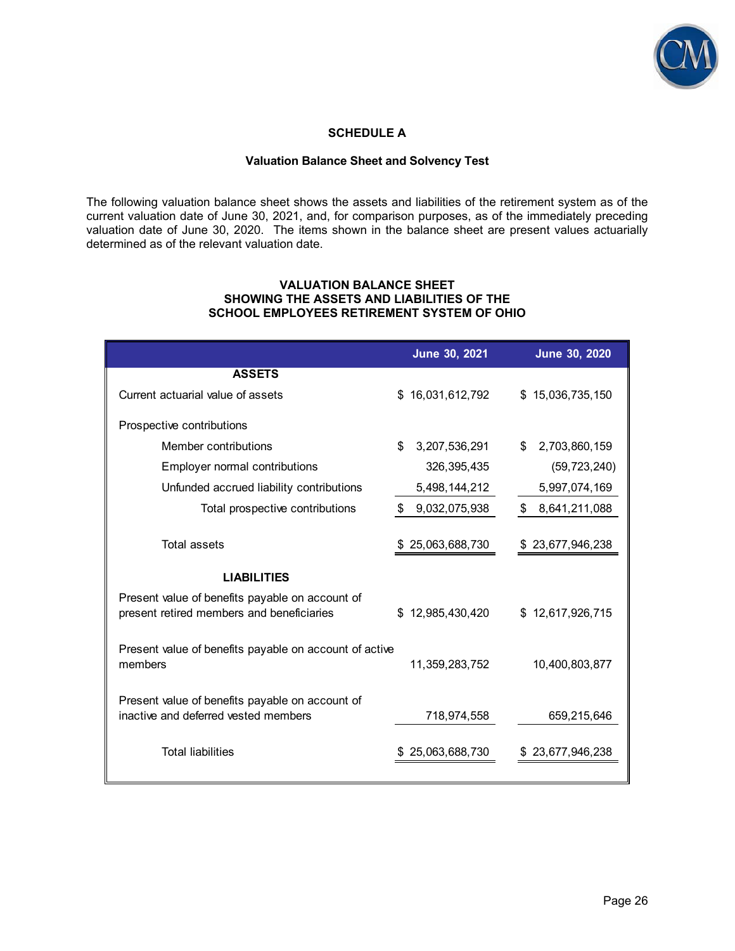

## **SCHEDULE A**

#### **Valuation Balance Sheet and Solvency Test**

The following valuation balance sheet shows the assets and liabilities of the retirement system as of the current valuation date of June 30, 2021, and, for comparison purposes, as of the immediately preceding valuation date of June 30, 2020. The items shown in the balance sheet are present values actuarially determined as of the relevant valuation date.

#### **VALUATION BALANCE SHEET SHOWING THE ASSETS AND LIABILITIES OF THE SCHOOL EMPLOYEES RETIREMENT SYSTEM OF OHIO**

|                                                                                              | June 30, 2021       | <b>June 30, 2020</b> |
|----------------------------------------------------------------------------------------------|---------------------|----------------------|
| <b>ASSETS</b>                                                                                |                     |                      |
| Current actuarial value of assets                                                            | \$16,031,612,792    | \$15,036,735,150     |
| Prospective contributions                                                                    |                     |                      |
| Member contributions                                                                         | 3,207,536,291<br>\$ | 2,703,860,159<br>\$  |
| <b>Employer normal contributions</b>                                                         | 326, 395, 435       | (59, 723, 240)       |
| Unfunded accrued liability contributions                                                     | 5,498,144,212       | 5,997,074,169        |
| Total prospective contributions                                                              | 9,032,075,938<br>S  | 8,641,211,088<br>\$  |
| <b>Total assets</b>                                                                          | \$25,063,688,730    | \$23,677,946,238     |
| <b>LIABILITIES</b>                                                                           |                     |                      |
| Present value of benefits payable on account of<br>present retired members and beneficiaries | \$12,985,430,420    | \$12,617,926,715     |
| Present value of benefits payable on account of active<br>members                            | 11,359,283,752      | 10,400,803,877       |
| Present value of benefits payable on account of<br>inactive and deferred vested members      | 718,974,558         | 659,215,646          |
| <b>Total liabilities</b>                                                                     | 25,063,688,730      | 23,677,946,238       |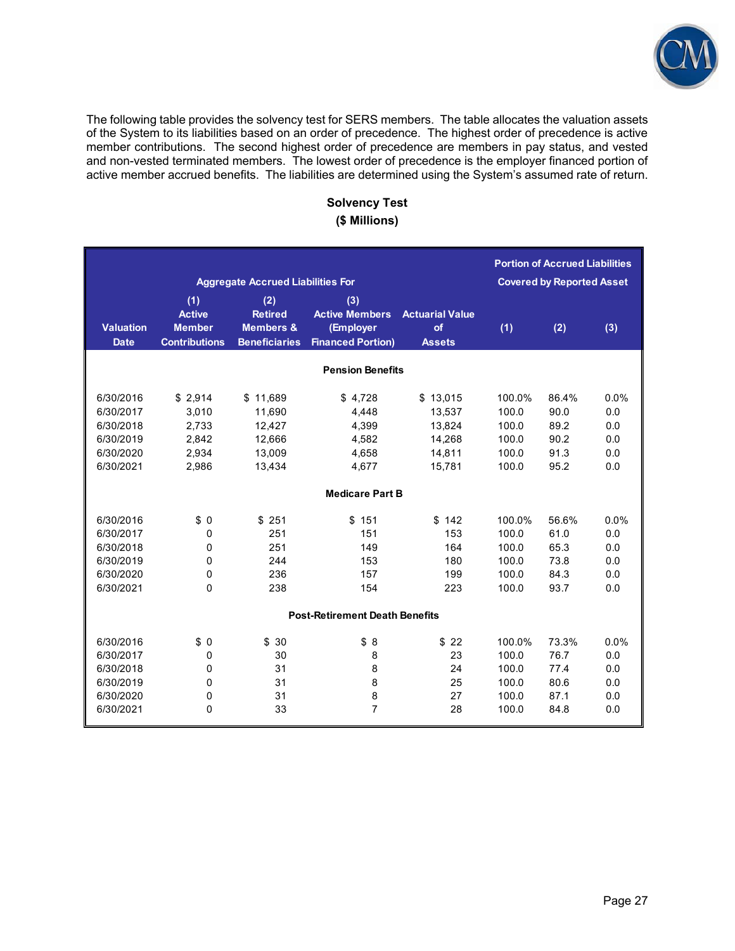

The following table provides the solvency test for SERS members. The table allocates the valuation assets of the System to its liabilities based on an order of precedence. The highest order of precedence is active member contributions. The second highest order of precedence are members in pay status, and vested and non-vested terminated members. The lowest order of precedence is the employer financed portion of active member accrued benefits. The liabilities are determined using the System's assumed rate of return.

## **Solvency Test (\$ Millions)**

|                                 |                                                               |                                                                       |                                                                       |                                               |        | <b>Portion of Accrued Liabilities</b> |         |
|---------------------------------|---------------------------------------------------------------|-----------------------------------------------------------------------|-----------------------------------------------------------------------|-----------------------------------------------|--------|---------------------------------------|---------|
|                                 |                                                               | <b>Aggregate Accrued Liabilities For</b>                              |                                                                       |                                               |        | <b>Covered by Reported Asset</b>      |         |
| <b>Valuation</b><br><b>Date</b> | (1)<br><b>Active</b><br><b>Member</b><br><b>Contributions</b> | (2)<br><b>Retired</b><br><b>Members &amp;</b><br><b>Beneficiaries</b> | (3)<br><b>Active Members</b><br>(Employer<br><b>Financed Portion)</b> | <b>Actuarial Value</b><br>of<br><b>Assets</b> | (1)    | (2)                                   | (3)     |
|                                 |                                                               |                                                                       | <b>Pension Benefits</b>                                               |                                               |        |                                       |         |
|                                 |                                                               |                                                                       |                                                                       |                                               |        |                                       |         |
| 6/30/2016                       | \$2,914                                                       | \$11,689                                                              | \$4,728                                                               | \$13,015                                      | 100.0% | 86.4%                                 | 0.0%    |
| 6/30/2017                       | 3,010                                                         | 11,690                                                                | 4,448                                                                 | 13,537                                        | 100.0  | 90.0                                  | 0.0     |
| 6/30/2018                       | 2,733                                                         | 12,427                                                                | 4,399                                                                 | 13,824                                        | 100.0  | 89.2                                  | 0.0     |
| 6/30/2019                       | 2,842                                                         | 12,666                                                                | 4,582                                                                 | 14,268                                        | 100.0  | 90.2                                  | 0.0     |
| 6/30/2020                       | 2.934                                                         | 13,009                                                                | 4,658                                                                 | 14,811                                        | 100.0  | 91.3                                  | 0.0     |
| 6/30/2021                       | 2,986                                                         | 13,434                                                                | 4.677                                                                 | 15.781                                        | 100.0  | 95.2                                  | 0.0     |
|                                 |                                                               |                                                                       | <b>Medicare Part B</b>                                                |                                               |        |                                       |         |
|                                 |                                                               |                                                                       |                                                                       |                                               |        |                                       |         |
| 6/30/2016                       | \$0                                                           | \$251                                                                 | \$151                                                                 | \$142                                         | 100.0% | 56.6%                                 | $0.0\%$ |
| 6/30/2017                       | 0                                                             | 251                                                                   | 151                                                                   | 153                                           | 100.0  | 61.0                                  | 0.0     |
| 6/30/2018                       | 0                                                             | 251                                                                   | 149                                                                   | 164                                           | 100.0  | 65.3                                  | 0.0     |
| 6/30/2019                       | 0                                                             | 244                                                                   | 153                                                                   | 180                                           | 100.0  | 73.8                                  | 0.0     |
| 6/30/2020                       | 0                                                             | 236                                                                   | 157                                                                   | 199                                           | 100.0  | 84.3                                  | 0.0     |
| 6/30/2021                       | 0                                                             | 238                                                                   | 154                                                                   | 223                                           | 100.0  | 93.7                                  | 0.0     |
|                                 |                                                               |                                                                       | <b>Post-Retirement Death Benefits</b>                                 |                                               |        |                                       |         |
|                                 |                                                               |                                                                       |                                                                       |                                               |        |                                       |         |
| 6/30/2016                       | \$0                                                           | \$30                                                                  | \$8                                                                   | \$22                                          | 100.0% | 73.3%                                 | $0.0\%$ |
| 6/30/2017                       | 0                                                             | 30                                                                    | 8                                                                     | 23                                            | 100.0  | 76.7                                  | 0.0     |
| 6/30/2018                       | 0                                                             | 31                                                                    | 8                                                                     | 24                                            | 100.0  | 77.4                                  | 0.0     |
| 6/30/2019                       | 0                                                             | 31                                                                    | 8                                                                     | 25                                            | 100.0  | 80.6                                  | 0.0     |
| 6/30/2020                       | 0                                                             | 31                                                                    | 8                                                                     | 27                                            | 100.0  | 87.1                                  | 0.0     |
| 6/30/2021                       | 0                                                             | 33                                                                    | $\overline{7}$                                                        | 28                                            | 100.0  | 84.8                                  | 0.0     |
|                                 |                                                               |                                                                       |                                                                       |                                               |        |                                       |         |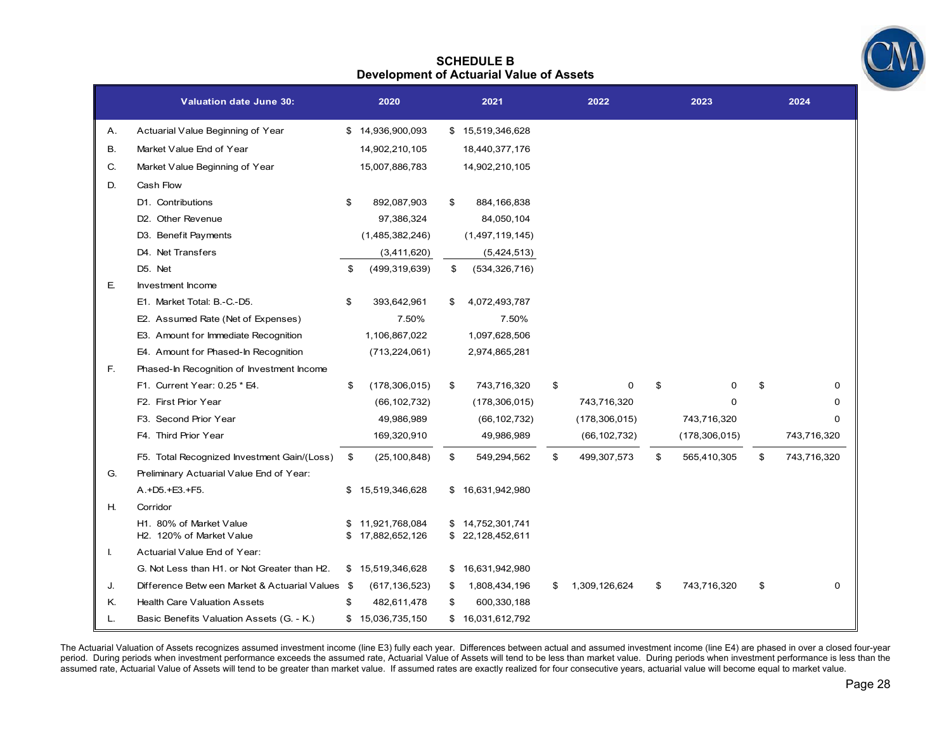

#### **SCHEDULE B Development of Actuarial Value of Assets**

|    | <b>Valuation date June 30:</b>                                   | 2020                                 | 2021                                 | 2022                | 2023              |    | 2024        |
|----|------------------------------------------------------------------|--------------------------------------|--------------------------------------|---------------------|-------------------|----|-------------|
| Α. | Actuarial Value Beginning of Year                                | \$14,936,900,093                     | \$15,519,346,628                     |                     |                   |    |             |
| В. | Market Value End of Year                                         | 14,902,210,105                       | 18,440,377,176                       |                     |                   |    |             |
| C. | Market Value Beginning of Year                                   | 15,007,886,783                       | 14,902,210,105                       |                     |                   |    |             |
| D. | Cash Flow                                                        |                                      |                                      |                     |                   |    |             |
|    | D1. Contributions                                                | \$<br>892,087,903                    | \$<br>884,166,838                    |                     |                   |    |             |
|    | D <sub>2</sub> . Other Revenue                                   | 97,386,324                           | 84,050,104                           |                     |                   |    |             |
|    | D3. Benefit Payments                                             | (1,485,382,246)                      | (1,497,119,145)                      |                     |                   |    |             |
|    | D4. Net Transfers                                                | (3,411,620)                          | (5,424,513)                          |                     |                   |    |             |
|    | D5. Net                                                          | \$<br>(499, 319, 639)                | \$<br>(534, 326, 716)                |                     |                   |    |             |
| E. | Investment Income                                                |                                      |                                      |                     |                   |    |             |
|    | E1. Market Total: B.-C.-D5.                                      | \$<br>393,642,961                    | \$<br>4,072,493,787                  |                     |                   |    |             |
|    | E2. Assumed Rate (Net of Expenses)                               | 7.50%                                | 7.50%                                |                     |                   |    |             |
|    | E3. Amount for Immediate Recognition                             | 1,106,867,022                        | 1,097,628,506                        |                     |                   |    |             |
|    | E4. Amount for Phased-In Recognition                             | (713, 224, 061)                      | 2,974,865,281                        |                     |                   |    |             |
| F. | Phased-In Recognition of Investment Income                       |                                      |                                      |                     |                   |    |             |
|    | F1. Current Year: 0.25 * E4.                                     | \$<br>(178, 306, 015)                | \$<br>743,716,320                    | \$<br>0             | \$<br>0           | S  | 0           |
|    | F2. First Prior Year                                             | (66, 102, 732)                       | (178, 306, 015)                      | 743,716,320         | 0                 |    | 0           |
|    | F3. Second Prior Year                                            | 49,986,989                           | (66, 102, 732)                       | (178, 306, 015)     | 743,716,320       |    | 0           |
|    | F4. Third Prior Year                                             | 169,320,910                          | 49,986,989                           | (66, 102, 732)      | (178, 306, 015)   |    | 743,716,320 |
|    | F5. Total Recognized Investment Gain/(Loss)                      | \$<br>(25, 100, 848)                 | \$<br>549,294,562                    | \$<br>499,307,573   | \$<br>565,410,305 | \$ | 743,716,320 |
| G. | Preliminary Actuarial Value End of Year:                         |                                      |                                      |                     |                   |    |             |
|    | A.+D5.+E3.+F5.                                                   | \$15,519,346,628                     | \$16,631,942,980                     |                     |                   |    |             |
| Н. | Corridor                                                         |                                      |                                      |                     |                   |    |             |
|    | H1. 80% of Market Value<br>H <sub>2</sub> . 120% of Market Value | \$11,921,768,084<br>\$17,882,652,126 | \$14,752,301,741<br>\$22,128,452,611 |                     |                   |    |             |
| L. | Actuarial Value End of Year:                                     |                                      |                                      |                     |                   |    |             |
|    | G. Not Less than H1. or Not Greater than H2.                     | \$15,519,346,628                     | \$16,631,942,980                     |                     |                   |    |             |
| J. | Difference Betw een Market & Actuarial Values \$                 | (617, 136, 523)                      | \$<br>1,808,434,196                  | \$<br>1,309,126,624 | \$<br>743,716,320 | \$ | 0           |
| Κ. | <b>Health Care Valuation Assets</b>                              | \$<br>482,611,478                    | \$<br>600,330,188                    |                     |                   |    |             |
| L. | Basic Benefits Valuation Assets (G. - K.)                        | \$15,036,735,150                     | \$16,031,612,792                     |                     |                   |    |             |

The Actuarial Valuation of Assets recognizes assumed investment income (line E3) fully each year. Differences between actual and assumed investment income (line E4) are phased in over a closed four-year period. During periods when investment performance exceeds the assumed rate, Actuarial Value of Assets will tend to be less than market value. During periods when investment performance is less than the assumed rate, Actuarial Value of Assets will tend to be greater than market value. If assumed rates are exactly realized for four consecutive years, actuarial value will become equal to market value.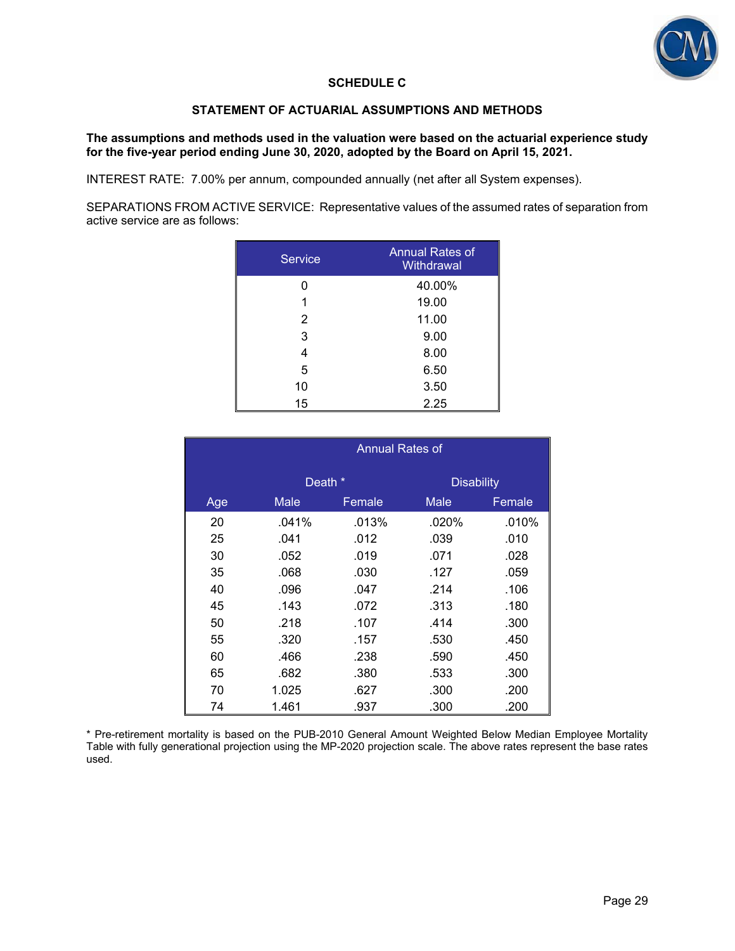

## **SCHEDULE C**

#### **STATEMENT OF ACTUARIAL ASSUMPTIONS AND METHODS**

#### **The assumptions and methods used in the valuation were based on the actuarial experience study for the five-year period ending June 30, 2020, adopted by the Board on April 15, 2021.**

INTEREST RATE: 7.00% per annum, compounded annually (net after all System expenses).

SEPARATIONS FROM ACTIVE SERVICE: Representative values of the assumed rates of separation from active service are as follows:

| <b>Service</b> | Annual Rates of<br>Withdrawal |
|----------------|-------------------------------|
| ი              | 40.00%                        |
|                | 19.00                         |
| $\overline{2}$ | 11.00                         |
| 3              | 9.00                          |
| 4              | 8.00                          |
| 5              | 6.50                          |
| 10             | 3.50                          |
| 15             | 2.25                          |

|     | Annual Rates of |        |                   |        |  |  |
|-----|-----------------|--------|-------------------|--------|--|--|
|     | Death *         |        | <b>Disability</b> |        |  |  |
| Age | <b>Male</b>     | Female | <b>Male</b>       | Female |  |  |
| 20  | .041%           | .013%  | $.020\%$          | .010%  |  |  |
| 25  | .041            | .012   | .039              | .010   |  |  |
| 30  | .052            | .019   | .071              | .028   |  |  |
| 35  | .068            | .030   | .127              | .059   |  |  |
| 40  | .096            | .047   | .214              | .106   |  |  |
| 45  | .143            | .072   | .313              | .180   |  |  |
| 50  | .218            | .107   | .414              | .300   |  |  |
| 55  | .320            | .157   | .530              | .450   |  |  |
| 60  | .466            | .238   | .590              | .450   |  |  |
| 65  | .682            | .380   | .533              | .300   |  |  |
| 70  | 1.025           | .627   | .300              | .200   |  |  |
| 74  | 1.461           | .937   | .300              | .200   |  |  |

\* Pre-retirement mortality is based on the PUB-2010 General Amount Weighted Below Median Employee Mortality Table with fully generational projection using the MP-2020 projection scale. The above rates represent the base rates used.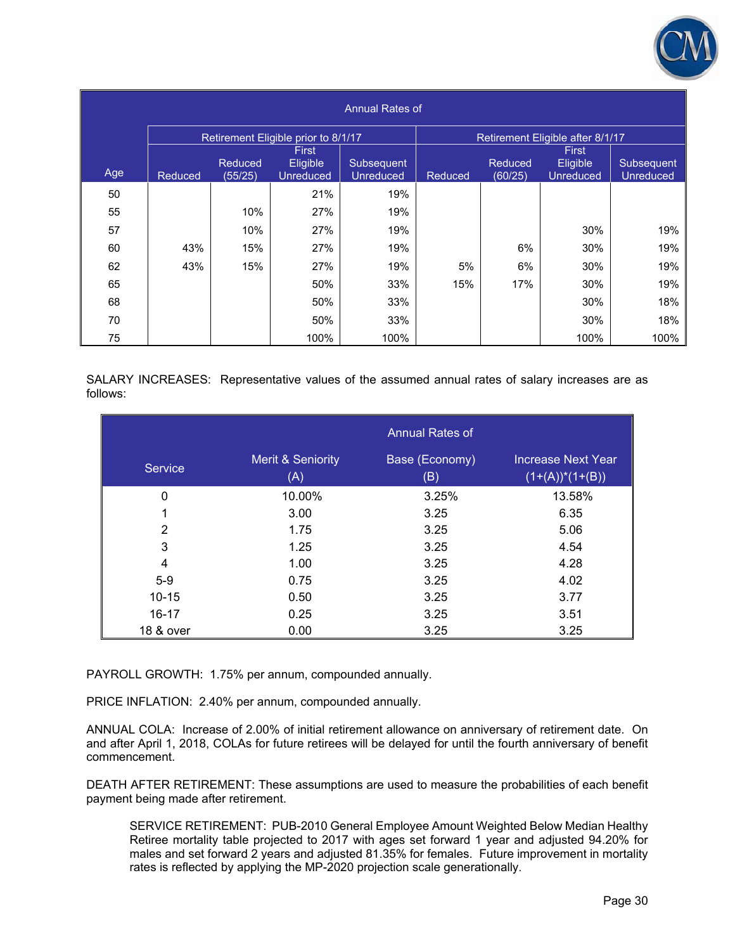

| Annual Rates of |                |                           |                                     |                                |                |                    |                                  |                                |  |
|-----------------|----------------|---------------------------|-------------------------------------|--------------------------------|----------------|--------------------|----------------------------------|--------------------------------|--|
|                 |                |                           | Retirement Eligible prior to 8/1/17 |                                |                |                    | Retirement Eligible after 8/1/17 |                                |  |
|                 |                |                           | <b>First</b>                        |                                |                |                    | First                            |                                |  |
| Age             | <b>Reduced</b> | <b>Reduced</b><br>(55/25) | Eligible<br><b>Unreduced</b>        | Subsequent<br><b>Unreduced</b> | <b>Reduced</b> | Reduced<br>(60/25) | Eligible<br><b>Unreduced</b>     | Subsequent<br><b>Unreduced</b> |  |
| 50              |                |                           | 21%                                 | 19%                            |                |                    |                                  |                                |  |
| 55              |                | 10%                       | 27%                                 | 19%                            |                |                    |                                  |                                |  |
| 57              |                | 10%                       | 27%                                 | 19%                            |                |                    | 30%                              | 19%                            |  |
| 60              | 43%            | 15%                       | 27%                                 | 19%                            |                | 6%                 | 30%                              | 19%                            |  |
| 62              | 43%            | 15%                       | 27%                                 | 19%                            | 5%             | 6%                 | 30%                              | 19%                            |  |
| 65              |                |                           | 50%                                 | 33%                            | 15%            | 17%                | 30%                              | 19%                            |  |
| 68              |                |                           | 50%                                 | 33%                            |                |                    | 30%                              | 18%                            |  |
| 70              |                |                           | 50%                                 | 33%                            |                |                    | 30%                              | 18%                            |  |
| 75              |                |                           | 100%                                | 100%                           |                |                    | 100%                             | 100%                           |  |

SALARY INCREASES: Representative values of the assumed annual rates of salary increases are as follows:

|                |                                     | <b>Annual Rates of</b> |                                                 |
|----------------|-------------------------------------|------------------------|-------------------------------------------------|
| <b>Service</b> | <b>Merit &amp; Seniority</b><br>(A) | Base (Economy)<br>(B)  | <b>Increase Next Year</b><br>$(1+(A))^*(1+(B))$ |
| 0              | 10.00%                              | 3.25%                  | 13.58%                                          |
| 1              | 3.00                                | 3.25                   | 6.35                                            |
| 2              | 1.75                                | 3.25                   | 5.06                                            |
| 3              | 1.25                                | 3.25                   | 4.54                                            |
| 4              | 1.00                                | 3.25                   | 4.28                                            |
| $5-9$          | 0.75                                | 3.25                   | 4.02                                            |
| $10 - 15$      | 0.50                                | 3.25                   | 3.77                                            |
| $16 - 17$      | 0.25                                | 3.25                   | 3.51                                            |
| 18 & over      | 0.00                                | 3.25                   | 3.25                                            |

PAYROLL GROWTH: 1.75% per annum, compounded annually.

PRICE INFLATION: 2.40% per annum, compounded annually.

ANNUAL COLA: Increase of 2.00% of initial retirement allowance on anniversary of retirement date. On and after April 1, 2018, COLAs for future retirees will be delayed for until the fourth anniversary of benefit commencement.

DEATH AFTER RETIREMENT: These assumptions are used to measure the probabilities of each benefit payment being made after retirement.

SERVICE RETIREMENT: PUB-2010 General Employee Amount Weighted Below Median Healthy Retiree mortality table projected to 2017 with ages set forward 1 year and adjusted 94.20% for males and set forward 2 years and adjusted 81.35% for females. Future improvement in mortality rates is reflected by applying the MP-2020 projection scale generationally.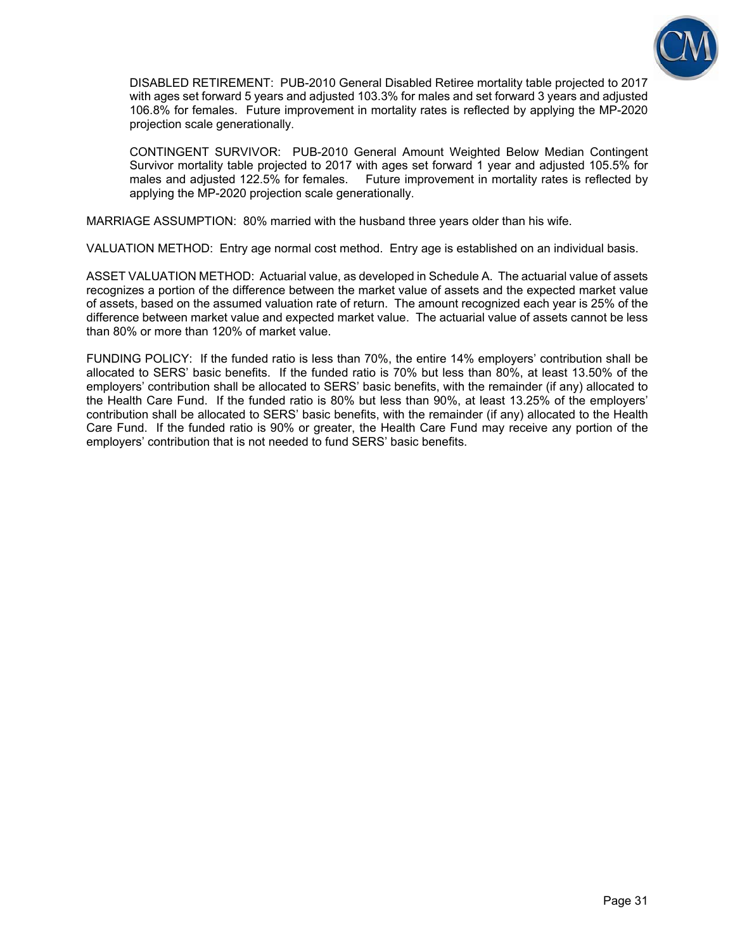

DISABLED RETIREMENT: PUB-2010 General Disabled Retiree mortality table projected to 2017 with ages set forward 5 years and adjusted 103.3% for males and set forward 3 years and adjusted 106.8% for females. Future improvement in mortality rates is reflected by applying the MP-2020 projection scale generationally.

CONTINGENT SURVIVOR: PUB-2010 General Amount Weighted Below Median Contingent Survivor mortality table projected to 2017 with ages set forward 1 year and adjusted 105.5% for males and adjusted 122.5% for females. Future improvement in mortality rates is reflected by applying the MP-2020 projection scale generationally.

MARRIAGE ASSUMPTION: 80% married with the husband three years older than his wife.

VALUATION METHOD: Entry age normal cost method. Entry age is established on an individual basis.

ASSET VALUATION METHOD: Actuarial value, as developed in Schedule A. The actuarial value of assets recognizes a portion of the difference between the market value of assets and the expected market value of assets, based on the assumed valuation rate of return. The amount recognized each year is 25% of the difference between market value and expected market value. The actuarial value of assets cannot be less than 80% or more than 120% of market value.

FUNDING POLICY: If the funded ratio is less than 70%, the entire 14% employers' contribution shall be allocated to SERS' basic benefits. If the funded ratio is 70% but less than 80%, at least 13.50% of the employers' contribution shall be allocated to SERS' basic benefits, with the remainder (if any) allocated to the Health Care Fund. If the funded ratio is 80% but less than 90%, at least 13.25% of the employers' contribution shall be allocated to SERS' basic benefits, with the remainder (if any) allocated to the Health Care Fund. If the funded ratio is 90% or greater, the Health Care Fund may receive any portion of the employers' contribution that is not needed to fund SERS' basic benefits.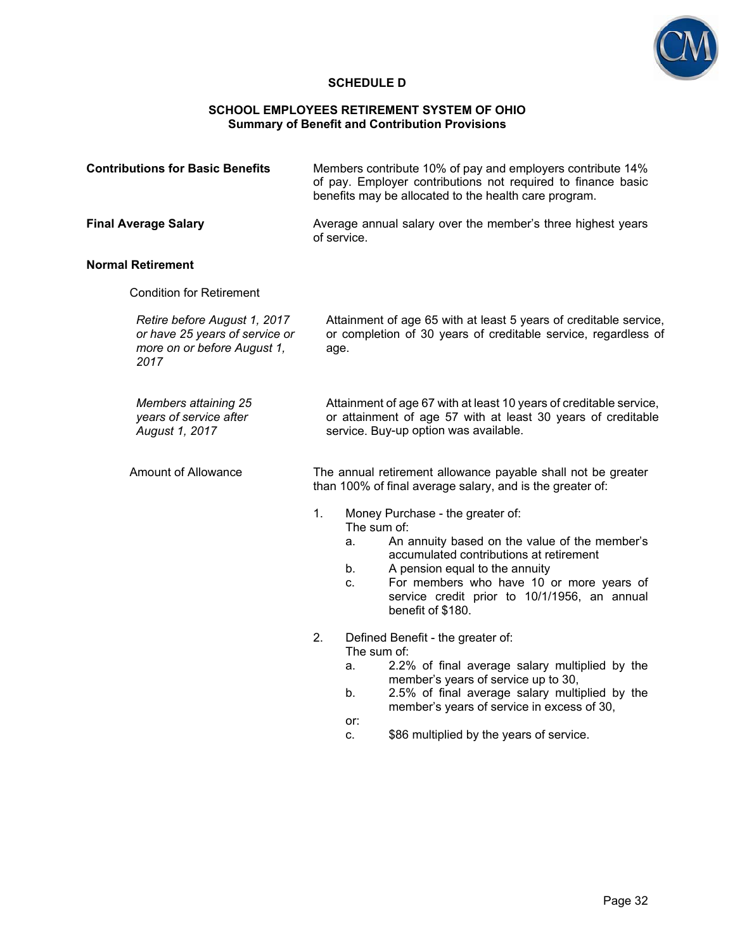

### **SCHEDULE D**

#### **SCHOOL EMPLOYEES RETIREMENT SYSTEM OF OHIO Summary of Benefit and Contribution Provisions**

| <b>Contributions for Basic Benefits</b>                                                               | Members contribute 10% of pay and employers contribute 14%<br>of pay. Employer contributions not required to finance basic<br>benefits may be allocated to the health care program.                                                                                                                                                                                                                                                                                             |  |  |  |
|-------------------------------------------------------------------------------------------------------|---------------------------------------------------------------------------------------------------------------------------------------------------------------------------------------------------------------------------------------------------------------------------------------------------------------------------------------------------------------------------------------------------------------------------------------------------------------------------------|--|--|--|
| <b>Final Average Salary</b>                                                                           | Average annual salary over the member's three highest years<br>of service.                                                                                                                                                                                                                                                                                                                                                                                                      |  |  |  |
| <b>Normal Retirement</b>                                                                              |                                                                                                                                                                                                                                                                                                                                                                                                                                                                                 |  |  |  |
| <b>Condition for Retirement</b>                                                                       |                                                                                                                                                                                                                                                                                                                                                                                                                                                                                 |  |  |  |
| Retire before August 1, 2017<br>or have 25 years of service or<br>more on or before August 1,<br>2017 | Attainment of age 65 with at least 5 years of creditable service,<br>or completion of 30 years of creditable service, regardless of<br>age.                                                                                                                                                                                                                                                                                                                                     |  |  |  |
| <b>Members attaining 25</b><br>years of service after<br>August 1, 2017                               | Attainment of age 67 with at least 10 years of creditable service,<br>or attainment of age 57 with at least 30 years of creditable<br>service. Buy-up option was available.                                                                                                                                                                                                                                                                                                     |  |  |  |
| Amount of Allowance                                                                                   | The annual retirement allowance payable shall not be greater<br>than 100% of final average salary, and is the greater of:                                                                                                                                                                                                                                                                                                                                                       |  |  |  |
|                                                                                                       | 1.<br>Money Purchase - the greater of:<br>The sum of:<br>An annuity based on the value of the member's<br>a.<br>accumulated contributions at retirement<br>b.<br>A pension equal to the annuity<br>For members who have 10 or more years of<br>C.<br>service credit prior to 10/1/1956, an annual<br>benefit of \$180.<br>2.<br>Defined Benefit - the greater of:<br>The sum of:<br>2.2% of final average salary multiplied by the<br>a.<br>member's years of service up to 30, |  |  |  |
|                                                                                                       | 2.5% of final average salary multiplied by the<br>b.<br>member's years of service in excess of 30,                                                                                                                                                                                                                                                                                                                                                                              |  |  |  |

or: c. \$86 multiplied by the years of service.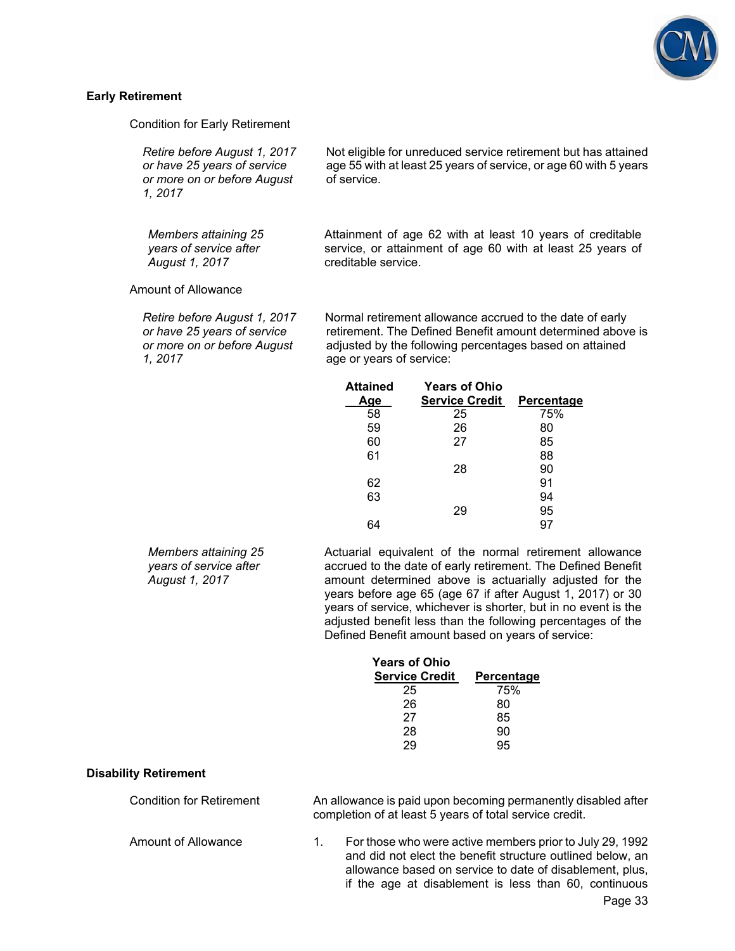

#### **Early Retirement**

Condition for Early Retirement

*Retire before August 1, 2017 or have 25 years of service or more on or before August 1, 2017*

*Members attaining 25 years of service after August 1, 2017*

Not eligible for unreduced service retirement but has attained age 55 with at least 25 years of service, or age 60 with 5 years of service.

Attainment of age 62 with at least 10 years of creditable service, or attainment of age 60 with at least 25 years of creditable service.

Amount of Allowance

*Retire before August 1, 2017 or have 25 years of service or more on or before August 1, 2017*

Normal retirement allowance accrued to the date of early retirement. The Defined Benefit amount determined above is adjusted by the following percentages based on attained age or years of service:

| <b>Attained</b> | <b>Years of Ohio</b>  |                   |
|-----------------|-----------------------|-------------------|
| Age             | <b>Service Credit</b> | <b>Percentage</b> |
| 58              | 25                    | 75%               |
| 59              | 26                    | 80                |
| 60              | 27                    | 85                |
| 61              |                       | 88                |
|                 | 28                    | 90                |
| 62              |                       | 91                |
| 63              |                       | 94                |
|                 | 29                    | 95                |
|                 |                       |                   |
|                 |                       |                   |

*Members attaining 25 years of service after August 1, 2017*

Actuarial equivalent of the normal retirement allowance accrued to the date of early retirement. The Defined Benefit amount determined above is actuarially adjusted for the years before age 65 (age 67 if after August 1, 2017) or 30 years of service, whichever is shorter, but in no event is the adjusted benefit less than the following percentages of the Defined Benefit amount based on years of service:

if the age at disablement is less than 60, continuous

| <b>Years of Ohio</b>  |                   |
|-----------------------|-------------------|
| <b>Service Credit</b> | <b>Percentage</b> |
| 25                    | 75%               |
| 26                    | 80                |
| 27                    | 85                |
| 28                    | 90                |
| 29                    | 95                |

#### **Disability Retirement**

| Condition for Retirement | An allowance is paid upon becoming permanently disabled after<br>completion of at least 5 years of total service credit. |                                                                                                                                                                                    |  |
|--------------------------|--------------------------------------------------------------------------------------------------------------------------|------------------------------------------------------------------------------------------------------------------------------------------------------------------------------------|--|
| Amount of Allowance      |                                                                                                                          | For those who were active members prior to July 29, 1992<br>and did not elect the benefit structure outlined below, an<br>allowance based on service to date of disablement, plus, |  |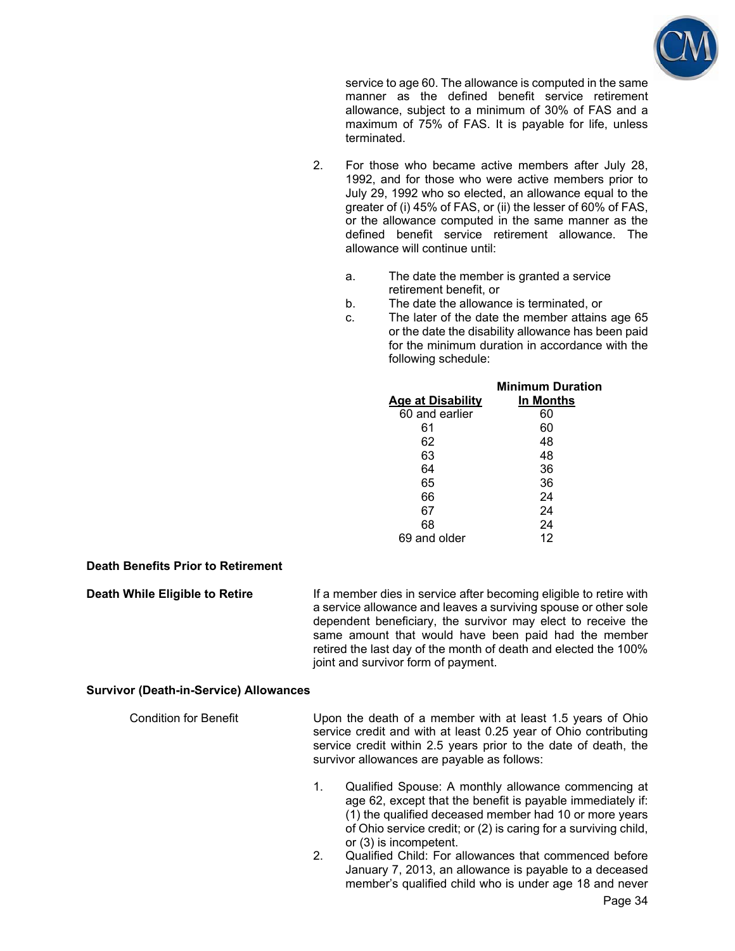

service to age 60. The allowance is computed in the same manner as the defined benefit service retirement allowance, subject to a minimum of 30% of FAS and a maximum of 75% of FAS. It is payable for life, unless terminated.

- 2. For those who became active members after July 28, 1992, and for those who were active members prior to July 29, 1992 who so elected, an allowance equal to the greater of (i) 45% of FAS, or (ii) the lesser of 60% of FAS, or the allowance computed in the same manner as the defined benefit service retirement allowance. The allowance will continue until:
	- a. The date the member is granted a service retirement benefit, or
	- b. The date the allowance is terminated, or
	- c. The later of the date the member attains age 65 or the date the disability allowance has been paid for the minimum duration in accordance with the following schedule:

|                          | <b>Minimum Duration</b> |
|--------------------------|-------------------------|
| <b>Age at Disability</b> | In Months               |
| 60 and earlier           | 60                      |
| 61                       | 60                      |
| 62                       | 48                      |
| 63                       | 48                      |
| 64                       | 36                      |
| 65                       | 36                      |
| 66                       | 24                      |
| 67                       | 24                      |
| 68                       | 24                      |
| 69 and older             | 12                      |

#### **Death Benefits Prior to Retirement**

**Death While Eligible to Retire If a member dies in service after becoming eligible to retire with** a service allowance and leaves a surviving spouse or other sole dependent beneficiary, the survivor may elect to receive the same amount that would have been paid had the member retired the last day of the month of death and elected the 100% joint and survivor form of payment.

#### **Survivor (Death-in-Service) Allowances**

Condition for Benefit Upon the death of a member with at least 1.5 years of Ohio service credit and with at least 0.25 year of Ohio contributing service credit within 2.5 years prior to the date of death, the survivor allowances are payable as follows:

- 1. Qualified Spouse: A monthly allowance commencing at age 62, except that the benefit is payable immediately if: (1) the qualified deceased member had 10 or more years of Ohio service credit; or (2) is caring for a surviving child, or (3) is incompetent.
- 2. Qualified Child: For allowances that commenced before January 7, 2013, an allowance is payable to a deceased member's qualified child who is under age 18 and never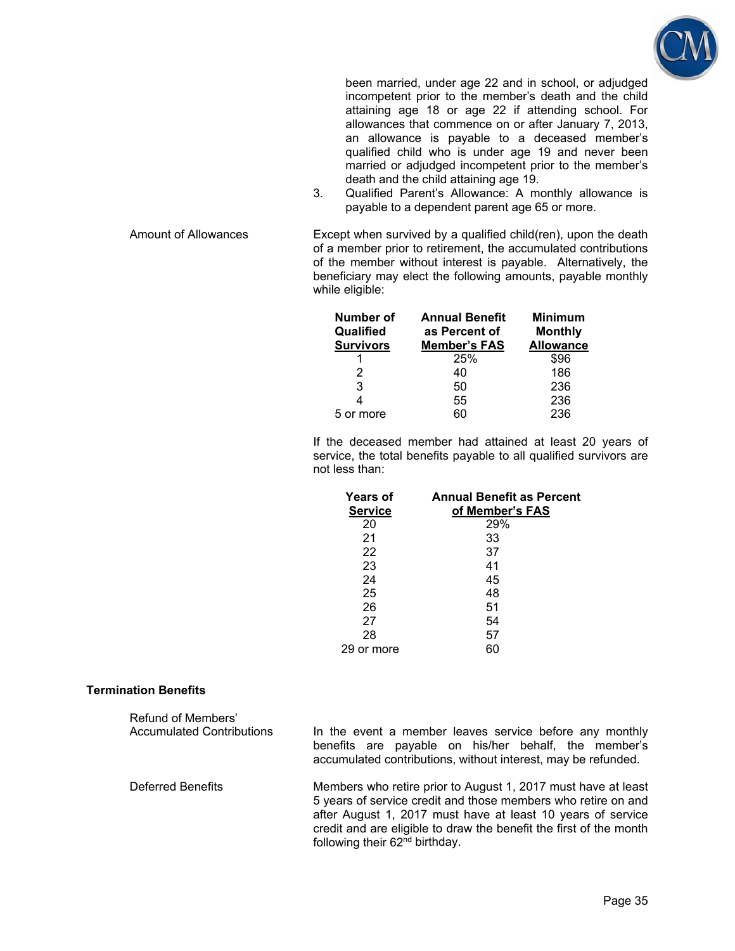

been married, under age 22 and in school, or adjudged incompetent prior to the member's death and the child attaining age 18 or age 22 if attending school. For allowances that commence on or after January 7, 2013, an allowance is payable to a deceased member's qualified child who is under age 19 and never been married or adjudged incompetent prior to the member's death and the child attaining age 19.

3. Qualified Parent's Allowance: A monthly allowance is payable to a dependent parent age 65 or more.

Amount of Allowances Except when survived by a qualified child(ren), upon the death of a member prior to retirement, the accumulated contributions of the member without interest is payable. Alternatively, the beneficiary may elect the following amounts, payable monthly while eligible:

| Number of<br>Qualified<br><b>Survivors</b> | <b>Annual Benefit</b><br>as Percent of<br><b>Member's FAS</b> | <b>Minimum</b><br><b>Monthly</b><br><b>Allowance</b> |
|--------------------------------------------|---------------------------------------------------------------|------------------------------------------------------|
|                                            | 25%                                                           | \$96                                                 |
| 2                                          | 40                                                            | 186                                                  |
| 3                                          | 50                                                            | 236                                                  |
|                                            | 55                                                            | 236                                                  |
| 5 or more                                  | RΛ                                                            | 236                                                  |

If the deceased member had attained at least 20 years of service, the total benefits payable to all qualified survivors are not less than:

| <b>Years of</b><br><b>Service</b> | <b>Annual Benefit as Percent</b><br>of Member's FAS |
|-----------------------------------|-----------------------------------------------------|
| 20                                | 29%                                                 |
| 21                                | 33                                                  |
| 22                                | 37                                                  |
| 23                                | 41                                                  |
| 24                                | 45                                                  |
| 25                                | 48                                                  |
| 26                                | 51                                                  |
| 27                                | 54                                                  |
| 28                                | 57                                                  |
| or more                           | 60                                                  |

#### **Termination Benefits**

| Refund of Members'<br>Accumulated Contributions | In the event a member leaves service before any monthly<br>benefits are payable on his/her behalf, the member's<br>accumulated contributions, without interest, may be refunded.                                                                                                                                  |
|-------------------------------------------------|-------------------------------------------------------------------------------------------------------------------------------------------------------------------------------------------------------------------------------------------------------------------------------------------------------------------|
| Deferred Benefits                               | Members who retire prior to August 1, 2017 must have at least<br>5 years of service credit and those members who retire on and<br>after August 1, 2017 must have at least 10 years of service<br>credit and are eligible to draw the benefit the first of the month<br>following their 62 <sup>nd</sup> birthday. |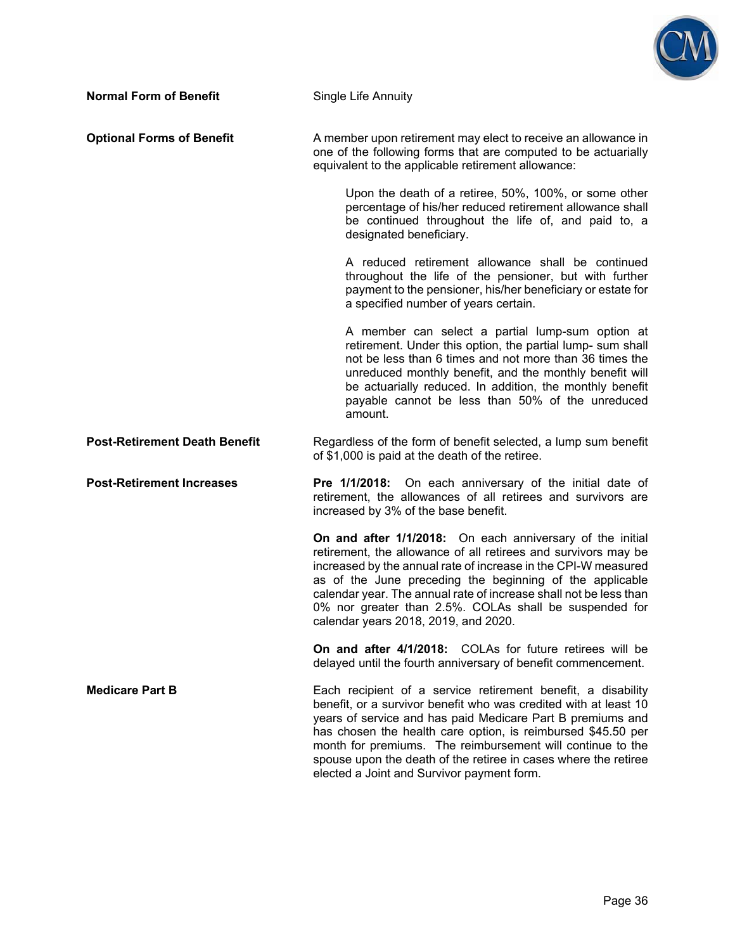

| <b>Normal Form of Benefit</b>        | Single Life Annuity                                                                                                                                                                                                                                                                                                                                                                                                                           |  |  |  |
|--------------------------------------|-----------------------------------------------------------------------------------------------------------------------------------------------------------------------------------------------------------------------------------------------------------------------------------------------------------------------------------------------------------------------------------------------------------------------------------------------|--|--|--|
| <b>Optional Forms of Benefit</b>     | A member upon retirement may elect to receive an allowance in<br>one of the following forms that are computed to be actuarially<br>equivalent to the applicable retirement allowance:                                                                                                                                                                                                                                                         |  |  |  |
|                                      | Upon the death of a retiree, 50%, 100%, or some other<br>percentage of his/her reduced retirement allowance shall<br>be continued throughout the life of, and paid to, a<br>designated beneficiary.                                                                                                                                                                                                                                           |  |  |  |
|                                      | A reduced retirement allowance shall be continued<br>throughout the life of the pensioner, but with further<br>payment to the pensioner, his/her beneficiary or estate for<br>a specified number of years certain.                                                                                                                                                                                                                            |  |  |  |
|                                      | A member can select a partial lump-sum option at<br>retirement. Under this option, the partial lump- sum shall<br>not be less than 6 times and not more than 36 times the<br>unreduced monthly benefit, and the monthly benefit will<br>be actuarially reduced. In addition, the monthly benefit<br>payable cannot be less than 50% of the unreduced<br>amount.                                                                               |  |  |  |
| <b>Post-Retirement Death Benefit</b> | Regardless of the form of benefit selected, a lump sum benefit<br>of \$1,000 is paid at the death of the retiree.                                                                                                                                                                                                                                                                                                                             |  |  |  |
| <b>Post-Retirement Increases</b>     | Pre 1/1/2018: On each anniversary of the initial date of<br>retirement, the allowances of all retirees and survivors are<br>increased by 3% of the base benefit.                                                                                                                                                                                                                                                                              |  |  |  |
|                                      | On and after 1/1/2018: On each anniversary of the initial<br>retirement, the allowance of all retirees and survivors may be<br>increased by the annual rate of increase in the CPI-W measured<br>as of the June preceding the beginning of the applicable<br>calendar year. The annual rate of increase shall not be less than<br>0% nor greater than 2.5%. COLAs shall be suspended for<br>calendar years 2018, 2019, and 2020.              |  |  |  |
|                                      | On and after 4/1/2018: COLAs for future retirees will be<br>delayed until the fourth anniversary of benefit commencement.                                                                                                                                                                                                                                                                                                                     |  |  |  |
| <b>Medicare Part B</b>               | Each recipient of a service retirement benefit, a disability<br>benefit, or a survivor benefit who was credited with at least 10<br>years of service and has paid Medicare Part B premiums and<br>has chosen the health care option, is reimbursed \$45.50 per<br>month for premiums. The reimbursement will continue to the<br>spouse upon the death of the retiree in cases where the retiree<br>elected a Joint and Survivor payment form. |  |  |  |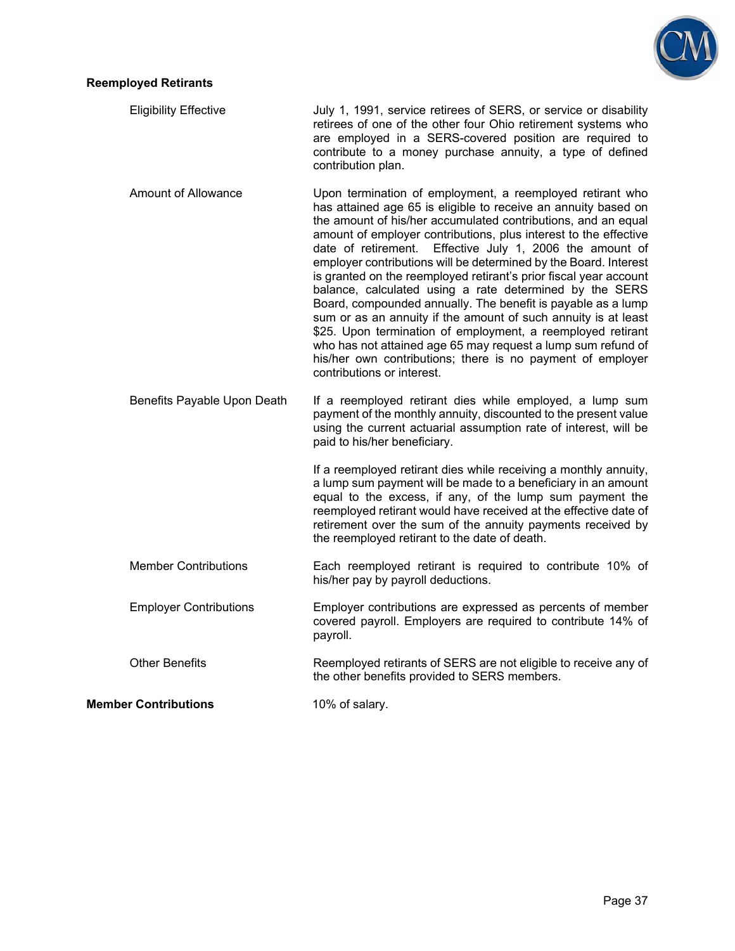

#### **Reemployed Retirants**

| <b>Eligibility Effective</b> | July 1, 1991, service retirees of SERS, or service or disability                                                     |
|------------------------------|----------------------------------------------------------------------------------------------------------------------|
|                              | retirees of one of the other four Ohio retirement systems who                                                        |
|                              | are employed in a SERS-covered position are required to<br>contribute to a money purchase annuity, a type of defined |
|                              | contribution plan.                                                                                                   |

- Amount of Allowance Upon termination of employment, a reemployed retirant who has attained age 65 is eligible to receive an annuity based on the amount of his/her accumulated contributions, and an equal amount of employer contributions, plus interest to the effective date of retirement. Effective July 1, 2006 the amount of employer contributions will be determined by the Board. Interest is granted on the reemployed retirant's prior fiscal year account balance, calculated using a rate determined by the SERS Board, compounded annually. The benefit is payable as a lump sum or as an annuity if the amount of such annuity is at least \$25. Upon termination of employment, a reemployed retirant who has not attained age 65 may request a lump sum refund of his/her own contributions; there is no payment of employer contributions or interest.
- Benefits Payable Upon Death If a reemployed retirant dies while employed, a lump sum payment of the monthly annuity, discounted to the present value using the current actuarial assumption rate of interest, will be paid to his/her beneficiary.

If a reemployed retirant dies while receiving a monthly annuity, a lump sum payment will be made to a beneficiary in an amount equal to the excess, if any, of the lump sum payment the reemployed retirant would have received at the effective date of retirement over the sum of the annuity payments received by the reemployed retirant to the date of death.

- Member Contributions Each reemployed retirant is required to contribute 10% of his/her pay by payroll deductions.
- Employer Contributions Employer contributions are expressed as percents of member covered payroll. Employers are required to contribute 14% of payroll.
- Other Benefits Reemployed retirants of SERS are not eligible to receive any of the other benefits provided to SERS members.

**Member Contributions 10% of salary.**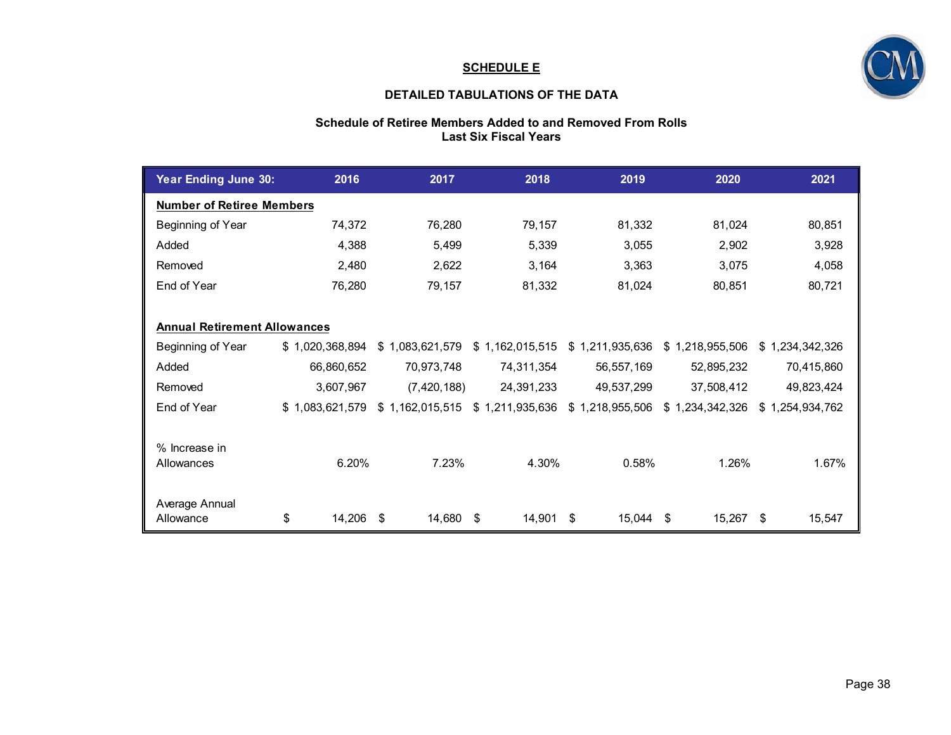#### **SCHEDULE E**



#### **DETAILED TABULATIONS OF THE DATA**

#### **Schedule of Retiree Members Added to and Removed From Rolls Last Six Fiscal Years**

| Year Ending June 30:                | 2016            | 2017            | 2018            | 2019            | 2020            | 2021            |
|-------------------------------------|-----------------|-----------------|-----------------|-----------------|-----------------|-----------------|
| <b>Number of Retiree Members</b>    |                 |                 |                 |                 |                 |                 |
| Beginning of Year                   | 74,372          | 76,280          | 79,157          | 81,332          | 81,024          | 80,851          |
| Added                               | 4,388           | 5,499           | 5,339           | 3,055           | 2,902           | 3,928           |
| Removed                             | 2,480           | 2,622           | 3,164           | 3,363           | 3,075           | 4,058           |
| End of Year                         | 76,280          | 79,157          | 81,332          | 81,024          | 80,851          | 80,721          |
|                                     |                 |                 |                 |                 |                 |                 |
| <b>Annual Retirement Allowances</b> |                 |                 |                 |                 |                 |                 |
| Beginning of Year                   | \$1,020,368,894 | \$1,083,621,579 | \$1,162,015,515 | \$1,211,935,636 | \$1,218,955,506 | \$1,234,342,326 |
| Added                               | 66,860,652      | 70,973,748      | 74,311,354      | 56,557,169      | 52,895,232      | 70,415,860      |
| Removed                             | 3,607,967       | (7, 420, 188)   | 24,391,233      | 49,537,299      | 37,508,412      | 49,823,424      |
| End of Year                         | \$1,083,621,579 | \$1,162,015,515 | \$1,211,935,636 | \$1,218,955,506 | \$1,234,342,326 | \$1,254,934,762 |
|                                     |                 |                 |                 |                 |                 |                 |
| % Increase in                       |                 |                 |                 |                 |                 |                 |
| Allowances                          | 6.20%           | 7.23%           | 4.30%           | 0.58%           | 1.26%           | 1.67%           |
|                                     |                 |                 |                 |                 |                 |                 |
| Average Annual                      |                 |                 |                 |                 |                 |                 |
| Allowance                           | 14,206<br>\$    | 14,680<br>\$    | \$<br>14,901    | \$<br>15,044    | 15,267<br>\$    | \$<br>15,547    |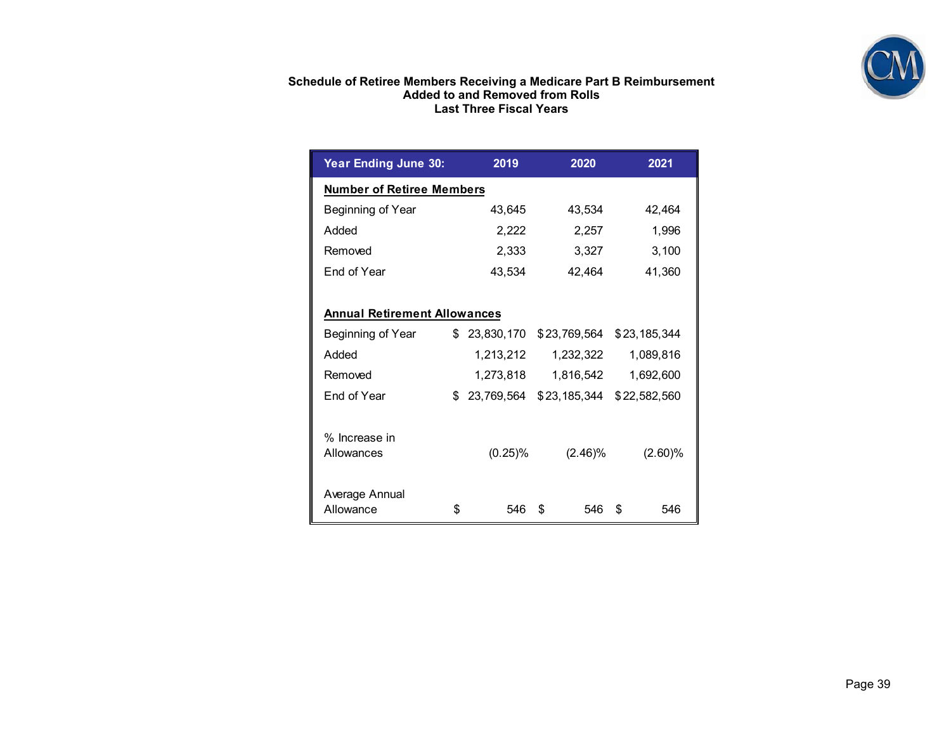

#### **Schedule of Retiree Members Receiving a Medicare Part B Reimbursement Added to and Removed from Rolls Last Three Fiscal Years**

| <b>Year Ending June 30:</b>         |    | 2019       | 2020         | 2021         |  |  |
|-------------------------------------|----|------------|--------------|--------------|--|--|
| <b>Number of Retiree Members</b>    |    |            |              |              |  |  |
| Beginning of Year                   |    | 43,645     | 43,534       | 42,464       |  |  |
| Added                               |    | 2,222      | 2,257        | 1,996        |  |  |
| Removed                             |    | 2,333      | 3,327        | 3,100        |  |  |
| End of Year                         |    | 43,534     | 42,464       | 41,360       |  |  |
|                                     |    |            |              |              |  |  |
| <b>Annual Retirement Allowances</b> |    |            |              |              |  |  |
| Beginning of Year                   | \$ | 23,830,170 | \$23,769,564 | \$23,185,344 |  |  |
| Added                               |    | 1,213,212  | 1,232,322    | 1,089,816    |  |  |
| Removed                             |    | 1,273,818  | 1,816,542    | 1,692,600    |  |  |
| End of Year                         | \$ | 23,769,564 | \$23,185,344 | \$22,582,560 |  |  |
|                                     |    |            |              |              |  |  |
| % Increase in<br>Allowances         |    | (0.25)%    | (2.46)%      | (2.60)%      |  |  |
|                                     |    |            |              |              |  |  |
| Average Annual                      |    |            |              |              |  |  |
| Allowance                           | \$ | 546        | \$<br>546    | \$<br>546    |  |  |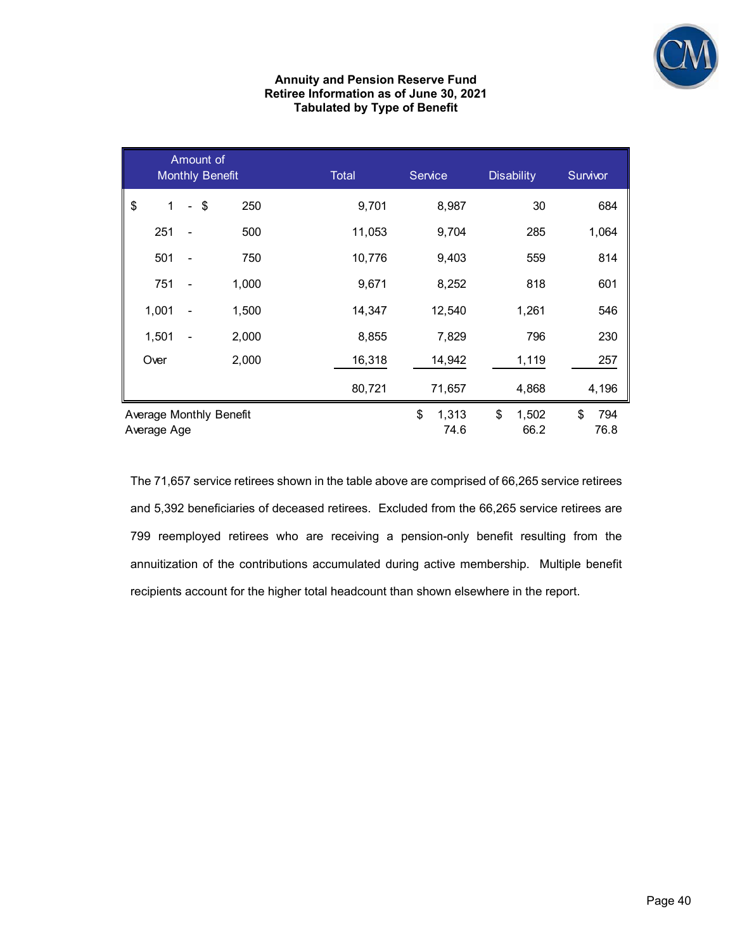

#### **Annuity and Pension Reserve Fund Retiree Information as of June 30, 2021 Tabulated by Type of Benefit**

|                                        | Amount of |        | <b>Monthly Benefit</b> | Total  | <b>Service</b> |               | <b>Disability</b>   | Survivor |             |
|----------------------------------------|-----------|--------|------------------------|--------|----------------|---------------|---------------------|----------|-------------|
| \$<br>1                                |           | $-$ \$ | 250                    | 9,701  |                | 8,987         | 30                  |          | 684         |
| 251                                    |           |        | 500                    | 11,053 |                | 9,704         | 285                 |          | 1,064       |
| 501                                    |           |        | 750                    | 10,776 |                | 9,403         | 559                 |          | 814         |
| 751                                    |           |        | 1,000                  | 9,671  |                | 8,252         | 818                 |          | 601         |
| 1,001                                  |           |        | 1,500                  | 14,347 |                | 12,540        | 1,261               |          | 546         |
| 1,501                                  |           |        | 2,000                  | 8,855  |                | 7,829         | 796                 |          | 230         |
| Over                                   |           |        | 2,000                  | 16,318 |                | 14,942        | 1,119               |          | 257         |
|                                        |           |        |                        | 80,721 |                | 71,657        | 4,868               |          | 4,196       |
| Average Monthly Benefit<br>Average Age |           |        |                        |        |                | 1,313<br>74.6 | \$<br>1,502<br>66.2 | \$       | 794<br>76.8 |

The 71,657 service retirees shown in the table above are comprised of 66,265 service retirees and 5,392 beneficiaries of deceased retirees. Excluded from the 66,265 service retirees are 799 reemployed retirees who are receiving a pension-only benefit resulting from the annuitization of the contributions accumulated during active membership. Multiple benefit recipients account for the higher total headcount than shown elsewhere in the report.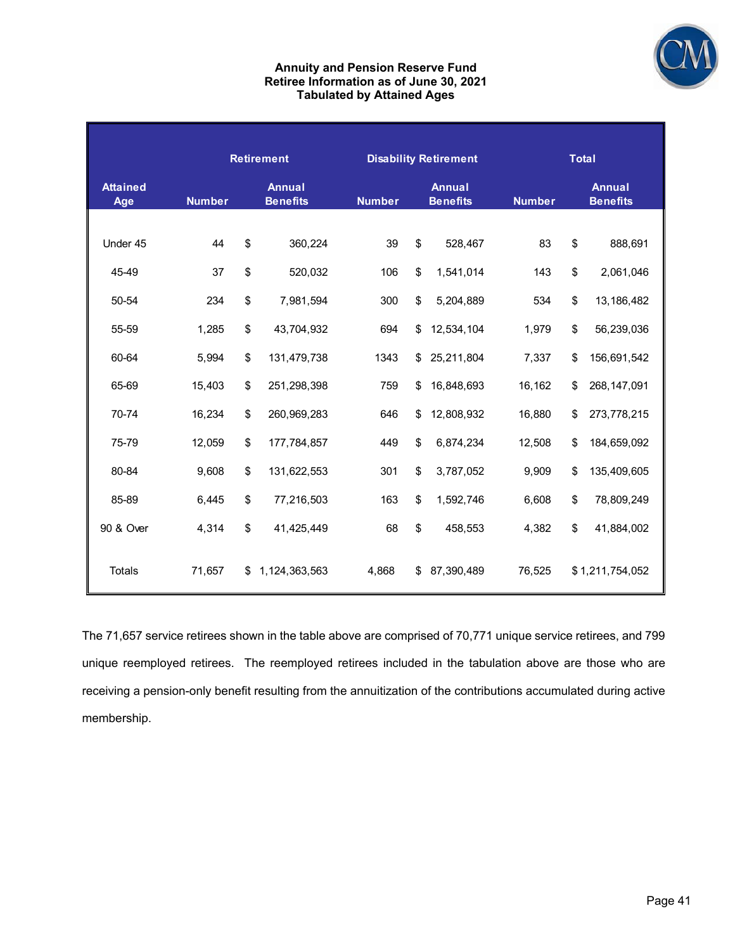

#### **Annuity and Pension Reserve Fund Retiree Information as of June 30, 2021 Tabulated by Attained Ages**

|                        |               | <b>Retirement</b> |                                  |                                                   |    | <b>Disability Retirement</b> | <b>Total</b>  |    |                                  |  |
|------------------------|---------------|-------------------|----------------------------------|---------------------------------------------------|----|------------------------------|---------------|----|----------------------------------|--|
| <b>Attained</b><br>Age | <b>Number</b> |                   | <b>Annual</b><br><b>Benefits</b> | <b>Annual</b><br><b>Number</b><br><b>Benefits</b> |    |                              | <b>Number</b> |    | <b>Annual</b><br><b>Benefits</b> |  |
|                        |               |                   |                                  |                                                   |    |                              |               |    |                                  |  |
| Under 45               | 44            | \$                | 360,224                          | 39                                                | \$ | 528,467                      | 83            | \$ | 888,691                          |  |
| 45-49                  | 37            | \$                | 520,032                          | 106                                               | \$ | 1,541,014                    | 143           | \$ | 2,061,046                        |  |
| 50-54                  | 234           | \$                | 7,981,594                        | 300                                               | \$ | 5,204,889                    | 534           | \$ | 13,186,482                       |  |
| 55-59                  | 1,285         | \$                | 43,704,932                       | 694                                               | \$ | 12,534,104                   | 1,979         | \$ | 56,239,036                       |  |
| 60-64                  | 5,994         | \$                | 131,479,738                      | 1343                                              | \$ | 25,211,804                   | 7,337         | \$ | 156,691,542                      |  |
| 65-69                  | 15,403        | \$                | 251,298,398                      | 759                                               | \$ | 16,848,693                   | 16,162        | \$ | 268, 147, 091                    |  |
| 70-74                  | 16,234        | \$                | 260,969,283                      | 646                                               | \$ | 12,808,932                   | 16,880        | \$ | 273,778,215                      |  |
| 75-79                  | 12,059        | \$                | 177,784,857                      | 449                                               | \$ | 6,874,234                    | 12,508        | \$ | 184,659,092                      |  |
| 80-84                  | 9,608         | \$                | 131,622,553                      | 301                                               | \$ | 3,787,052                    | 9,909         | \$ | 135,409,605                      |  |
| 85-89                  | 6,445         | \$                | 77,216,503                       | 163                                               | \$ | 1,592,746                    | 6,608         | \$ | 78,809,249                       |  |
| 90 & Over              | 4,314         | \$                | 41,425,449                       | 68                                                | \$ | 458,553                      | 4,382         | \$ | 41,884,002                       |  |
| Totals                 | 71,657        | \$                | 1,124,363,563                    | 4,868                                             | \$ | 87,390,489                   | 76,525        |    | \$1,211,754,052                  |  |

The 71,657 service retirees shown in the table above are comprised of 70,771 unique service retirees, and 799 unique reemployed retirees. The reemployed retirees included in the tabulation above are those who are receiving a pension-only benefit resulting from the annuitization of the contributions accumulated during active membership.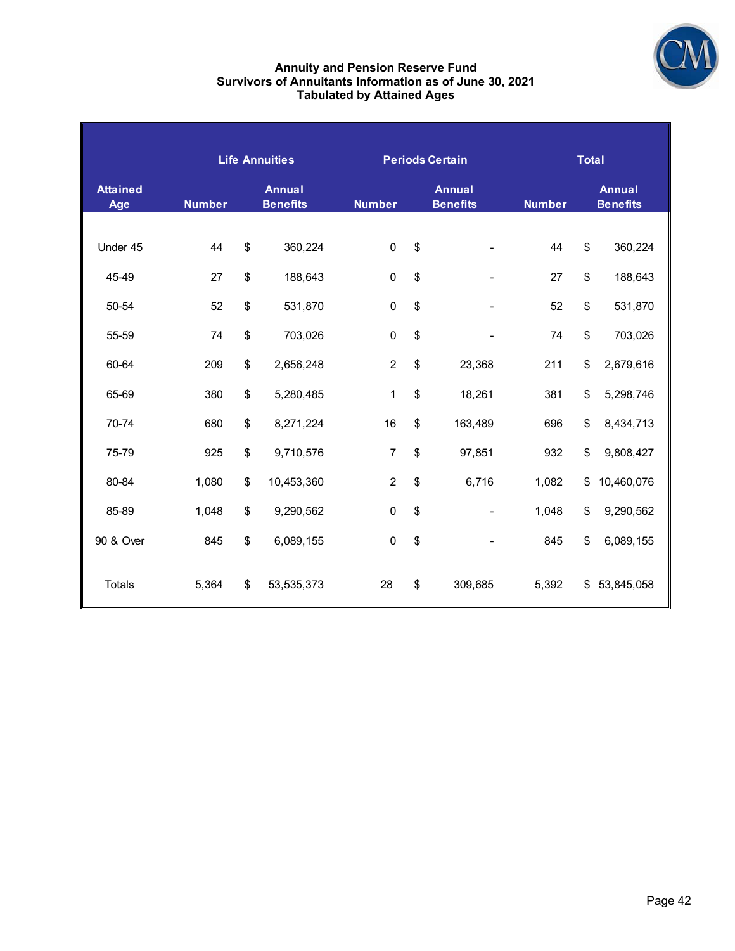

#### **Annuity and Pension Reserve Fund Survivors of Annuitants Information as of June 30, 2021 Tabulated by Attained Ages**

|                        |                                                   |    | <b>Life Annuities</b> |                                                   |    | <b>Periods Certain</b> | <b>Total</b>  |    |                                  |  |  |  |
|------------------------|---------------------------------------------------|----|-----------------------|---------------------------------------------------|----|------------------------|---------------|----|----------------------------------|--|--|--|
| <b>Attained</b><br>Age | <b>Annual</b><br><b>Number</b><br><b>Benefits</b> |    |                       | <b>Annual</b><br><b>Number</b><br><b>Benefits</b> |    |                        | <b>Number</b> |    | <b>Annual</b><br><b>Benefits</b> |  |  |  |
|                        |                                                   |    |                       |                                                   |    |                        |               |    |                                  |  |  |  |
| Under 45               | 44                                                | \$ | 360,224               | $\mathbf 0$                                       | \$ |                        | 44            | \$ | 360,224                          |  |  |  |
| 45-49                  | 27                                                | \$ | 188,643               | $\pmb{0}$                                         | \$ |                        | 27            | \$ | 188,643                          |  |  |  |
| 50-54                  | 52                                                | \$ | 531,870               | $\mathbf 0$                                       | \$ |                        | 52            | \$ | 531,870                          |  |  |  |
| 55-59                  | 74                                                | \$ | 703,026               | $\pmb{0}$                                         | \$ |                        | 74            | \$ | 703,026                          |  |  |  |
| 60-64                  | 209                                               | \$ | 2,656,248             | $\overline{2}$                                    | \$ | 23,368                 | 211           | \$ | 2,679,616                        |  |  |  |
| 65-69                  | 380                                               | \$ | 5,280,485             | $\mathbf 1$                                       | \$ | 18,261                 | 381           | \$ | 5,298,746                        |  |  |  |
| 70-74                  | 680                                               | \$ | 8,271,224             | 16                                                | \$ | 163,489                | 696           | \$ | 8,434,713                        |  |  |  |
| 75-79                  | 925                                               | \$ | 9,710,576             | $\overline{7}$                                    | \$ | 97,851                 | 932           | \$ | 9,808,427                        |  |  |  |
| 80-84                  | 1,080                                             | \$ | 10,453,360            | $\overline{c}$                                    | \$ | 6,716                  | 1,082         | \$ | 10,460,076                       |  |  |  |
| 85-89                  | 1,048                                             | \$ | 9,290,562             | $\mathbf 0$                                       | \$ |                        | 1,048         | \$ | 9,290,562                        |  |  |  |
| 90 & Over              | 845                                               | \$ | 6,089,155             | $\mathbf 0$                                       | \$ |                        | 845           | \$ | 6,089,155                        |  |  |  |
| <b>Totals</b>          | 5,364                                             | \$ | 53, 535, 373          | 28                                                | \$ | 309,685                | 5,392         | \$ | 53,845,058                       |  |  |  |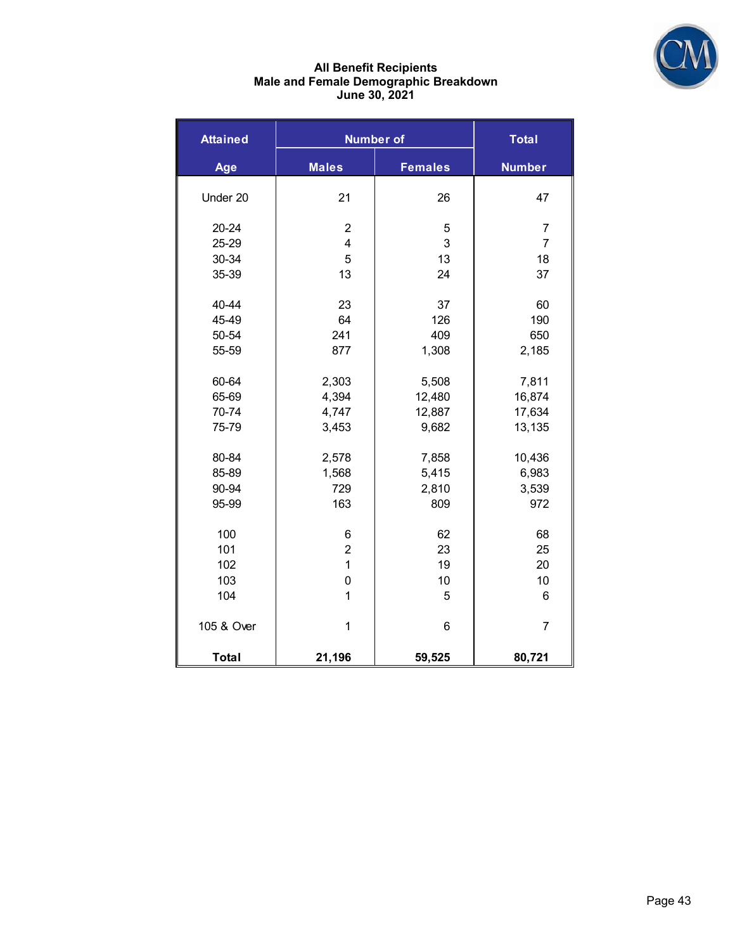

#### **All Benefit Recipients Male and Female Demographic Breakdown June 30, 2021**

| <b>Attained</b> |                         | <b>Number of</b> | <b>Total</b>   |
|-----------------|-------------------------|------------------|----------------|
| Age             | <b>Males</b>            | <b>Females</b>   | <b>Number</b>  |
| Under 20        | 21                      | 26               | 47             |
| 20-24           | $\overline{c}$          | 5                | 7              |
| 25-29           | $\overline{\mathbf{4}}$ | 3                | $\overline{7}$ |
| 30-34           | 5                       | 13               | 18             |
| 35-39           | 13                      | 24               | 37             |
| 40-44           | 23                      | 37               | 60             |
| 45-49           | 64                      | 126              | 190            |
| 50-54           | 241                     | 409              | 650            |
| 55-59           | 877                     | 1,308            | 2,185          |
| 60-64           | 2,303                   | 5,508            | 7,811          |
| 65-69           | 4,394                   | 12,480           | 16,874         |
| 70-74           | 4,747                   | 12,887           | 17,634         |
| 75-79           | 3,453                   | 9,682            | 13,135         |
| 80-84           | 2,578                   | 7,858            | 10,436         |
| 85-89           | 1,568                   | 5,415            | 6,983          |
| 90-94           | 729                     | 2,810            | 3,539          |
| 95-99           | 163                     | 809              | 972            |
| 100             | 6                       | 62               | 68             |
| 101             | $\overline{\mathbf{c}}$ | 23               | 25             |
| 102             | $\mathbf{1}$            | 19               | 20             |
| 103             | $\mathsf 0$             | 10               | 10             |
| 104             | $\mathbf{1}$            | 5                | 6              |
| 105 & Over      | $\mathbf 1$             | 6                | $\overline{7}$ |
| <b>Total</b>    | 21,196                  | 59,525           | 80,721         |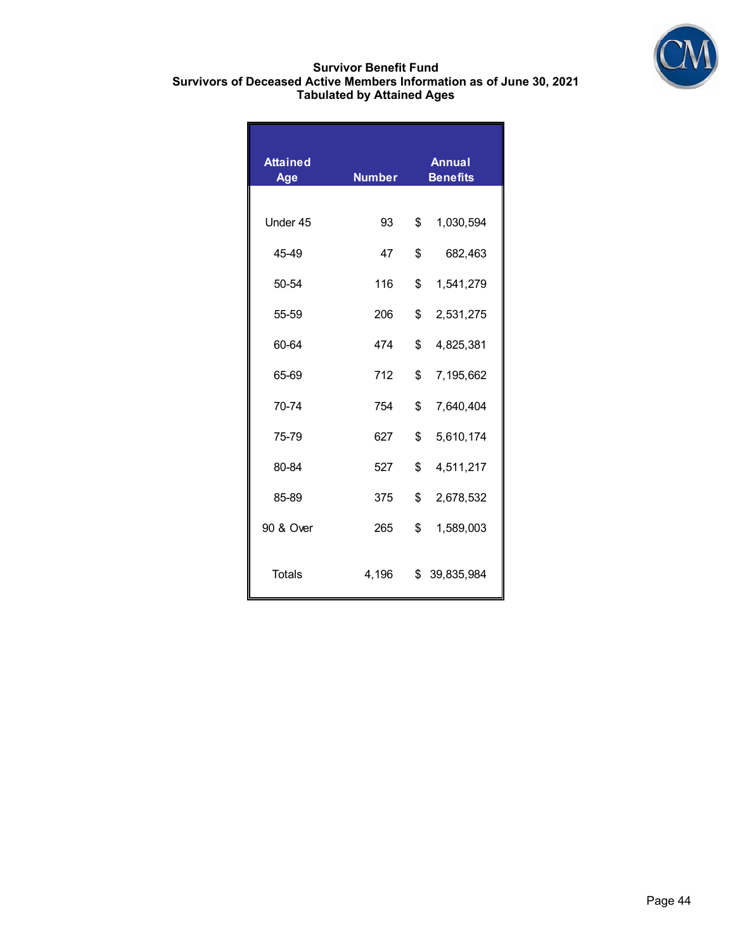

#### **Survivor Benefit Fund Survivors of Deceased Active Members Information as of June 30, 2021 Tabulated by Attained Ages**

| <b>Attained</b><br><b>Age</b> | <b>Number</b> | <b>Annual</b><br><b>Benefits</b> |            |  |  |
|-------------------------------|---------------|----------------------------------|------------|--|--|
|                               |               |                                  |            |  |  |
| Under 45                      | 93            | \$                               | 1,030,594  |  |  |
| 45-49                         | 47            | \$                               | 682,463    |  |  |
| 50-54                         | 116           | \$                               | 1,541,279  |  |  |
| 55-59                         | 206           | \$                               | 2,531,275  |  |  |
| 60-64                         | 474           | \$                               | 4,825,381  |  |  |
| 65-69                         | 712           | \$                               | 7,195,662  |  |  |
| 70-74                         | 754           | \$                               | 7,640,404  |  |  |
| 75-79                         | 627           | \$                               | 5,610,174  |  |  |
| 80-84                         | 527           | \$                               | 4,511,217  |  |  |
| 85-89                         | 375           | \$                               | 2,678,532  |  |  |
| 90 & Over                     | 265           | \$                               | 1,589,003  |  |  |
| Totals                        | 4,196         | \$                               | 39,835,984 |  |  |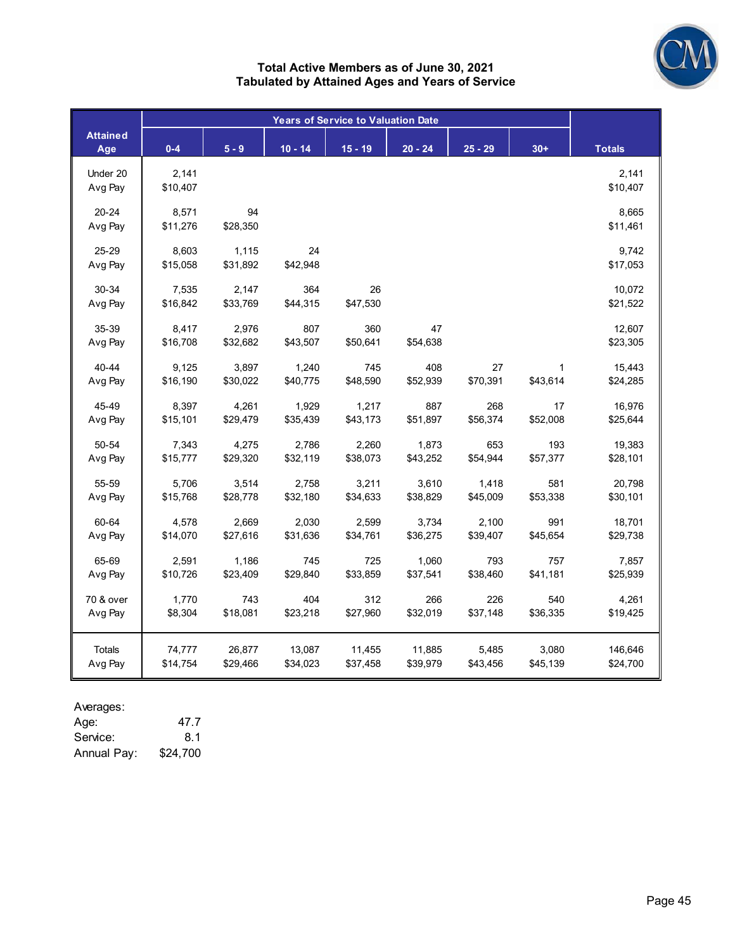

#### **Total Active Members as of June 30, 2021 Tabulated by Attained Ages and Years of Service**

|                        |                   | <b>Years of Service to Valuation Date</b> |                 |                 |                |           |          |                    |  |  |  |
|------------------------|-------------------|-------------------------------------------|-----------------|-----------------|----------------|-----------|----------|--------------------|--|--|--|
| <b>Attained</b><br>Age | $0 - 4$           | $5 - 9$                                   | $10 - 14$       | $15 - 19$       | $20 - 24$      | $25 - 29$ | $30+$    | <b>Totals</b>      |  |  |  |
| Under 20<br>Avg Pay    | 2,141<br>\$10,407 |                                           |                 |                 |                |           |          | 2,141<br>\$10,407  |  |  |  |
| $20 - 24$<br>Avg Pay   | 8,571<br>\$11,276 | 94<br>\$28,350                            |                 |                 |                |           |          | 8,665<br>\$11,461  |  |  |  |
| 25-29<br>Avg Pay       | 8,603<br>\$15,058 | 1,115<br>\$31,892                         | 24<br>\$42,948  |                 |                |           |          | 9,742<br>\$17,053  |  |  |  |
| 30-34<br>Avg Pay       | 7,535<br>\$16,842 | 2,147<br>\$33,769                         | 364<br>\$44,315 | 26<br>\$47,530  |                |           |          | 10,072<br>\$21,522 |  |  |  |
| 35-39<br>Avg Pay       | 8,417<br>\$16,708 | 2,976<br>\$32,682                         | 807<br>\$43,507 | 360<br>\$50,641 | 47<br>\$54,638 |           |          | 12,607<br>\$23,305 |  |  |  |
| 40-44                  | 9,125             | 3,897                                     | 1,240           | 745             | 408            | 27        | 1        | 15,443             |  |  |  |
| Avg Pay                | \$16,190          | \$30,022                                  | \$40,775        | \$48,590        | \$52,939       | \$70,391  | \$43,614 | \$24,285           |  |  |  |
| 45-49                  | 8,397             | 4,261                                     | 1,929           | 1,217           | 887            | 268       | 17       | 16,976             |  |  |  |
| Avg Pay                | \$15,101          | \$29,479                                  | \$35,439        | \$43,173        | \$51,897       | \$56,374  | \$52,008 | \$25,644           |  |  |  |
| 50-54                  | 7,343             | 4,275                                     | 2,786           | 2,260           | 1,873          | 653       | 193      | 19,383             |  |  |  |
| Avg Pay                | \$15,777          | \$29,320                                  | \$32,119        | \$38,073        | \$43,252       | \$54,944  | \$57,377 | \$28,101           |  |  |  |
| 55-59                  | 5,706             | 3,514                                     | 2,758           | 3,211           | 3,610          | 1,418     | 581      | 20,798             |  |  |  |
| Avg Pay                | \$15,768          | \$28,778                                  | \$32,180        | \$34,633        | \$38,829       | \$45,009  | \$53,338 | \$30,101           |  |  |  |
| 60-64                  | 4,578             | 2,669                                     | 2,030           | 2,599           | 3,734          | 2,100     | 991      | 18,701             |  |  |  |
| Avg Pay                | \$14,070          | \$27,616                                  | \$31,636        | \$34,761        | \$36,275       | \$39,407  | \$45,654 | \$29,738           |  |  |  |
| 65-69                  | 2,591             | 1,186                                     | 745             | 725             | 1,060          | 793       | 757      | 7,857              |  |  |  |
| Avg Pay                | \$10,726          | \$23,409                                  | \$29,840        | \$33,859        | \$37,541       | \$38,460  | \$41,181 | \$25,939           |  |  |  |
| 70 & over              | 1,770             | 743                                       | 404             | 312             | 266            | 226       | 540      | 4,261              |  |  |  |
| Avg Pay                | \$8,304           | \$18,081                                  | \$23,218        | \$27,960        | \$32,019       | \$37,148  | \$36,335 | \$19,425           |  |  |  |
| Totals                 | 74,777            | 26,877                                    | 13,087          | 11,455          | 11,885         | 5,485     | 3,080    | 146,646            |  |  |  |
| Avg Pay                | \$14,754          | \$29,466                                  | \$34,023        | \$37,458        | \$39,979       | \$43,456  | \$45,139 | \$24,700           |  |  |  |

Averages:

| Age:        | 47.7     |
|-------------|----------|
| Service:    | 8.1      |
| Annual Pay: | \$24,700 |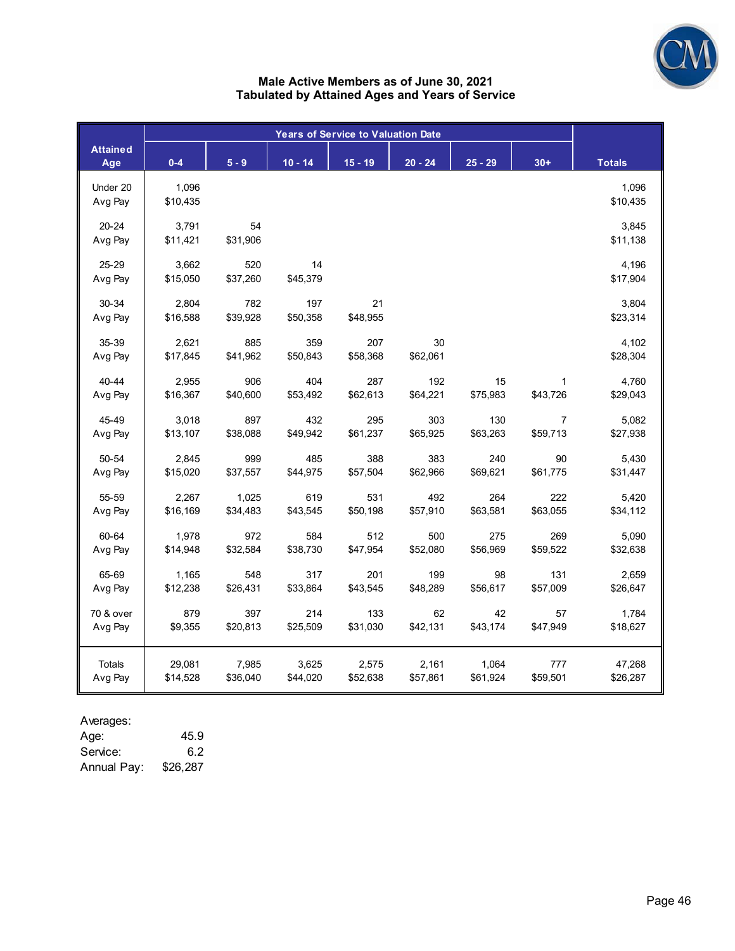

#### **Male Active Members as of June 30, 2021 Tabulated by Attained Ages and Years of Service**

| <b>Attained</b><br>Age | $0 - 4$           | $5 - 9$         | $10 - 14$       | $15 - 19$       | $20 - 24$      | $25 - 29$ | $30+$    | <b>Totals</b>     |
|------------------------|-------------------|-----------------|-----------------|-----------------|----------------|-----------|----------|-------------------|
| Under 20<br>Avg Pay    | 1,096<br>\$10,435 |                 |                 |                 |                |           |          | 1,096<br>\$10,435 |
| $20 - 24$<br>Avg Pay   | 3,791<br>\$11,421 | 54<br>\$31,906  |                 |                 |                |           |          | 3,845<br>\$11,138 |
| 25-29<br>Avg Pay       | 3,662<br>\$15,050 | 520<br>\$37,260 | 14<br>\$45,379  |                 |                |           |          | 4,196<br>\$17,904 |
| 30-34<br>Avg Pay       | 2,804<br>\$16,588 | 782<br>\$39,928 | 197<br>\$50,358 | 21<br>\$48,955  |                |           |          | 3,804<br>\$23,314 |
| 35-39<br>Avg Pay       | 2,621<br>\$17,845 | 885<br>\$41,962 | 359<br>\$50,843 | 207<br>\$58,368 | 30<br>\$62,061 |           |          | 4,102<br>\$28,304 |
| 40-44                  | 2,955             | 906             | 404             | 287             | 192            | 15        | 1        | 4,760             |
| Avg Pay                | \$16,367          | \$40,600        | \$53,492        | \$62,613        | \$64,221       | \$75,983  | \$43,726 | \$29,043          |
| 45-49                  | 3,018             | 897             | 432             | 295             | 303            | 130       | 7        | 5,082             |
| Avg Pay                | \$13,107          | \$38,088        | \$49,942        | \$61,237        | \$65,925       | \$63,263  | \$59,713 | \$27,938          |
| 50-54                  | 2,845             | 999             | 485             | 388             | 383            | 240       | 90       | 5,430             |
| Avg Pay                | \$15,020          | \$37,557        | \$44,975        | \$57,504        | \$62,966       | \$69,621  | \$61,775 | \$31,447          |
| 55-59                  | 2,267             | 1,025           | 619             | 531             | 492            | 264       | 222      | 5,420             |
| Avg Pay                | \$16,169          | \$34,483        | \$43,545        | \$50,198        | \$57,910       | \$63,581  | \$63,055 | \$34,112          |
| 60-64                  | 1,978             | 972             | 584             | 512             | 500            | 275       | 269      | 5,090             |
| Avg Pay                | \$14,948          | \$32,584        | \$38,730        | \$47,954        | \$52,080       | \$56,969  | \$59,522 | \$32,638          |
| 65-69                  | 1,165             | 548             | 317             | 201             | 199            | 98        | 131      | 2,659             |
| Avg Pay                | \$12,238          | \$26,431        | \$33,864        | \$43,545        | \$48,289       | \$56,617  | \$57,009 | \$26,647          |
| 70 & over              | 879               | 397             | 214             | 133             | 62             | 42        | 57       | 1,784             |
| Avg Pay                | \$9,355           | \$20,813        | \$25,509        | \$31,030        | \$42,131       | \$43,174  | \$47,949 | \$18,627          |
| Totals                 | 29,081            | 7,985           | 3,625           | 2,575           | 2,161          | 1,064     | 777      | 47,268            |
| Avg Pay                | \$14,528          | \$36,040        | \$44,020        | \$52,638        | \$57,861       | \$61,924  | \$59,501 | \$26,287          |

Averages:

Age: 45.9 Service: 6.2<br>Annual Pay: \$26,287 Annual Pay: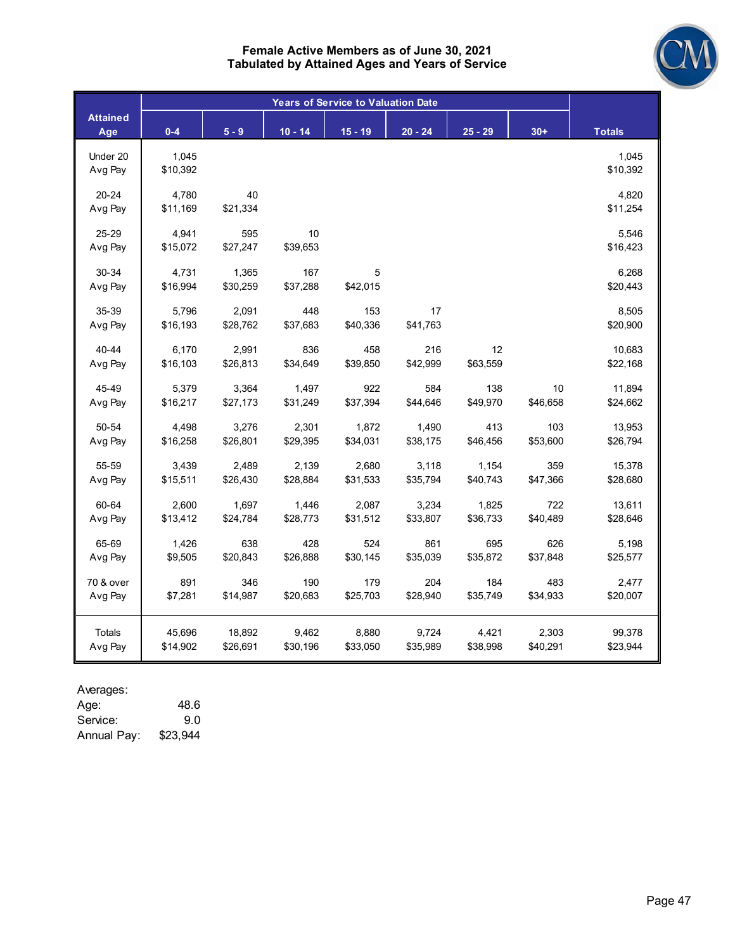

| <b>Attained</b> | $0 - 4$  | $5 - 9$  |           |           | $20 - 24$ | $25 - 29$ | $30+$    |                   |
|-----------------|----------|----------|-----------|-----------|-----------|-----------|----------|-------------------|
| Age             |          |          | $10 - 14$ | $15 - 19$ |           |           |          | <b>Totals</b>     |
| Under 20        | 1,045    |          |           |           |           |           |          | 1,045             |
| Avg Pay         | \$10,392 |          |           |           |           |           |          | \$10,392          |
| $20 - 24$       | 4,780    | 40       |           |           |           |           |          | 4,820             |
| Avg Pay         | \$11,169 | \$21,334 |           |           |           |           |          | \$11,254          |
| 25-29           | 4,941    | 595      | 10        |           |           |           |          |                   |
| Avg Pay         | \$15,072 | \$27,247 | \$39,653  |           |           |           |          | 5,546<br>\$16,423 |
|                 |          |          |           |           |           |           |          |                   |
| 30-34           | 4,731    | 1,365    | 167       | 5         |           |           |          | 6,268             |
| Avg Pay         | \$16,994 | \$30,259 | \$37,288  | \$42,015  |           |           |          | \$20,443          |
| 35-39           | 5,796    | 2,091    | 448       | 153       | 17        |           |          | 8,505             |
| Avg Pay         | \$16,193 | \$28,762 | \$37,683  | \$40,336  | \$41,763  |           |          | \$20,900          |
| $40 - 44$       | 6,170    | 2,991    | 836       | 458       | 216       | 12        |          | 10,683            |
| Avg Pay         | \$16,103 | \$26,813 | \$34,649  | \$39,850  | \$42,999  | \$63,559  |          | \$22,168          |
|                 |          |          |           |           |           |           |          |                   |
| 45-49           | 5,379    | 3,364    | 1,497     | 922       | 584       | 138       | 10       | 11,894            |
| Avg Pay         | \$16,217 | \$27,173 | \$31,249  | \$37,394  | \$44,646  | \$49,970  | \$46,658 | \$24,662          |
| 50-54           | 4,498    | 3,276    | 2,301     | 1,872     | 1,490     | 413       | 103      | 13,953            |
| Avg Pay         | \$16,258 | \$26,801 | \$29,395  | \$34,031  | \$38,175  | \$46,456  | \$53,600 | \$26,794          |
| 55-59           | 3,439    | 2,489    | 2,139     | 2,680     | 3,118     | 1,154     | 359      | 15,378            |
| Avg Pay         | \$15,511 | \$26,430 | \$28,884  | \$31,533  | \$35,794  | \$40,743  | \$47,366 | \$28,680          |
|                 |          |          |           |           |           |           |          |                   |
| 60-64           | 2,600    | 1,697    | 1,446     | 2,087     | 3,234     | 1,825     | 722      | 13,611            |
| Avg Pay         | \$13,412 | \$24,784 | \$28,773  | \$31,512  | \$33,807  | \$36,733  | \$40,489 | \$28,646          |
| 65-69           | 1,426    | 638      | 428       | 524       | 861       | 695       | 626      | 5,198             |
| Avg Pay         | \$9,505  | \$20,843 | \$26,888  | \$30,145  | \$35,039  | \$35,872  | \$37,848 | \$25,577          |
| 70 & over       | 891      | 346      | 190       | 179       | 204       | 184       | 483      | 2,477             |
| Avg Pay         | \$7,281  | \$14,987 | \$20,683  | \$25,703  | \$28,940  | \$35,749  | \$34,933 | \$20,007          |
|                 |          |          |           |           |           |           |          |                   |
| Totals          | 45,696   | 18,892   | 9,462     | 8,880     | 9,724     | 4,421     | 2,303    | 99,378            |
| Avg Pay         | \$14,902 | \$26,691 | \$30,196  | \$33,050  | \$35,989  | \$38,998  | \$40,291 | \$23,944          |

#### Averages:

| 48.6     |
|----------|
| 9.0      |
| \$23,944 |
|          |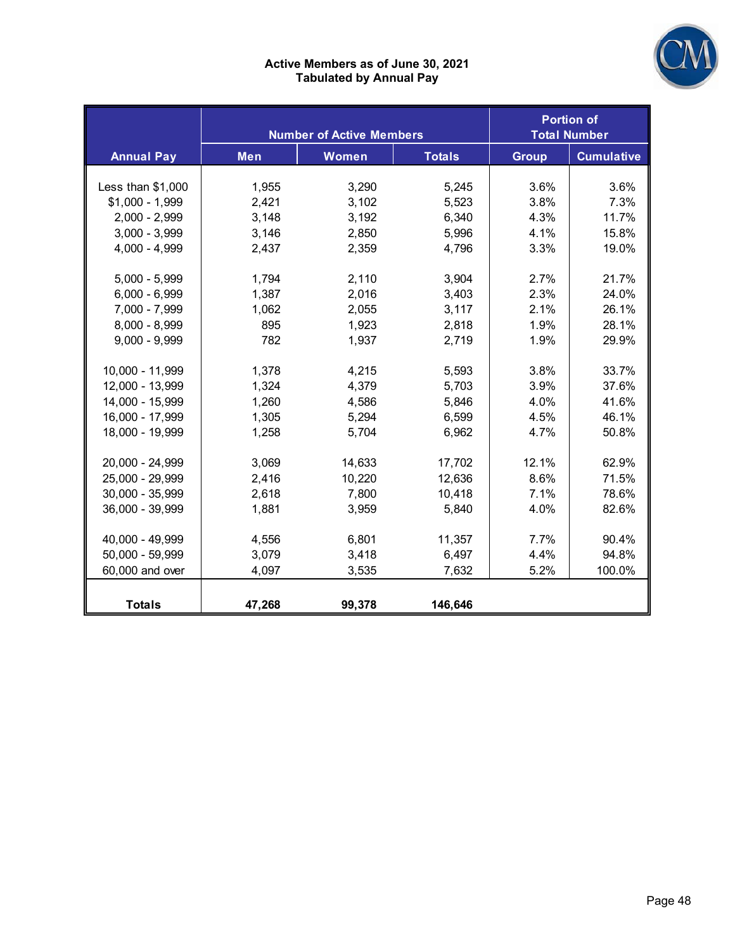

#### **Active Members as of June 30, 2021 Tabulated by Annual Pay**

|                   |        | <b>Number of Active Members</b> |               |              | <b>Portion of</b><br><b>Total Number</b> |
|-------------------|--------|---------------------------------|---------------|--------------|------------------------------------------|
| <b>Annual Pay</b> | Men    | Women                           | <b>Totals</b> | <b>Group</b> | <b>Cumulative</b>                        |
|                   |        |                                 |               |              |                                          |
| Less than \$1,000 | 1,955  | 3,290                           | 5,245         | 3.6%         | 3.6%                                     |
| $$1,000 - 1,999$  | 2,421  | 3,102                           | 5,523         | 3.8%         | 7.3%                                     |
| $2,000 - 2,999$   | 3,148  | 3,192                           | 6,340         | 4.3%         | 11.7%                                    |
| $3,000 - 3,999$   | 3,146  | 2,850                           | 5,996         | 4.1%         | 15.8%                                    |
| 4,000 - 4,999     | 2,437  | 2,359                           | 4,796         | 3.3%         | 19.0%                                    |
|                   |        |                                 |               |              |                                          |
| $5,000 - 5,999$   | 1,794  | 2,110                           | 3,904         | 2.7%         | 21.7%                                    |
| $6,000 - 6,999$   | 1,387  | 2,016                           | 3,403         | 2.3%         | 24.0%                                    |
| 7,000 - 7,999     | 1,062  | 2,055                           | 3,117         | 2.1%         | 26.1%                                    |
| 8,000 - 8,999     | 895    | 1,923                           | 2,818         | 1.9%         | 28.1%                                    |
| $9,000 - 9,999$   | 782    | 1,937                           | 2,719         | 1.9%         | 29.9%                                    |
|                   |        |                                 |               |              |                                          |
| 10,000 - 11,999   | 1,378  | 4,215                           | 5,593         | 3.8%         | 33.7%                                    |
| 12,000 - 13,999   | 1,324  | 4,379                           | 5,703         | 3.9%         | 37.6%                                    |
| 14,000 - 15,999   | 1,260  | 4,586                           | 5,846         | 4.0%         | 41.6%                                    |
| 16,000 - 17,999   | 1,305  | 5,294                           | 6,599         | 4.5%         | 46.1%                                    |
| 18,000 - 19,999   | 1,258  | 5,704                           | 6,962         | 4.7%         | 50.8%                                    |
|                   |        |                                 |               |              |                                          |
| 20,000 - 24,999   | 3,069  | 14,633                          | 17,702        | 12.1%        | 62.9%                                    |
| 25,000 - 29,999   | 2,416  | 10,220                          | 12,636        | 8.6%         | 71.5%                                    |
| 30,000 - 35,999   | 2,618  | 7,800                           | 10,418        | 7.1%         | 78.6%                                    |
| 36,000 - 39,999   | 1,881  | 3,959                           | 5,840         | 4.0%         | 82.6%                                    |
|                   |        |                                 |               |              |                                          |
| 40,000 - 49,999   | 4,556  | 6,801                           | 11,357        | 7.7%         | 90.4%                                    |
| 50,000 - 59,999   | 3,079  | 3,418                           | 6,497         | 4.4%         | 94.8%                                    |
| 60,000 and over   | 4,097  | 3,535                           | 7,632         | 5.2%         | 100.0%                                   |
|                   |        |                                 |               |              |                                          |
| <b>Totals</b>     | 47,268 | 99,378                          | 146,646       |              |                                          |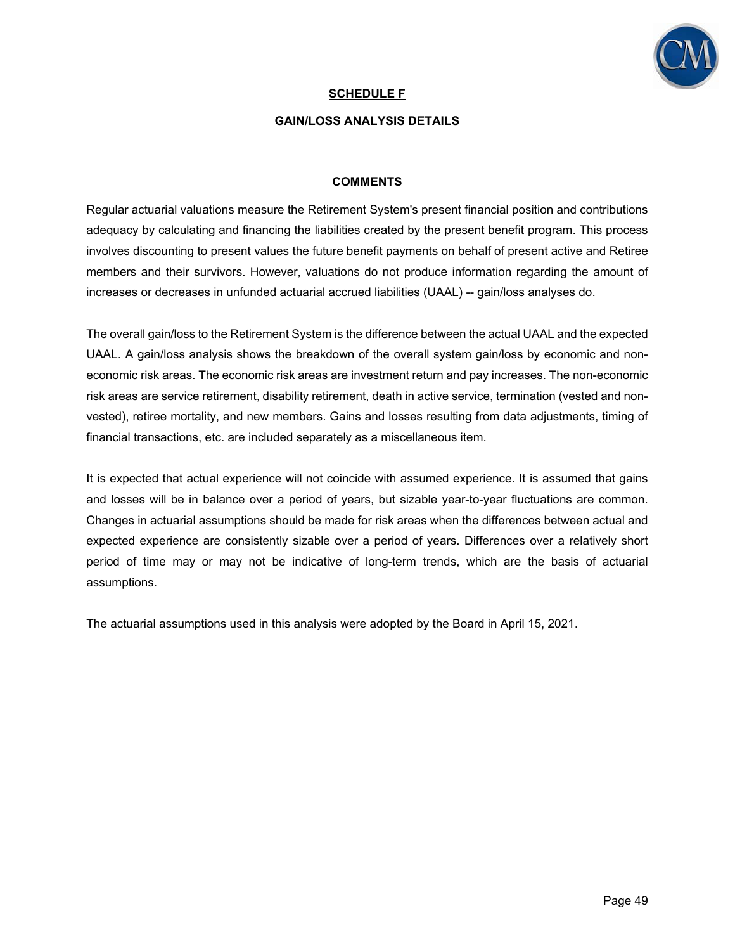

#### **SCHEDULE F**

#### **GAIN/LOSS ANALYSIS DETAILS**

#### **COMMENTS**

Regular actuarial valuations measure the Retirement System's present financial position and contributions adequacy by calculating and financing the liabilities created by the present benefit program. This process involves discounting to present values the future benefit payments on behalf of present active and Retiree members and their survivors. However, valuations do not produce information regarding the amount of increases or decreases in unfunded actuarial accrued liabilities (UAAL) -- gain/loss analyses do.

The overall gain/loss to the Retirement System is the difference between the actual UAAL and the expected UAAL. A gain/loss analysis shows the breakdown of the overall system gain/loss by economic and noneconomic risk areas. The economic risk areas are investment return and pay increases. The non-economic risk areas are service retirement, disability retirement, death in active service, termination (vested and nonvested), retiree mortality, and new members. Gains and losses resulting from data adjustments, timing of financial transactions, etc. are included separately as a miscellaneous item.

It is expected that actual experience will not coincide with assumed experience. It is assumed that gains and losses will be in balance over a period of years, but sizable year-to-year fluctuations are common. Changes in actuarial assumptions should be made for risk areas when the differences between actual and expected experience are consistently sizable over a period of years. Differences over a relatively short period of time may or may not be indicative of long-term trends, which are the basis of actuarial assumptions.

The actuarial assumptions used in this analysis were adopted by the Board in April 15, 2021.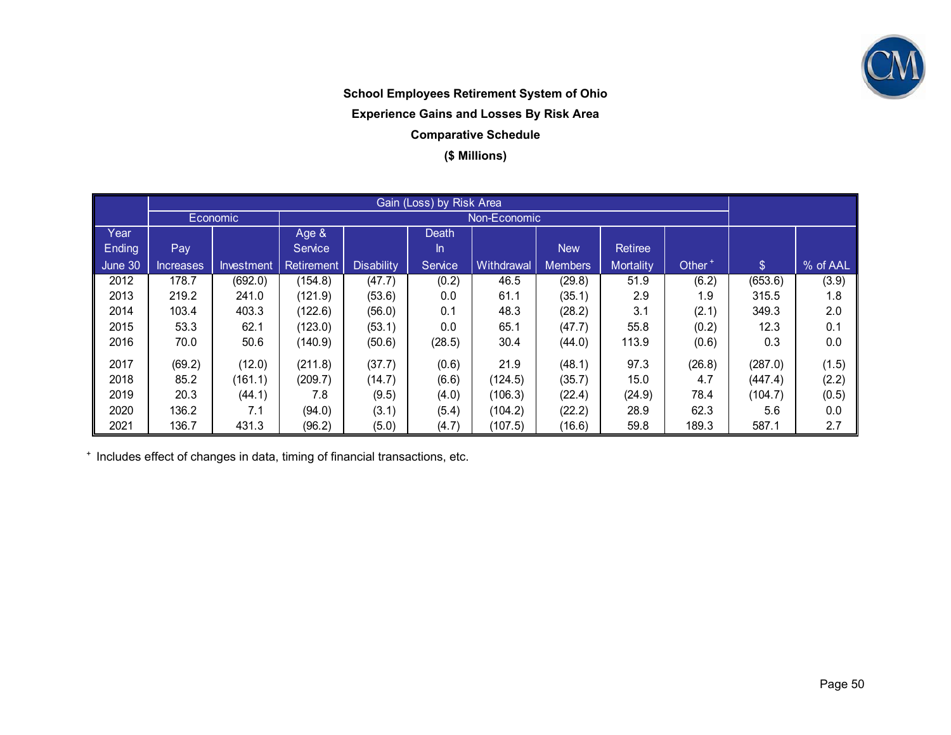

## **School Employees Retirement System of Ohio Experience Gains and Losses By Risk Area Comparative Schedule (\$ Millions)**

|         |                  | Economic <sup>'</sup> | Non-Economic      |                   |         |            |                |                  |                    |               |          |
|---------|------------------|-----------------------|-------------------|-------------------|---------|------------|----------------|------------------|--------------------|---------------|----------|
| Year    |                  |                       | Age &             |                   | Death   |            |                |                  |                    |               |          |
| Ending  | Pay              |                       | Service           |                   | In.     |            | <b>New</b>     | Retiree          |                    |               |          |
| June 30 | <b>Increases</b> | Investment            | <b>Retirement</b> | <b>Disability</b> | Service | Withdrawal | <b>Members</b> | <b>Mortality</b> | Other <sup>+</sup> | $\mathcal{L}$ | % of AAL |
| 2012    | 178.7            | (692.0)               | (154.8)           | (47.7)            | (0.2)   | 46.5       | (29.8)         | 51.9             | (6.2)              | (653.6)       | (3.9)    |
| 2013    | 219.2            | 241.0                 | (121.9)           | (53.6)            | 0.0     | 61.1       | (35.1)         | 2.9              | 1.9                | 315.5         | 1.8      |
| 2014    | 103.4            | 403.3                 | (122.6)           | (56.0)            | 0.1     | 48.3       | (28.2)         | 3.1              | (2.1)              | 349.3         | 2.0      |
| 2015    | 53.3             | 62.1                  | (123.0)           | (53.1)            | 0.0     | 65.1       | (47.7)         | 55.8             | (0.2)              | 12.3          | 0.1      |
| 2016    | 70.0             | 50.6                  | (140.9)           | (50.6)            | (28.5)  | 30.4       | (44.0)         | 113.9            | (0.6)              | 0.3           | 0.0      |
| 2017    | (69.2)           | (12.0)                | (211.8)           | (37.7)            | (0.6)   | 21.9       | (48.1)         | 97.3             | (26.8)             | (287.0)       | (1.5)    |
| 2018    | 85.2             | (161.1)               | (209.7)           | (14.7)            | (6.6)   | (124.5)    | (35.7)         | 15.0             | 4.7                | (447.4)       | (2.2)    |
| 2019    | 20.3             | (44.1)                | 7.8               | (9.5)             | (4.0)   | (106.3)    | (22.4)         | (24.9)           | 78.4               | (104.7)       | (0.5)    |
| 2020    | 136.2            | 7.1                   | (94.0)            | (3.1)             | (5.4)   | (104.2)    | (22.2)         | 28.9             | 62.3               | 5.6           | 0.0      |
| 2021    | 136.7            | 431.3                 | (96.2)            | (5.0)             | (4.7)   | (107.5)    | (16.6)         | 59.8             | 189.3              | 587.1         | 2.7      |

+ Includes effect of changes in data, timing of financial transactions, etc.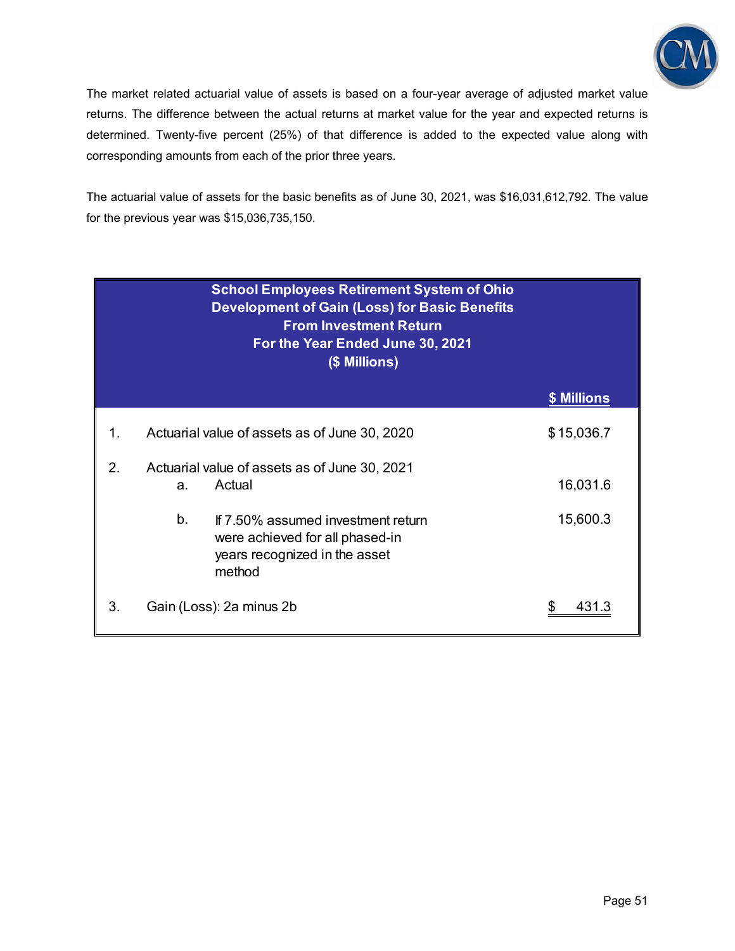

The market related actuarial value of assets is based on a four-year average of adjusted market value returns. The difference between the actual returns at market value for the year and expected returns is determined. Twenty-five percent (25%) of that difference is added to the expected value along with corresponding amounts from each of the prior three years.

The actuarial value of assets for the basic benefits as of June 30, 2021, was \$16,031,612,792. The value for the previous year was \$15,036,735,150.

| <b>School Employees Retirement System of Ohio</b><br><b>Development of Gain (Loss) for Basic Benefits</b><br><b>From Investment Return</b><br>For the Year Ended June 30, 2021<br>(\$ Millions) |    |                                                                                                                  |             |  |  |  |  |
|-------------------------------------------------------------------------------------------------------------------------------------------------------------------------------------------------|----|------------------------------------------------------------------------------------------------------------------|-------------|--|--|--|--|
|                                                                                                                                                                                                 |    |                                                                                                                  | \$ Millions |  |  |  |  |
| 1.                                                                                                                                                                                              |    | Actuarial value of assets as of June 30, 2020                                                                    | \$15,036.7  |  |  |  |  |
| 2.                                                                                                                                                                                              | a. | Actuarial value of assets as of June 30, 2021<br>Actual                                                          | 16,031.6    |  |  |  |  |
|                                                                                                                                                                                                 | b. | If 7.50% assumed investment return<br>were achieved for all phased-in<br>years recognized in the asset<br>method | 15,600.3    |  |  |  |  |
| 3.                                                                                                                                                                                              |    | Gain (Loss): 2a minus 2b                                                                                         | \$          |  |  |  |  |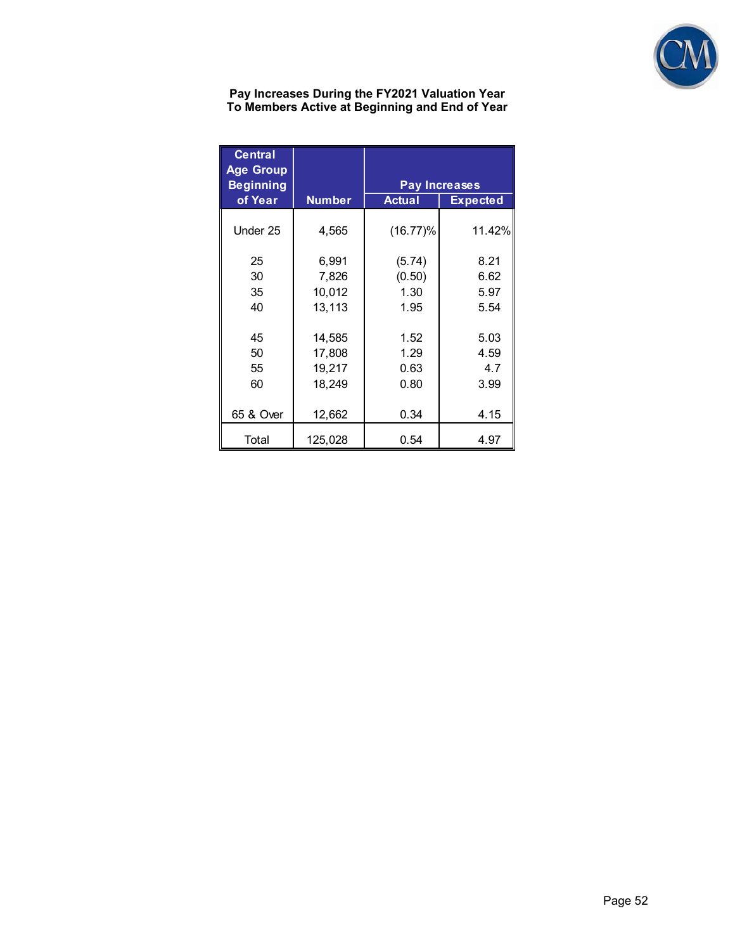

**Pay Increases During the FY2021 Valuation Year To Members Active at Beginning and End of Year** 

| <b>Central</b><br><b>Age Group</b><br><b>Beginning</b> | <b>Pay Increases</b> |               |                 |  |  |  |  |
|--------------------------------------------------------|----------------------|---------------|-----------------|--|--|--|--|
| of Year                                                | <b>Number</b>        | <b>Actual</b> | <b>Expected</b> |  |  |  |  |
| Under 25                                               | 4,565                | (16.77)%      | 11.42%          |  |  |  |  |
| 25                                                     | 6,991                | (5.74)        | 8.21            |  |  |  |  |
| 30                                                     | 7,826                | (0.50)        | 6.62            |  |  |  |  |
| 35                                                     | 10,012               | 1.30          | 5.97            |  |  |  |  |
| 40                                                     | 13,113               | 1.95          | 5.54            |  |  |  |  |
|                                                        |                      |               |                 |  |  |  |  |
| 45                                                     | 14,585               | 1.52          | 5.03            |  |  |  |  |
| 50                                                     | 17,808               | 1.29          | 4.59            |  |  |  |  |
| 55                                                     | 19,217               | 0.63          | 4.7             |  |  |  |  |
| 60                                                     | 18,249               | 0.80          | 3.99            |  |  |  |  |
|                                                        |                      |               |                 |  |  |  |  |
| 65 & Over                                              | 12,662               | 0.34          | 4.15            |  |  |  |  |
| Total                                                  | 125,028              | 0.54          | 4.97            |  |  |  |  |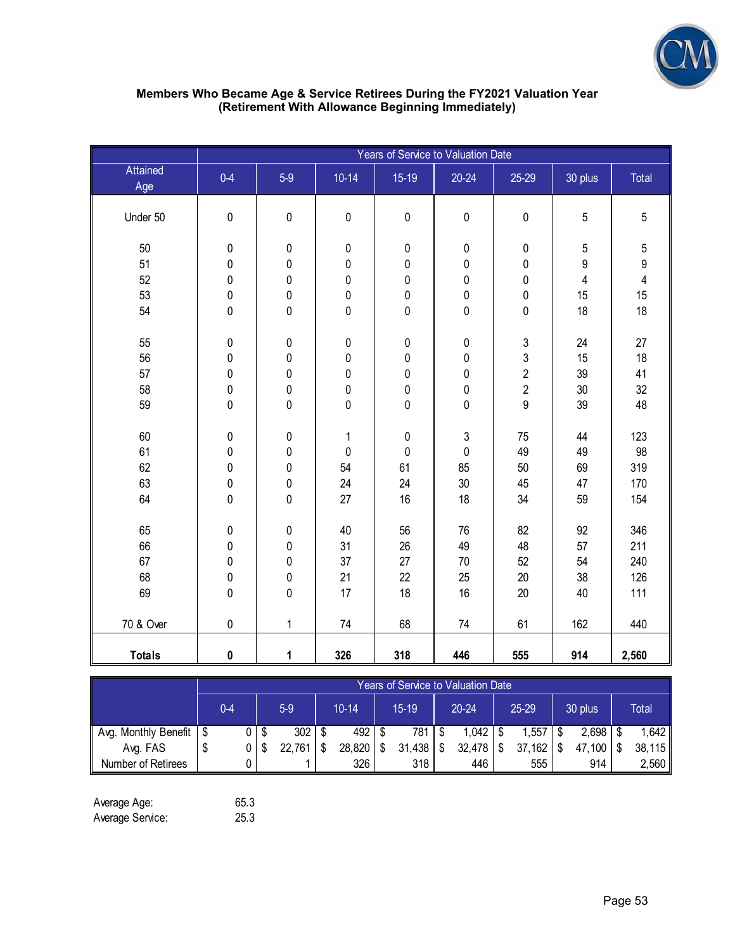

| Members Who Became Age & Service Retirees During the FY2021 Valuation Year |
|----------------------------------------------------------------------------|
| (Retirement With Allowance Beginning Immediately)                          |

|                 | Years of Service to Valuation Date |                        |                |                |                        |                        |                       |                                 |
|-----------------|------------------------------------|------------------------|----------------|----------------|------------------------|------------------------|-----------------------|---------------------------------|
| Attained<br>Age | $0 - 4$                            | $5-9$                  | $10 - 14$      | $15-19$        | $20 - 24$              | 25-29                  | 30 plus               | Total                           |
| Under 50        | $\pmb{0}$                          | $\pmb{0}$              | $\pmb{0}$      | $\pmb{0}$      | $\pmb{0}$              | $\pmb{0}$              | $\sqrt{5}$            | 5                               |
| 50<br>51        | $\pmb{0}$<br>$\pmb{0}$             | $\pmb{0}$<br>$\pmb{0}$ | $\pmb{0}$<br>0 | $\pmb{0}$<br>0 | $\pmb{0}$<br>$\pmb{0}$ | $\pmb{0}$<br>$\pmb{0}$ | 5<br>$\boldsymbol{9}$ | $\mathbf 5$<br>$\boldsymbol{9}$ |
| 52              | $\pmb{0}$                          | $\mathbf 0$            | $\mathbf 0$    | 0              | $\pmb{0}$              | $\pmb{0}$              | 4                     | $\overline{4}$                  |
| 53<br>54        | $\pmb{0}$<br>$\pmb{0}$             | 0<br>$\pmb{0}$         | 0<br>0         | 0<br>0         | 0<br>$\pmb{0}$         | $\pmb{0}$<br>$\pmb{0}$ | 15<br>18              | 15<br>18                        |
| 55              | $\pmb{0}$                          | $\pmb{0}$              | 0              | $\pmb{0}$      | $\pmb{0}$              | $\mathsf 3$            | 24                    | 27                              |
| 56              | $\pmb{0}$                          | $\pmb{0}$              | 0              | 0              | 0                      | 3                      | 15                    | 18                              |
| 57              | $\pmb{0}$                          | 0                      | 0              | 0              | $\pmb{0}$              | $\sqrt{2}$             | 39                    | 41                              |
| 58              | $\pmb{0}$                          | $\pmb{0}$              | 0              | 0              | $\pmb{0}$              | $\overline{c}$         | 30                    | 32                              |
| 59              | $\mathbf 0$                        | 0                      | 0              | 0              | $\mathbf 0$            | $\overline{9}$         | 39                    | 48                              |
| 60              | $\pmb{0}$                          | 0                      | $\mathbf 1$    | 0              | 3                      | 75                     | 44                    | 123                             |
| 61              | $\pmb{0}$                          | $\pmb{0}$              | $\pmb{0}$      | $\mathbf 0$    | $\pmb{0}$              | 49                     | 49                    | 98                              |
| 62              | $\pmb{0}$                          | 0                      | 54             | 61             | 85                     | 50                     | 69                    | 319                             |
| 63              | $\pmb{0}$                          | 0                      | 24             | 24             | 30                     | 45                     | 47                    | 170                             |
| 64              | $\pmb{0}$                          | 0                      | 27             | 16             | 18                     | 34                     | 59                    | 154                             |
| 65              | $\pmb{0}$                          | $\pmb{0}$              | 40             | 56             | 76                     | 82                     | 92                    | 346                             |
| 66              | $\pmb{0}$                          | 0                      | 31             | 26             | 49                     | 48                     | 57                    | 211                             |
| 67              | $\pmb{0}$                          | 0                      | 37             | 27             | 70                     | 52                     | 54                    | 240                             |
| 68              | $\pmb{0}$                          | 0                      | 21             | 22             | 25                     | $20\,$                 | 38                    | 126                             |
| 69              | $\pmb{0}$                          | 0                      | 17             | 18             | 16                     | 20                     | 40                    | 111                             |
| 70 & Over       | $\pmb{0}$                          | $\mathbf{1}$           | 74             | 68             | 74                     | 61                     | 162                   | 440                             |
| <b>Totals</b>   | $\pmb{0}$                          | 1                      | 326            | 318            | 446                    | 555                    | 914                   | 2,560                           |

|                      |    | Years of Service to Valuation Date |   |           |  |           |  |        |    |           |  |            |   |         |  |        |
|----------------------|----|------------------------------------|---|-----------|--|-----------|--|--------|----|-----------|--|------------|---|---------|--|--------|
|                      |    | $0 - 4$                            |   | $5-9$     |  | $10 - 14$ |  | 15-19  |    | $20 - 24$ |  | 25-29      |   | 30 plus |  | Total  |
| Avg. Monthly Benefit |    |                                    |   | 302<br>-S |  | 492       |  | 781    | -S | .042      |  | 1,557      | S | 2,698   |  | .642   |
| Avg. FAS             | ۰U |                                    | 0 | 22,761    |  | 28,820    |  | 31,438 | \$ | 32,478    |  | 162.<br>37 |   | 47,100  |  | 38,115 |
| Number of Retirees   |    |                                    | 0 |           |  | 326       |  | 318    |    | 446       |  | 555        |   | 914     |  | 2,560  |

| Average Age:     | 65.3 |
|------------------|------|
| Average Service: | 25.3 |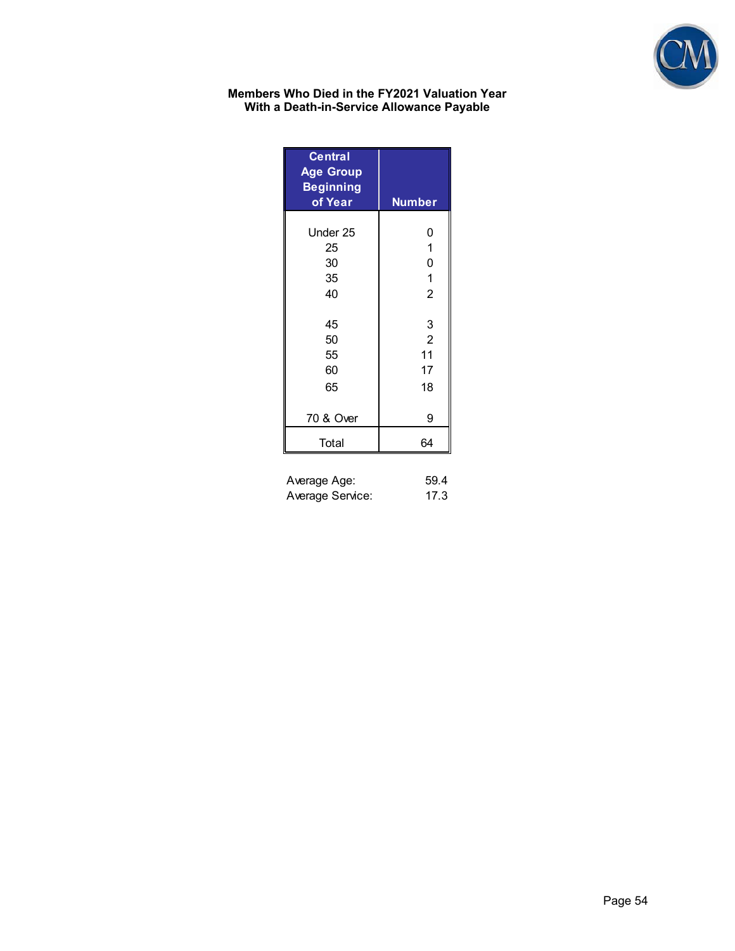

#### **Members Who Died in the FY2021 Valuation Year With a Death-in-Service Allowance Payable**

| <b>Central</b><br><b>Age Group</b><br><b>Beginning</b><br>of Year | <b>Number</b>                         |
|-------------------------------------------------------------------|---------------------------------------|
| Under 25<br>25<br>30<br>35<br>40                                  | 0<br>1<br>0<br>1<br>$\overline{2}$    |
| 45<br>50<br>55<br>60<br>65                                        | 3<br>$\overline{2}$<br>11<br>17<br>18 |
| 70 & Over                                                         | 9                                     |
| Total                                                             | 64                                    |

| Average Age:     | 59.4 |
|------------------|------|
| Average Service: | 17.3 |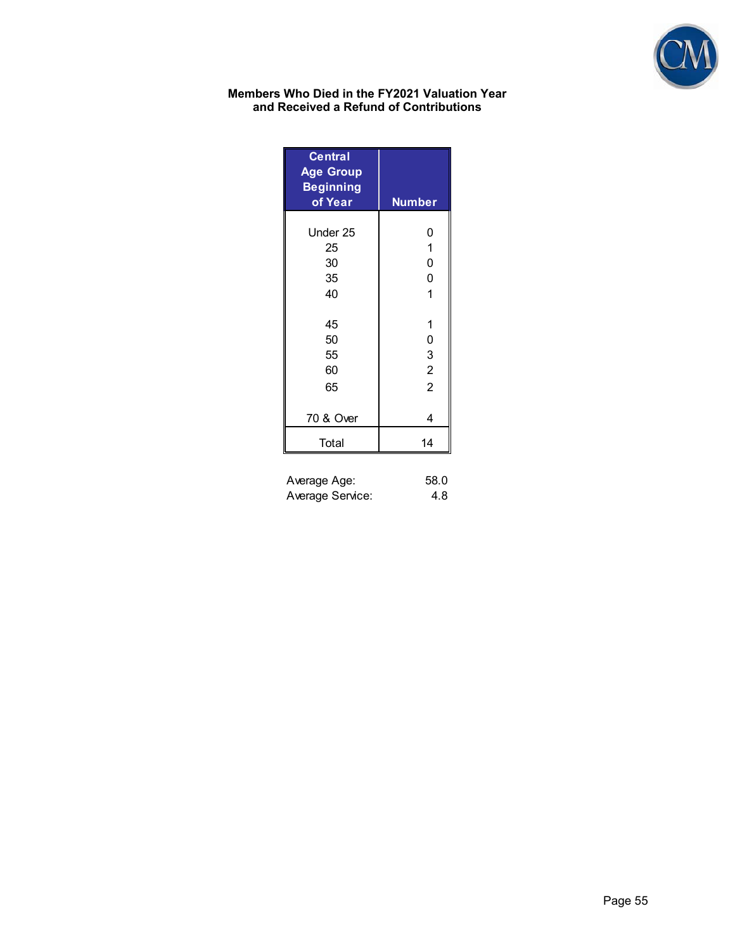

#### **Members Who Died in the FY2021 Valuation Year and Received a Refund of Contributions**

| <b>Central</b><br><b>Age Group</b><br><b>Beginning</b><br>of Year | <b>Number</b>  |
|-------------------------------------------------------------------|----------------|
| Under 25                                                          | 0              |
| 25                                                                | $\mathbf{1}$   |
| 30                                                                | 0              |
| 35                                                                | 0              |
| 40                                                                | 1              |
| 45                                                                | 1              |
| 50                                                                | 0              |
| 55                                                                | 3              |
| 60                                                                | $\overline{2}$ |
| 65                                                                | $\overline{2}$ |
| 70 & Over                                                         | 4              |
| Total                                                             | 14             |

| Average Age:     | 58.0 |
|------------------|------|
| Average Service: | 4.8  |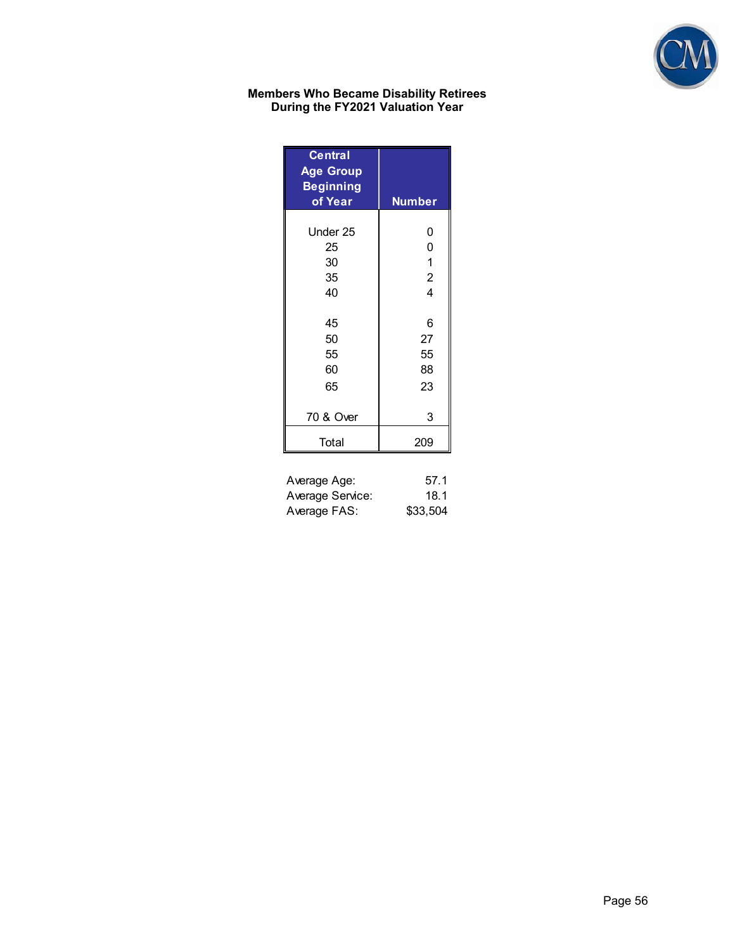

#### **Members Who Became Disability Retirees During the FY2021 Valuation Year**

| <b>Central</b><br><b>Age Group</b><br><b>Beginning</b><br>of Year | <b>Number</b>           |
|-------------------------------------------------------------------|-------------------------|
| Under 25                                                          | 0                       |
| 25                                                                | 0                       |
| 30                                                                | 1                       |
| 35                                                                | $\overline{c}$          |
| 40                                                                | $\overline{\mathbf{4}}$ |
| 45                                                                | 6                       |
| 50                                                                | 27                      |
| 55                                                                | 55                      |
| 60                                                                | 88                      |
| 65                                                                | 23                      |
| 70 & Over                                                         | 3                       |
| Total                                                             | 209                     |

| Average Age:     | 57.1     |
|------------------|----------|
| Average Service: | 18.1     |
| Average FAS:     | \$33,504 |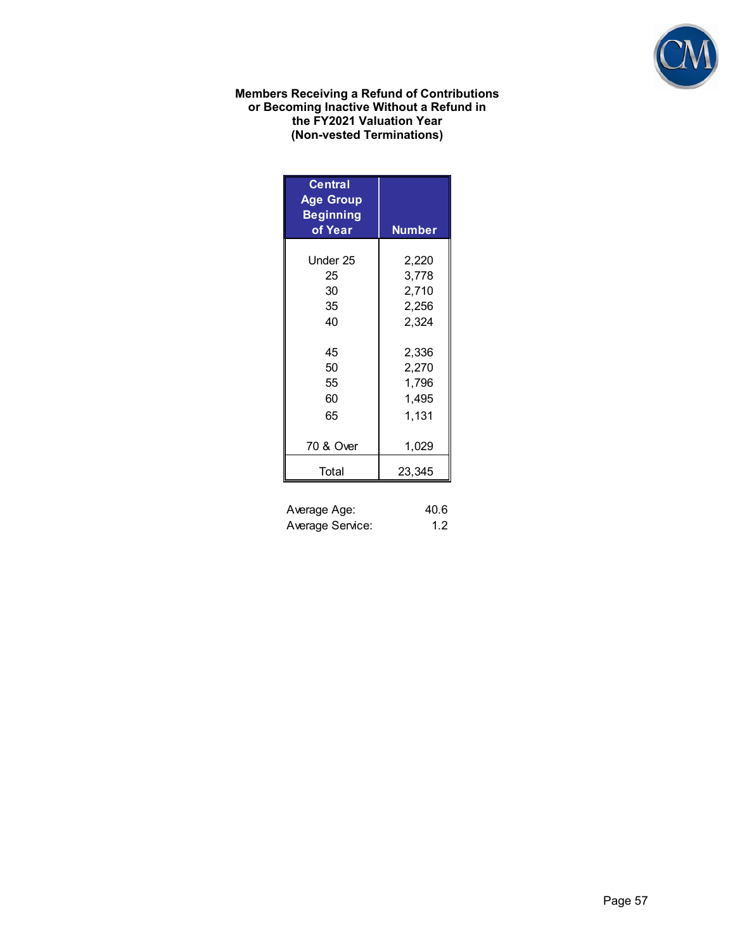

#### **Members Receiving a Refund of Contributions or Becoming Inactive Without a Refund in the FY2021 Valuation Year (Non-vested Terminations)**

| <b>Central</b><br><b>Age Group</b><br><b>Beginning</b><br>of Year | <b>Number</b> |
|-------------------------------------------------------------------|---------------|
| Under 25                                                          | 2,220         |
| 25                                                                | 3,778         |
| 30                                                                | 2,710         |
| 35                                                                | 2,256         |
| 40                                                                | 2,324         |
| 45                                                                | 2,336         |
| 50                                                                | 2,270         |
| 55                                                                | 1,796         |
| 60                                                                | 1,495         |
| 65                                                                | 1,131         |
| 70 & Over                                                         | 1,029         |
| Total                                                             | 23,345        |

| Average Age:     | 40.6 |
|------------------|------|
| Average Service: | 1.2  |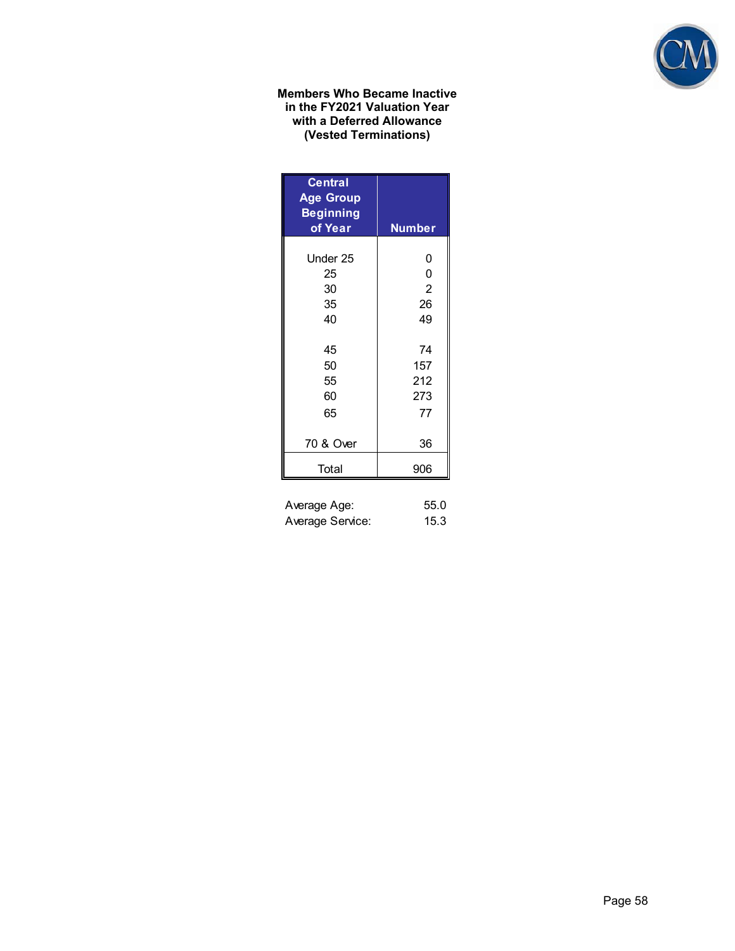

#### **Members Who Became Inactive in the FY2021 Valuation Year with a Deferred Allowance (Vested Terminations)**

| <b>Central</b><br><b>Age Group</b><br><b>Beginning</b><br>of Year | <b>Number</b>  |
|-------------------------------------------------------------------|----------------|
|                                                                   |                |
| Under 25                                                          | 0              |
| 25                                                                | 0              |
| 30                                                                | $\overline{2}$ |
| 35                                                                | 26             |
| 40                                                                | 49             |
|                                                                   |                |
| 45                                                                | 74             |
| 50                                                                | 157            |
| 55                                                                | 212            |
| 60                                                                | 273            |
| 65                                                                | 77             |
|                                                                   |                |
| 70 & Over                                                         | 36             |
| Total                                                             | 906            |
| Average Age:                                                      | 55.0           |

| Average Service: |  | 15.3 |
|------------------|--|------|
|                  |  |      |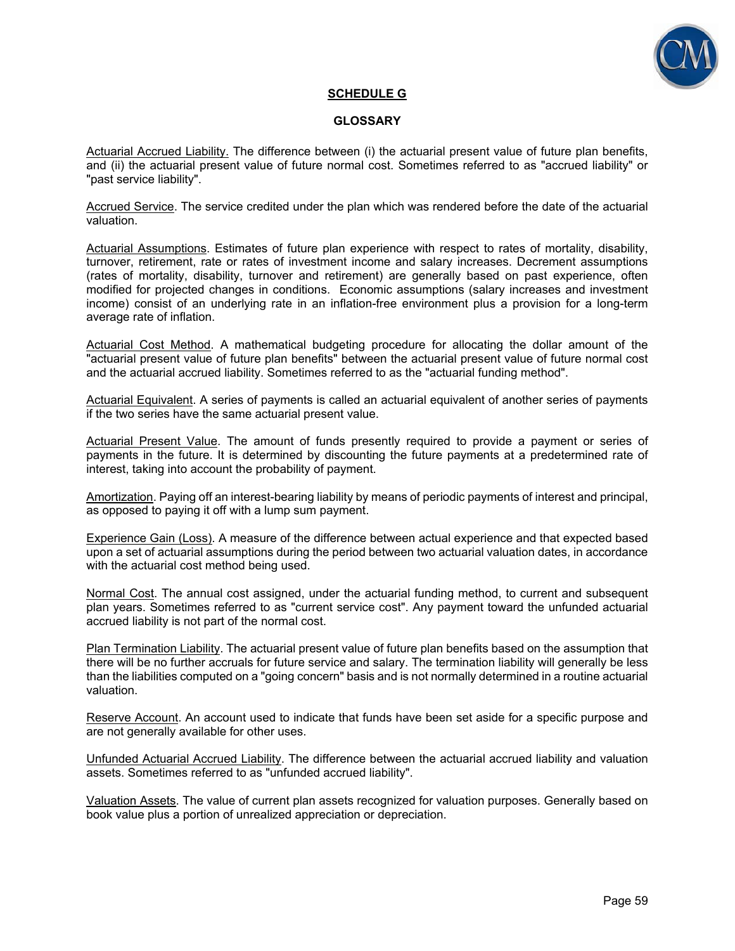

#### **SCHEDULE G**

#### **GLOSSARY**

Actuarial Accrued Liability. The difference between (i) the actuarial present value of future plan benefits, and (ii) the actuarial present value of future normal cost. Sometimes referred to as "accrued liability" or "past service liability".

Accrued Service. The service credited under the plan which was rendered before the date of the actuarial valuation.

Actuarial Assumptions. Estimates of future plan experience with respect to rates of mortality, disability, turnover, retirement, rate or rates of investment income and salary increases. Decrement assumptions (rates of mortality, disability, turnover and retirement) are generally based on past experience, often modified for projected changes in conditions. Economic assumptions (salary increases and investment income) consist of an underlying rate in an inflation-free environment plus a provision for a long-term average rate of inflation.

Actuarial Cost Method. A mathematical budgeting procedure for allocating the dollar amount of the "actuarial present value of future plan benefits" between the actuarial present value of future normal cost and the actuarial accrued liability. Sometimes referred to as the "actuarial funding method".

Actuarial Equivalent. A series of payments is called an actuarial equivalent of another series of payments if the two series have the same actuarial present value.

Actuarial Present Value. The amount of funds presently required to provide a payment or series of payments in the future. It is determined by discounting the future payments at a predetermined rate of interest, taking into account the probability of payment.

Amortization. Paying off an interest-bearing liability by means of periodic payments of interest and principal, as opposed to paying it off with a lump sum payment.

Experience Gain (Loss). A measure of the difference between actual experience and that expected based upon a set of actuarial assumptions during the period between two actuarial valuation dates, in accordance with the actuarial cost method being used.

Normal Cost. The annual cost assigned, under the actuarial funding method, to current and subsequent plan years. Sometimes referred to as "current service cost". Any payment toward the unfunded actuarial accrued liability is not part of the normal cost.

Plan Termination Liability. The actuarial present value of future plan benefits based on the assumption that there will be no further accruals for future service and salary. The termination liability will generally be less than the liabilities computed on a "going concern" basis and is not normally determined in a routine actuarial valuation.

Reserve Account. An account used to indicate that funds have been set aside for a specific purpose and are not generally available for other uses.

Unfunded Actuarial Accrued Liability. The difference between the actuarial accrued liability and valuation assets. Sometimes referred to as "unfunded accrued liability".

Valuation Assets. The value of current plan assets recognized for valuation purposes. Generally based on book value plus a portion of unrealized appreciation or depreciation.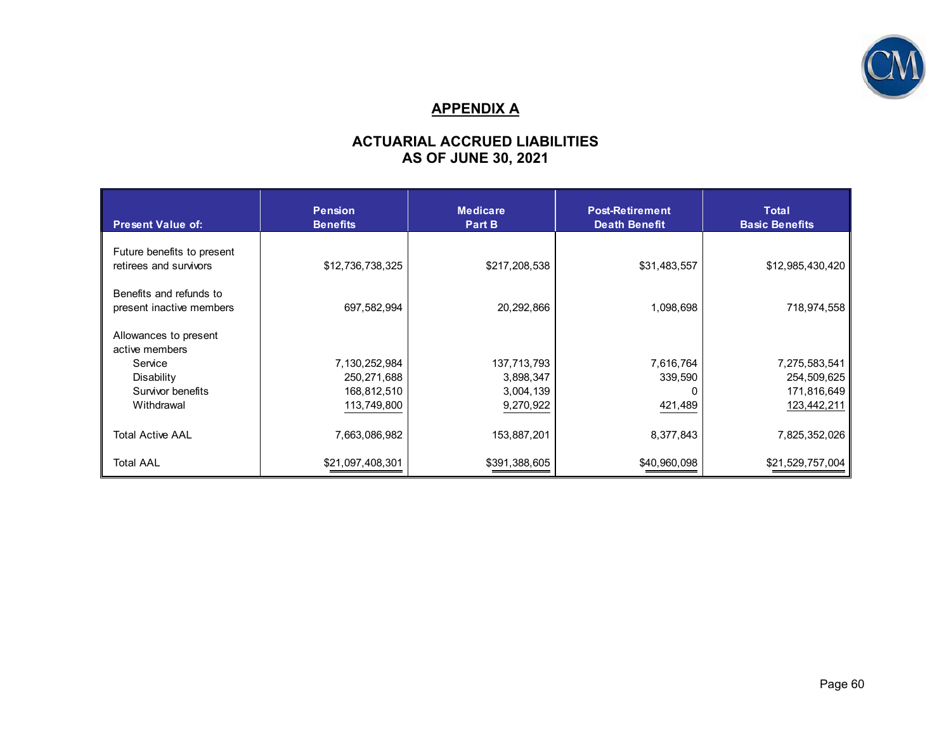

## **APPENDIX A**

## **ACTUARIAL ACCRUED LIABILITIES AS OF JUNE 30, 2021**

| <b>Present Value of:</b>                             | <b>Pension</b><br><b>Benefits</b> | <b>Medicare</b><br>Part B | <b>Post-Retirement</b><br><b>Death Benefit</b> | Total<br><b>Basic Benefits</b> |
|------------------------------------------------------|-----------------------------------|---------------------------|------------------------------------------------|--------------------------------|
| Future benefits to present<br>retirees and survivors | \$12,736,738,325                  | \$217,208,538             | \$31,483,557                                   | \$12,985,430,420               |
| Benefits and refunds to<br>present inactive members  | 697,582,994                       | 20,292,866                | 1,098,698                                      | 718,974,558                    |
| Allowances to present<br>active members              |                                   |                           |                                                |                                |
| Service                                              | 7,130,252,984                     | 137,713,793               | 7,616,764                                      | 7,275,583,541                  |
| Disability                                           | 250,271,688                       | 3,898,347                 | 339,590                                        | 254,509,625                    |
| Survivor benefits                                    | 168,812,510                       | 3,004,139                 |                                                | 171,816,649                    |
| Withdrawal                                           | 113,749,800                       | 9,270,922                 | 421,489                                        | 123,442,211                    |
| <b>Total Active AAL</b>                              | 7,663,086,982                     | 153,887,201               | 8,377,843                                      | 7,825,352,026                  |
| <b>Total AAL</b>                                     | \$21,097,408,301                  | \$391,388,605             | \$40,960,098                                   | \$21,529,757,004               |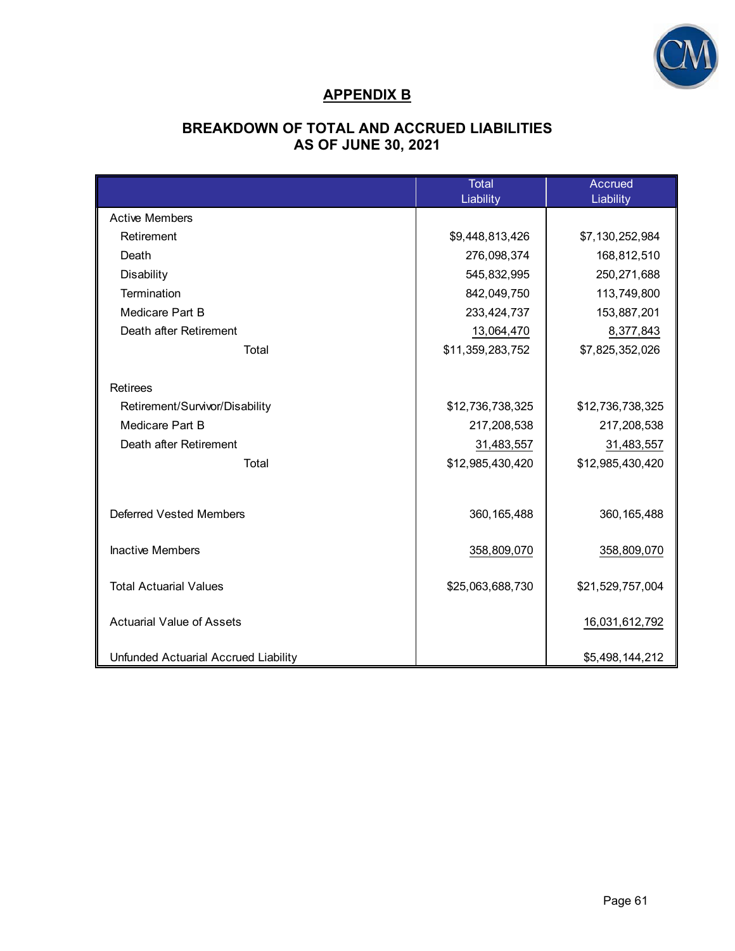

## **APPENDIX B**

## **BREAKDOWN OF TOTAL AND ACCRUED LIABILITIES AS OF JUNE 30, 2021**

|                                      | Total<br>Liability | <b>Accrued</b><br>Liability |
|--------------------------------------|--------------------|-----------------------------|
| <b>Active Members</b>                |                    |                             |
| Retirement                           | \$9,448,813,426    | \$7,130,252,984             |
| Death                                | 276,098,374        | 168,812,510                 |
| Disability                           | 545,832,995        | 250,271,688                 |
| Termination                          | 842,049,750        | 113,749,800                 |
| Medicare Part B                      | 233,424,737        | 153,887,201                 |
| Death after Retirement               | 13,064,470         | 8,377,843                   |
| Total                                | \$11,359,283,752   | \$7,825,352,026             |
|                                      |                    |                             |
| <b>Retirees</b>                      |                    |                             |
| Retirement/Survivor/Disability       | \$12,736,738,325   | \$12,736,738,325            |
| Medicare Part B                      | 217,208,538        | 217,208,538                 |
| Death after Retirement               | 31,483,557         | 31,483,557                  |
| Total                                | \$12,985,430,420   | \$12,985,430,420            |
|                                      |                    |                             |
|                                      |                    |                             |
| <b>Deferred Vested Members</b>       | 360, 165, 488      | 360, 165, 488               |
| <b>Inactive Members</b>              | 358,809,070        | 358,809,070                 |
| <b>Total Actuarial Values</b>        | \$25,063,688,730   | \$21,529,757,004            |
| <b>Actuarial Value of Assets</b>     |                    | 16,031,612,792              |
| Unfunded Actuarial Accrued Liability |                    | \$5,498,144,212             |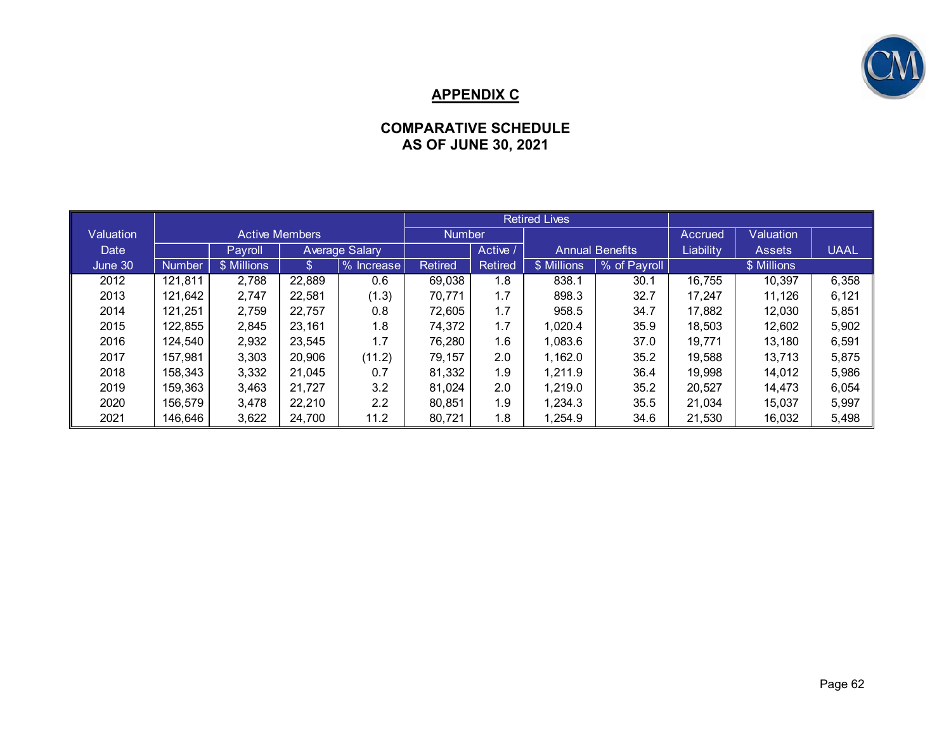

## **APPENDIX C**

## **COMPARATIVE SCHEDULE AS OF JUNE 30, 2021**

|                  |               |                       |        |                       | <b>Retired Lives</b> |                |             |                        |           |               |             |
|------------------|---------------|-----------------------|--------|-----------------------|----------------------|----------------|-------------|------------------------|-----------|---------------|-------------|
| <b>Valuation</b> |               | <b>Active Members</b> |        |                       | <b>Number</b>        |                | Accrued     | Valuation              |           |               |             |
| Date             |               | Payroll               |        | <b>Average Salary</b> |                      | Active /       |             | <b>Annual Benefits</b> | Liability | <b>Assets</b> | <b>UAAL</b> |
| June 30          | <b>Number</b> | \$ Millions           | \$     | % Increase            | <b>Retired</b>       | <b>Retired</b> | \$ Millions | % of Payroll           |           | \$ Millions   |             |
| 2012             | 121,811       | 2,788                 | 22,889 | 0.6                   | 69,038               | 1.8            | 838.1       | 30.1                   | 16,755    | 10,397        | 6,358       |
| 2013             | 121,642       | 2,747                 | 22,581 | (1.3)                 | 70,771               | 1.7            | 898.3       | 32.7                   | 17,247    | 11,126        | 6,121       |
| 2014             | 121,251       | 2,759                 | 22,757 | 0.8                   | 72,605               | 1.7            | 958.5       | 34.7                   | 17,882    | 12.030        | 5,851       |
| 2015             | 122,855       | 2,845                 | 23.161 | 1.8                   | 74,372               | 1.7            | 1.020.4     | 35.9                   | 18.503    | 12,602        | 5,902       |
| 2016             | 124,540       | 2,932                 | 23,545 | 1.7                   | 76,280               | 1.6            | 1,083.6     | 37.0                   | 19,771    | 13.180        | 6,591       |
| 2017             | 157,981       | 3,303                 | 20,906 | (11.2)                | 79.157               | 2.0            | 1.162.0     | 35.2                   | 19.588    | 13.713        | 5,875       |
| 2018             | 158,343       | 3,332                 | 21,045 | 0.7                   | 81,332               | 1.9            | 1,211.9     | 36.4                   | 19,998    | 14,012        | 5,986       |
| 2019             | 159.363       | 3,463                 | 21,727 | 3.2                   | 81,024               | 2.0            | 1,219.0     | 35.2                   | 20,527    | 14.473        | 6,054       |
| 2020             | 156.579       | 3,478                 | 22,210 | 2.2                   | 80,851               | 1.9            | 1,234.3     | 35.5                   | 21,034    | 15,037        | 5,997       |
| 2021             | 146,646       | 3,622                 | 24,700 | 11.2                  | 80,721               | 1.8            | 1,254.9     | 34.6                   | 21,530    | 16,032        | 5,498       |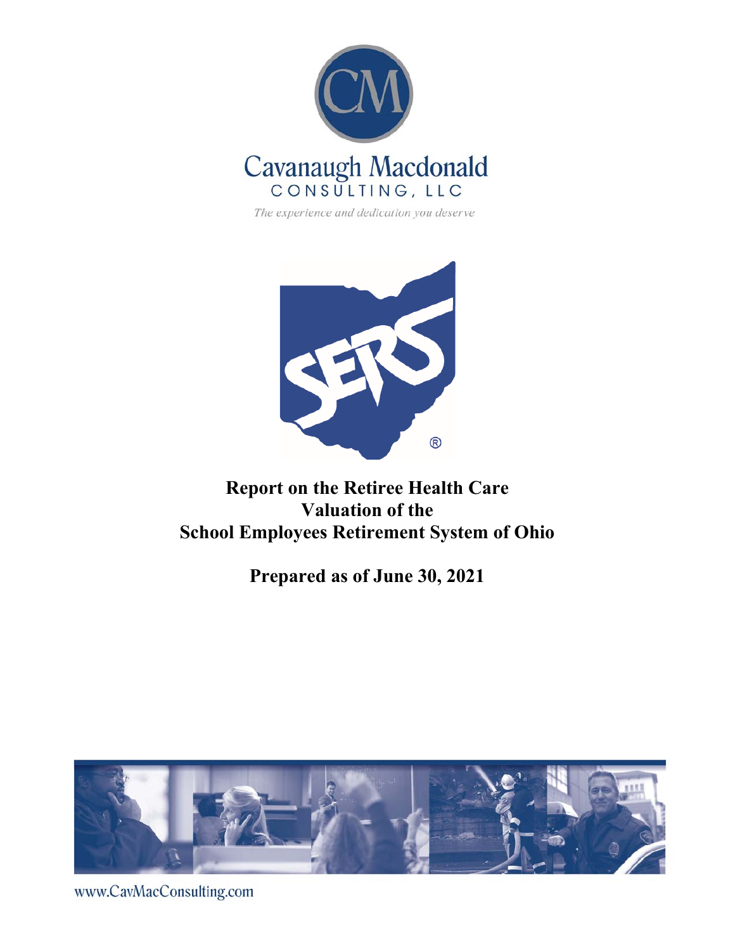

The experience and dedication you deserve



# **Report on the Retiree Health Care Valuation of the School Employees Retirement System of Ohio**

# **Prepared as of June 30, 2021**



www.CavMacConsulting.com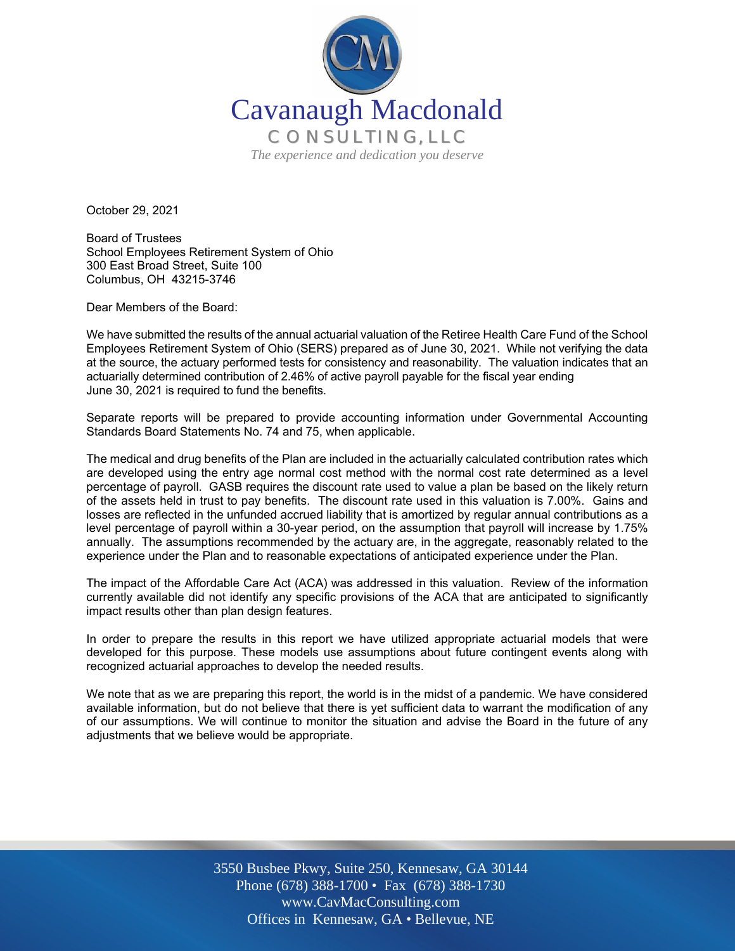

October 29, 2021

Board of Trustees School Employees Retirement System of Ohio 300 East Broad Street, Suite 100 Columbus, OH 43215-3746

Dear Members of the Board:

We have submitted the results of the annual actuarial valuation of the Retiree Health Care Fund of the School Employees Retirement System of Ohio (SERS) prepared as of June 30, 2021. While not verifying the data at the source, the actuary performed tests for consistency and reasonability. The valuation indicates that an actuarially determined contribution of 2.46% of active payroll payable for the fiscal year ending June 30, 2021 is required to fund the benefits.

Separate reports will be prepared to provide accounting information under Governmental Accounting Standards Board Statements No. 74 and 75, when applicable.

The medical and drug benefits of the Plan are included in the actuarially calculated contribution rates which are developed using the entry age normal cost method with the normal cost rate determined as a level percentage of payroll. GASB requires the discount rate used to value a plan be based on the likely return of the assets held in trust to pay benefits. The discount rate used in this valuation is 7.00%. Gains and losses are reflected in the unfunded accrued liability that is amortized by regular annual contributions as a level percentage of payroll within a 30-year period, on the assumption that payroll will increase by 1.75% annually. The assumptions recommended by the actuary are, in the aggregate, reasonably related to the experience under the Plan and to reasonable expectations of anticipated experience under the Plan.

The impact of the Affordable Care Act (ACA) was addressed in this valuation. Review of the information currently available did not identify any specific provisions of the ACA that are anticipated to significantly impact results other than plan design features.

In order to prepare the results in this report we have utilized appropriate actuarial models that were developed for this purpose. These models use assumptions about future contingent events along with recognized actuarial approaches to develop the needed results.

We note that as we are preparing this report, the world is in the midst of a pandemic. We have considered available information, but do not believe that there is yet sufficient data to warrant the modification of any of our assumptions. We will continue to monitor the situation and advise the Board in the future of any adjustments that we believe would be appropriate.

> Off Offices in Kennesaw, GA • Bellevue, NE 3550 Busbee Pkwy, Suite 250, Kennesaw, GA 30144 Phone (678) 388-1700 • Fax (678) 388-1730 www.CavMacConsulting.com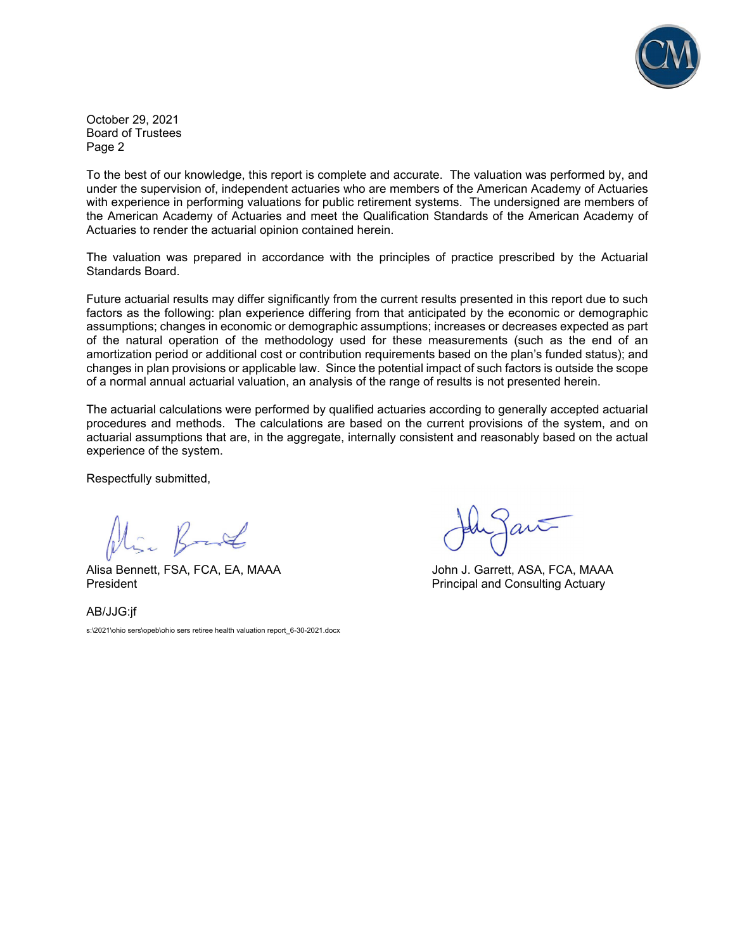

October 29, 2021 Board of Trustees Page 2

To the best of our knowledge, this report is complete and accurate. The valuation was performed by, and under the supervision of, independent actuaries who are members of the American Academy of Actuaries with experience in performing valuations for public retirement systems. The undersigned are members of the American Academy of Actuaries and meet the Qualification Standards of the American Academy of Actuaries to render the actuarial opinion contained herein.

The valuation was prepared in accordance with the principles of practice prescribed by the Actuarial Standards Board.

Future actuarial results may differ significantly from the current results presented in this report due to such factors as the following: plan experience differing from that anticipated by the economic or demographic assumptions; changes in economic or demographic assumptions; increases or decreases expected as part of the natural operation of the methodology used for these measurements (such as the end of an amortization period or additional cost or contribution requirements based on the plan's funded status); and changes in plan provisions or applicable law. Since the potential impact of such factors is outside the scope of a normal annual actuarial valuation, an analysis of the range of results is not presented herein.

The actuarial calculations were performed by qualified actuaries according to generally accepted actuarial procedures and methods. The calculations are based on the current provisions of the system, and on actuarial assumptions that are, in the aggregate, internally consistent and reasonably based on the actual experience of the system.

Respectfully submitted,

Alisa Bennett, FSA, FCA, EA, MAAA John J. Garrett, ASA, FCA, MAAA

President **President** Principal and Consulting Actuary

AB/JJG:jf s:\2021\ohio sers\opeb\ohio sers retiree health valuation report\_6-30-2021.docx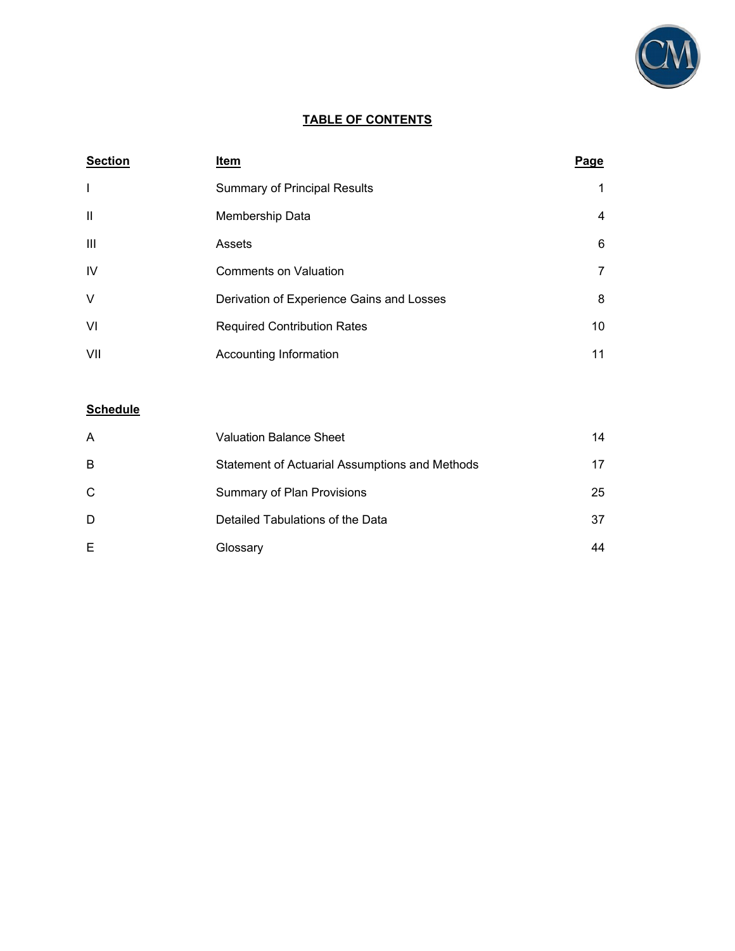

### **TABLE OF CONTENTS**

| <b>Section</b> | Item                                      | Page |
|----------------|-------------------------------------------|------|
| T              | <b>Summary of Principal Results</b>       | 1    |
| $\mathbf{H}$   | Membership Data                           | 4    |
| Ш              | Assets                                    | 6    |
| IV             | <b>Comments on Valuation</b>              | 7    |
| $\vee$         | Derivation of Experience Gains and Losses | 8    |
| VI             | <b>Required Contribution Rates</b>        | 10   |
| VII            | Accounting Information                    | 11   |

## **Schedule**

| А  | <b>Valuation Balance Sheet</b>                 | 14 |
|----|------------------------------------------------|----|
| B  | Statement of Actuarial Assumptions and Methods | 17 |
| C. | <b>Summary of Plan Provisions</b>              | 25 |
| D  | Detailed Tabulations of the Data               | 37 |
| E. | Glossary                                       | 44 |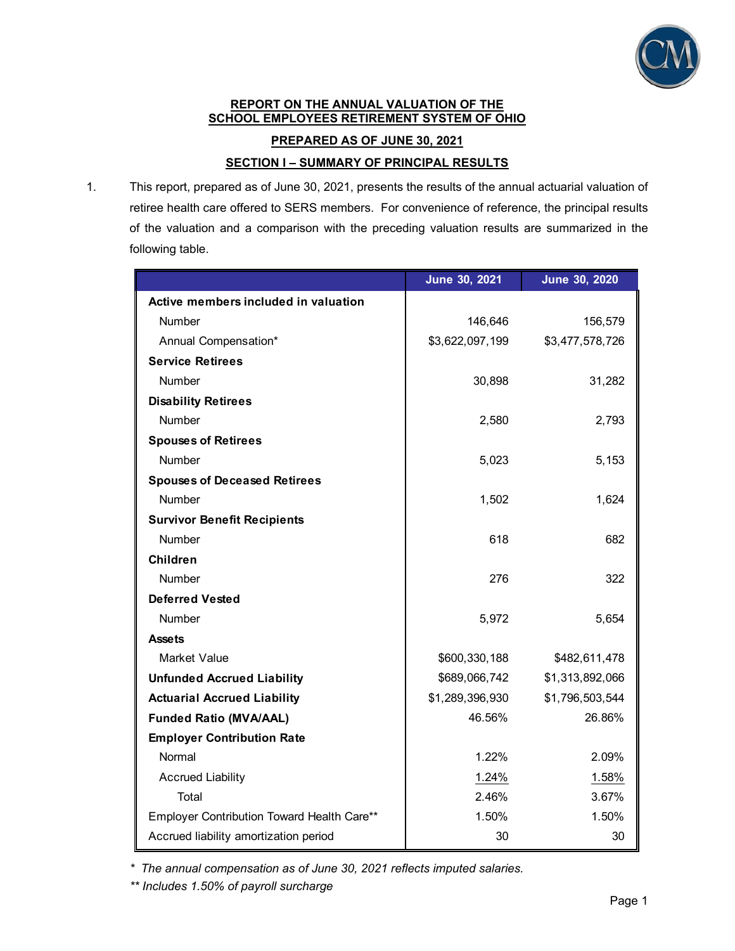

#### **REPORT ON THE ANNUAL VALUATION OF THE SCHOOL EMPLOYEES RETIREMENT SYSTEM OF OHIO**

**PREPARED AS OF JUNE 30, 2021** 

**SECTION I – SUMMARY OF PRINCIPAL RESULTS** 

1. This report, prepared as of June 30, 2021, presents the results of the annual actuarial valuation of retiree health care offered to SERS members. For convenience of reference, the principal results of the valuation and a comparison with the preceding valuation results are summarized in the following table.

|                                            | June 30, 2021   | June 30, 2020   |
|--------------------------------------------|-----------------|-----------------|
| Active members included in valuation       |                 |                 |
| <b>Number</b>                              | 146,646         | 156,579         |
| Annual Compensation*                       | \$3,622,097,199 | \$3,477,578,726 |
| <b>Service Retirees</b>                    |                 |                 |
| <b>Number</b>                              | 30,898          | 31,282          |
| <b>Disability Retirees</b>                 |                 |                 |
| <b>Number</b>                              | 2,580           | 2,793           |
| <b>Spouses of Retirees</b>                 |                 |                 |
| Number                                     | 5,023           | 5,153           |
| <b>Spouses of Deceased Retirees</b>        |                 |                 |
| <b>Number</b>                              | 1,502           | 1,624           |
| <b>Survivor Benefit Recipients</b>         |                 |                 |
| Number                                     | 618             | 682             |
| <b>Children</b>                            |                 |                 |
| Number                                     | 276             | 322             |
| <b>Deferred Vested</b>                     |                 |                 |
| <b>Number</b>                              | 5,972           | 5,654           |
| <b>Assets</b>                              |                 |                 |
| <b>Market Value</b>                        | \$600,330,188   | \$482,611,478   |
| <b>Unfunded Accrued Liability</b>          | \$689,066,742   | \$1,313,892,066 |
| <b>Actuarial Accrued Liability</b>         | \$1,289,396,930 | \$1,796,503,544 |
| <b>Funded Ratio (MVA/AAL)</b>              | 46.56%          | 26.86%          |
| <b>Employer Contribution Rate</b>          |                 |                 |
| Normal                                     | 1.22%           | 2.09%           |
| <b>Accrued Liability</b>                   | 1.24%           | 1.58%           |
| Total                                      | 2.46%           | 3.67%           |
| Employer Contribution Toward Health Care** | 1.50%           | 1.50%           |
| Accrued liability amortization period      | 30              | 30              |

*\* The annual compensation as of June 30, 2021 reflects imputed salaries.* 

*\*\* Includes 1.50% of payroll surcharge*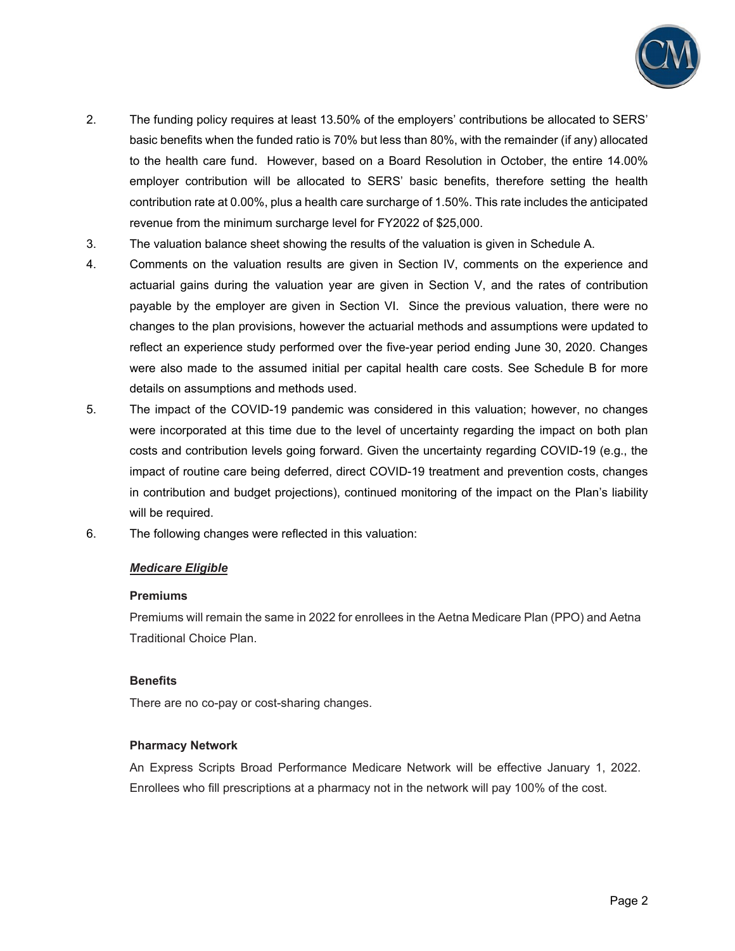

- 2. The funding policy requires at least 13.50% of the employers' contributions be allocated to SERS' basic benefits when the funded ratio is 70% but less than 80%, with the remainder (if any) allocated to the health care fund. However, based on a Board Resolution in October, the entire 14.00% employer contribution will be allocated to SERS' basic benefits, therefore setting the health contribution rate at 0.00%, plus a health care surcharge of 1.50%. This rate includes the anticipated revenue from the minimum surcharge level for FY2022 of \$25,000.
- 3. The valuation balance sheet showing the results of the valuation is given in Schedule A.
- 4. Comments on the valuation results are given in Section IV, comments on the experience and actuarial gains during the valuation year are given in Section V, and the rates of contribution payable by the employer are given in Section VI. Since the previous valuation, there were no changes to the plan provisions, however the actuarial methods and assumptions were updated to reflect an experience study performed over the five-year period ending June 30, 2020. Changes were also made to the assumed initial per capital health care costs. See Schedule B for more details on assumptions and methods used.
- 5. The impact of the COVID-19 pandemic was considered in this valuation; however, no changes were incorporated at this time due to the level of uncertainty regarding the impact on both plan costs and contribution levels going forward. Given the uncertainty regarding COVID-19 (e.g., the impact of routine care being deferred, direct COVID-19 treatment and prevention costs, changes in contribution and budget projections), continued monitoring of the impact on the Plan's liability will be required.
- 6. The following changes were reflected in this valuation:

## *Medicare Eligible*

### **Premiums**

Premiums will remain the same in 2022 for enrollees in the Aetna Medicare Plan (PPO) and Aetna Traditional Choice Plan.

## **Benefits**

There are no co-pay or cost-sharing changes.

## **Pharmacy Network**

An Express Scripts Broad Performance Medicare Network will be effective January 1, 2022. Enrollees who fill prescriptions at a pharmacy not in the network will pay 100% of the cost.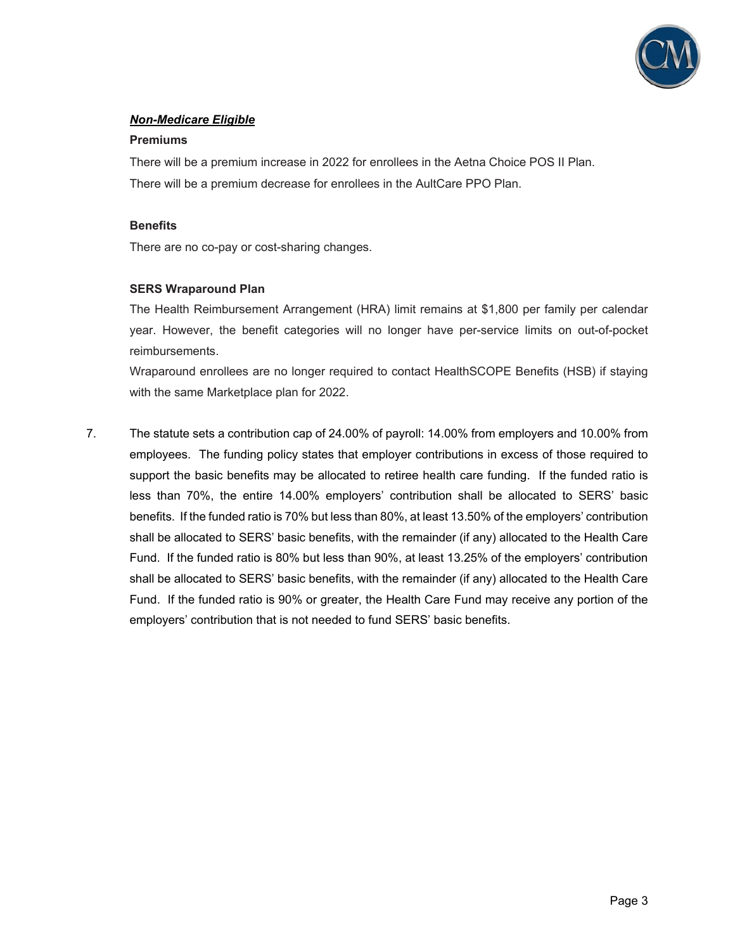

## *Non-Medicare Eligible*

#### **Premiums**

There will be a premium increase in 2022 for enrollees in the Aetna Choice POS II Plan. There will be a premium decrease for enrollees in the AultCare PPO Plan.

#### **Benefits**

There are no co-pay or cost-sharing changes.

### **SERS Wraparound Plan**

The Health Reimbursement Arrangement (HRA) limit remains at \$1,800 per family per calendar year. However, the benefit categories will no longer have per-service limits on out-of-pocket reimbursements.

Wraparound enrollees are no longer required to contact HealthSCOPE Benefits (HSB) if staying with the same Marketplace plan for 2022.

7. The statute sets a contribution cap of 24.00% of payroll: 14.00% from employers and 10.00% from employees. The funding policy states that employer contributions in excess of those required to support the basic benefits may be allocated to retiree health care funding. If the funded ratio is less than 70%, the entire 14.00% employers' contribution shall be allocated to SERS' basic benefits. If the funded ratio is 70% but less than 80%, at least 13.50% of the employers' contribution shall be allocated to SERS' basic benefits, with the remainder (if any) allocated to the Health Care Fund. If the funded ratio is 80% but less than 90%, at least 13.25% of the employers' contribution shall be allocated to SERS' basic benefits, with the remainder (if any) allocated to the Health Care Fund. If the funded ratio is 90% or greater, the Health Care Fund may receive any portion of the employers' contribution that is not needed to fund SERS' basic benefits.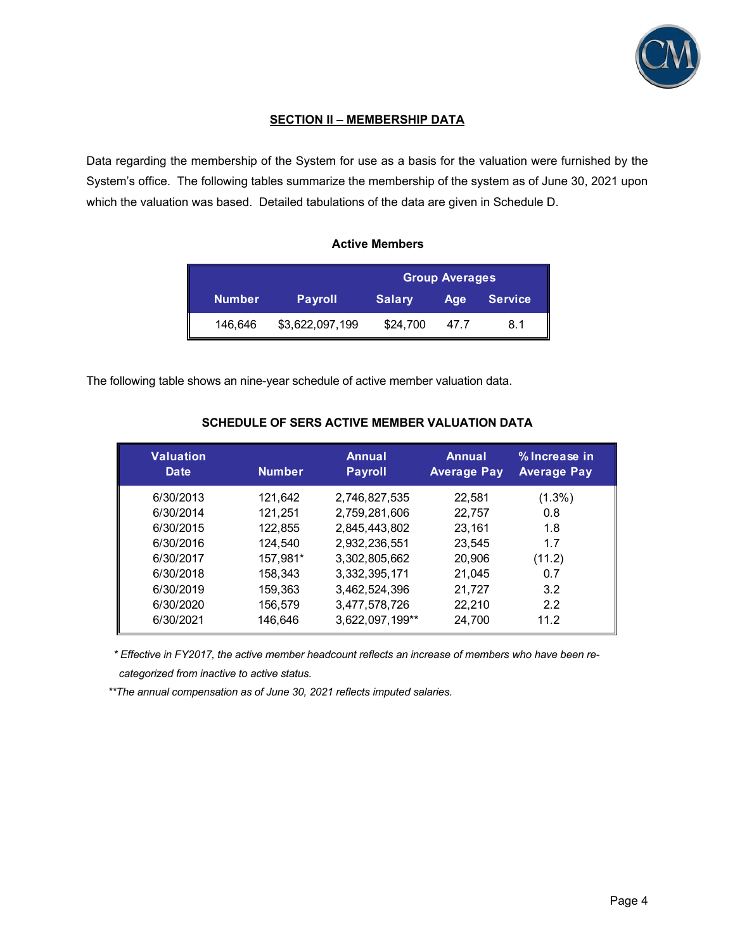

## **SECTION II – MEMBERSHIP DATA**

Data regarding the membership of the System for use as a basis for the valuation were furnished by the System's office. The following tables summarize the membership of the system as of June 30, 2021 upon which the valuation was based. Detailed tabulations of the data are given in Schedule D.

## **Active Members**

|               |                 | <b>Group Averages</b> |      |                |  |  |
|---------------|-----------------|-----------------------|------|----------------|--|--|
| <b>Number</b> | <b>Payroll</b>  | <b>Salary</b>         | Age  | <b>Service</b> |  |  |
| 146,646       | \$3,622,097,199 | \$24,700              | 47.7 | 8.1            |  |  |

The following table shows an nine-year schedule of active member valuation data.

| <b>Valuation</b><br>Date | <b>Number</b> | Annual<br><b>Payroll</b> | Annual<br><b>Average Pay</b> | % Increase in<br><b>Average Pay</b> |
|--------------------------|---------------|--------------------------|------------------------------|-------------------------------------|
| 6/30/2013                | 121,642       | 2,746,827,535            | 22,581                       | $(1.3\%)$                           |
| 6/30/2014                | 121,251       | 2,759,281,606            | 22,757                       | 0.8                                 |
| 6/30/2015                | 122,855       | 2,845,443,802            | 23,161                       | 1.8                                 |
| 6/30/2016                | 124,540       | 2,932,236,551            | 23,545                       | 1.7                                 |
| 6/30/2017                | 157,981*      | 3,302,805,662            | 20,906                       | (11.2)                              |
| 6/30/2018                | 158,343       | 3,332,395,171            | 21,045                       | 0.7                                 |
| 6/30/2019                | 159,363       | 3,462,524,396            | 21,727                       | 3.2                                 |
| 6/30/2020                | 156,579       | 3,477,578,726            | 22,210                       | 2.2                                 |
| 6/30/2021                | 146,646       | 3,622,097,199**          | 24,700                       | 11.2                                |

## **SCHEDULE OF SERS ACTIVE MEMBER VALUATION DATA**

*\* Effective in FY2017, the active member headcount reflects an increase of members who have been recategorized from inactive to active status.* 

*\*\*The annual compensation as of June 30, 2021 reflects imputed salaries.*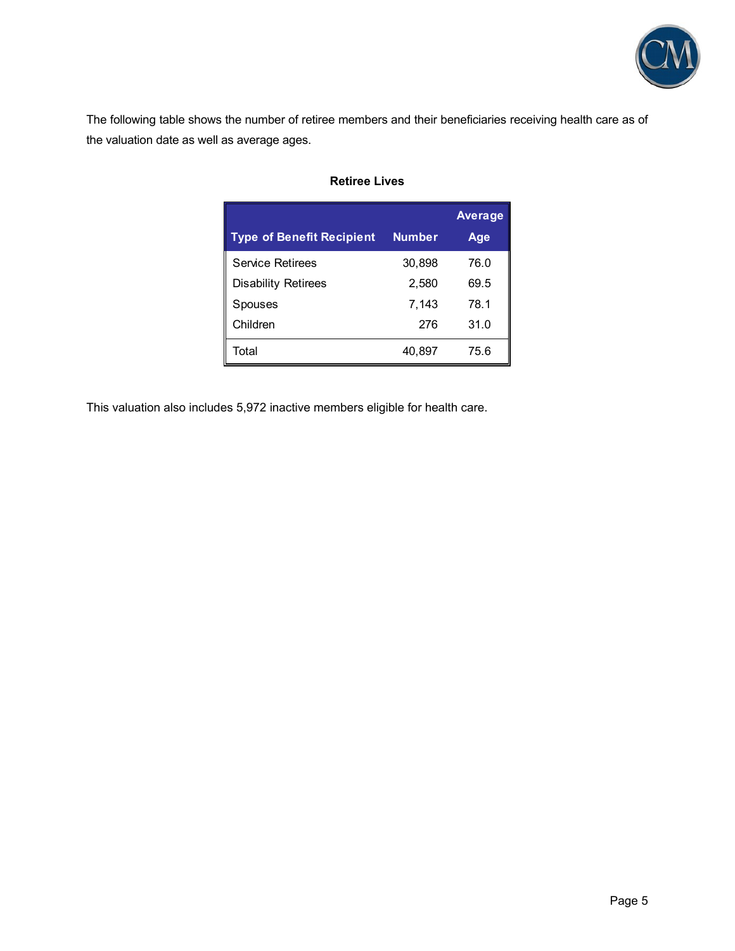

The following table shows the number of retiree members and their beneficiaries receiving health care as of the valuation date as well as average ages.

|                                  |               | <b>Average</b> |
|----------------------------------|---------------|----------------|
| <b>Type of Benefit Recipient</b> | <b>Number</b> | Age            |
| <b>Service Retirees</b>          | 30,898        | 76.0           |
| <b>Disability Retirees</b>       | 2,580         | 69.5           |
| Spouses                          | 7,143         | 78.1           |
| Children                         | 276           | 31.0           |
| Total                            | 40,897        | 75.6           |

## **Retiree Lives**

This valuation also includes 5,972 inactive members eligible for health care.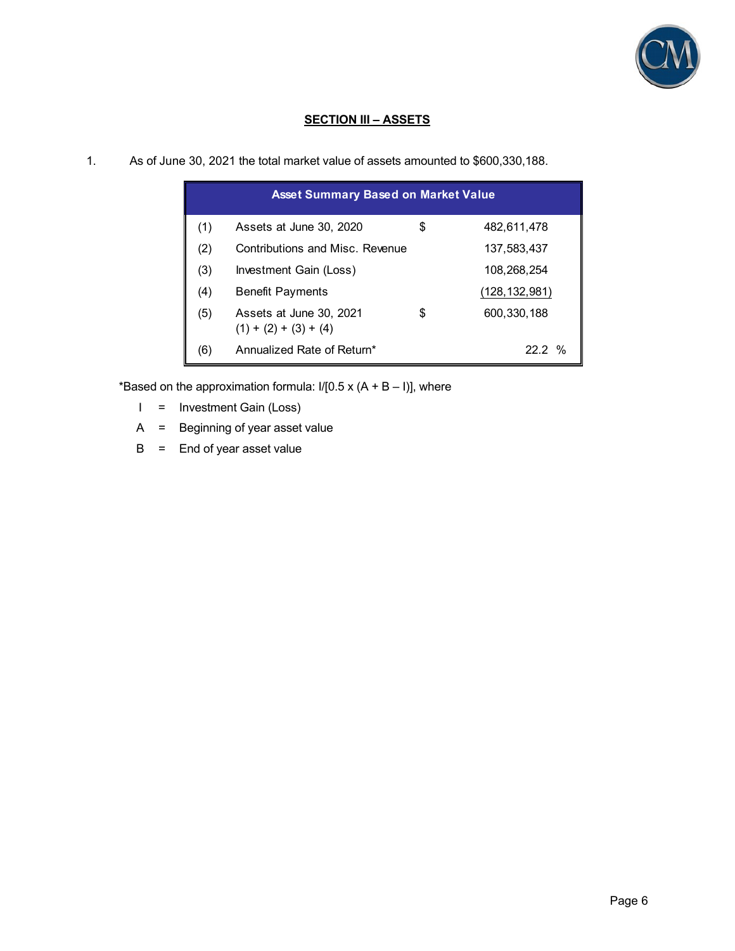

## **SECTION III – ASSETS**

|  |  |  |  | As of June 30, 2021 the total market value of assets amounted to \$600,330,188. |  |
|--|--|--|--|---------------------------------------------------------------------------------|--|
|--|--|--|--|---------------------------------------------------------------------------------|--|

|     | <b>Asset Summary Based on Market Value</b>         |                   |
|-----|----------------------------------------------------|-------------------|
| (1) | Assets at June 30, 2020                            | \$<br>482,611,478 |
| (2) | Contributions and Misc. Revenue                    | 137,583,437       |
| (3) | Investment Gain (Loss)                             | 108,268,254       |
| (4) | <b>Benefit Payments</b>                            | (128, 132, 981)   |
| (5) | Assets at June 30, 2021<br>$(1) + (2) + (3) + (4)$ | \$<br>600,330,188 |
| (6) | Annualized Rate of Return*                         | 22 2 %            |

\*Based on the approximation formula:  $1/[0.5 \times (A + B - I)]$ , where

- I = Investment Gain (Loss)
- A = Beginning of year asset value
- $B =$  End of year asset value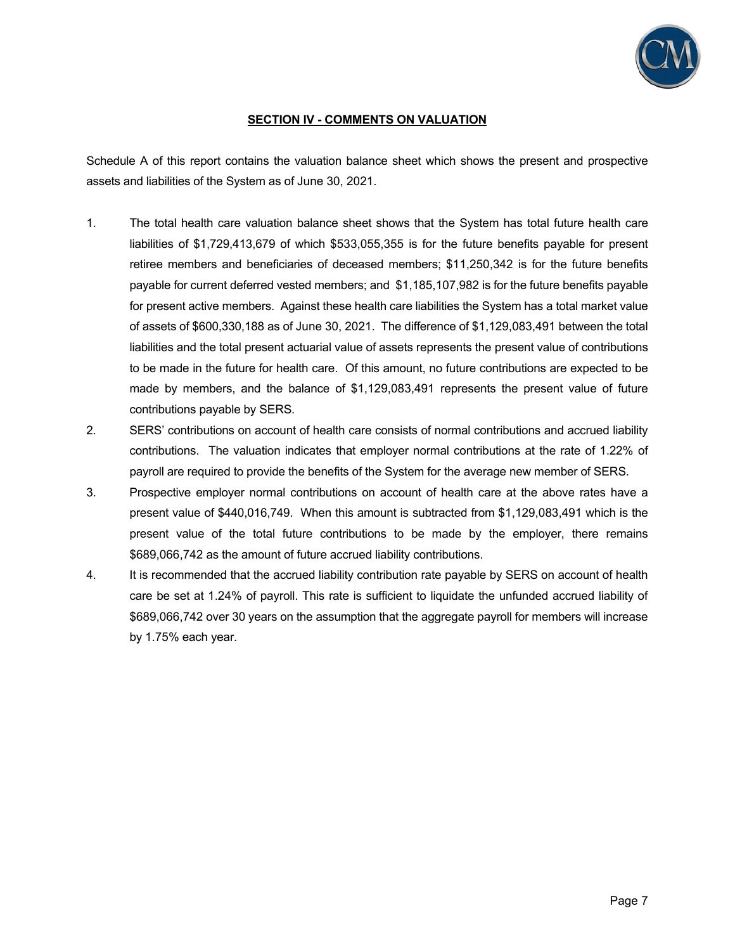

## **SECTION IV - COMMENTS ON VALUATION**

Schedule A of this report contains the valuation balance sheet which shows the present and prospective assets and liabilities of the System as of June 30, 2021.

- 1. The total health care valuation balance sheet shows that the System has total future health care liabilities of \$1,729,413,679 of which \$533,055,355 is for the future benefits payable for present retiree members and beneficiaries of deceased members; \$11,250,342 is for the future benefits payable for current deferred vested members; and \$1,185,107,982 is for the future benefits payable for present active members. Against these health care liabilities the System has a total market value of assets of \$600,330,188 as of June 30, 2021. The difference of \$1,129,083,491 between the total liabilities and the total present actuarial value of assets represents the present value of contributions to be made in the future for health care. Of this amount, no future contributions are expected to be made by members, and the balance of \$1,129,083,491 represents the present value of future contributions payable by SERS.
- 2. SERS' contributions on account of health care consists of normal contributions and accrued liability contributions. The valuation indicates that employer normal contributions at the rate of 1.22% of payroll are required to provide the benefits of the System for the average new member of SERS.
- 3. Prospective employer normal contributions on account of health care at the above rates have a present value of \$440,016,749. When this amount is subtracted from \$1,129,083,491 which is the present value of the total future contributions to be made by the employer, there remains \$689,066,742 as the amount of future accrued liability contributions.
- 4. It is recommended that the accrued liability contribution rate payable by SERS on account of health care be set at 1.24% of payroll. This rate is sufficient to liquidate the unfunded accrued liability of \$689,066,742 over 30 years on the assumption that the aggregate payroll for members will increase by 1.75% each year.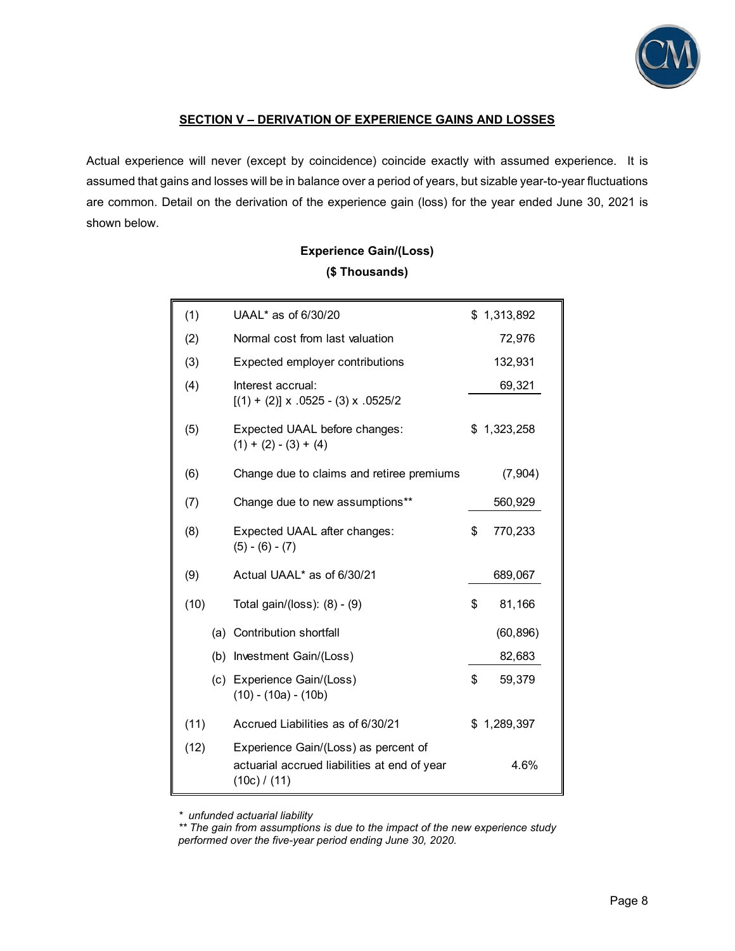

## **SECTION V – DERIVATION OF EXPERIENCE GAINS AND LOSSES**

Actual experience will never (except by coincidence) coincide exactly with assumed experience. It is assumed that gains and losses will be in balance over a period of years, but sizable year-to-year fluctuations are common. Detail on the derivation of the experience gain (loss) for the year ended June 30, 2021 is shown below.

# **Experience Gain/(Loss) (\$ Thousands)**

| (1)  | UAAL* as of 6/30/20                                                                                  | \$1,313,892   |
|------|------------------------------------------------------------------------------------------------------|---------------|
| (2)  | Normal cost from last valuation                                                                      | 72,976        |
| (3)  | Expected employer contributions                                                                      | 132,931       |
| (4)  | Interest accrual:<br>$[(1) + (2)] \times .0525 - (3) \times .0525/2$                                 | 69,321        |
| (5)  | Expected UAAL before changes:<br>$(1) + (2) - (3) + (4)$                                             | \$1,323,258   |
| (6)  | Change due to claims and retiree premiums                                                            | (7,904)       |
| (7)  | Change due to new assumptions**                                                                      | 560,929       |
| (8)  | Expected UAAL after changes:<br>$(5) - (6) - (7)$                                                    | \$<br>770,233 |
| (9)  | Actual UAAL* as of 6/30/21                                                                           | 689,067       |
| (10) | Total gain/(loss): (8) - (9)                                                                         | \$<br>81,166  |
|      | (a) Contribution shortfall                                                                           | (60, 896)     |
|      | (b) Investment Gain/(Loss)                                                                           | 82,683        |
|      | (c) Experience Gain/(Loss)<br>$(10) - (10a) - (10b)$                                                 | \$<br>59,379  |
| (11) | Accrued Liabilities as of 6/30/21                                                                    | \$1,289,397   |
| (12) | Experience Gain/(Loss) as percent of<br>actuarial accrued liabilities at end of year<br>(10c) / (11) | 4.6%          |

*\* unfunded actuarial liability* 

*<sup>\*\*</sup> The gain from assumptions is due to the impact of the new experience study performed over the five-year period ending June 30, 2020.*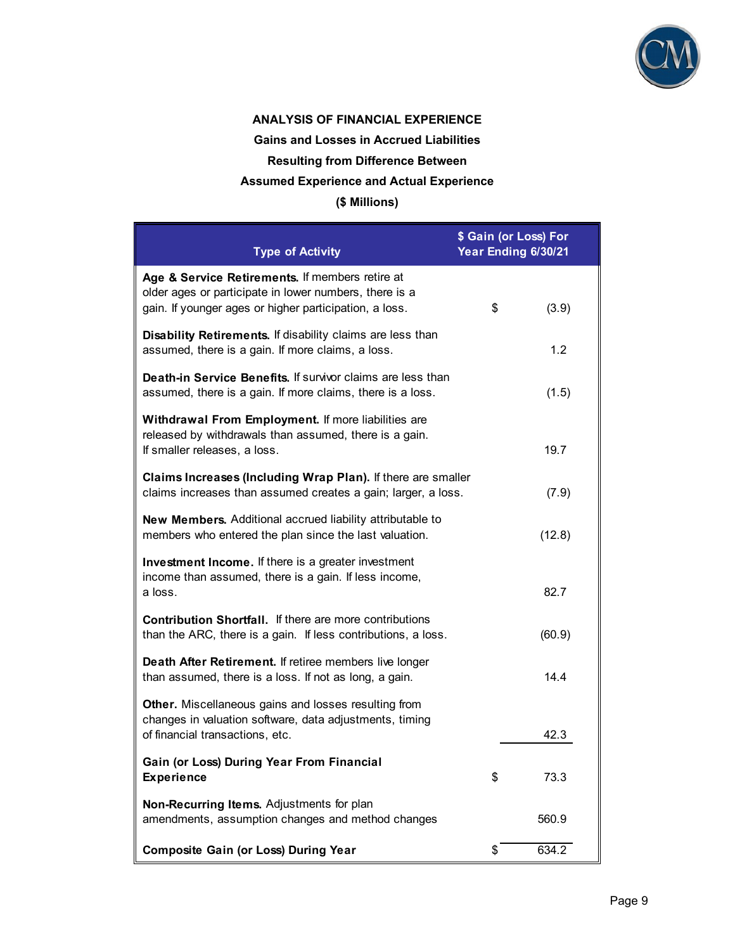

## **ANALYSIS OF FINANCIAL EXPERIENCE**

**Gains and Losses in Accrued Liabilities** 

**Resulting from Difference Between** 

## **Assumed Experience and Actual Experience**

## **(\$ Millions)**

| <b>Type of Activity</b>                                                                                                                                             | \$ Gain (or Loss) For<br>Year Ending 6/30/21 |        |
|---------------------------------------------------------------------------------------------------------------------------------------------------------------------|----------------------------------------------|--------|
| Age & Service Retirements. If members retire at<br>older ages or participate in lower numbers, there is a<br>gain. If younger ages or higher participation, a loss. | \$                                           | (3.9)  |
| Disability Retirements. If disability claims are less than<br>assumed, there is a gain. If more claims, a loss.                                                     |                                              | 1.2    |
| Death-in Service Benefits. If survivor claims are less than<br>assumed, there is a gain. If more claims, there is a loss.                                           |                                              | (1.5)  |
| Withdrawal From Employment. If more liabilities are<br>released by withdrawals than assumed, there is a gain.<br>If smaller releases, a loss.                       |                                              | 19.7   |
| Claims Increases (Including Wrap Plan). If there are smaller<br>claims increases than assumed creates a gain; larger, a loss.                                       |                                              | (7.9)  |
| New Members. Additional accrued liability attributable to<br>members who entered the plan since the last valuation.                                                 |                                              | (12.8) |
| <b>Investment Income.</b> If there is a greater investment<br>income than assumed, there is a gain. If less income,<br>a loss.                                      |                                              | 82.7   |
| <b>Contribution Shortfall.</b> If there are more contributions<br>than the ARC, there is a gain. If less contributions, a loss.                                     |                                              | (60.9) |
| Death After Retirement. If retiree members live longer<br>than assumed, there is a loss. If not as long, a gain.                                                    |                                              | 14.4   |
| Other. Miscellaneous gains and losses resulting from<br>changes in valuation software, data adjustments, timing<br>of financial transactions, etc.                  |                                              | 42.3   |
| Gain (or Loss) During Year From Financial<br><b>Experience</b>                                                                                                      | \$                                           | 73.3   |
| Non-Recurring Items. Adjustments for plan<br>amendments, assumption changes and method changes                                                                      |                                              | 560.9  |
| <b>Composite Gain (or Loss) During Year</b>                                                                                                                         | \$                                           | 634.2  |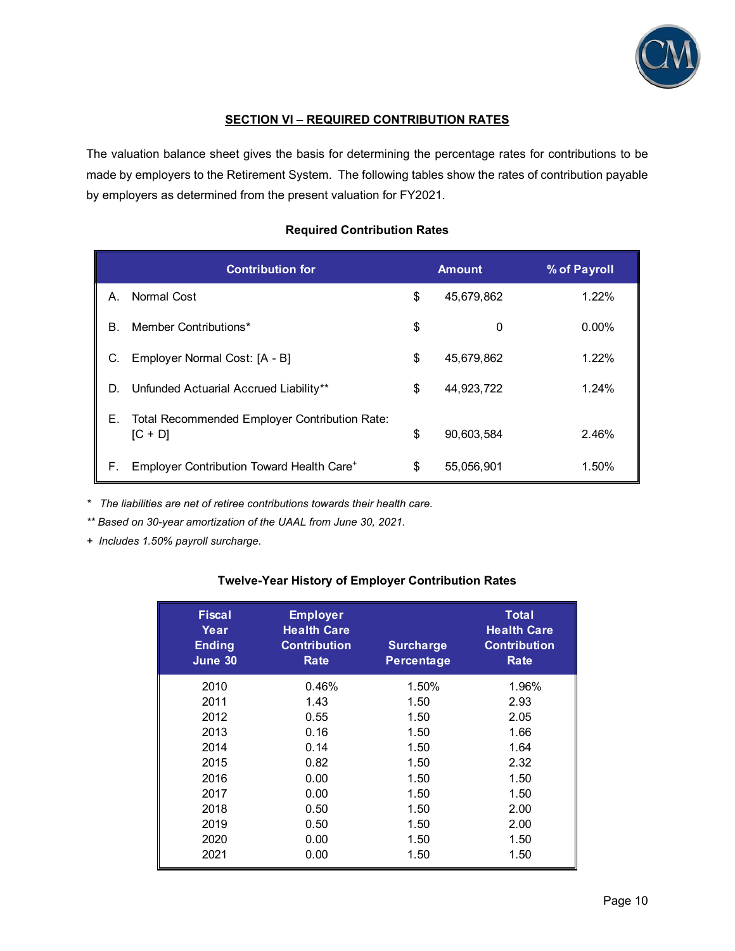

## **SECTION VI – REQUIRED CONTRIBUTION RATES**

The valuation balance sheet gives the basis for determining the percentage rates for contributions to be made by employers to the Retirement System. The following tables show the rates of contribution payable by employers as determined from the present valuation for FY2021.

## **Required Contribution Rates**

| <b>Contribution for</b>                                          | <b>Amount</b>    | % of Payroll |
|------------------------------------------------------------------|------------------|--------------|
| Normal Cost<br>А.                                                | \$<br>45.679.862 | 1.22%        |
| Member Contributions*<br>В.                                      | \$<br>0          | $0.00\%$     |
| Employer Normal Cost: [A - B]<br>C.                              | \$<br>45,679,862 | 1.22%        |
| Unfunded Actuarial Accrued Liability**<br>D.                     | \$<br>44,923,722 | 1.24%        |
| Total Recommended Employer Contribution Rate:<br>Е.<br>$[C + D]$ | \$<br>90,603,584 | 2.46%        |
| Employer Contribution Toward Health Care <sup>+</sup><br>F.      | \$<br>55,056,901 | 1.50%        |

*\* The liabilities are net of retiree contributions towards their health care.* 

*\*\* Based on 30-year amortization of the UAAL from June 30, 2021.* 

*+ Includes 1.50% payroll surcharge.* 

### **Twelve-Year History of Employer Contribution Rates**

| <b>Fiscal</b><br>Year<br><b>Ending</b><br>June 30 | <b>Employer</b><br><b>Health Care</b><br><b>Contribution</b><br>Rate | <b>Surcharge</b><br><b>Percentage</b> | <b>Total</b><br><b>Health Care</b><br><b>Contribution</b><br>Rate |
|---------------------------------------------------|----------------------------------------------------------------------|---------------------------------------|-------------------------------------------------------------------|
| 2010                                              | 0.46%                                                                | 1.50%                                 | 1.96%                                                             |
| 2011                                              | 1.43                                                                 | 1.50                                  | 2.93                                                              |
| 2012                                              | 0.55                                                                 | 1.50                                  | 2.05                                                              |
| 2013                                              | 0.16                                                                 | 1.50                                  | 1.66                                                              |
| 2014                                              | 0.14                                                                 | 1.50                                  | 1.64                                                              |
| 2015                                              | 0.82                                                                 | 1.50                                  | 2.32                                                              |
| 2016                                              | 0.00                                                                 | 1.50                                  | 1.50                                                              |
| 2017                                              | 0.00                                                                 | 1.50                                  | 1.50                                                              |
| 2018                                              | 0.50                                                                 | 1.50                                  | 2.00                                                              |
| 2019                                              | 0.50                                                                 | 1.50                                  | 2.00                                                              |
| 2020                                              | 0.00                                                                 | 1.50                                  | 1.50                                                              |
| 2021                                              | 0.00                                                                 | 1.50                                  | 1.50                                                              |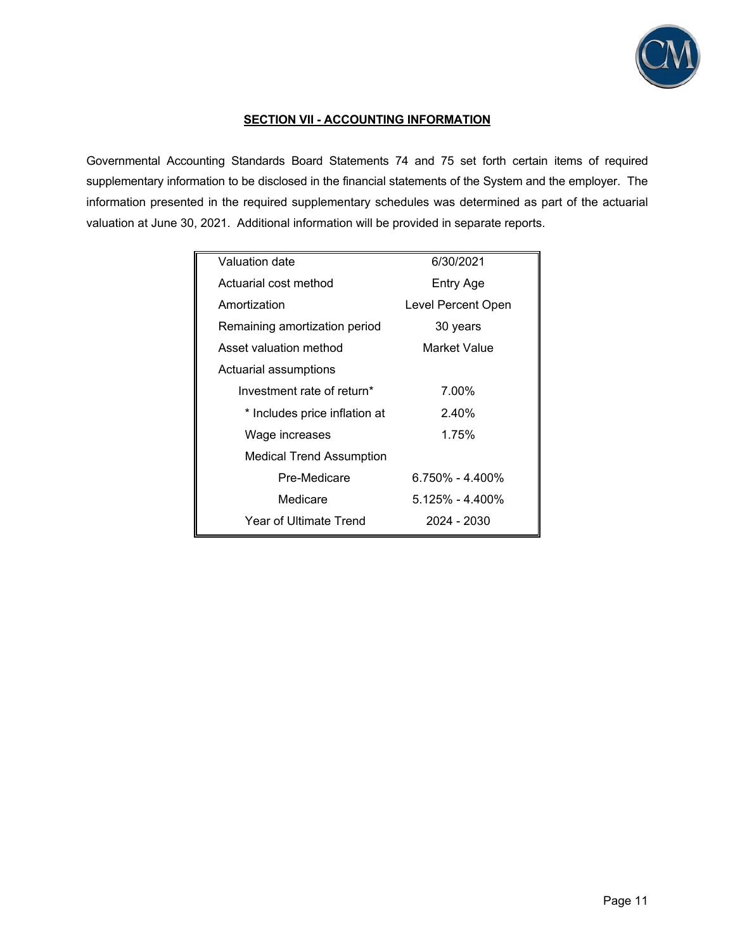

## **SECTION VII - ACCOUNTING INFORMATION**

Governmental Accounting Standards Board Statements 74 and 75 set forth certain items of required supplementary information to be disclosed in the financial statements of the System and the employer. The information presented in the required supplementary schedules was determined as part of the actuarial valuation at June 30, 2021. Additional information will be provided in separate reports.

| Valuation date                  | 6/30/2021           |
|---------------------------------|---------------------|
| Actuarial cost method           | Entry Age           |
| Amortization                    | Level Percent Open  |
| Remaining amortization period   | 30 years            |
| Asset valuation method          | Market Value        |
| Actuarial assumptions           |                     |
| Investment rate of return*      | 7.00%               |
| * Includes price inflation at   | 2.40%               |
| Wage increases                  | 1.75%               |
| <b>Medical Trend Assumption</b> |                     |
| Pre-Medicare                    | $6.750\% - 4.400\%$ |
| Medicare                        | $5.125\% - 4.400\%$ |
| Year of Ultimate Trend          | 2024 - 2030         |
|                                 |                     |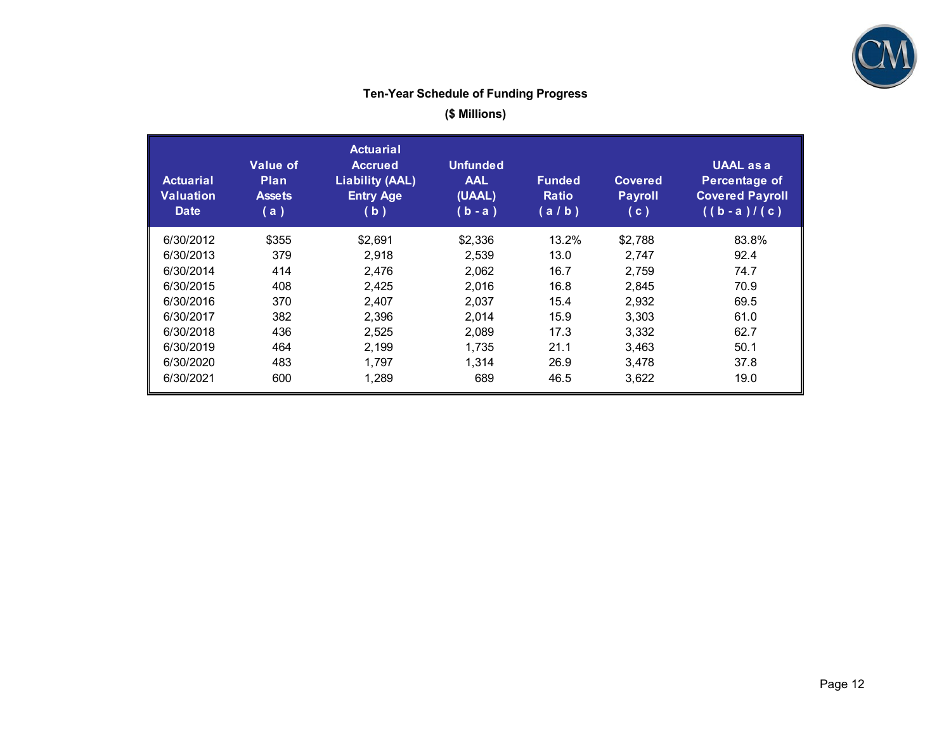

## **Ten-Year Schedule of Funding Progress**

**(\$ Millions)** 

| <b>Actuarial</b><br><b>Valuation</b><br><b>Date</b> | <b>Value of</b><br><b>Plan</b><br><b>Assets</b><br>(a) | <b>Actuarial</b><br><b>Accrued</b><br><b>Liability (AAL)</b><br><b>Entry Age</b><br>(b) | <b>Unfunded</b><br><b>AAL</b><br>(UAAL)<br>(b - a ) | <b>Funded</b><br><b>Ratio</b><br>(a/b) | <b>Covered</b><br><b>Payroll</b><br>(c) | <b>UAAL</b> as a<br>Percentage of<br><b>Covered Payroll</b><br>$((b - a) / (c))$ |
|-----------------------------------------------------|--------------------------------------------------------|-----------------------------------------------------------------------------------------|-----------------------------------------------------|----------------------------------------|-----------------------------------------|----------------------------------------------------------------------------------|
| 6/30/2012                                           | \$355                                                  | \$2,691                                                                                 | \$2,336                                             | 13.2%                                  | \$2,788                                 | 83.8%                                                                            |
| 6/30/2013                                           | 379                                                    | 2.918                                                                                   | 2,539                                               | 13.0                                   | 2.747                                   | 92.4                                                                             |
| 6/30/2014                                           | 414                                                    | 2,476                                                                                   | 2,062                                               | 16.7                                   | 2,759                                   | 74.7                                                                             |
| 6/30/2015                                           | 408                                                    | 2,425                                                                                   | 2.016                                               | 16.8                                   | 2,845                                   | 70.9                                                                             |
| 6/30/2016                                           | 370                                                    | 2,407                                                                                   | 2,037                                               | 15.4                                   | 2,932                                   | 69.5                                                                             |
| 6/30/2017                                           | 382                                                    | 2,396                                                                                   | 2.014                                               | 15.9                                   | 3,303                                   | 61.0                                                                             |
| 6/30/2018                                           | 436                                                    | 2,525                                                                                   | 2,089                                               | 17.3                                   | 3,332                                   | 62.7                                                                             |
| 6/30/2019                                           | 464                                                    | 2,199                                                                                   | 1,735                                               | 21.1                                   | 3,463                                   | 50.1                                                                             |
| 6/30/2020                                           | 483                                                    | 1,797                                                                                   | 1,314                                               | 26.9                                   | 3,478                                   | 37.8                                                                             |
| 6/30/2021                                           | 600                                                    | 1,289                                                                                   | 689                                                 | 46.5                                   | 3,622                                   | 19.0                                                                             |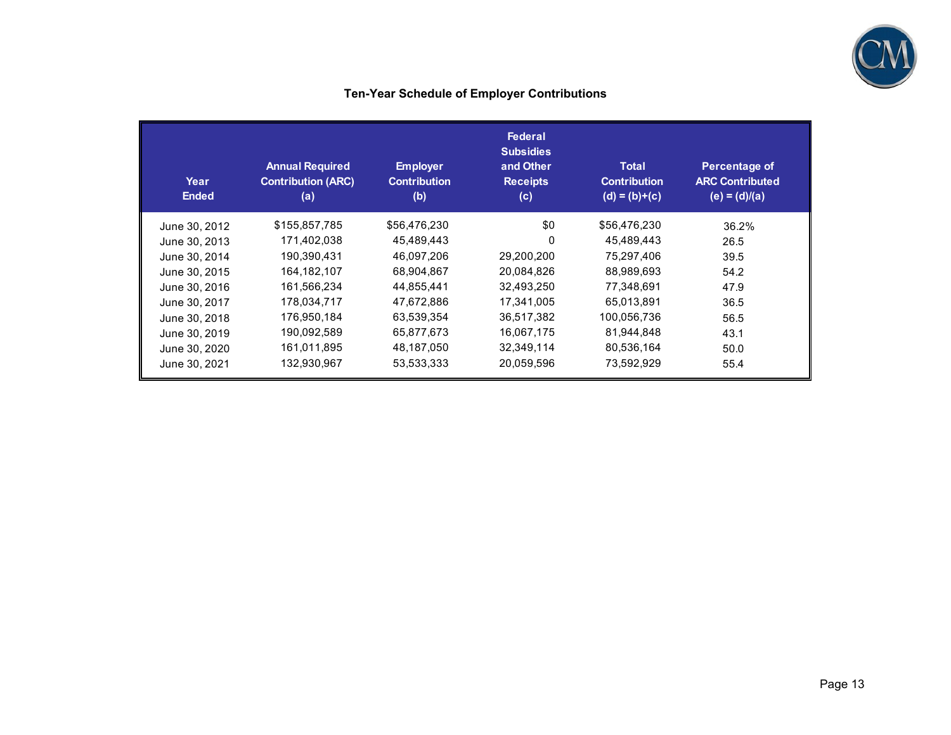

## **Ten-Year Schedule of Employer Contributions**

| Year<br><b>Ended</b> | <b>Annual Required</b><br><b>Contribution (ARC)</b><br>(a) | <b>Employer</b><br><b>Contribution</b><br>(b) | <b>Federal</b><br><b>Subsidies</b><br>and Other<br><b>Receipts</b><br>(c) | <b>Total</b><br><b>Contribution</b><br>$(d) = (b)+(c)$ | Percentage of<br><b>ARC Contributed</b><br>$(e) = (d)/(a)$ |
|----------------------|------------------------------------------------------------|-----------------------------------------------|---------------------------------------------------------------------------|--------------------------------------------------------|------------------------------------------------------------|
| June 30, 2012        | \$155,857,785                                              | \$56,476,230                                  | \$0                                                                       | \$56,476,230                                           | 36.2%                                                      |
| June 30, 2013        | 171,402,038                                                | 45,489,443                                    | 0                                                                         | 45,489,443                                             | 26.5                                                       |
| June 30, 2014        | 190,390,431                                                | 46,097,206                                    | 29,200,200                                                                | 75,297,406                                             | 39.5                                                       |
| June 30, 2015        | 164,182,107                                                | 68,904,867                                    | 20,084,826                                                                | 88,989,693                                             | 54.2                                                       |
| June 30, 2016        | 161,566,234                                                | 44,855,441                                    | 32,493,250                                                                | 77,348,691                                             | 47.9                                                       |
| June 30, 2017        | 178,034,717                                                | 47,672,886                                    | 17,341,005                                                                | 65,013,891                                             | 36.5                                                       |
| June 30, 2018        | 176,950,184                                                | 63,539,354                                    | 36,517,382                                                                | 100,056,736                                            | 56.5                                                       |
| June 30, 2019        | 190,092,589                                                | 65,877,673                                    | 16,067,175                                                                | 81,944,848                                             | 43.1                                                       |
| June 30, 2020        | 161,011,895                                                | 48,187,050                                    | 32,349,114                                                                | 80,536,164                                             | 50.0                                                       |
| June 30, 2021        | 132,930,967                                                | 53,533,333                                    | 20,059,596                                                                | 73,592,929                                             | 55.4                                                       |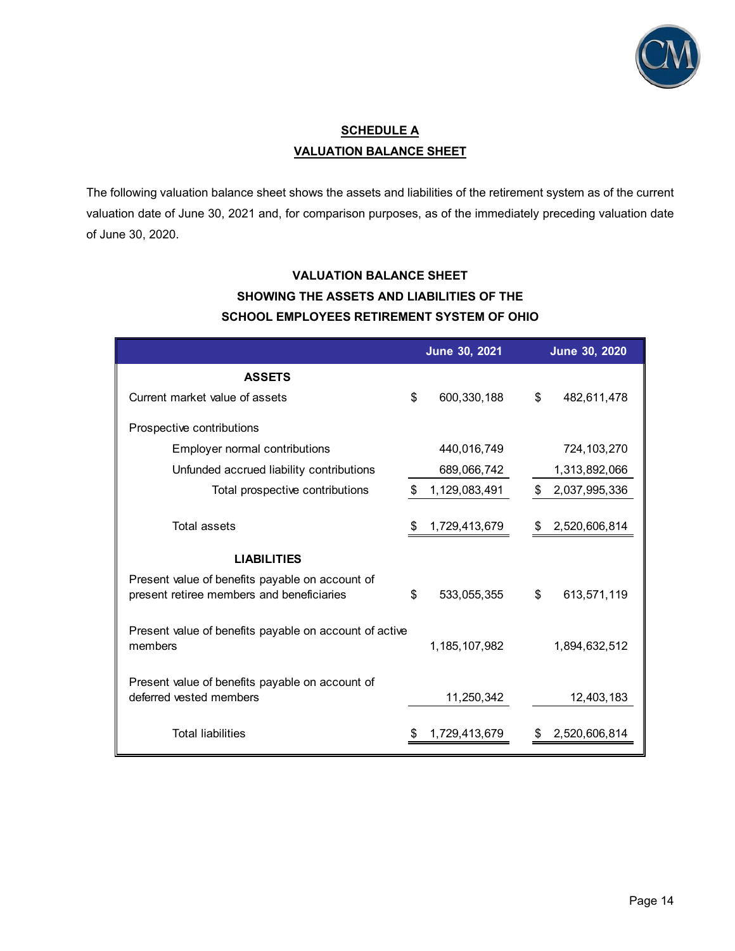

## **SCHEDULE A VALUATION BALANCE SHEET**

The following valuation balance sheet shows the assets and liabilities of the retirement system as of the current valuation date of June 30, 2021 and, for comparison purposes, as of the immediately preceding valuation date of June 30, 2020.

## **VALUATION BALANCE SHEET SHOWING THE ASSETS AND LIABILITIES OF THE SCHOOL EMPLOYEES RETIREMENT SYSTEM OF OHIO**

|                                                                                              | June 30, 2021     | June 30, 2020       |
|----------------------------------------------------------------------------------------------|-------------------|---------------------|
| <b>ASSETS</b>                                                                                |                   |                     |
| Current market value of assets                                                               | \$<br>600,330,188 | \$<br>482,611,478   |
| Prospective contributions                                                                    |                   |                     |
| Employer normal contributions                                                                | 440,016,749       | 724,103,270         |
| Unfunded accrued liability contributions                                                     | 689,066,742       | 1,313,892,066       |
| Total prospective contributions                                                              | 1,129,083,491     | \$<br>2,037,995,336 |
| Total assets                                                                                 | 1,729,413,679     | 2,520,606,814       |
| <b>LIABILITIES</b>                                                                           |                   |                     |
| Present value of benefits payable on account of<br>present retiree members and beneficiaries | \$<br>533,055,355 | \$<br>613,571,119   |
| Present value of benefits payable on account of active<br>members                            | 1,185,107,982     | 1,894,632,512       |
| Present value of benefits payable on account of<br>deferred vested members                   | 11,250,342        | 12,403,183          |
| <b>Total liabilities</b>                                                                     | 1,729,413,679     | 2,520,606,814       |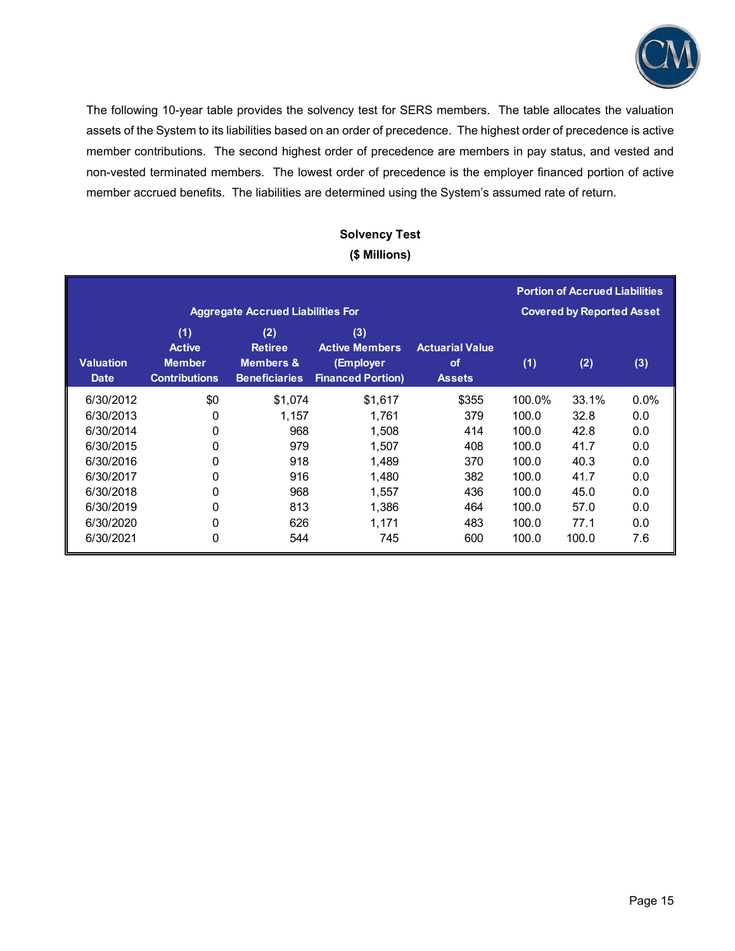

The following 10-year table provides the solvency test for SERS members. The table allocates the valuation assets of the System to its liabilities based on an order of precedence. The highest order of precedence is active member contributions. The second highest order of precedence are members in pay status, and vested and non-vested terminated members. The lowest order of precedence is the employer financed portion of active member accrued benefits. The liabilities are determined using the System's assumed rate of return.

## **Solvency Test (\$ Millions)**

|                                 |                                                               | <b>Aggregate Accrued Liabilities For</b>                              |                                                                       |                                               |        | <b>Portion of Accrued Liabilities</b><br><b>Covered by Reported Asset</b> |         |
|---------------------------------|---------------------------------------------------------------|-----------------------------------------------------------------------|-----------------------------------------------------------------------|-----------------------------------------------|--------|---------------------------------------------------------------------------|---------|
| <b>Valuation</b><br><b>Date</b> | (1)<br><b>Active</b><br><b>Member</b><br><b>Contributions</b> | (2)<br><b>Retiree</b><br><b>Members &amp;</b><br><b>Beneficiaries</b> | (3)<br><b>Active Members</b><br>(Employer<br><b>Financed Portion)</b> | <b>Actuarial Value</b><br>of<br><b>Assets</b> | (1)    | (2)                                                                       | (3)     |
| 6/30/2012                       | \$0                                                           | \$1,074                                                               | \$1,617                                                               | \$355                                         | 100.0% | 33.1%                                                                     | $0.0\%$ |
| 6/30/2013                       | 0                                                             | 1,157                                                                 | 1,761                                                                 | 379                                           | 100.0  | 32.8                                                                      | 0.0     |
| 6/30/2014                       | 0                                                             | 968                                                                   | 1,508                                                                 | 414                                           | 100.0  | 42.8                                                                      | 0.0     |
| 6/30/2015                       | 0                                                             | 979                                                                   | 1,507                                                                 | 408                                           | 100.0  | 41.7                                                                      | 0.0     |
| 6/30/2016                       | 0                                                             | 918                                                                   | 1,489                                                                 | 370                                           | 100.0  | 40.3                                                                      | 0.0     |
| 6/30/2017                       | 0                                                             | 916                                                                   | 1,480                                                                 | 382                                           | 100.0  | 41.7                                                                      | 0.0     |
| 6/30/2018                       | 0                                                             | 968                                                                   | 1,557                                                                 | 436                                           | 100.0  | 45.0                                                                      | 0.0     |
| 6/30/2019                       | 0                                                             | 813                                                                   | 1,386                                                                 | 464                                           | 100.0  | 57.0                                                                      | 0.0     |
| 6/30/2020                       | 0                                                             | 626                                                                   | 1,171                                                                 | 483                                           | 100.0  | 77.1                                                                      | 0.0     |
| 6/30/2021                       | 0                                                             | 544                                                                   | 745                                                                   | 600                                           | 100.0  | 100.0                                                                     | 7.6     |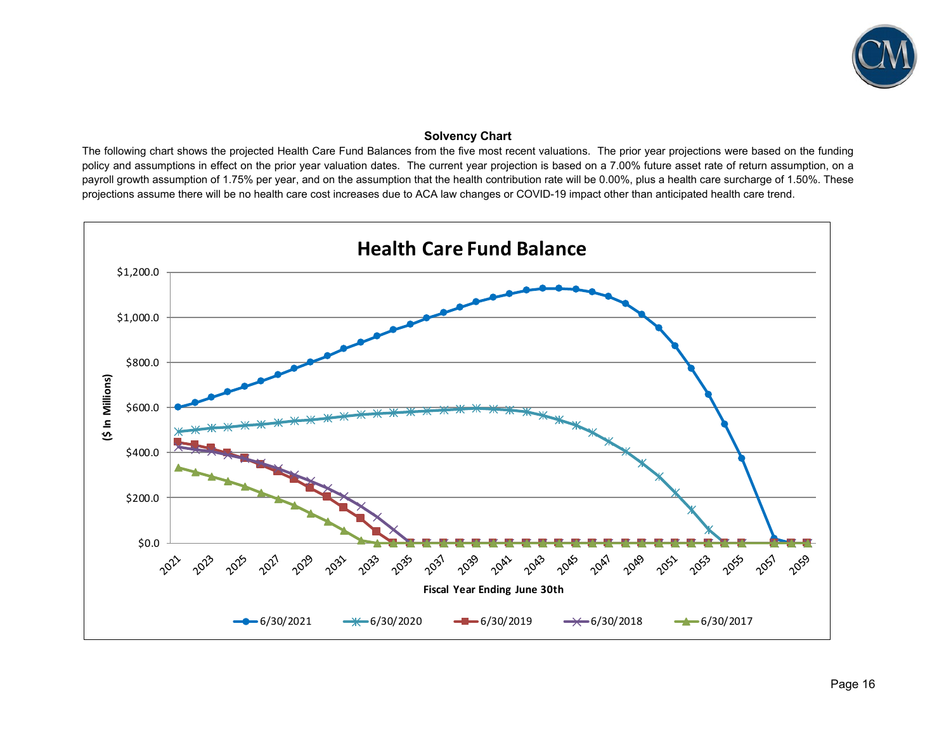

## **Solvency Chart**

The following chart shows the projected Health Care Fund Balances from the five most recent valuations. The prior year projections were based on the funding policy and assumptions in effect on the prior year valuation dates. The current year projection is based on a 7.00% future asset rate of return assumption, on a payroll growth assumption of 1.75% per year, and on the assumption that the health contribution rate will be 0.00%, plus a health care surcharge of 1.50%. These projections assume there will be no health care cost increases due to ACA law changes or COVID-19 impact other than anticipated health care trend.

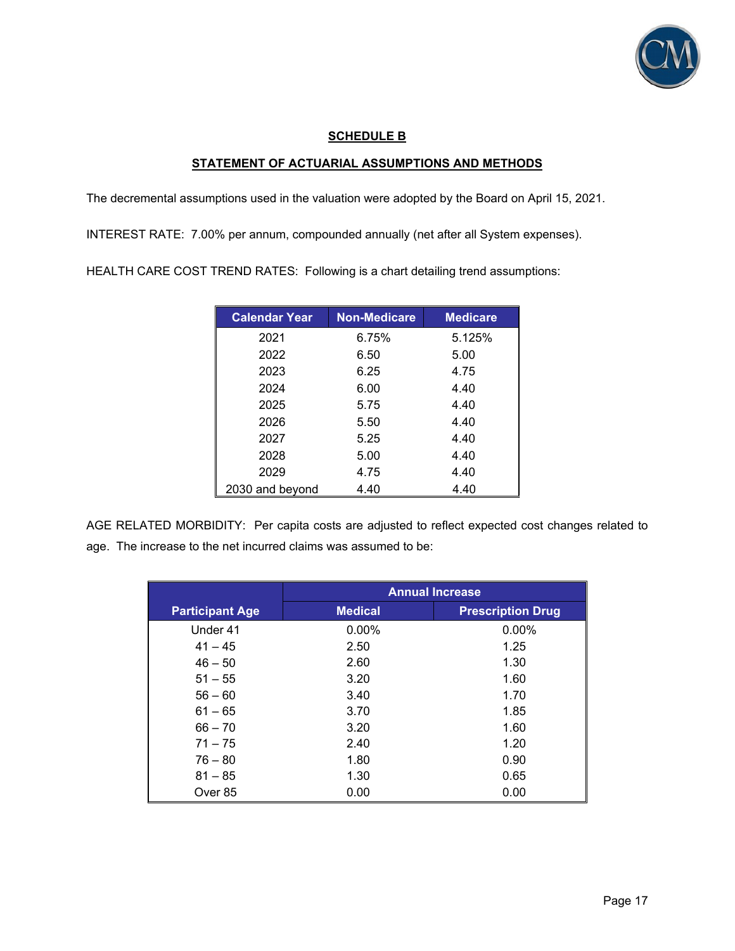

## **SCHEDULE B**

## **STATEMENT OF ACTUARIAL ASSUMPTIONS AND METHODS**

The decremental assumptions used in the valuation were adopted by the Board on April 15, 2021.

INTEREST RATE: 7.00% per annum, compounded annually (net after all System expenses).

HEALTH CARE COST TREND RATES: Following is a chart detailing trend assumptions:

| <b>Calendar Year</b> | <b>Non-Medicare</b> | <b>Medicare</b> |
|----------------------|---------------------|-----------------|
| 2021                 | 6.75%               | 5.125%          |
| 2022                 | 6.50                | 5.00            |
| 2023                 | 6.25                | 4.75            |
| 2024                 | 6.00                | 4.40            |
| 2025                 | 5.75                | 4.40            |
| 2026                 | 5.50                | 4.40            |
| 2027                 | 5.25                | 4.40            |
| 2028                 | 5.00                | 4.40            |
| 2029                 | 4.75                | 4.40            |
| 2030 and beyond      | 4.40                | 4.40            |

AGE RELATED MORBIDITY: Per capita costs are adjusted to reflect expected cost changes related to age. The increase to the net incurred claims was assumed to be:

|                        | <b>Annual Increase</b> |                          |  |
|------------------------|------------------------|--------------------------|--|
| <b>Participant Age</b> | <b>Medical</b>         | <b>Prescription Drug</b> |  |
| Under 41               | $0.00\%$               | $0.00\%$                 |  |
| $41 - 45$              | 2.50                   | 1.25                     |  |
| $46 - 50$              | 2.60                   | 1.30                     |  |
| $51 - 55$              | 3.20                   | 1.60                     |  |
| $56 - 60$              | 3.40                   | 1.70                     |  |
| $61 - 65$              | 3.70                   | 1.85                     |  |
| $66 - 70$              | 3.20                   | 1.60                     |  |
| $71 - 75$              | 2.40                   | 1.20                     |  |
| $76 - 80$              | 1.80                   | 0.90                     |  |
| $81 - 85$              | 1.30                   | 0.65                     |  |
| Over 85                | 0.00                   | 0.00                     |  |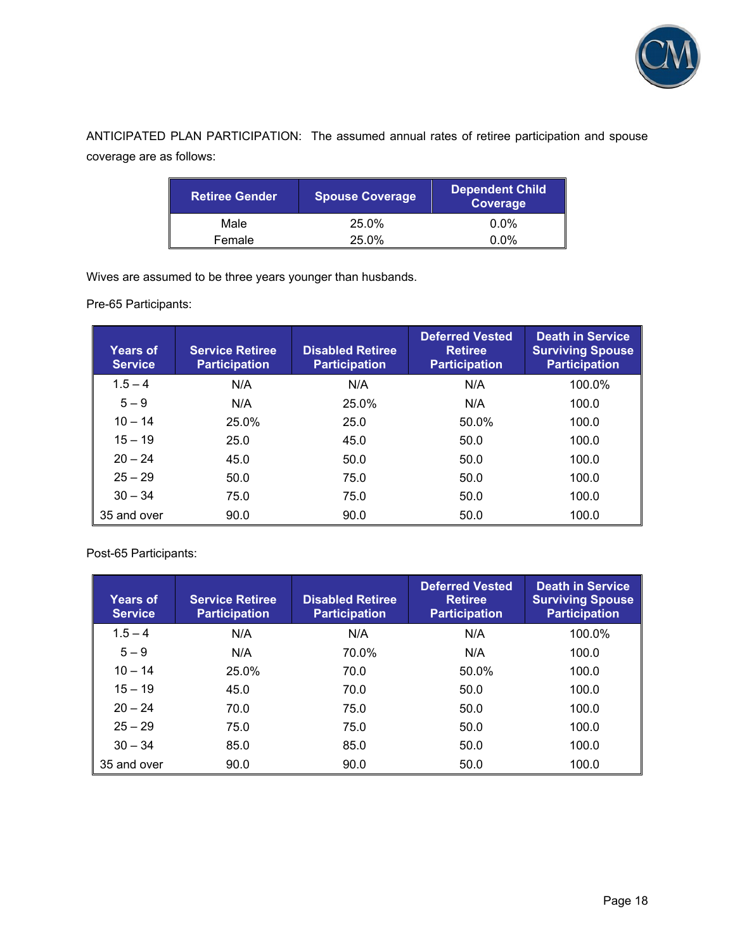

ANTICIPATED PLAN PARTICIPATION: The assumed annual rates of retiree participation and spouse coverage are as follows:

| <b>Retiree Gender</b> | <b>Spouse Coverage</b> | <b>Dependent Child</b><br>Coverage |
|-----------------------|------------------------|------------------------------------|
| Male                  | 25.0%                  | $0.0\%$                            |
| Female                | 25.0%                  | $0.0\%$                            |

Wives are assumed to be three years younger than husbands.

Pre-65 Participants:

| <b>Years of</b><br><b>Service</b> | <b>Service Retiree</b><br><b>Participation</b> | <b>Disabled Retiree</b><br><b>Participation</b> | <b>Deferred Vested</b><br><b>Retiree</b><br><b>Participation</b> | <b>Death in Service</b><br><b>Surviving Spouse</b><br><b>Participation</b> |
|-----------------------------------|------------------------------------------------|-------------------------------------------------|------------------------------------------------------------------|----------------------------------------------------------------------------|
| $1.5 - 4$                         | N/A                                            | N/A                                             | N/A                                                              | 100.0%                                                                     |
| $5 - 9$                           | N/A                                            | 25.0%                                           | N/A                                                              | 100.0                                                                      |
| $10 - 14$                         | 25.0%                                          | 25.0                                            | 50.0%                                                            | 100.0                                                                      |
| $15 - 19$                         | 25.0                                           | 45.0                                            | 50.0                                                             | 100.0                                                                      |
| $20 - 24$                         | 45.0                                           | 50.0                                            | 50.0                                                             | 100.0                                                                      |
| $25 - 29$                         | 50.0                                           | 75.0                                            | 50.0                                                             | 100.0                                                                      |
| $30 - 34$                         | 75.0                                           | 75.0                                            | 50.0                                                             | 100.0                                                                      |
| 35 and over                       | 90.0                                           | 90.0                                            | 50.0                                                             | 100.0                                                                      |

Post-65 Participants:

| <b>Years of</b><br><b>Service</b> | <b>Service Retiree</b><br><b>Participation</b> | <b>Disabled Retiree</b><br><b>Participation</b> | <b>Deferred Vested</b><br><b>Retiree</b><br><b>Participation</b> | <b>Death in Service</b><br><b>Surviving Spouse</b><br><b>Participation</b> |
|-----------------------------------|------------------------------------------------|-------------------------------------------------|------------------------------------------------------------------|----------------------------------------------------------------------------|
| $1.5 - 4$                         | N/A                                            | N/A                                             | N/A                                                              | 100.0%                                                                     |
| $5 - 9$                           | N/A                                            | 70.0%                                           | N/A                                                              | 100.0                                                                      |
| $10 - 14$                         | 25.0%                                          | 70.0                                            | 50.0%                                                            | 100.0                                                                      |
| $15 - 19$                         | 45.0                                           | 70.0                                            | 50.0                                                             | 100.0                                                                      |
| $20 - 24$                         | 70.0                                           | 75.0                                            | 50.0                                                             | 100.0                                                                      |
| $25 - 29$                         | 75.0                                           | 75.0                                            | 50.0                                                             | 100.0                                                                      |
| $30 - 34$                         | 85.0                                           | 85.0                                            | 50.0                                                             | 100.0                                                                      |
| 35 and over                       | 90.0                                           | 90.0                                            | 50.0                                                             | 100.0                                                                      |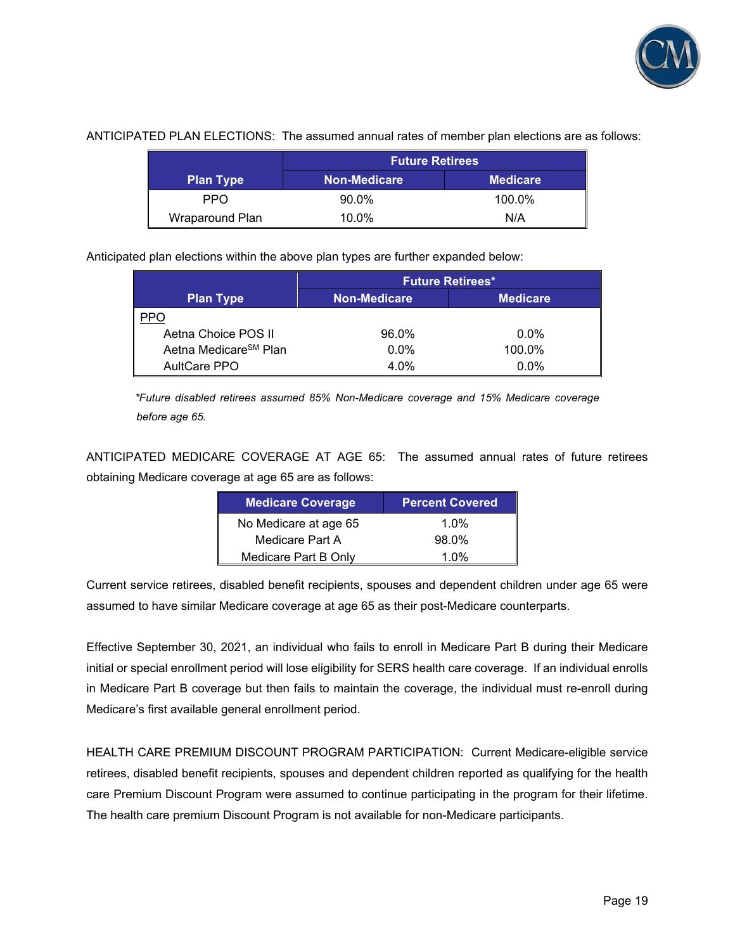

|                  | <b>Future Retirees</b> |                 |  |
|------------------|------------------------|-----------------|--|
| <b>Plan Type</b> | <b>Non-Medicare</b>    | <b>Medicare</b> |  |
| PPO              | 90.0%                  | 100.0%          |  |
| Wraparound Plan  | 10.0%                  | N/A             |  |

## ANTICIPATED PLAN ELECTIONS: The assumed annual rates of member plan elections are as follows:

Anticipated plan elections within the above plan types are further expanded below:

|                                   | <b>Future Retirees*</b> |                 |  |
|-----------------------------------|-------------------------|-----------------|--|
| <b>Plan Type</b>                  | <b>Non-Medicare</b>     | <b>Medicare</b> |  |
|                                   |                         |                 |  |
| Aetna Choice POS II               | 96.0%                   | $0.0\%$         |  |
| Aetna Medicare <sup>SM</sup> Plan | $0.0\%$                 | 100.0%          |  |
| AultCare PPO                      | 4.0%                    | $0.0\%$         |  |

*\*Future disabled retirees assumed 85% Non-Medicare coverage and 15% Medicare coverage before age 65.* 

ANTICIPATED MEDICARE COVERAGE AT AGE 65: The assumed annual rates of future retirees obtaining Medicare coverage at age 65 are as follows:

| <b>Medicare Coverage</b> | <b>Percent Covered</b> |
|--------------------------|------------------------|
| No Medicare at age 65    | $1.0\%$                |
| Medicare Part A          | 98.0%                  |
| Medicare Part B Only     | 1 በ%                   |

Current service retirees, disabled benefit recipients, spouses and dependent children under age 65 were assumed to have similar Medicare coverage at age 65 as their post-Medicare counterparts.

Effective September 30, 2021, an individual who fails to enroll in Medicare Part B during their Medicare initial or special enrollment period will lose eligibility for SERS health care coverage. If an individual enrolls in Medicare Part B coverage but then fails to maintain the coverage, the individual must re-enroll during Medicare's first available general enrollment period.

HEALTH CARE PREMIUM DISCOUNT PROGRAM PARTICIPATION: Current Medicare-eligible service retirees, disabled benefit recipients, spouses and dependent children reported as qualifying for the health care Premium Discount Program were assumed to continue participating in the program for their lifetime. The health care premium Discount Program is not available for non-Medicare participants.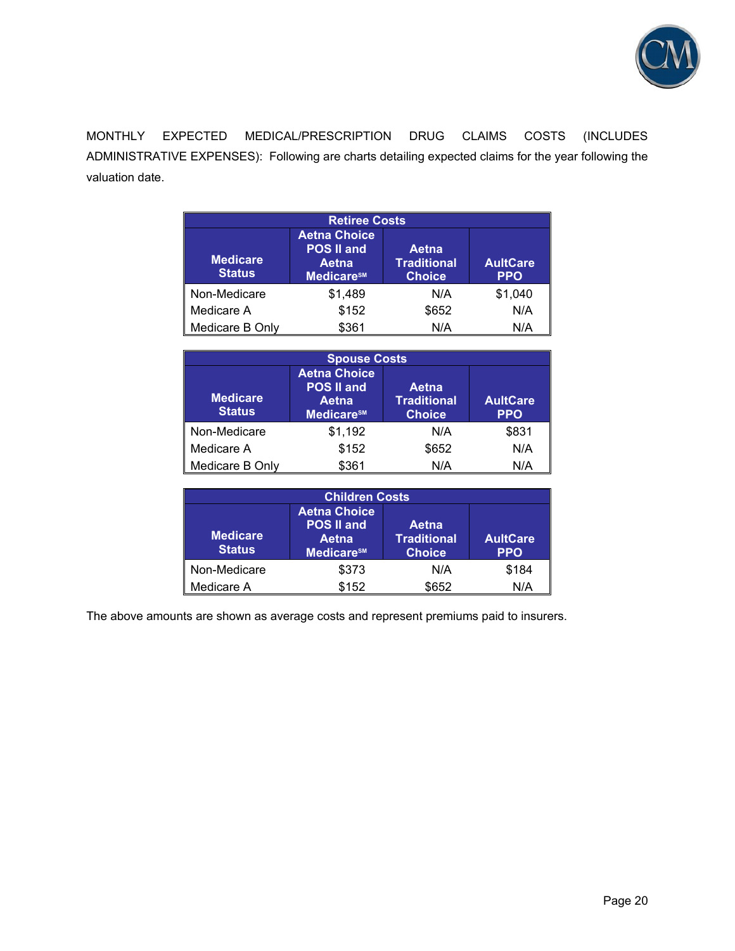

MONTHLY EXPECTED MEDICAL/PRESCRIPTION DRUG CLAIMS COSTS (INCLUDES ADMINISTRATIVE EXPENSES): Following are charts detailing expected claims for the year following the valuation date.

| <b>Retiree Costs</b>             |                                                                                                                                                              |       |         |  |  |
|----------------------------------|--------------------------------------------------------------------------------------------------------------------------------------------------------------|-------|---------|--|--|
| <b>Medicare</b><br><b>Status</b> | <b>Aetna Choice</b><br><b>POS II and</b><br>Aetna<br><b>Traditional</b><br><b>AultCare</b><br>Aetna<br>Medicare <sup>sM</sup><br><b>Choice</b><br><b>PPO</b> |       |         |  |  |
| Non-Medicare                     | \$1,489                                                                                                                                                      | N/A   | \$1,040 |  |  |
| Medicare A                       | \$152                                                                                                                                                        | \$652 | N/A     |  |  |
| Medicare B Only                  | \$361                                                                                                                                                        | N/A   | N/A     |  |  |

| <b>Spouse Costs</b>              |                                                                                                                                                              |       |       |  |  |
|----------------------------------|--------------------------------------------------------------------------------------------------------------------------------------------------------------|-------|-------|--|--|
| <b>Medicare</b><br><b>Status</b> | <b>Aetna Choice</b><br><b>POS II and</b><br>Aetna<br><b>Traditional</b><br><b>AultCare</b><br>Aetna<br><b>Choice</b><br><b>PPO</b><br>Medicare <sup>sM</sup> |       |       |  |  |
| Non-Medicare                     | \$1,192                                                                                                                                                      | N/A   | \$831 |  |  |
| Medicare A                       | \$152                                                                                                                                                        | \$652 | N/A   |  |  |
| Medicare B Only                  | \$361                                                                                                                                                        | N/A   | N/A   |  |  |

| <b>Children Costs</b>            |                                                                             |                                              |                               |  |  |
|----------------------------------|-----------------------------------------------------------------------------|----------------------------------------------|-------------------------------|--|--|
| <b>Medicare</b><br><b>Status</b> | <b>Aetna Choice</b><br><b>POS II and</b><br>Aetna<br>Medicare <sup>sM</sup> | Aetna<br><b>Traditional</b><br><b>Choice</b> | <b>AultCare</b><br><b>PPO</b> |  |  |
| Non-Medicare                     | \$373                                                                       | N/A                                          | \$184                         |  |  |
| Medicare A                       | \$152                                                                       | \$652                                        | N/A                           |  |  |

The above amounts are shown as average costs and represent premiums paid to insurers.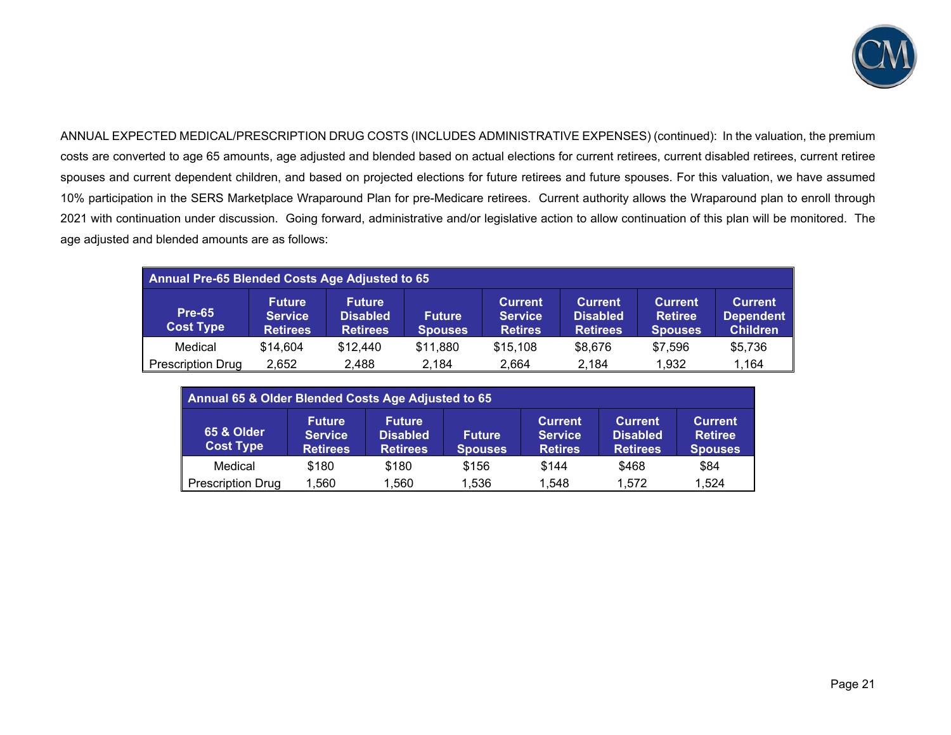

ANNUAL EXPECTED MEDICAL/PRESCRIPTION DRUG COSTS (INCLUDES ADMINISTRATIVE EXPENSES) (continued): In the valuation, the premium costs are converted to age 65 amounts, age adjusted and blended based on actual elections for current retirees, current disabled retirees, current retiree spouses and current dependent children, and based on projected elections for future retirees and future spouses. For this valuation, we have assumed 10% participation in the SERS Marketplace Wraparound Plan for pre-Medicare retirees. Current authority allows the Wraparound plan to enroll through 2021 with continuation under discussion. Going forward, administrative and/or legislative action to allow continuation of this plan will be monitored. The age adjusted and blended amounts are as follows:

| Annual Pre-65 Blended Costs Age Adjusted to 65                                                                                                                                                                                                                                                                                                                                                          |          |          |          |          |         |         |         |
|---------------------------------------------------------------------------------------------------------------------------------------------------------------------------------------------------------------------------------------------------------------------------------------------------------------------------------------------------------------------------------------------------------|----------|----------|----------|----------|---------|---------|---------|
| <b>Current</b><br><b>Current</b><br><b>Current</b><br><b>Future</b><br><b>Future</b><br><b>Current</b><br><b>Pre-65</b><br><b>Disabled</b><br><b>Disabled</b><br><b>Retiree</b><br><b>Service</b><br><b>Future</b><br>Dependent<br><b>Service</b><br><b>Cost Type</b><br><b>Children</b><br><b>Retirees</b><br><b>Retires</b><br><b>Retirees</b><br><b>Retirees</b><br><b>Spouses</b><br><b>Spouses</b> |          |          |          |          |         |         |         |
| Medical                                                                                                                                                                                                                                                                                                                                                                                                 | \$14.604 | \$12.440 | \$11,880 | \$15,108 | \$8,676 | \$7,596 | \$5,736 |
| <b>Prescription Drug</b>                                                                                                                                                                                                                                                                                                                                                                                | 2,652    | 2,488    | 2,184    | 2.664    | 2,184   | 1,932   | 1,164   |

| Annual 65 & Older Blended Costs Age Adjusted to 65 |                                                    |                                                     |                                 |                                                    |                                                      |                                                    |
|----------------------------------------------------|----------------------------------------------------|-----------------------------------------------------|---------------------------------|----------------------------------------------------|------------------------------------------------------|----------------------------------------------------|
| <b>65 &amp; Older</b><br><b>Cost Type</b>          | <b>Future</b><br><b>Service</b><br><b>Retirees</b> | <b>Future</b><br><b>Disabled</b><br><b>Retirees</b> | <b>Future</b><br><b>Spouses</b> | <b>Current</b><br><b>Service</b><br><b>Retires</b> | <b>Current</b><br><b>Disabled</b><br><b>Retirees</b> | <b>Current</b><br><b>Retiree</b><br><b>Spouses</b> |
| Medical                                            | \$180                                              | \$180                                               | \$156                           | \$144                                              | \$468                                                | \$84                                               |
| <b>Prescription Drug</b>                           | 1,560                                              | 1,560                                               | 1,536                           | 1,548                                              | 1.572                                                | 1,524                                              |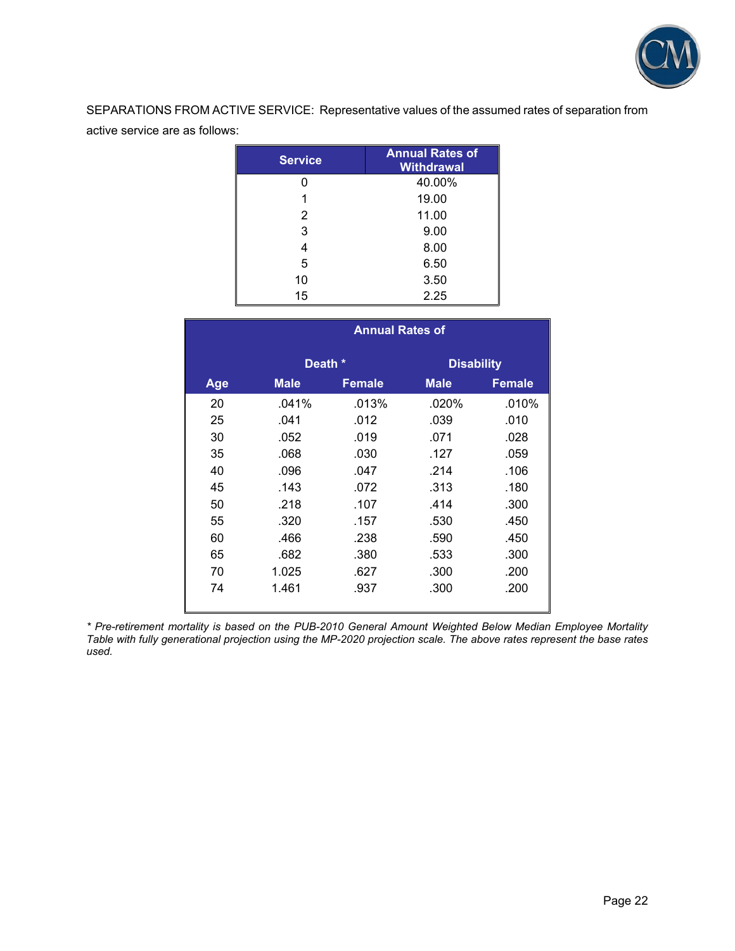

SEPARATIONS FROM ACTIVE SERVICE: Representative values of the assumed rates of separation from active service are as follows:

| <b>Service</b> | <b>Annual Rates of</b><br><b>Withdrawal</b> |
|----------------|---------------------------------------------|
|                | 40.00%                                      |
|                | 19.00                                       |
| 2              | 11.00                                       |
| 3              | 9.00                                        |
| 4              | 8.00                                        |
| 5              | 6.50                                        |
| 10             | 3.50                                        |
| 15             | 2.25                                        |

|     | <b>Annual Rates of</b> |               |                   |               |  |
|-----|------------------------|---------------|-------------------|---------------|--|
|     | Death *                |               | <b>Disability</b> |               |  |
| Age | <b>Male</b>            | <b>Female</b> | <b>Male</b>       | <b>Female</b> |  |
| 20  | .041%                  | .013%         | .020%             | .010%         |  |
| 25  | .041                   | .012          | .039              | .010          |  |
| 30  | .052                   | .019          | .071              | .028          |  |
| 35  | .068                   | .030          | .127              | .059          |  |
| 40  | .096                   | .047          | .214              | .106          |  |
| 45  | .143                   | .072          | .313              | .180          |  |
| 50  | .218                   | .107          | .414              | .300          |  |
| 55  | .320                   | .157          | .530              | .450          |  |
| 60  | .466                   | .238          | .590              | .450          |  |
| 65  | .682                   | .380          | .533              | .300          |  |
| 70  | 1.025                  | .627          | .300              | .200          |  |
| 74  | 1.461                  | .937          | .300              | .200          |  |

*\* Pre-retirement mortality is based on the PUB-2010 General Amount Weighted Below Median Employee Mortality Table with fully generational projection using the MP-2020 projection scale. The above rates represent the base rates used.*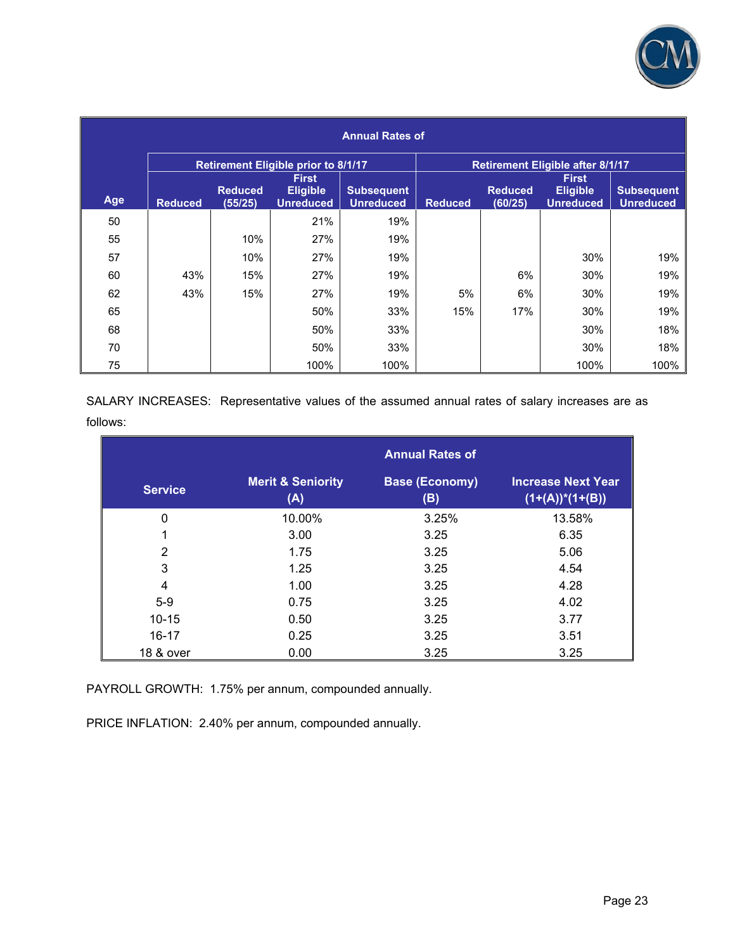

| <b>Annual Rates of</b> |                |                           |                                            |                                       |                                         |                           |                                     |                                       |
|------------------------|----------------|---------------------------|--------------------------------------------|---------------------------------------|-----------------------------------------|---------------------------|-------------------------------------|---------------------------------------|
|                        |                |                           | <b>Retirement Eligible prior to 8/1/17</b> |                                       | <b>Retirement Eligible after 8/1/17</b> |                           |                                     |                                       |
|                        |                |                           | <b>First</b>                               |                                       |                                         |                           | <b>First</b>                        |                                       |
| Age                    | <b>Reduced</b> | <b>Reduced</b><br>(55/25) | <b>Eligible</b><br><b>Unreduced</b>        | <b>Subsequent</b><br><b>Unreduced</b> | <b>Reduced</b>                          | <b>Reduced</b><br>(60/25) | <b>Eligible</b><br><b>Unreduced</b> | <b>Subsequent</b><br><b>Unreduced</b> |
| 50                     |                |                           | 21%                                        | 19%                                   |                                         |                           |                                     |                                       |
| 55                     |                | 10%                       | 27%                                        | 19%                                   |                                         |                           |                                     |                                       |
| 57                     |                | 10%                       | 27%                                        | 19%                                   |                                         |                           | 30%                                 | 19%                                   |
| 60                     | 43%            | 15%                       | 27%                                        | 19%                                   |                                         | 6%                        | 30%                                 | 19%                                   |
| 62                     | 43%            | 15%                       | 27%                                        | 19%                                   | 5%                                      | 6%                        | 30%                                 | 19%                                   |
| 65                     |                |                           | 50%                                        | 33%                                   | 15%                                     | 17%                       | 30%                                 | 19%                                   |
| 68                     |                |                           | 50%                                        | 33%                                   |                                         |                           | 30%                                 | 18%                                   |
| 70                     |                |                           | 50%                                        | 33%                                   |                                         |                           | 30%                                 | 18%                                   |
| 75                     |                |                           | 100%                                       | 100%                                  |                                         |                           | 100%                                | 100%                                  |

SALARY INCREASES: Representative values of the assumed annual rates of salary increases are as follows:

|                |                                     | <b>Annual Rates of</b>       |                                                 |
|----------------|-------------------------------------|------------------------------|-------------------------------------------------|
| <b>Service</b> | <b>Merit &amp; Seniority</b><br>(A) | <b>Base (Economy)</b><br>(B) | <b>Increase Next Year</b><br>$(1+(A))^*(1+(B))$ |
| $\mathbf 0$    | 10.00%                              | 3.25%                        | 13.58%                                          |
|                | 3.00                                | 3.25                         | 6.35                                            |
| $\overline{2}$ | 1.75                                | 3.25                         | 5.06                                            |
| 3              | 1.25                                | 3.25                         | 4.54                                            |
| 4              | 1.00                                | 3.25                         | 4.28                                            |
| $5-9$          | 0.75                                | 3.25                         | 4.02                                            |
| $10 - 15$      | 0.50                                | 3.25                         | 3.77                                            |
| $16 - 17$      | 0.25                                | 3.25                         | 3.51                                            |
| 18 & over      | 0.00                                | 3.25                         | 3.25                                            |

PAYROLL GROWTH: 1.75% per annum, compounded annually.

PRICE INFLATION: 2.40% per annum, compounded annually.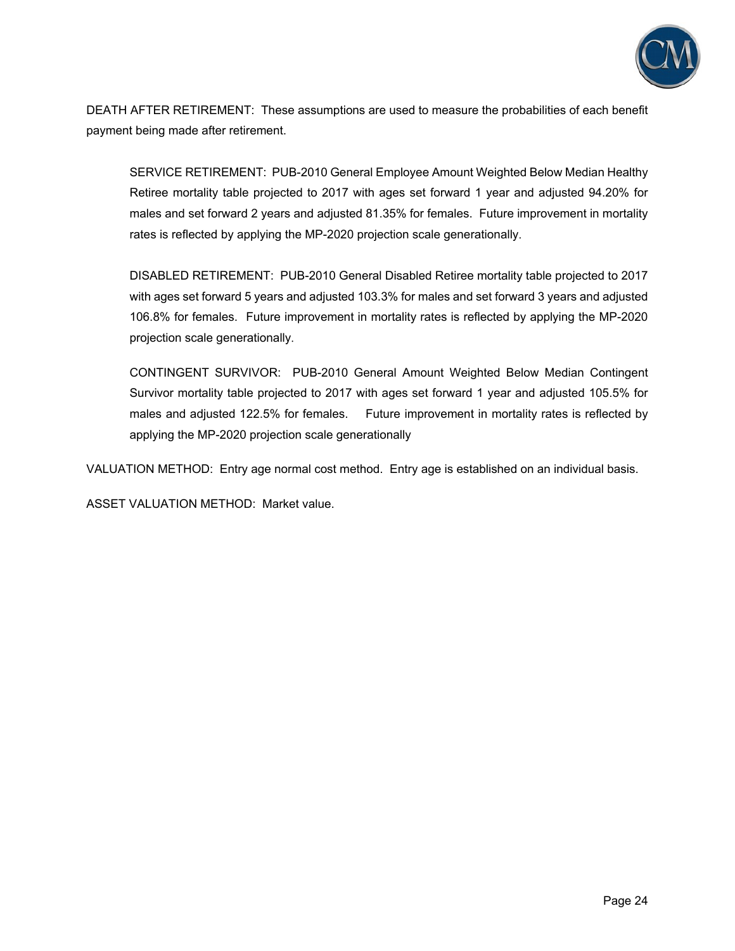

DEATH AFTER RETIREMENT: These assumptions are used to measure the probabilities of each benefit payment being made after retirement.

SERVICE RETIREMENT: PUB-2010 General Employee Amount Weighted Below Median Healthy Retiree mortality table projected to 2017 with ages set forward 1 year and adjusted 94.20% for males and set forward 2 years and adjusted 81.35% for females. Future improvement in mortality rates is reflected by applying the MP-2020 projection scale generationally.

DISABLED RETIREMENT: PUB-2010 General Disabled Retiree mortality table projected to 2017 with ages set forward 5 years and adjusted 103.3% for males and set forward 3 years and adjusted 106.8% for females. Future improvement in mortality rates is reflected by applying the MP-2020 projection scale generationally.

CONTINGENT SURVIVOR: PUB-2010 General Amount Weighted Below Median Contingent Survivor mortality table projected to 2017 with ages set forward 1 year and adjusted 105.5% for males and adjusted 122.5% for females. Future improvement in mortality rates is reflected by applying the MP-2020 projection scale generationally

VALUATION METHOD: Entry age normal cost method. Entry age is established on an individual basis.

ASSET VALUATION METHOD: Market value.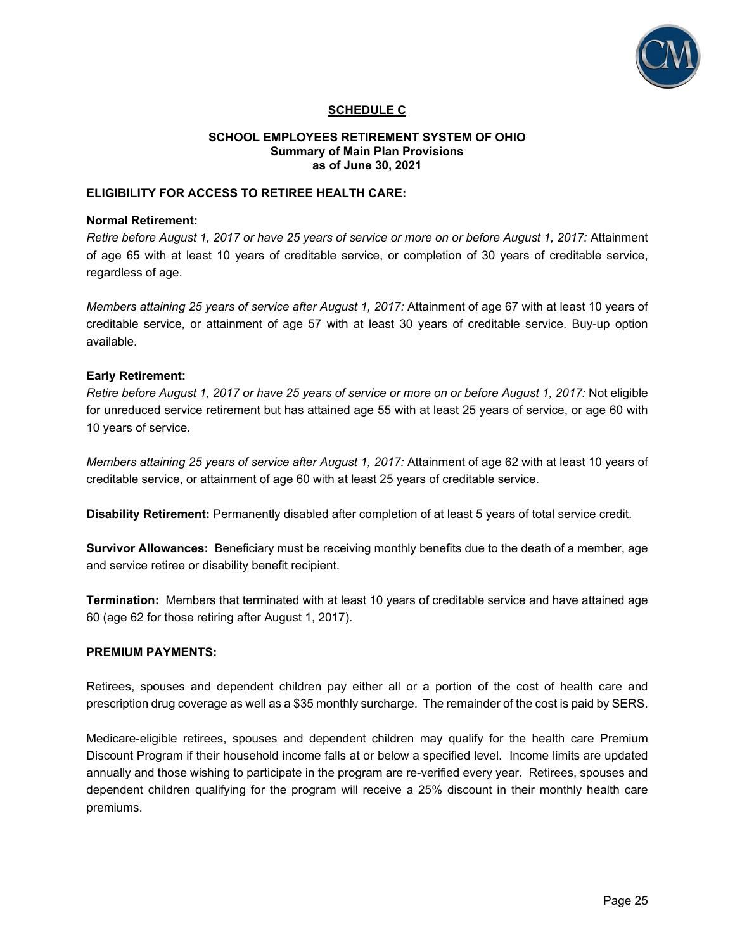

## **SCHEDULE C**

#### **SCHOOL EMPLOYEES RETIREMENT SYSTEM OF OHIO Summary of Main Plan Provisions as of June 30, 2021**

## **ELIGIBILITY FOR ACCESS TO RETIREE HEALTH CARE:**

#### **Normal Retirement:**

*Retire before August 1, 2017 or have 25 years of service or more on or before August 1, 2017:* Attainment of age 65 with at least 10 years of creditable service, or completion of 30 years of creditable service, regardless of age.

*Members attaining 25 years of service after August 1, 2017:* Attainment of age 67 with at least 10 years of creditable service, or attainment of age 57 with at least 30 years of creditable service. Buy-up option available.

#### **Early Retirement:**

*Retire before August 1, 2017 or have 25 years of service or more on or before August 1, 2017:* Not eligible for unreduced service retirement but has attained age 55 with at least 25 years of service, or age 60 with 10 years of service.

*Members attaining 25 years of service after August 1, 2017:* Attainment of age 62 with at least 10 years of creditable service, or attainment of age 60 with at least 25 years of creditable service.

**Disability Retirement:** Permanently disabled after completion of at least 5 years of total service credit.

**Survivor Allowances:** Beneficiary must be receiving monthly benefits due to the death of a member, age and service retiree or disability benefit recipient.

**Termination:** Members that terminated with at least 10 years of creditable service and have attained age 60 (age 62 for those retiring after August 1, 2017).

#### **PREMIUM PAYMENTS:**

Retirees, spouses and dependent children pay either all or a portion of the cost of health care and prescription drug coverage as well as a \$35 monthly surcharge. The remainder of the cost is paid by SERS.

Medicare-eligible retirees, spouses and dependent children may qualify for the health care Premium Discount Program if their household income falls at or below a specified level. Income limits are updated annually and those wishing to participate in the program are re-verified every year. Retirees, spouses and dependent children qualifying for the program will receive a 25% discount in their monthly health care premiums.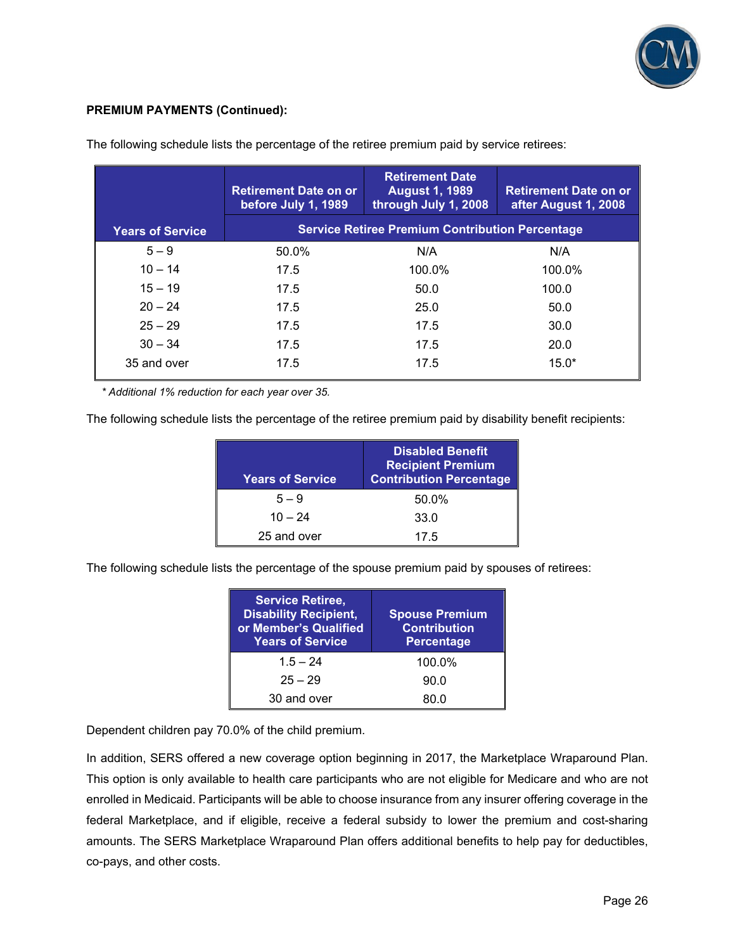

## **PREMIUM PAYMENTS (Continued):**

|                         | <b>Retirement Date on or</b><br>before July 1, 1989 | <b>Retirement Date</b><br><b>August 1, 1989</b><br>through July 1, 2008 | <b>Retirement Date on or</b><br>after August 1, 2008 |
|-------------------------|-----------------------------------------------------|-------------------------------------------------------------------------|------------------------------------------------------|
| <b>Years of Service</b> |                                                     | <b>Service Retiree Premium Contribution Percentage</b>                  |                                                      |
| $5 - 9$                 | 50.0%                                               | N/A                                                                     | N/A                                                  |
| $10 - 14$               | 17.5                                                | 100.0%                                                                  | 100.0%                                               |
| $15 - 19$               | 17.5                                                | 50.0                                                                    | 100.0                                                |
| $20 - 24$               | 17.5                                                | 25.0                                                                    | 50.0                                                 |
| $25 - 29$               | 17.5                                                | 17.5                                                                    | 30.0                                                 |
| $30 - 34$               | 17.5                                                | 17.5                                                                    | 20.0                                                 |
| 35 and over             | 17.5                                                | 17.5                                                                    | $15.0*$                                              |

The following schedule lists the percentage of the retiree premium paid by service retirees:

 *\* Additional 1% reduction for each year over 35.* 

The following schedule lists the percentage of the retiree premium paid by disability benefit recipients:

| <b>Years of Service</b> | <b>Disabled Benefit</b><br><b>Recipient Premium</b><br><b>Contribution Percentage</b> |
|-------------------------|---------------------------------------------------------------------------------------|
| $5 - 9$                 | 50.0%                                                                                 |
| $10 - 24$               | 33.0                                                                                  |
| 25 and over             | 17.5                                                                                  |

The following schedule lists the percentage of the spouse premium paid by spouses of retirees:

| <b>Service Retiree,</b><br><b>Disability Recipient,</b><br>or Member's Qualified<br><b>Years of Service</b> | <b>Spouse Premium</b><br><b>Contribution</b><br><b>Percentage</b> |
|-------------------------------------------------------------------------------------------------------------|-------------------------------------------------------------------|
| $1.5 - 24$                                                                                                  | 100.0%                                                            |
| $25 - 29$                                                                                                   | 90.0                                                              |
| 30 and over                                                                                                 | 80 O                                                              |

Dependent children pay 70.0% of the child premium.

In addition, SERS offered a new coverage option beginning in 2017, the Marketplace Wraparound Plan. This option is only available to health care participants who are not eligible for Medicare and who are not enrolled in Medicaid. Participants will be able to choose insurance from any insurer offering coverage in the federal Marketplace, and if eligible, receive a federal subsidy to lower the premium and cost-sharing amounts. The SERS Marketplace Wraparound Plan offers additional benefits to help pay for deductibles, co-pays, and other costs.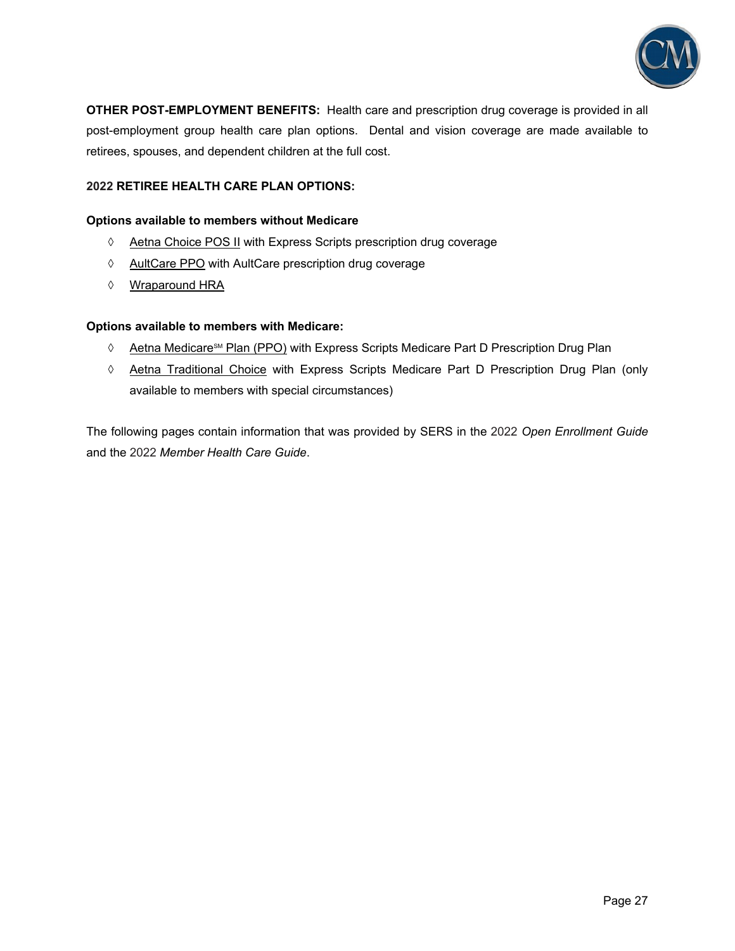

**OTHER POST-EMPLOYMENT BENEFITS:** Health care and prescription drug coverage is provided in all post-employment group health care plan options. Dental and vision coverage are made available to retirees, spouses, and dependent children at the full cost.

## **2022 RETIREE HEALTH CARE PLAN OPTIONS:**

#### **Options available to members without Medicare**

- $\Diamond$  Aetna Choice POS II with Express Scripts prescription drug coverage
- ♦ AultCare PPO with AultCare prescription drug coverage
- Wraparound HRA

### **Options available to members with Medicare:**

- $\Diamond$  Aetna Medicare<sup>sM</sup> Plan (PPO) with Express Scripts Medicare Part D Prescription Drug Plan
- Aetna Traditional Choice with Express Scripts Medicare Part D Prescription Drug Plan (only available to members with special circumstances)

The following pages contain information that was provided by SERS in the 2022 *Open Enrollment Guide* and the 2022 *Member Health Care Guide*.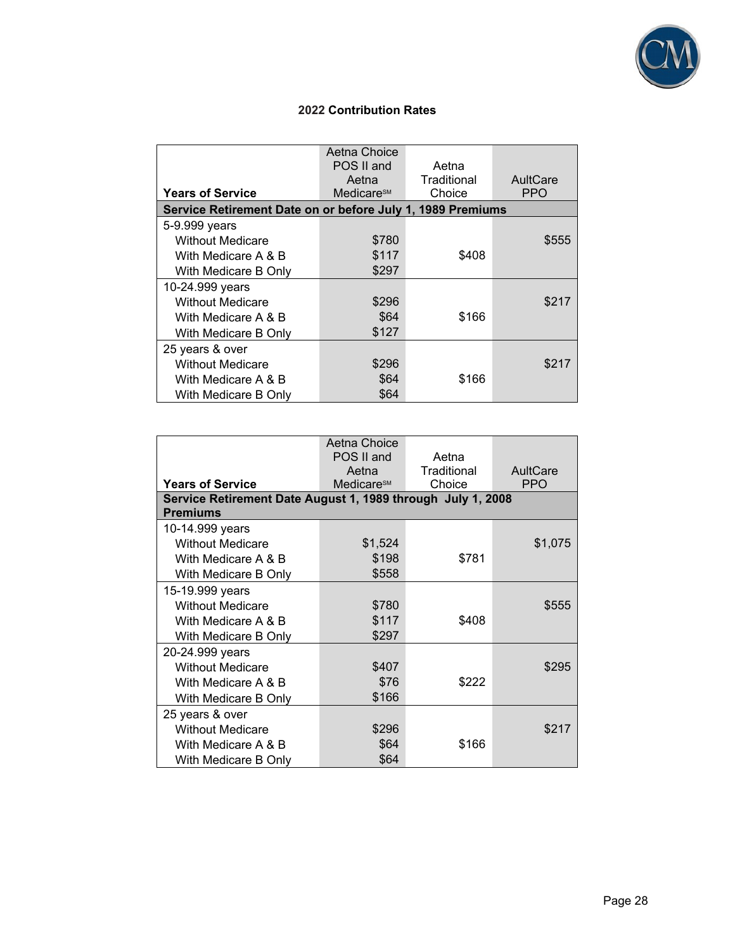

## **2022 Contribution Rates**

| <b>Years of Service</b>                                    | Aetna Choice<br>POS II and<br>Aetna<br>Medicare <sup>sM</sup> | Aetna<br>Traditional<br>Choice | AultCare<br><b>PPO</b> |
|------------------------------------------------------------|---------------------------------------------------------------|--------------------------------|------------------------|
| Service Retirement Date on or before July 1, 1989 Premiums |                                                               |                                |                        |
| 5-9.999 years                                              |                                                               |                                |                        |
| <b>Without Medicare</b>                                    | \$780                                                         |                                | \$555                  |
| With Medicare A & B                                        | \$117                                                         | \$408                          |                        |
| With Medicare B Only                                       | \$297                                                         |                                |                        |
| 10-24.999 years                                            |                                                               |                                |                        |
| <b>Without Medicare</b>                                    | \$296                                                         |                                | \$217                  |
| With Medicare A & B                                        | \$64                                                          | \$166                          |                        |
| With Medicare B Only                                       | \$127                                                         |                                |                        |
| 25 years & over                                            |                                                               |                                |                        |
| <b>Without Medicare</b>                                    | \$296                                                         |                                | \$217                  |
| With Medicare A & B                                        | \$64                                                          | \$166                          |                        |
| With Medicare B Only                                       | \$64                                                          |                                |                        |

|                                                             | Aetna Choice           |             |            |
|-------------------------------------------------------------|------------------------|-------------|------------|
|                                                             | POS II and             | Aetna       |            |
|                                                             | Aetna                  | Traditional | AultCare   |
| <b>Years of Service</b>                                     | Medicare <sup>SM</sup> | Choice      | <b>PPO</b> |
| Service Retirement Date August 1, 1989 through July 1, 2008 |                        |             |            |
| <b>Premiums</b>                                             |                        |             |            |
| 10-14.999 years                                             |                        |             |            |
| <b>Without Medicare</b>                                     | \$1,524                |             | \$1,075    |
| With Medicare A & B                                         | \$198                  | \$781       |            |
| With Medicare B Only                                        | \$558                  |             |            |
| 15-19.999 years                                             |                        |             |            |
| <b>Without Medicare</b>                                     | \$780                  |             | \$555      |
| With Medicare A & B                                         | \$117                  | \$408       |            |
| With Medicare B Only                                        | \$297                  |             |            |
| 20-24.999 years                                             |                        |             |            |
| <b>Without Medicare</b>                                     | \$407                  |             | \$295      |
| With Medicare A & B                                         | \$76                   | \$222       |            |
| With Medicare B Only                                        | \$166                  |             |            |
| 25 years & over                                             |                        |             |            |
| <b>Without Medicare</b>                                     | \$296                  |             | \$217      |
| With Medicare A & B                                         | \$64                   | \$166       |            |
| With Medicare B Only                                        | \$64                   |             |            |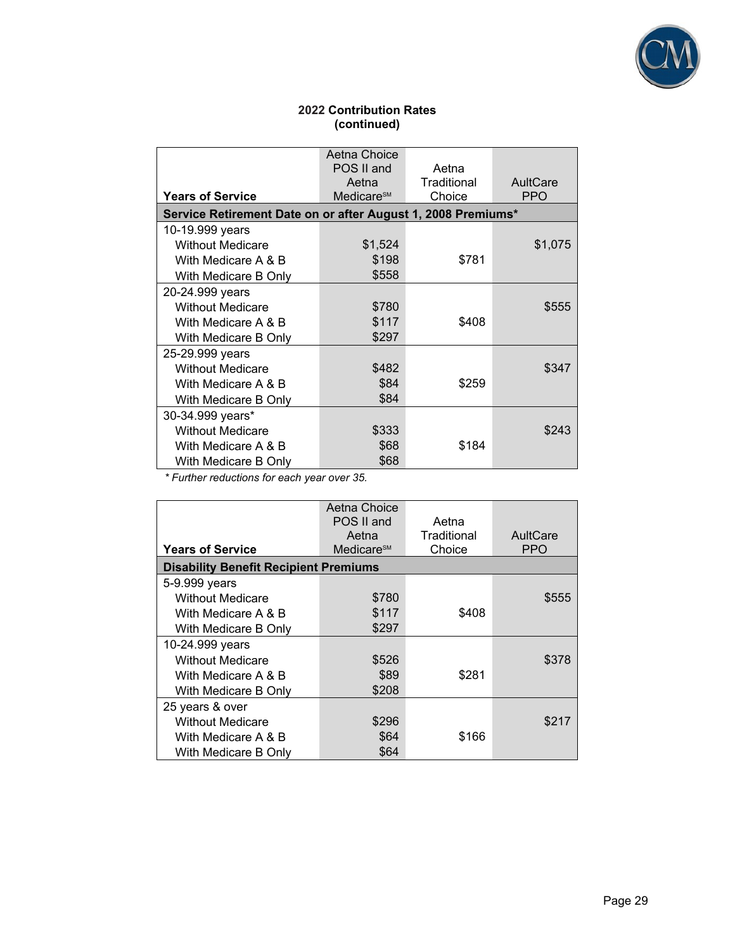

## **2022 Contribution Rates (continued)**

|                                                              | Aetna Choice<br>POS II and<br>Aetna | Aetna<br>Traditional | AultCare |
|--------------------------------------------------------------|-------------------------------------|----------------------|----------|
| <b>Years of Service</b>                                      | Medicare <sup>sM</sup>              | Choice               | PPO      |
| Service Retirement Date on or after August 1, 2008 Premiums* |                                     |                      |          |
| 10-19.999 years                                              |                                     |                      |          |
| <b>Without Medicare</b>                                      | \$1,524                             |                      | \$1,075  |
| With Medicare A & B                                          | \$198                               | \$781                |          |
| With Medicare B Only                                         | \$558                               |                      |          |
| 20-24.999 years                                              |                                     |                      |          |
| <b>Without Medicare</b>                                      | \$780                               |                      | \$555    |
| With Medicare A & B                                          | \$117                               | \$408                |          |
| With Medicare B Only                                         | \$297                               |                      |          |
| 25-29.999 years                                              |                                     |                      |          |
| <b>Without Medicare</b>                                      | \$482                               |                      | \$347    |
| With Medicare A & B                                          | \$84                                | \$259                |          |
| With Medicare B Only                                         | \$84                                |                      |          |
| 30-34.999 years*                                             |                                     |                      |          |
| <b>Without Medicare</b>                                      | \$333                               |                      | \$243    |
| With Medicare A & B                                          | \$68                                | \$184                |          |
| With Medicare B Only                                         | \$68                                |                      |          |

 *\* Further reductions for each year over 35.*

|                         | Aetna Choice                                 |             |          |  |
|-------------------------|----------------------------------------------|-------------|----------|--|
|                         | POS II and                                   | Aetna       |          |  |
|                         | Aetna                                        | Traditional | AultCare |  |
|                         |                                              |             |          |  |
| <b>Years of Service</b> | Medicare <sup>sM</sup>                       | Choice      | PPO      |  |
|                         | <b>Disability Benefit Recipient Premiums</b> |             |          |  |
| 5-9.999 years           |                                              |             |          |  |
| <b>Without Medicare</b> | \$780                                        |             | \$555    |  |
| With Medicare A & B     | \$117                                        | \$408       |          |  |
| With Medicare B Only    | \$297                                        |             |          |  |
| 10-24.999 years         |                                              |             |          |  |
| <b>Without Medicare</b> | \$526                                        |             | \$378    |  |
| With Medicare A & B     | \$89                                         | \$281       |          |  |
| With Medicare B Only    | \$208                                        |             |          |  |
| 25 years & over         |                                              |             |          |  |
| <b>Without Medicare</b> | \$296                                        |             | \$217    |  |
| With Medicare A & B     | \$64                                         | \$166       |          |  |
| With Medicare B Only    | \$64                                         |             |          |  |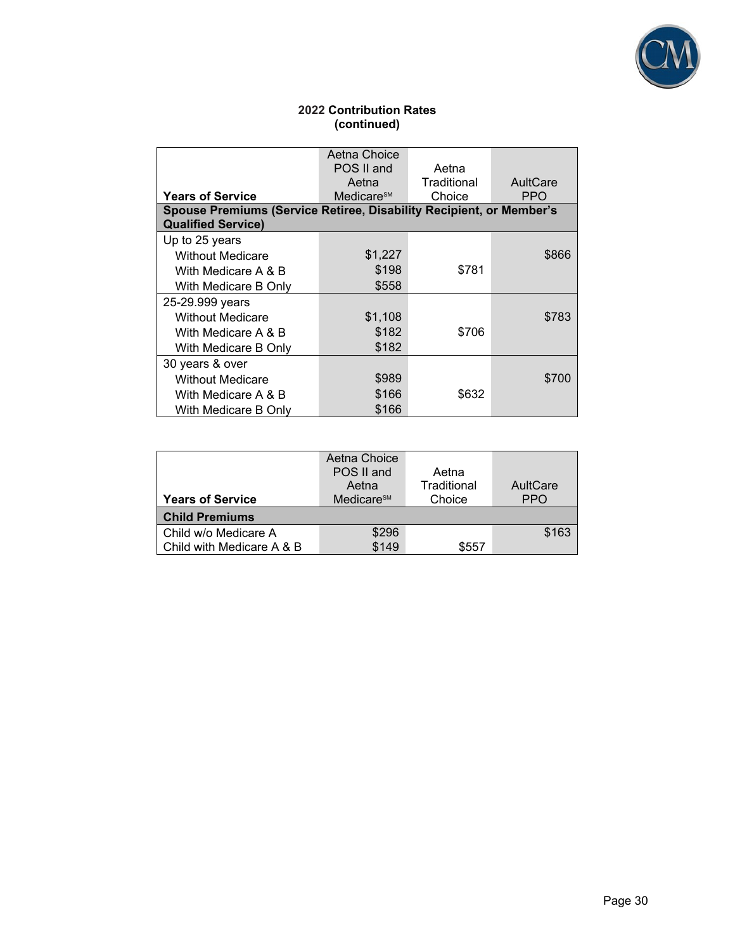

## **2022 Contribution Rates (continued)**

|                                                                     | Aetna Choice           |             |            |  |
|---------------------------------------------------------------------|------------------------|-------------|------------|--|
|                                                                     | POS II and<br>Aetna    |             |            |  |
|                                                                     | Aetna                  | Traditional | AultCare   |  |
| <b>Years of Service</b>                                             | Medicare <sup>sM</sup> | Choice      | <b>PPO</b> |  |
| Spouse Premiums (Service Retiree, Disability Recipient, or Member's |                        |             |            |  |
| <b>Qualified Service)</b>                                           |                        |             |            |  |
| Up to 25 years                                                      |                        |             |            |  |
| <b>Without Medicare</b>                                             | \$1,227                |             | \$866      |  |
| With Medicare A & B                                                 | \$198                  | \$781       |            |  |
| With Medicare B Only                                                | \$558                  |             |            |  |
| 25-29.999 years                                                     |                        |             |            |  |
| <b>Without Medicare</b>                                             | \$1,108                |             | \$783      |  |
| With Medicare A & B                                                 | \$182                  | \$706       |            |  |
| With Medicare B Onlv                                                | \$182                  |             |            |  |
| 30 years & over                                                     |                        |             |            |  |
| <b>Without Medicare</b>                                             | \$989                  |             | \$700      |  |
| With Medicare A & B                                                 | \$166                  | \$632       |            |  |
| With Medicare B Only                                                | \$166                  |             |            |  |

|                           | Aetna Choice           |             |            |
|---------------------------|------------------------|-------------|------------|
|                           | POS II and             | Aetna       |            |
|                           | Aetna                  | Traditional | AultCare   |
| <b>Years of Service</b>   | Medicare <sup>sM</sup> | Choice      | <b>PPO</b> |
| <b>Child Premiums</b>     |                        |             |            |
| Child w/o Medicare A      | \$296                  |             | \$163      |
| Child with Medicare A & B | \$149                  | \$557       |            |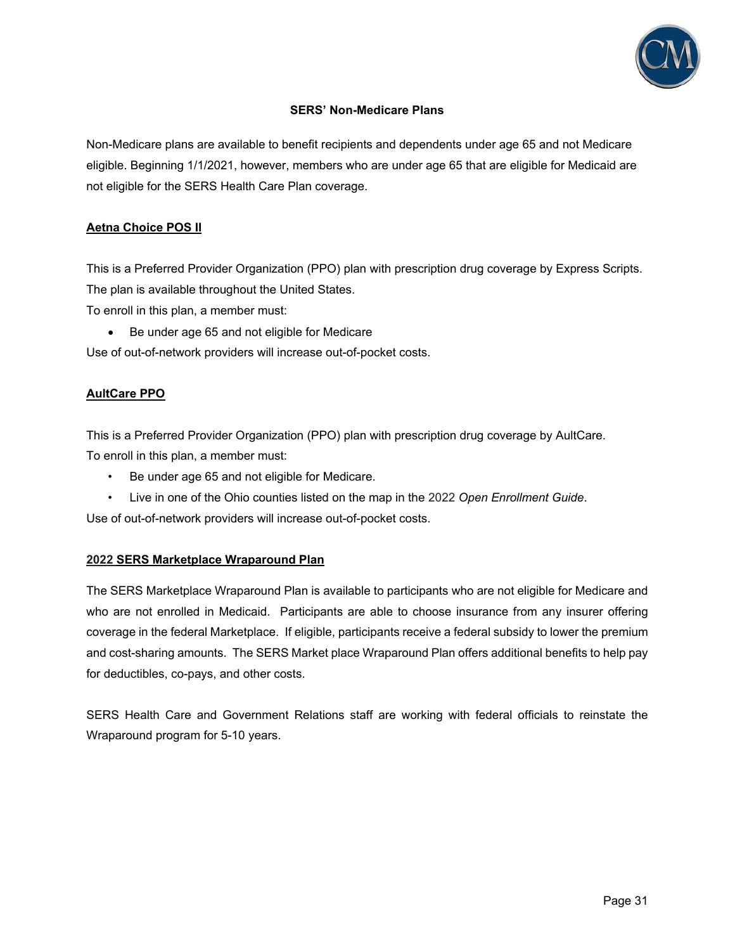

## **SERS' Non-Medicare Plans**

Non-Medicare plans are available to benefit recipients and dependents under age 65 and not Medicare eligible. Beginning 1/1/2021, however, members who are under age 65 that are eligible for Medicaid are not eligible for the SERS Health Care Plan coverage.

## **Aetna Choice POS II**

This is a Preferred Provider Organization (PPO) plan with prescription drug coverage by Express Scripts. The plan is available throughout the United States.

To enroll in this plan, a member must:

Be under age 65 and not eligible for Medicare

Use of out-of-network providers will increase out-of-pocket costs.

## **AultCare PPO**

This is a Preferred Provider Organization (PPO) plan with prescription drug coverage by AultCare. To enroll in this plan, a member must:

- Be under age 65 and not eligible for Medicare.
- Live in one of the Ohio counties listed on the map in the 2022 *Open Enrollment Guide*.

Use of out-of-network providers will increase out-of-pocket costs.

### **2022 SERS Marketplace Wraparound Plan**

The SERS Marketplace Wraparound Plan is available to participants who are not eligible for Medicare and who are not enrolled in Medicaid. Participants are able to choose insurance from any insurer offering coverage in the federal Marketplace. If eligible, participants receive a federal subsidy to lower the premium and cost-sharing amounts. The SERS Market place Wraparound Plan offers additional benefits to help pay for deductibles, co-pays, and other costs.

SERS Health Care and Government Relations staff are working with federal officials to reinstate the Wraparound program for 5-10 years.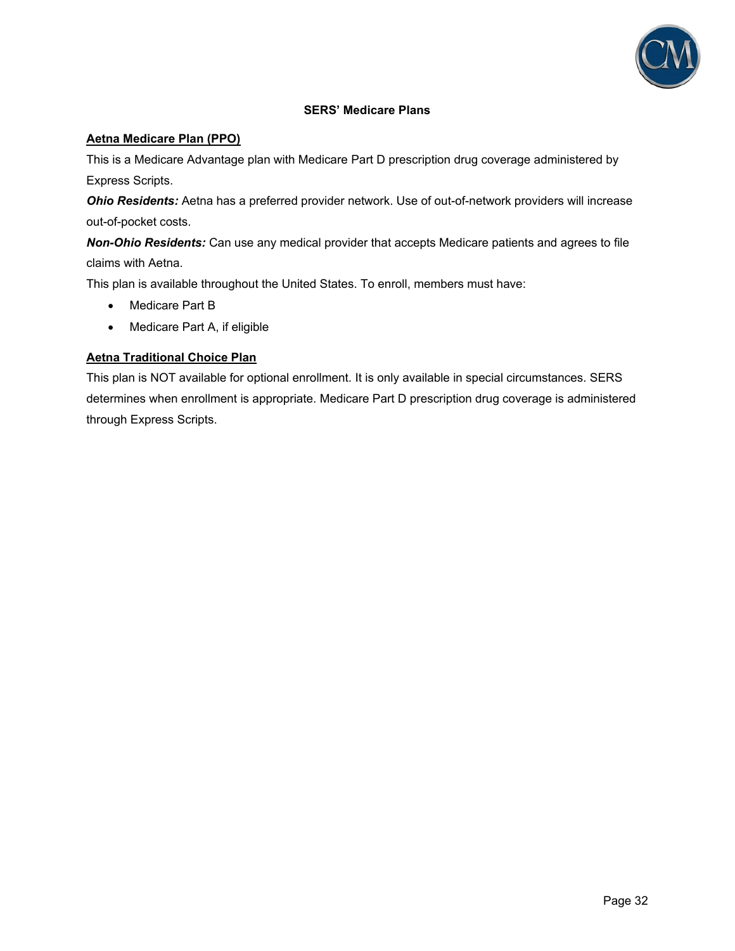

## **SERS' Medicare Plans**

## **Aetna Medicare Plan (PPO)**

This is a Medicare Advantage plan with Medicare Part D prescription drug coverage administered by Express Scripts.

*Ohio Residents:* Aetna has a preferred provider network. Use of out-of-network providers will increase out-of-pocket costs.

*Non-Ohio Residents:* Can use any medical provider that accepts Medicare patients and agrees to file claims with Aetna.

This plan is available throughout the United States. To enroll, members must have:

- Medicare Part B
- Medicare Part A, if eligible

### **Aetna Traditional Choice Plan**

This plan is NOT available for optional enrollment. It is only available in special circumstances. SERS determines when enrollment is appropriate. Medicare Part D prescription drug coverage is administered through Express Scripts.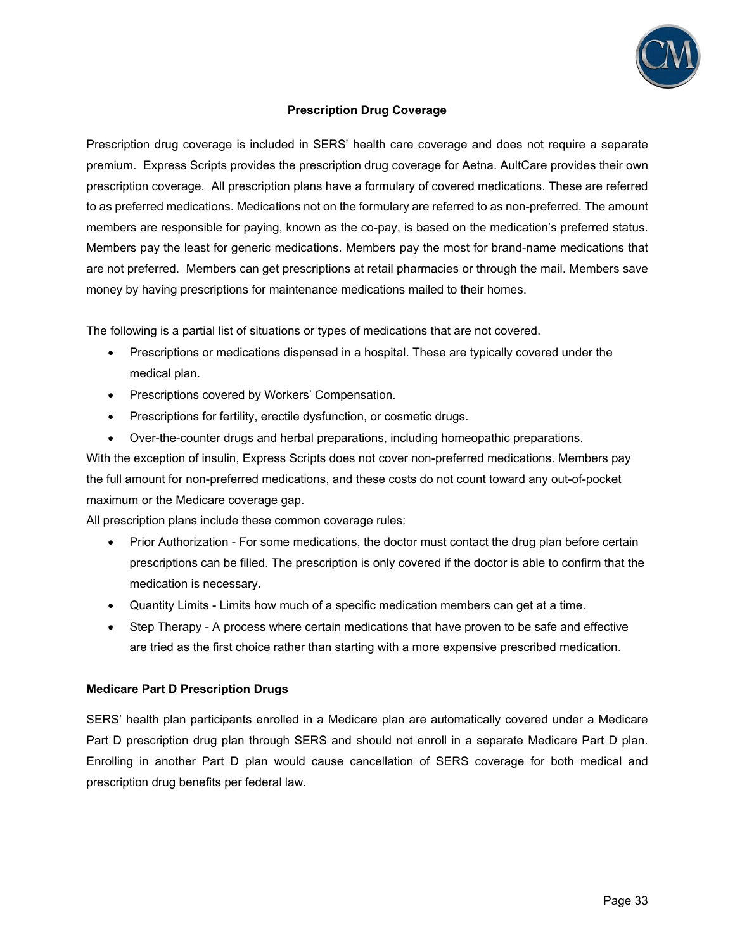

## **Prescription Drug Coverage**

Prescription drug coverage is included in SERS' health care coverage and does not require a separate premium. Express Scripts provides the prescription drug coverage for Aetna. AultCare provides their own prescription coverage. All prescription plans have a formulary of covered medications. These are referred to as preferred medications. Medications not on the formulary are referred to as non-preferred. The amount members are responsible for paying, known as the co-pay, is based on the medication's preferred status. Members pay the least for generic medications. Members pay the most for brand-name medications that are not preferred. Members can get prescriptions at retail pharmacies or through the mail. Members save money by having prescriptions for maintenance medications mailed to their homes.

The following is a partial list of situations or types of medications that are not covered.

- Prescriptions or medications dispensed in a hospital. These are typically covered under the medical plan.
- **•** Prescriptions covered by Workers' Compensation.
- Prescriptions for fertility, erectile dysfunction, or cosmetic drugs.
- Over-the-counter drugs and herbal preparations, including homeopathic preparations.

With the exception of insulin, Express Scripts does not cover non-preferred medications. Members pay the full amount for non-preferred medications, and these costs do not count toward any out-of-pocket maximum or the Medicare coverage gap.

All prescription plans include these common coverage rules:

- Prior Authorization For some medications, the doctor must contact the drug plan before certain prescriptions can be filled. The prescription is only covered if the doctor is able to confirm that the medication is necessary.
- Quantity Limits Limits how much of a specific medication members can get at a time.
- Step Therapy A process where certain medications that have proven to be safe and effective are tried as the first choice rather than starting with a more expensive prescribed medication.

#### **Medicare Part D Prescription Drugs**

SERS' health plan participants enrolled in a Medicare plan are automatically covered under a Medicare Part D prescription drug plan through SERS and should not enroll in a separate Medicare Part D plan. Enrolling in another Part D plan would cause cancellation of SERS coverage for both medical and prescription drug benefits per federal law.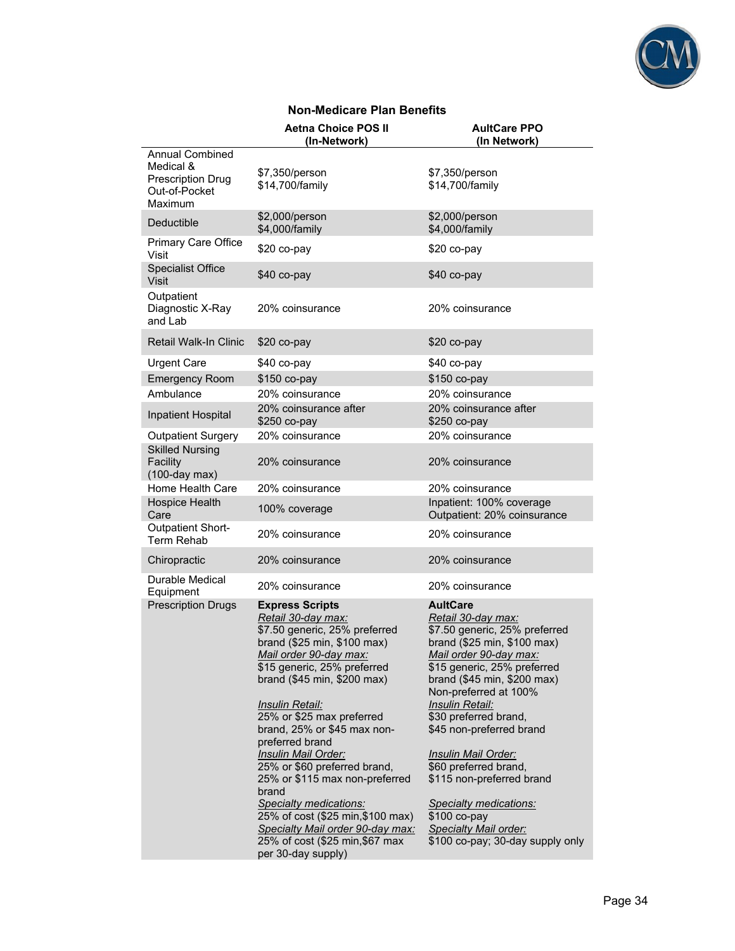

## **Non-Medicare Plan Benefits**

|                                                                                             | <b>Aetna Choice POS II</b><br>(In-Network)                                                                                                                                                                                                                                                                                                                                                                                                                                                                                                                                          | <b>AultCare PPO</b><br>(In Network)                                                                                                                                                                                                                                                                                                                                                                                                                                                                     |
|---------------------------------------------------------------------------------------------|-------------------------------------------------------------------------------------------------------------------------------------------------------------------------------------------------------------------------------------------------------------------------------------------------------------------------------------------------------------------------------------------------------------------------------------------------------------------------------------------------------------------------------------------------------------------------------------|---------------------------------------------------------------------------------------------------------------------------------------------------------------------------------------------------------------------------------------------------------------------------------------------------------------------------------------------------------------------------------------------------------------------------------------------------------------------------------------------------------|
| <b>Annual Combined</b><br>Medical &<br><b>Prescription Drug</b><br>Out-of-Pocket<br>Maximum | \$7,350/person<br>\$14,700/family                                                                                                                                                                                                                                                                                                                                                                                                                                                                                                                                                   | \$7,350/person<br>\$14,700/family                                                                                                                                                                                                                                                                                                                                                                                                                                                                       |
| Deductible                                                                                  | \$2,000/person<br>\$4,000/family                                                                                                                                                                                                                                                                                                                                                                                                                                                                                                                                                    | \$2,000/person<br>\$4,000/family                                                                                                                                                                                                                                                                                                                                                                                                                                                                        |
| Primary Care Office<br>Visit                                                                | \$20 co-pay                                                                                                                                                                                                                                                                                                                                                                                                                                                                                                                                                                         | \$20 co-pay                                                                                                                                                                                                                                                                                                                                                                                                                                                                                             |
| <b>Specialist Office</b><br><b>Visit</b>                                                    | \$40 co-pay                                                                                                                                                                                                                                                                                                                                                                                                                                                                                                                                                                         | \$40 co-pay                                                                                                                                                                                                                                                                                                                                                                                                                                                                                             |
| Outpatient<br>Diagnostic X-Ray<br>and Lab                                                   | 20% coinsurance                                                                                                                                                                                                                                                                                                                                                                                                                                                                                                                                                                     | 20% coinsurance                                                                                                                                                                                                                                                                                                                                                                                                                                                                                         |
| <b>Retail Walk-In Clinic</b>                                                                | $$20$ co-pay                                                                                                                                                                                                                                                                                                                                                                                                                                                                                                                                                                        | $$20$ co-pay                                                                                                                                                                                                                                                                                                                                                                                                                                                                                            |
| <b>Urgent Care</b>                                                                          | \$40 co-pay                                                                                                                                                                                                                                                                                                                                                                                                                                                                                                                                                                         | \$40 co-pay                                                                                                                                                                                                                                                                                                                                                                                                                                                                                             |
| <b>Emergency Room</b>                                                                       | \$150 co-pay                                                                                                                                                                                                                                                                                                                                                                                                                                                                                                                                                                        | \$150 co-pay                                                                                                                                                                                                                                                                                                                                                                                                                                                                                            |
| Ambulance                                                                                   | 20% coinsurance                                                                                                                                                                                                                                                                                                                                                                                                                                                                                                                                                                     | 20% coinsurance                                                                                                                                                                                                                                                                                                                                                                                                                                                                                         |
| <b>Inpatient Hospital</b>                                                                   | 20% coinsurance after<br>$$250$ co-pay                                                                                                                                                                                                                                                                                                                                                                                                                                                                                                                                              | 20% coinsurance after<br>$$250$ co-pay                                                                                                                                                                                                                                                                                                                                                                                                                                                                  |
| <b>Outpatient Surgery</b><br><b>Skilled Nursing</b>                                         | 20% coinsurance                                                                                                                                                                                                                                                                                                                                                                                                                                                                                                                                                                     | 20% coinsurance                                                                                                                                                                                                                                                                                                                                                                                                                                                                                         |
| Facility<br>$(100$ -day max $)$                                                             | 20% coinsurance                                                                                                                                                                                                                                                                                                                                                                                                                                                                                                                                                                     | 20% coinsurance                                                                                                                                                                                                                                                                                                                                                                                                                                                                                         |
| Home Health Care                                                                            | 20% coinsurance                                                                                                                                                                                                                                                                                                                                                                                                                                                                                                                                                                     | 20% coinsurance                                                                                                                                                                                                                                                                                                                                                                                                                                                                                         |
| Hospice Health<br>Care                                                                      | 100% coverage                                                                                                                                                                                                                                                                                                                                                                                                                                                                                                                                                                       | Inpatient: 100% coverage<br>Outpatient: 20% coinsurance                                                                                                                                                                                                                                                                                                                                                                                                                                                 |
| <b>Outpatient Short-</b><br><b>Term Rehab</b>                                               | 20% coinsurance                                                                                                                                                                                                                                                                                                                                                                                                                                                                                                                                                                     | 20% coinsurance                                                                                                                                                                                                                                                                                                                                                                                                                                                                                         |
| Chiropractic                                                                                | 20% coinsurance                                                                                                                                                                                                                                                                                                                                                                                                                                                                                                                                                                     | 20% coinsurance                                                                                                                                                                                                                                                                                                                                                                                                                                                                                         |
| Durable Medical<br>Equipment                                                                | 20% coinsurance                                                                                                                                                                                                                                                                                                                                                                                                                                                                                                                                                                     | 20% coinsurance                                                                                                                                                                                                                                                                                                                                                                                                                                                                                         |
| <b>Prescription Drugs</b>                                                                   | <b>Express Scripts</b><br>Retail 30-day max:<br>\$7.50 generic, 25% preferred<br>brand (\$25 min, \$100 max)<br>Mail order 90-day max:<br>\$15 generic, 25% preferred<br>brand (\$45 min, \$200 max)<br><u> Insulin Retail:</u><br>25% or \$25 max preferred<br>brand, 25% or \$45 max non-<br>preferred brand<br><b>Insulin Mail Order:</b><br>25% or \$60 preferred brand,<br>25% or \$115 max non-preferred<br>brand<br>Specialty medications:<br>25% of cost (\$25 min, \$100 max)<br>Specialty Mail order 90-day max:<br>25% of cost (\$25 min, \$67 max<br>per 30-day supply) | <b>AultCare</b><br>Retail 30-day max:<br>\$7.50 generic, 25% preferred<br>brand (\$25 min, \$100 max)<br>Mail order 90-day max:<br>\$15 generic, 25% preferred<br>brand (\$45 min, \$200 max)<br>Non-preferred at 100%<br><b>Insulin Retail:</b><br>\$30 preferred brand,<br>\$45 non-preferred brand<br>Insulin Mail Order:<br>\$60 preferred brand,<br>\$115 non-preferred brand<br><b>Specialty medications:</b><br>\$100 co-pay<br><b>Specialty Mail order:</b><br>\$100 co-pay; 30-day supply only |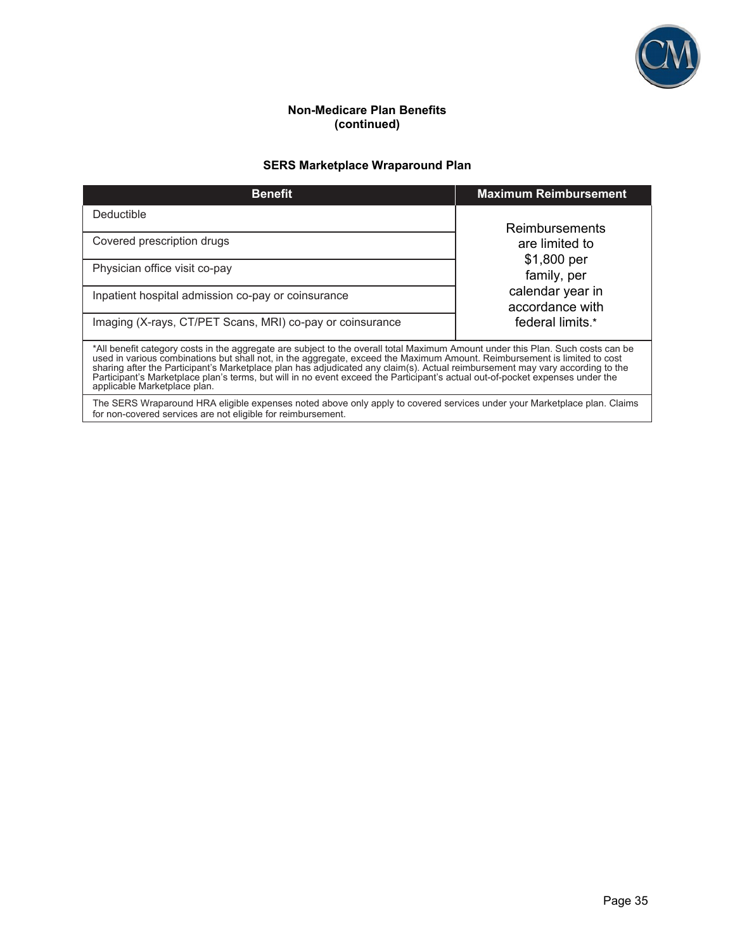

## **Non-Medicare Plan Benefits (continued)**

## **SERS Marketplace Wraparound Plan**

| <b>Benefit</b>                                                                                                                                                                                                                                                                                                                                                                                                                                                                                                                                                 | <b>Maximum Reimbursement</b>        |  |
|----------------------------------------------------------------------------------------------------------------------------------------------------------------------------------------------------------------------------------------------------------------------------------------------------------------------------------------------------------------------------------------------------------------------------------------------------------------------------------------------------------------------------------------------------------------|-------------------------------------|--|
| Deductible                                                                                                                                                                                                                                                                                                                                                                                                                                                                                                                                                     | Reimbursements                      |  |
| Covered prescription drugs                                                                                                                                                                                                                                                                                                                                                                                                                                                                                                                                     | are limited to<br>\$1,800 per       |  |
| Physician office visit co-pay                                                                                                                                                                                                                                                                                                                                                                                                                                                                                                                                  | family, per                         |  |
| Inpatient hospital admission co-pay or coinsurance                                                                                                                                                                                                                                                                                                                                                                                                                                                                                                             | calendar year in<br>accordance with |  |
| Imaging (X-rays, CT/PET Scans, MRI) co-pay or coinsurance                                                                                                                                                                                                                                                                                                                                                                                                                                                                                                      | federal limits.*                    |  |
| *All benefit category costs in the aggregate are subject to the overall total Maximum Amount under this Plan. Such costs can be<br>used in various combinations but shall not, in the aggregate, exceed the Maximum Amount. Reimbursement is limited to cost<br>sharing after the Participant's Marketplace plan has adjudicated any claim(s). Actual reimbursement may vary according to the<br>Participant's Marketplace plan's terms, but will in no event exceed the Participant's actual out-of-pocket expenses under the<br>applicable Marketplace plan. |                                     |  |
| The SERS Wraparound HRA eligible expenses noted above only apply to covered services under your Marketplace plan. Claims<br>for non-covered services are not eligible for reimbursement.                                                                                                                                                                                                                                                                                                                                                                       |                                     |  |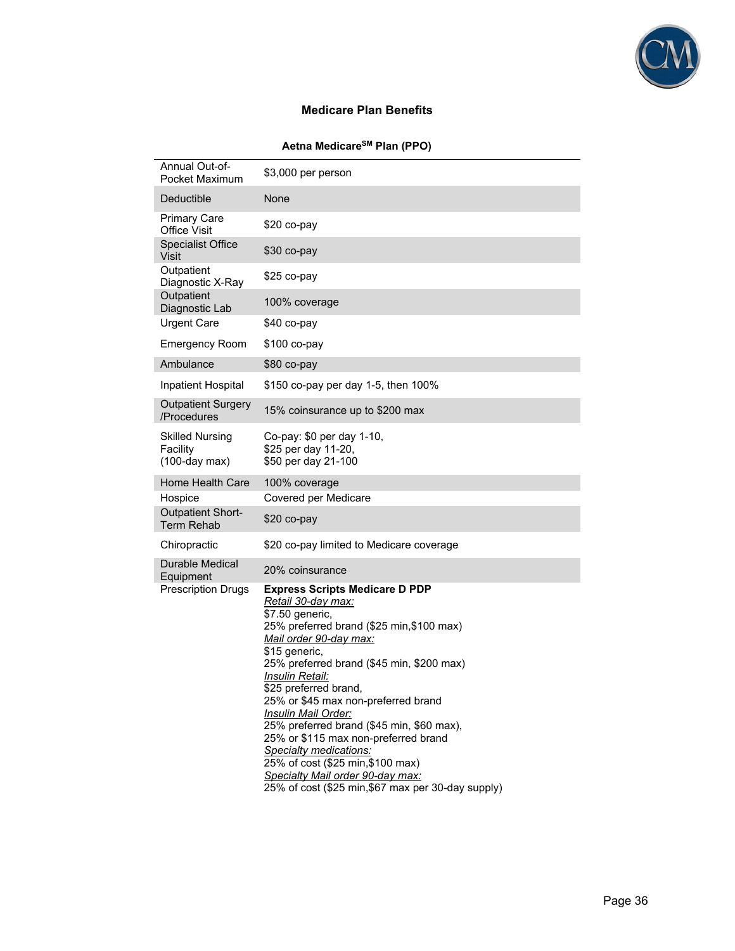

## **Medicare Plan Benefits**

## **Aetna MedicareSM Plan (PPO)**

| Annual Out-of-<br>Pocket Maximum                   | \$3,000 per person                                                      |
|----------------------------------------------------|-------------------------------------------------------------------------|
| Deductible                                         | None                                                                    |
| <b>Primary Care</b><br><b>Office Visit</b>         | $$20$ co-pay                                                            |
| <b>Specialist Office</b><br>Visit                  | \$30 co-pay                                                             |
| Outpatient<br>Diagnostic X-Ray                     | \$25 co-pay                                                             |
| Outpatient<br>Diagnostic Lab                       | 100% coverage                                                           |
| <b>Urgent Care</b>                                 | \$40 co-pay                                                             |
| <b>Emergency Room</b>                              | $$100$ co-pay                                                           |
| Ambulance                                          | \$80 co-pay                                                             |
| Inpatient Hospital                                 | \$150 co-pay per day 1-5, then 100%                                     |
| <b>Outpatient Surgery</b><br>/Procedures           | 15% coinsurance up to \$200 max                                         |
| Skilled Nursing<br>Facility<br>$(100$ -day max $)$ | Co-pay: \$0 per day 1-10,<br>\$25 per day 11-20,<br>\$50 per day 21-100 |
| Home Health Care                                   | 100% coverage                                                           |
| Hospice                                            | Covered per Medicare                                                    |
| <b>Outpatient Short-</b><br><b>Term Rehab</b>      | \$20 co-pay                                                             |
| Chiropractic                                       | \$20 co-pay limited to Medicare coverage                                |
| <b>Durable Medical</b><br>Equipment                |                                                                         |
| <b>Prescription Drugs</b>                          | 20% coinsurance<br><b>Express Scripts Medicare D PDP</b>                |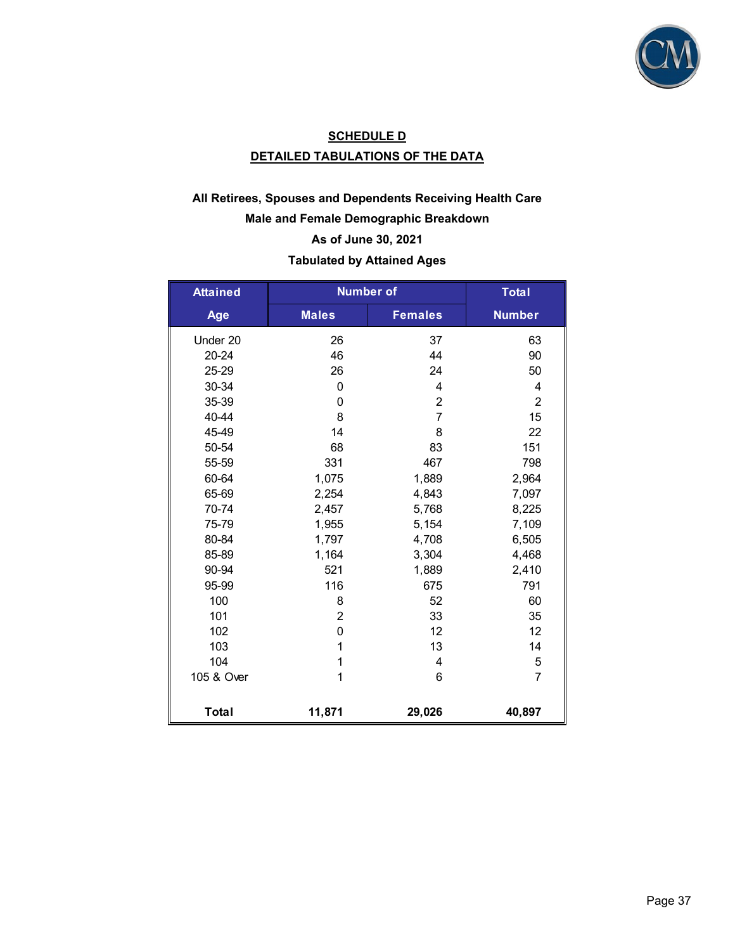

## **SCHEDULE D DETAILED TABULATIONS OF THE DATA**

## **All Retirees, Spouses and Dependents Receiving Health Care Male and Female Demographic Breakdown As of June 30, 2021 Tabulated by Attained Ages**

| <b>Attained</b> | <b>Number of</b> |                | <b>Total</b>   |
|-----------------|------------------|----------------|----------------|
| Age             | <b>Males</b>     | <b>Females</b> | <b>Number</b>  |
| Under 20        | 26               | 37             | 63             |
| $20 - 24$       | 46               | 44             | 90             |
| 25-29           | 26               | 24             | 50             |
| 30-34           | 0                | 4              | 4              |
| 35-39           | 0                | $\overline{2}$ | $\overline{2}$ |
| 40-44           | 8                | $\overline{7}$ | 15             |
| 45-49           | 14               | 8              | 22             |
| 50-54           | 68               | 83             | 151            |
| 55-59           | 331              | 467            | 798            |
| 60-64           | 1,075            | 1,889          | 2,964          |
| 65-69           | 2,254            | 4,843          | 7,097          |
| 70-74           | 2,457            | 5,768          | 8,225          |
| 75-79           | 1,955            | 5,154          | 7,109          |
| 80-84           | 1,797            | 4,708          | 6,505          |
| 85-89           | 1,164            | 3,304          | 4,468          |
| 90-94           | 521              | 1,889          | 2,410          |
| 95-99           | 116              | 675            | 791            |
| 100             | 8                | 52             | 60             |
| 101             | $\overline{2}$   | 33             | 35             |
| 102             | $\mathbf 0$      | 12             | 12             |
| 103             | 1                | 13             | 14             |
| 104             | 1                | 4              | 5              |
| 105 & Over      | 1                | 6              | $\overline{7}$ |
| <b>Total</b>    | 11,871           | 29,026         | 40,897         |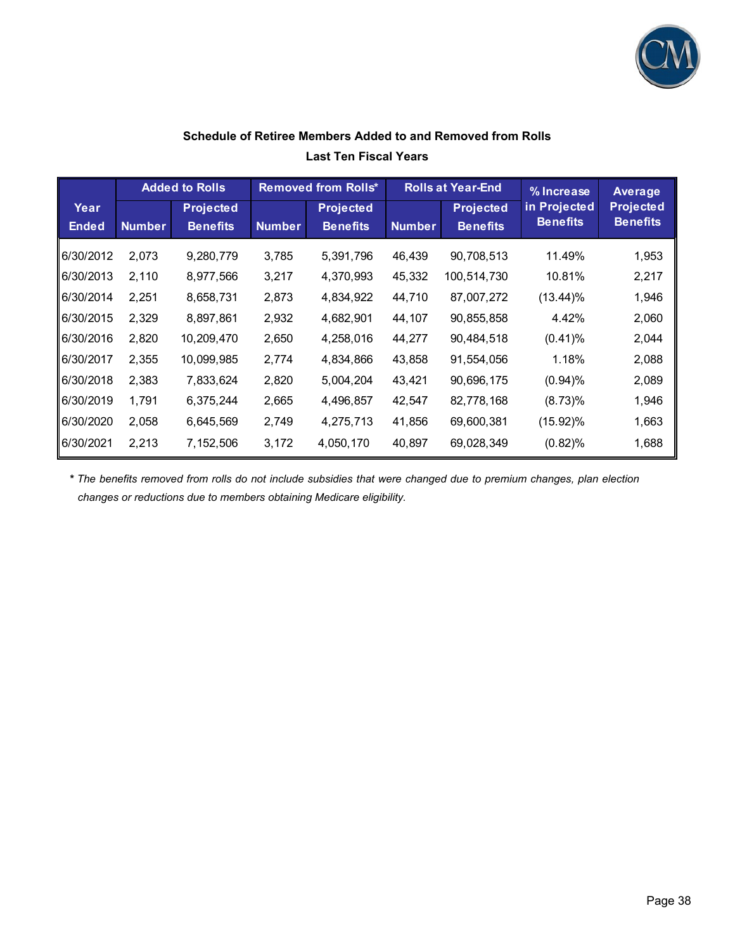

## **Schedule of Retiree Members Added to and Removed from Rolls Last Ten Fiscal Years**

|              |               | <b>Added to Rolls</b>               |               | <b>Removed from Rolls*</b>          | <b>Rolls at Year-End</b> |                  | % Increase                      | Average                             |
|--------------|---------------|-------------------------------------|---------------|-------------------------------------|--------------------------|------------------|---------------------------------|-------------------------------------|
| Year         |               | <b>Projected</b><br><b>Benefits</b> |               | <b>Projected</b><br><b>Benefits</b> |                          | <b>Projected</b> | in Projected<br><b>Benefits</b> | <b>Projected</b><br><b>Benefits</b> |
| <b>Ended</b> | <b>Number</b> |                                     | <b>Number</b> |                                     | <b>Number</b>            | <b>Benefits</b>  |                                 |                                     |
| 6/30/2012    | 2,073         | 9,280,779                           | 3,785         | 5,391,796                           | 46,439                   | 90,708,513       | 11.49%                          | 1,953                               |
| 6/30/2013    | 2,110         | 8,977,566                           | 3,217         | 4,370,993                           | 45,332                   | 100,514,730      | 10.81%                          | 2,217                               |
| 6/30/2014    | 2,251         | 8,658,731                           | 2,873         | 4,834,922                           | 44,710                   | 87,007,272       | (13.44)%                        | 1,946                               |
| 6/30/2015    | 2,329         | 8,897,861                           | 2,932         | 4,682,901                           | 44,107                   | 90,855,858       | 4.42%                           | 2,060                               |
| 6/30/2016    | 2,820         | 10,209,470                          | 2,650         | 4,258,016                           | 44,277                   | 90,484,518       | $(0.41)\%$                      | 2,044                               |
| 6/30/2017    | 2,355         | 10,099,985                          | 2,774         | 4,834,866                           | 43,858                   | 91,554,056       | 1.18%                           | 2,088                               |
| 6/30/2018    | 2,383         | 7,833,624                           | 2,820         | 5,004,204                           | 43,421                   | 90,696,175       | (0.94)%                         | 2,089                               |
| 6/30/2019    | 1,791         | 6,375,244                           | 2,665         | 4,496,857                           | 42,547                   | 82,778,168       | (8.73)%                         | 1,946                               |
| 6/30/2020    | 2,058         | 6,645,569                           | 2,749         | 4,275,713                           | 41,856                   | 69,600,381       | $(15.92)\%$                     | 1,663                               |
| 6/30/2021    | 2,213         | 7,152,506                           | 3,172         | 4,050,170                           | 40,897                   | 69,028,349       | (0.82)%                         | 1,688                               |

*\* The benefits removed from rolls do not include subsidies that were changed due to premium changes, plan election changes or reductions due to members obtaining Medicare eligibility.*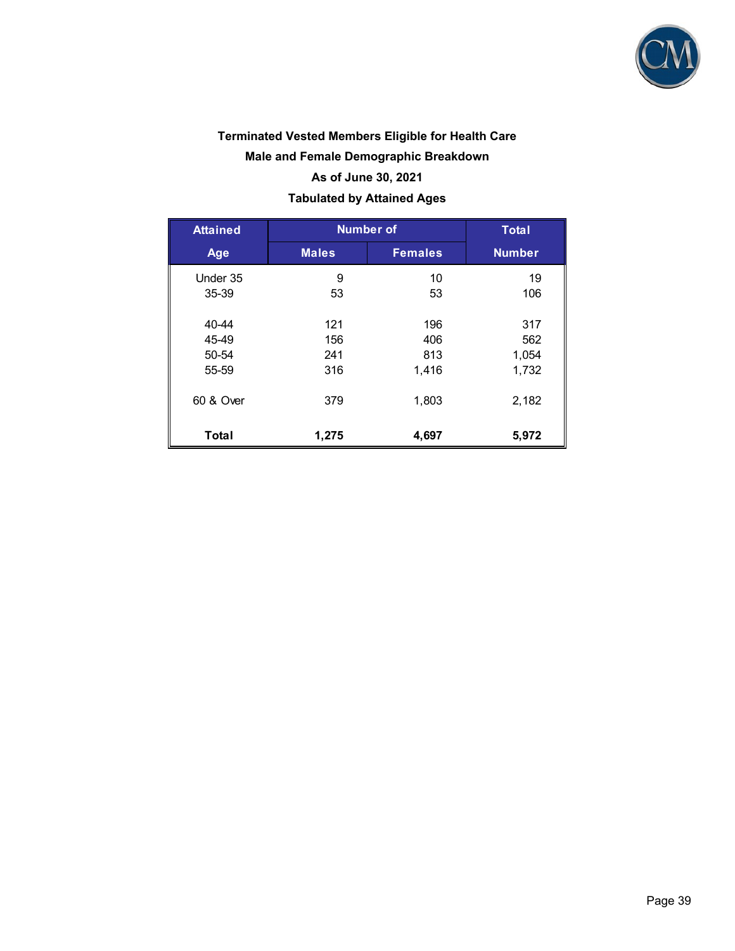

# **Terminated Vested Members Eligible for Health Care Male and Female Demographic Breakdown As of June 30, 2021 Tabulated by Attained Ages**

| <b>Attained</b> | <b>Number of</b> | <b>Total</b>   |               |
|-----------------|------------------|----------------|---------------|
| Age             | <b>Males</b>     | <b>Females</b> | <b>Number</b> |
| Under 35        | 9                | 10             | 19            |
| 35-39           | 53               | 53             | 106           |
| 40-44           | 121              | 196            | 317           |
| 45-49           | 156              | 406            | 562           |
| 50-54           | 241              | 813            | 1,054         |
| 55-59           | 316              | 1,416          | 1,732         |
| 60 & Over       | 379              | 1,803          | 2,182         |
| <b>Total</b>    | 1,275            | 4,697          | 5,972         |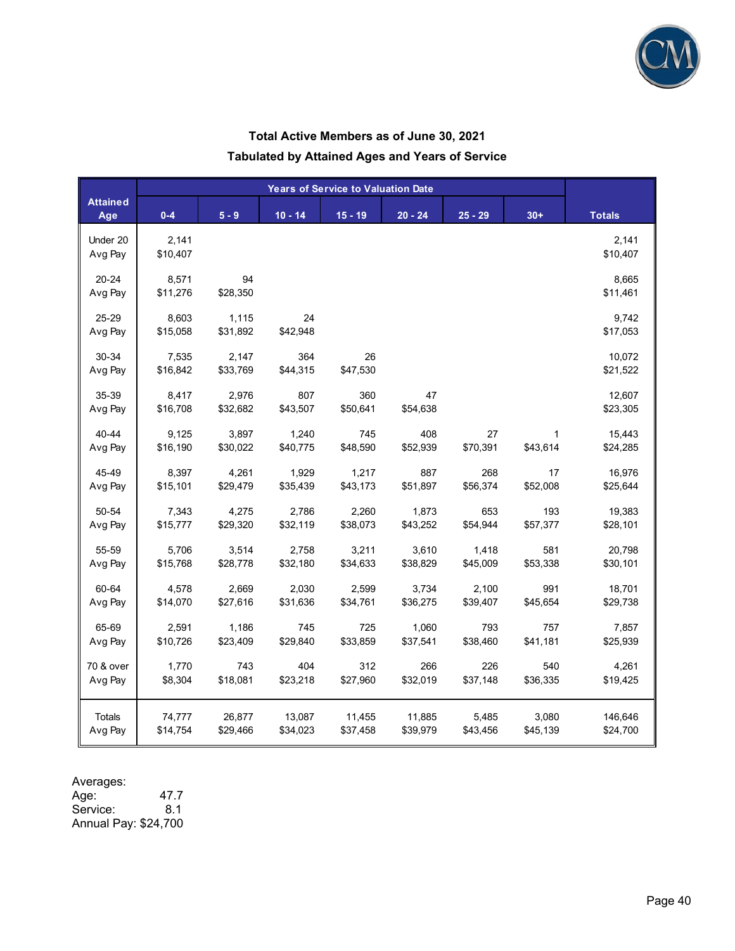

### **Total Active Members as of June 30, 2021**

**Tabulated by Attained Ages and Years of Service** 

| <b>Attained</b><br>Age | $0 - 4$  | $5 - 9$  | $10 - 14$ | $15 - 19$ | $20 - 24$ | $25 - 29$ | $30+$       | <b>Totals</b> |
|------------------------|----------|----------|-----------|-----------|-----------|-----------|-------------|---------------|
| Under 20               | 2,141    |          |           |           |           |           |             | 2,141         |
| Avg Pay                | \$10,407 |          |           |           |           |           |             | \$10,407      |
| 20-24                  | 8,571    | 94       |           |           |           |           |             | 8,665         |
| Avg Pay                | \$11,276 | \$28,350 |           |           |           |           |             | \$11,461      |
| 25-29                  | 8,603    | 1,115    | 24        |           |           |           |             | 9,742         |
| Avg Pay                | \$15,058 | \$31,892 | \$42,948  |           |           |           |             | \$17,053      |
| 30-34                  | 7,535    | 2,147    | 364       | 26        |           |           |             | 10,072        |
| Avg Pay                | \$16,842 | \$33,769 | \$44,315  | \$47,530  |           |           |             | \$21,522      |
| 35-39                  | 8,417    | 2,976    | 807       | 360       | 47        |           |             | 12,607        |
| Avg Pay                | \$16,708 | \$32,682 | \$43,507  | \$50,641  | \$54,638  |           |             | \$23,305      |
| 40-44                  | 9,125    | 3,897    | 1,240     | 745       | 408       | 27        | $\mathbf 1$ | 15,443        |
| Avg Pay                | \$16,190 | \$30,022 | \$40,775  | \$48,590  | \$52,939  | \$70,391  | \$43,614    | \$24,285      |
| 45-49                  | 8,397    | 4,261    | 1,929     | 1,217     | 887       | 268       | 17          | 16,976        |
| Avg Pay                | \$15,101 | \$29,479 | \$35,439  | \$43,173  | \$51,897  | \$56,374  | \$52,008    | \$25,644      |
| 50-54                  | 7,343    | 4,275    | 2,786     | 2,260     | 1,873     | 653       | 193         | 19,383        |
| Avg Pay                | \$15,777 | \$29,320 | \$32,119  | \$38,073  | \$43,252  | \$54,944  | \$57,377    | \$28,101      |
| 55-59                  | 5,706    | 3,514    | 2,758     | 3,211     | 3,610     | 1,418     | 581         | 20,798        |
| Avg Pay                | \$15,768 | \$28,778 | \$32,180  | \$34,633  | \$38,829  | \$45,009  | \$53,338    | \$30,101      |
| 60-64                  | 4,578    | 2,669    | 2,030     | 2,599     | 3,734     | 2,100     | 991         | 18,701        |
| Avg Pay                | \$14,070 | \$27,616 | \$31,636  | \$34,761  | \$36,275  | \$39,407  | \$45,654    | \$29,738      |
| 65-69                  | 2,591    | 1,186    | 745       | 725       | 1,060     | 793       | 757         | 7,857         |
| Avg Pay                | \$10,726 | \$23,409 | \$29,840  | \$33,859  | \$37,541  | \$38,460  | \$41,181    | \$25,939      |
| 70 & over              | 1,770    | 743      | 404       | 312       | 266       | 226       | 540         | 4,261         |
| Avg Pay                | \$8,304  | \$18,081 | \$23,218  | \$27,960  | \$32,019  | \$37,148  | \$36,335    | \$19,425      |
| Totals                 | 74,777   | 26,877   | 13,087    | 11,455    | 11,885    | 5,485     | 3,080       | 146,646       |
| Avg Pay                | \$14,754 | \$29,466 | \$34,023  | \$37,458  | \$39,979  | \$43,456  | \$45,139    | \$24,700      |

Averages:

Age: 47.7 Service: 8.1 Annual Pay: \$24,700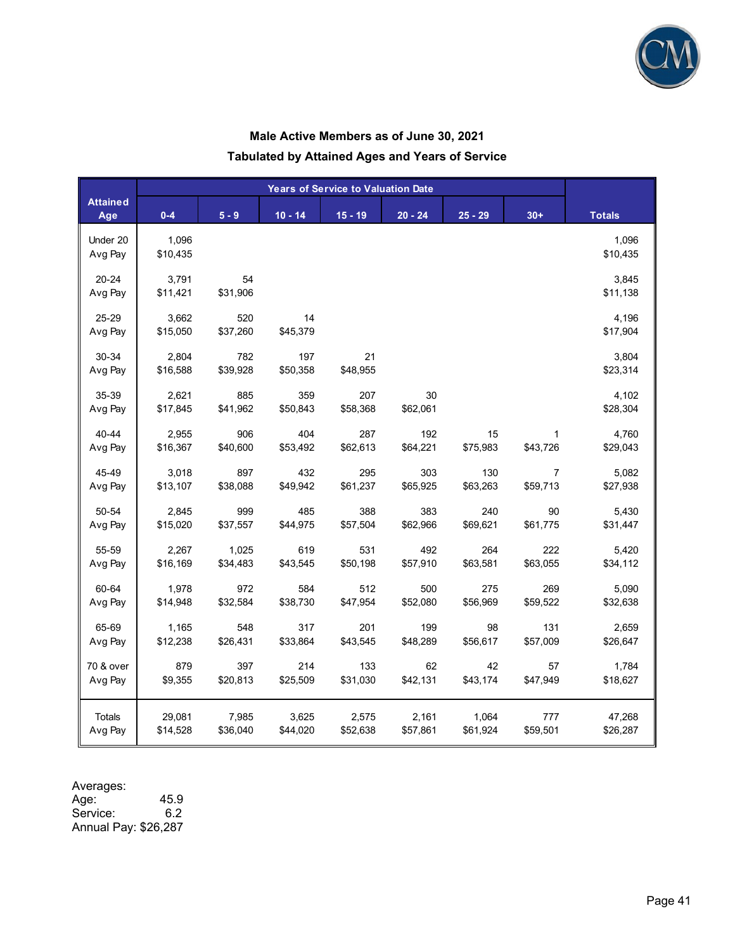

### **Male Active Members as of June 30, 2021**

### **Tabulated by Attained Ages and Years of Service**

|                        | <b>Years of Service to Valuation Date</b> |          |           |           |           |           |                |               |
|------------------------|-------------------------------------------|----------|-----------|-----------|-----------|-----------|----------------|---------------|
| <b>Attained</b><br>Age | $0 - 4$                                   | $5 - 9$  | $10 - 14$ | $15 - 19$ | $20 - 24$ | $25 - 29$ | $30+$          | <b>Totals</b> |
| Under 20               | 1,096                                     |          |           |           |           |           |                | 1,096         |
| Avg Pay                | \$10,435                                  |          |           |           |           |           |                | \$10,435      |
| 20-24                  | 3,791                                     | 54       |           |           |           |           |                | 3,845         |
| Avg Pay                | \$11,421                                  | \$31,906 |           |           |           |           |                | \$11,138      |
| 25-29                  | 3,662                                     | 520      | 14        |           |           |           |                | 4,196         |
| Avg Pay                | \$15,050                                  | \$37,260 | \$45,379  |           |           |           |                | \$17,904      |
| 30-34                  | 2,804                                     | 782      | 197       | 21        |           |           |                | 3,804         |
| Avg Pay                | \$16,588                                  | \$39,928 | \$50,358  | \$48,955  |           |           |                | \$23,314      |
| 35-39                  | 2,621                                     | 885      | 359       | 207       | 30        |           |                | 4,102         |
| Avg Pay                | \$17,845                                  | \$41,962 | \$50,843  | \$58,368  | \$62,061  |           |                | \$28,304      |
| 40-44                  | 2,955                                     | 906      | 404       | 287       | 192       | 15        |                | 4,760         |
| Avg Pay                | \$16,367                                  | \$40,600 | \$53,492  | \$62,613  | \$64,221  | \$75,983  | \$43,726       | \$29,043      |
| 45-49                  | 3,018                                     | 897      | 432       | 295       | 303       | 130       | $\overline{7}$ | 5,082         |
| Avg Pay                | \$13,107                                  | \$38,088 | \$49,942  | \$61,237  | \$65,925  | \$63,263  | \$59,713       | \$27,938      |
| 50-54                  | 2,845                                     | 999      | 485       | 388       | 383       | 240       | 90             | 5,430         |
| Avg Pay                | \$15,020                                  | \$37,557 | \$44,975  | \$57,504  | \$62,966  | \$69,621  | \$61,775       | \$31,447      |
| 55-59                  | 2,267                                     | 1,025    | 619       | 531       | 492       | 264       | 222            | 5,420         |
| Avg Pay                | \$16,169                                  | \$34,483 | \$43,545  | \$50,198  | \$57,910  | \$63,581  | \$63,055       | \$34,112      |
| 60-64                  | 1,978                                     | 972      | 584       | 512       | 500       | 275       | 269            | 5,090         |
| Avg Pay                | \$14,948                                  | \$32,584 | \$38,730  | \$47,954  | \$52,080  | \$56,969  | \$59,522       | \$32,638      |
| 65-69                  | 1,165                                     | 548      | 317       | 201       | 199       | 98        | 131            | 2,659         |
| Avg Pay                | \$12,238                                  | \$26,431 | \$33,864  | \$43,545  | \$48,289  | \$56,617  | \$57,009       | \$26,647      |
| 70 & over              | 879                                       | 397      | 214       | 133       | 62        | 42        | 57             | 1,784         |
| Avg Pay                | \$9,355                                   | \$20,813 | \$25,509  | \$31,030  | \$42,131  | \$43,174  | \$47,949       | \$18,627      |
| Totals                 | 29,081                                    | 7,985    | 3,625     | 2,575     | 2,161     | 1,064     | 777            | 47,268        |
| Avg Pay                | \$14,528                                  | \$36,040 | \$44,020  | \$52,638  | \$57,861  | \$61,924  | \$59,501       | \$26,287      |

| Averages: |  |
|-----------|--|
| Age:      |  |

 $^{45.9}_{6.2}$ Service: Annual Pay: \$26,287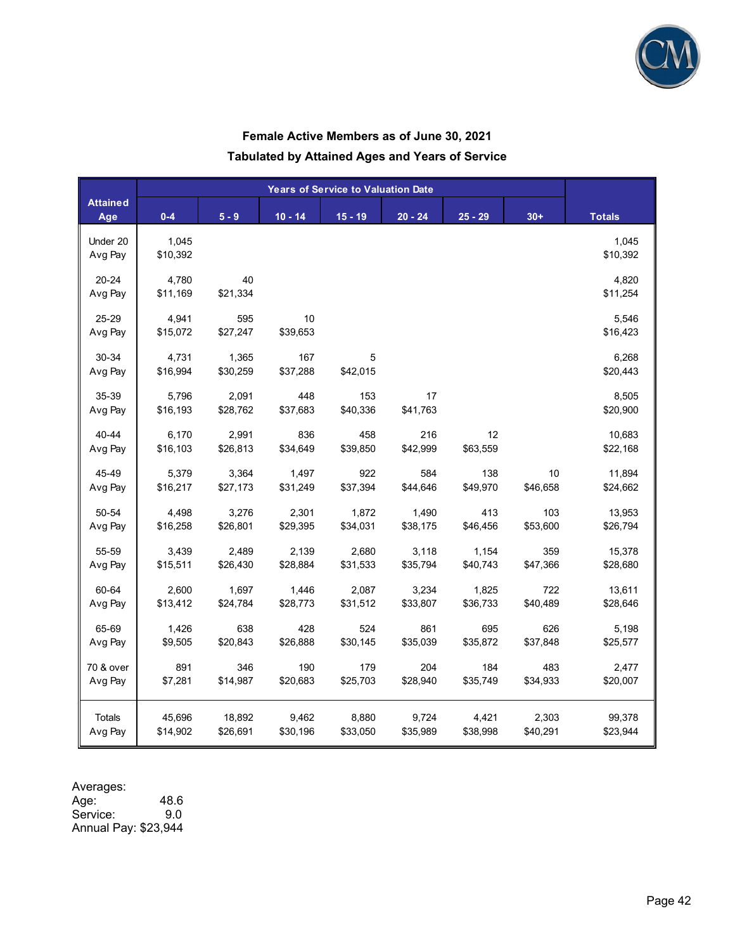

### **Female Active Members as of June 30, 2021**

**Tabulated by Attained Ages and Years of Service** 

| $0 - 4$<br>$5 - 9$<br>$10 - 14$<br>$15 - 19$<br>$20 - 24$<br>$25 - 29$<br>$30+$<br><b>Totals</b><br>Age<br>1,045<br>1,045<br>Under 20<br>\$10,392<br>Avg Pay<br>\$10,392<br>$20 - 24$<br>40<br>4,820<br>4,780<br>\$21,334<br>\$11,169<br>\$11,254<br>Avg Pay<br>25-29<br>4,941<br>595<br>10<br>5,546<br>\$27,247<br>\$39,653<br>\$16,423<br>Avg Pay<br>\$15,072<br>30-34<br>1,365<br>167<br>6,268<br>4,731<br>5<br>\$37,288<br>\$42,015<br>\$16,994<br>\$30,259<br>\$20,443<br>Avg Pay<br>35-39<br>5,796<br>2,091<br>448<br>153<br>17<br>8,505<br>\$16,193<br>\$28,762<br>\$37,683<br>\$40,336<br>\$41,763<br>\$20,900<br>Avg Pay<br>2,991<br>836<br>458<br>216<br>12<br>10,683<br>40-44<br>6,170<br>\$26,813<br>\$34,649<br>\$39,850<br>\$42,999<br>\$63,559<br>\$16,103<br>\$22,168<br>Avg Pay<br>10<br>45-49<br>5,379<br>3,364<br>1,497<br>922<br>584<br>138<br>11,894<br>\$27,173<br>\$31,249<br>\$37,394<br>\$44,646<br>\$49,970<br>\$46,658<br>\$24,662<br>Avg Pay<br>\$16,217<br>2,301<br>1,872<br>1,490<br>413<br>103<br>13,953<br>50-54<br>4,498<br>3,276<br>\$34,031<br>\$53,600<br>Avg Pay<br>\$16,258<br>\$26,801<br>\$29,395<br>\$38,175<br>\$46,456<br>\$26,794<br>359<br>55-59<br>3,439<br>2,489<br>2,139<br>2,680<br>3,118<br>1,154<br>15,378<br>\$15,511<br>\$26,430<br>\$28,884<br>\$31,533<br>\$35,794<br>\$40,743<br>\$47,366<br>\$28,680<br>Avg Pay<br>60-64<br>2,600<br>1,697<br>1,446<br>2,087<br>3,234<br>1,825<br>722<br>13,611<br>\$13,412<br>\$24,784<br>\$28,773<br>\$31,512<br>\$33,807<br>\$36,733<br>\$40,489<br>\$28,646<br>Avg Pay<br>638<br>428<br>524<br>861<br>695<br>626<br>5,198<br>65-69<br>1,426<br>Avg Pay<br>\$9,505<br>\$20,843<br>\$26,888<br>\$30,145<br>\$35,039<br>\$35,872<br>\$37,848<br>\$25,577<br>891<br>346<br>190<br>179<br>204<br>184<br>483<br>2,477<br>70 & over<br>\$7,281<br>\$14,987<br>\$20,683<br>\$25,703<br>\$28,940<br>\$35,749<br>\$34,933<br>\$20,007<br>Avg Pay<br>8,880<br>9,724<br>2,303<br>45,696<br>18,892<br>9,462<br>4,421<br>99,378<br>Totals<br>\$26,691<br>\$30,196<br>\$33,050<br>\$35,989<br>\$38,998<br>\$40,291<br>Avg Pay<br>\$14,902<br>\$23,944 |                 | <b>Years of Service to Valuation Date</b> |  |  |  |  |  |  |  |
|-------------------------------------------------------------------------------------------------------------------------------------------------------------------------------------------------------------------------------------------------------------------------------------------------------------------------------------------------------------------------------------------------------------------------------------------------------------------------------------------------------------------------------------------------------------------------------------------------------------------------------------------------------------------------------------------------------------------------------------------------------------------------------------------------------------------------------------------------------------------------------------------------------------------------------------------------------------------------------------------------------------------------------------------------------------------------------------------------------------------------------------------------------------------------------------------------------------------------------------------------------------------------------------------------------------------------------------------------------------------------------------------------------------------------------------------------------------------------------------------------------------------------------------------------------------------------------------------------------------------------------------------------------------------------------------------------------------------------------------------------------------------------------------------------------------------------------------------------------------------------------------------------------------------------------------------------------------------------------------------------------------------------------------------------------------------------------------------------------------------------------------|-----------------|-------------------------------------------|--|--|--|--|--|--|--|
|                                                                                                                                                                                                                                                                                                                                                                                                                                                                                                                                                                                                                                                                                                                                                                                                                                                                                                                                                                                                                                                                                                                                                                                                                                                                                                                                                                                                                                                                                                                                                                                                                                                                                                                                                                                                                                                                                                                                                                                                                                                                                                                                     | <b>Attained</b> |                                           |  |  |  |  |  |  |  |
|                                                                                                                                                                                                                                                                                                                                                                                                                                                                                                                                                                                                                                                                                                                                                                                                                                                                                                                                                                                                                                                                                                                                                                                                                                                                                                                                                                                                                                                                                                                                                                                                                                                                                                                                                                                                                                                                                                                                                                                                                                                                                                                                     |                 |                                           |  |  |  |  |  |  |  |
|                                                                                                                                                                                                                                                                                                                                                                                                                                                                                                                                                                                                                                                                                                                                                                                                                                                                                                                                                                                                                                                                                                                                                                                                                                                                                                                                                                                                                                                                                                                                                                                                                                                                                                                                                                                                                                                                                                                                                                                                                                                                                                                                     |                 |                                           |  |  |  |  |  |  |  |
|                                                                                                                                                                                                                                                                                                                                                                                                                                                                                                                                                                                                                                                                                                                                                                                                                                                                                                                                                                                                                                                                                                                                                                                                                                                                                                                                                                                                                                                                                                                                                                                                                                                                                                                                                                                                                                                                                                                                                                                                                                                                                                                                     |                 |                                           |  |  |  |  |  |  |  |
|                                                                                                                                                                                                                                                                                                                                                                                                                                                                                                                                                                                                                                                                                                                                                                                                                                                                                                                                                                                                                                                                                                                                                                                                                                                                                                                                                                                                                                                                                                                                                                                                                                                                                                                                                                                                                                                                                                                                                                                                                                                                                                                                     |                 |                                           |  |  |  |  |  |  |  |
|                                                                                                                                                                                                                                                                                                                                                                                                                                                                                                                                                                                                                                                                                                                                                                                                                                                                                                                                                                                                                                                                                                                                                                                                                                                                                                                                                                                                                                                                                                                                                                                                                                                                                                                                                                                                                                                                                                                                                                                                                                                                                                                                     |                 |                                           |  |  |  |  |  |  |  |
|                                                                                                                                                                                                                                                                                                                                                                                                                                                                                                                                                                                                                                                                                                                                                                                                                                                                                                                                                                                                                                                                                                                                                                                                                                                                                                                                                                                                                                                                                                                                                                                                                                                                                                                                                                                                                                                                                                                                                                                                                                                                                                                                     |                 |                                           |  |  |  |  |  |  |  |
|                                                                                                                                                                                                                                                                                                                                                                                                                                                                                                                                                                                                                                                                                                                                                                                                                                                                                                                                                                                                                                                                                                                                                                                                                                                                                                                                                                                                                                                                                                                                                                                                                                                                                                                                                                                                                                                                                                                                                                                                                                                                                                                                     |                 |                                           |  |  |  |  |  |  |  |
|                                                                                                                                                                                                                                                                                                                                                                                                                                                                                                                                                                                                                                                                                                                                                                                                                                                                                                                                                                                                                                                                                                                                                                                                                                                                                                                                                                                                                                                                                                                                                                                                                                                                                                                                                                                                                                                                                                                                                                                                                                                                                                                                     |                 |                                           |  |  |  |  |  |  |  |
|                                                                                                                                                                                                                                                                                                                                                                                                                                                                                                                                                                                                                                                                                                                                                                                                                                                                                                                                                                                                                                                                                                                                                                                                                                                                                                                                                                                                                                                                                                                                                                                                                                                                                                                                                                                                                                                                                                                                                                                                                                                                                                                                     |                 |                                           |  |  |  |  |  |  |  |
|                                                                                                                                                                                                                                                                                                                                                                                                                                                                                                                                                                                                                                                                                                                                                                                                                                                                                                                                                                                                                                                                                                                                                                                                                                                                                                                                                                                                                                                                                                                                                                                                                                                                                                                                                                                                                                                                                                                                                                                                                                                                                                                                     |                 |                                           |  |  |  |  |  |  |  |
|                                                                                                                                                                                                                                                                                                                                                                                                                                                                                                                                                                                                                                                                                                                                                                                                                                                                                                                                                                                                                                                                                                                                                                                                                                                                                                                                                                                                                                                                                                                                                                                                                                                                                                                                                                                                                                                                                                                                                                                                                                                                                                                                     |                 |                                           |  |  |  |  |  |  |  |
|                                                                                                                                                                                                                                                                                                                                                                                                                                                                                                                                                                                                                                                                                                                                                                                                                                                                                                                                                                                                                                                                                                                                                                                                                                                                                                                                                                                                                                                                                                                                                                                                                                                                                                                                                                                                                                                                                                                                                                                                                                                                                                                                     |                 |                                           |  |  |  |  |  |  |  |
|                                                                                                                                                                                                                                                                                                                                                                                                                                                                                                                                                                                                                                                                                                                                                                                                                                                                                                                                                                                                                                                                                                                                                                                                                                                                                                                                                                                                                                                                                                                                                                                                                                                                                                                                                                                                                                                                                                                                                                                                                                                                                                                                     |                 |                                           |  |  |  |  |  |  |  |
|                                                                                                                                                                                                                                                                                                                                                                                                                                                                                                                                                                                                                                                                                                                                                                                                                                                                                                                                                                                                                                                                                                                                                                                                                                                                                                                                                                                                                                                                                                                                                                                                                                                                                                                                                                                                                                                                                                                                                                                                                                                                                                                                     |                 |                                           |  |  |  |  |  |  |  |
|                                                                                                                                                                                                                                                                                                                                                                                                                                                                                                                                                                                                                                                                                                                                                                                                                                                                                                                                                                                                                                                                                                                                                                                                                                                                                                                                                                                                                                                                                                                                                                                                                                                                                                                                                                                                                                                                                                                                                                                                                                                                                                                                     |                 |                                           |  |  |  |  |  |  |  |
|                                                                                                                                                                                                                                                                                                                                                                                                                                                                                                                                                                                                                                                                                                                                                                                                                                                                                                                                                                                                                                                                                                                                                                                                                                                                                                                                                                                                                                                                                                                                                                                                                                                                                                                                                                                                                                                                                                                                                                                                                                                                                                                                     |                 |                                           |  |  |  |  |  |  |  |
|                                                                                                                                                                                                                                                                                                                                                                                                                                                                                                                                                                                                                                                                                                                                                                                                                                                                                                                                                                                                                                                                                                                                                                                                                                                                                                                                                                                                                                                                                                                                                                                                                                                                                                                                                                                                                                                                                                                                                                                                                                                                                                                                     |                 |                                           |  |  |  |  |  |  |  |
|                                                                                                                                                                                                                                                                                                                                                                                                                                                                                                                                                                                                                                                                                                                                                                                                                                                                                                                                                                                                                                                                                                                                                                                                                                                                                                                                                                                                                                                                                                                                                                                                                                                                                                                                                                                                                                                                                                                                                                                                                                                                                                                                     |                 |                                           |  |  |  |  |  |  |  |
|                                                                                                                                                                                                                                                                                                                                                                                                                                                                                                                                                                                                                                                                                                                                                                                                                                                                                                                                                                                                                                                                                                                                                                                                                                                                                                                                                                                                                                                                                                                                                                                                                                                                                                                                                                                                                                                                                                                                                                                                                                                                                                                                     |                 |                                           |  |  |  |  |  |  |  |
|                                                                                                                                                                                                                                                                                                                                                                                                                                                                                                                                                                                                                                                                                                                                                                                                                                                                                                                                                                                                                                                                                                                                                                                                                                                                                                                                                                                                                                                                                                                                                                                                                                                                                                                                                                                                                                                                                                                                                                                                                                                                                                                                     |                 |                                           |  |  |  |  |  |  |  |
|                                                                                                                                                                                                                                                                                                                                                                                                                                                                                                                                                                                                                                                                                                                                                                                                                                                                                                                                                                                                                                                                                                                                                                                                                                                                                                                                                                                                                                                                                                                                                                                                                                                                                                                                                                                                                                                                                                                                                                                                                                                                                                                                     |                 |                                           |  |  |  |  |  |  |  |
|                                                                                                                                                                                                                                                                                                                                                                                                                                                                                                                                                                                                                                                                                                                                                                                                                                                                                                                                                                                                                                                                                                                                                                                                                                                                                                                                                                                                                                                                                                                                                                                                                                                                                                                                                                                                                                                                                                                                                                                                                                                                                                                                     |                 |                                           |  |  |  |  |  |  |  |
|                                                                                                                                                                                                                                                                                                                                                                                                                                                                                                                                                                                                                                                                                                                                                                                                                                                                                                                                                                                                                                                                                                                                                                                                                                                                                                                                                                                                                                                                                                                                                                                                                                                                                                                                                                                                                                                                                                                                                                                                                                                                                                                                     |                 |                                           |  |  |  |  |  |  |  |
|                                                                                                                                                                                                                                                                                                                                                                                                                                                                                                                                                                                                                                                                                                                                                                                                                                                                                                                                                                                                                                                                                                                                                                                                                                                                                                                                                                                                                                                                                                                                                                                                                                                                                                                                                                                                                                                                                                                                                                                                                                                                                                                                     |                 |                                           |  |  |  |  |  |  |  |
|                                                                                                                                                                                                                                                                                                                                                                                                                                                                                                                                                                                                                                                                                                                                                                                                                                                                                                                                                                                                                                                                                                                                                                                                                                                                                                                                                                                                                                                                                                                                                                                                                                                                                                                                                                                                                                                                                                                                                                                                                                                                                                                                     |                 |                                           |  |  |  |  |  |  |  |
|                                                                                                                                                                                                                                                                                                                                                                                                                                                                                                                                                                                                                                                                                                                                                                                                                                                                                                                                                                                                                                                                                                                                                                                                                                                                                                                                                                                                                                                                                                                                                                                                                                                                                                                                                                                                                                                                                                                                                                                                                                                                                                                                     |                 |                                           |  |  |  |  |  |  |  |

| Averages:            |      |
|----------------------|------|
| Age:                 | 48.6 |
| Service:             | 9.0  |
| Annual Pay: \$23,944 |      |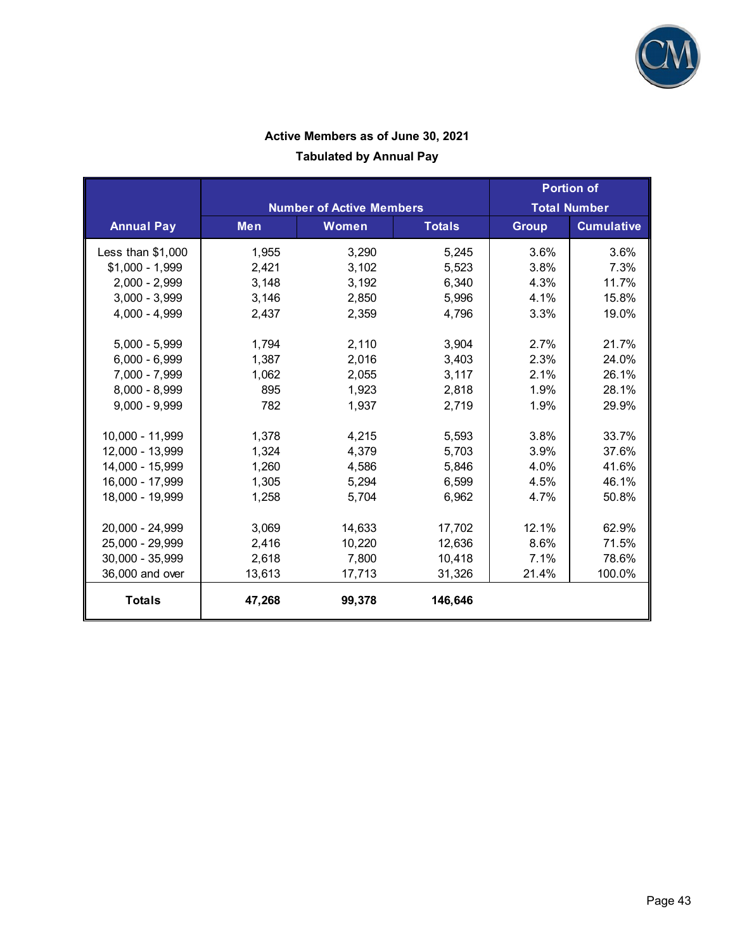

|                    |            |                                 | <b>Portion of</b> |                     |                   |
|--------------------|------------|---------------------------------|-------------------|---------------------|-------------------|
|                    |            | <b>Number of Active Members</b> |                   | <b>Total Number</b> |                   |
| <b>Annual Pay</b>  | <b>Men</b> | <b>Women</b>                    | <b>Totals</b>     | <b>Group</b>        | <b>Cumulative</b> |
| Less than $$1,000$ | 1,955      | 3,290                           | 5,245             | 3.6%                | 3.6%              |
| $$1,000 - 1,999$   | 2,421      | 3,102                           | 5,523             | 3.8%                | 7.3%              |
| $2,000 - 2,999$    | 3,148      | 3,192                           | 6,340             | 4.3%                | 11.7%             |
| $3,000 - 3,999$    | 3,146      | 2,850                           | 5,996             | 4.1%                | 15.8%             |
| $4,000 - 4,999$    | 2,437      | 2,359                           | 4,796             | 3.3%                | 19.0%             |
| $5,000 - 5,999$    | 1,794      | 2,110                           | 3,904             | 2.7%                | 21.7%             |
| $6,000 - 6,999$    | 1,387      | 2,016                           | 3,403             | 2.3%                | 24.0%             |
| 7,000 - 7,999      | 1,062      | 2,055                           | 3,117             | 2.1%                | 26.1%             |
| $8,000 - 8,999$    | 895        | 1,923                           | 2,818             | 1.9%                | 28.1%             |
| $9,000 - 9,999$    | 782        | 1,937                           | 2,719             | 1.9%                | 29.9%             |
| 10,000 - 11,999    | 1,378      | 4,215                           | 5,593             | 3.8%                | 33.7%             |
| 12,000 - 13,999    | 1,324      | 4,379                           | 5,703             | 3.9%                | 37.6%             |
| 14,000 - 15,999    | 1,260      | 4,586                           | 5,846             | 4.0%                | 41.6%             |
| 16,000 - 17,999    | 1,305      | 5,294                           | 6,599             | 4.5%                | 46.1%             |
| 18,000 - 19,999    | 1,258      | 5,704                           | 6,962             | 4.7%                | 50.8%             |
| 20,000 - 24,999    | 3,069      | 14,633                          | 17,702            | 12.1%               | 62.9%             |
| 25,000 - 29,999    | 2,416      | 10,220                          | 12,636            | 8.6%                | 71.5%             |
| 30,000 - 35,999    | 2,618      | 7,800                           | 10,418            | 7.1%                | 78.6%             |
| 36,000 and over    | 13,613     | 17,713                          | 31,326            | 21.4%               | 100.0%            |
| <b>Totals</b>      | 47,268     | 99,378                          | 146,646           |                     |                   |

### **Active Members as of June 30, 2021**

### **Tabulated by Annual Pay**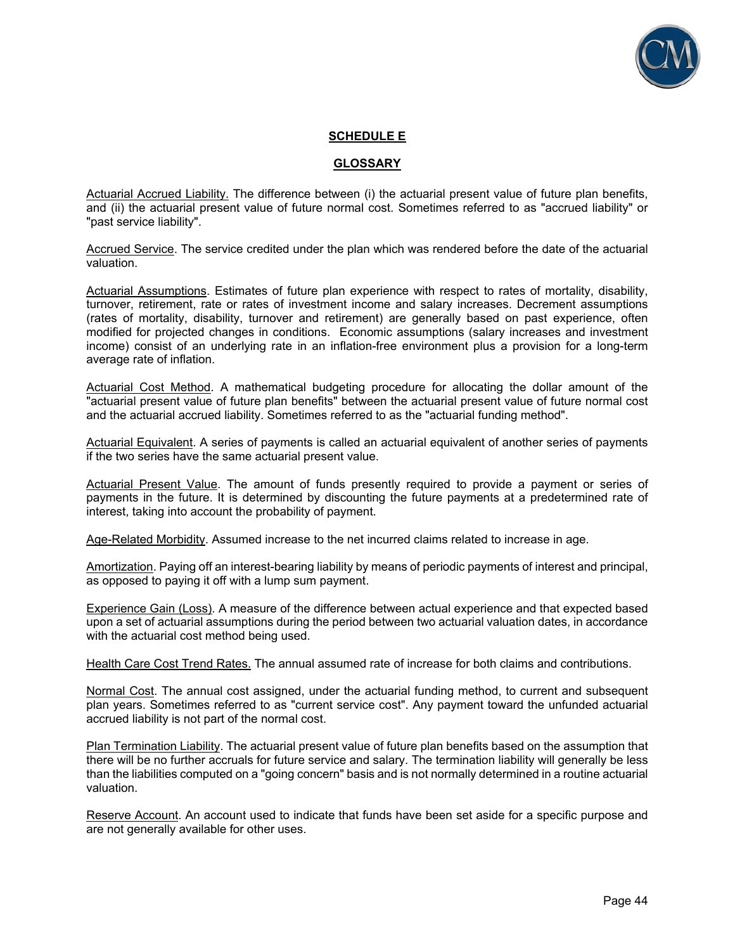

#### **SCHEDULE E**

#### **GLOSSARY**

Actuarial Accrued Liability. The difference between (i) the actuarial present value of future plan benefits, and (ii) the actuarial present value of future normal cost. Sometimes referred to as "accrued liability" or "past service liability".

Accrued Service. The service credited under the plan which was rendered before the date of the actuarial valuation.

Actuarial Assumptions. Estimates of future plan experience with respect to rates of mortality, disability, turnover, retirement, rate or rates of investment income and salary increases. Decrement assumptions (rates of mortality, disability, turnover and retirement) are generally based on past experience, often modified for projected changes in conditions. Economic assumptions (salary increases and investment income) consist of an underlying rate in an inflation-free environment plus a provision for a long-term average rate of inflation.

Actuarial Cost Method. A mathematical budgeting procedure for allocating the dollar amount of the "actuarial present value of future plan benefits" between the actuarial present value of future normal cost and the actuarial accrued liability. Sometimes referred to as the "actuarial funding method".

Actuarial Equivalent. A series of payments is called an actuarial equivalent of another series of payments if the two series have the same actuarial present value.

Actuarial Present Value. The amount of funds presently required to provide a payment or series of payments in the future. It is determined by discounting the future payments at a predetermined rate of interest, taking into account the probability of payment.

Age-Related Morbidity. Assumed increase to the net incurred claims related to increase in age.

Amortization. Paying off an interest-bearing liability by means of periodic payments of interest and principal, as opposed to paying it off with a lump sum payment.

Experience Gain (Loss). A measure of the difference between actual experience and that expected based upon a set of actuarial assumptions during the period between two actuarial valuation dates, in accordance with the actuarial cost method being used.

Health Care Cost Trend Rates. The annual assumed rate of increase for both claims and contributions.

Normal Cost. The annual cost assigned, under the actuarial funding method, to current and subsequent plan years. Sometimes referred to as "current service cost". Any payment toward the unfunded actuarial accrued liability is not part of the normal cost.

Plan Termination Liability. The actuarial present value of future plan benefits based on the assumption that there will be no further accruals for future service and salary. The termination liability will generally be less than the liabilities computed on a "going concern" basis and is not normally determined in a routine actuarial valuation.

Reserve Account. An account used to indicate that funds have been set aside for a specific purpose and are not generally available for other uses.